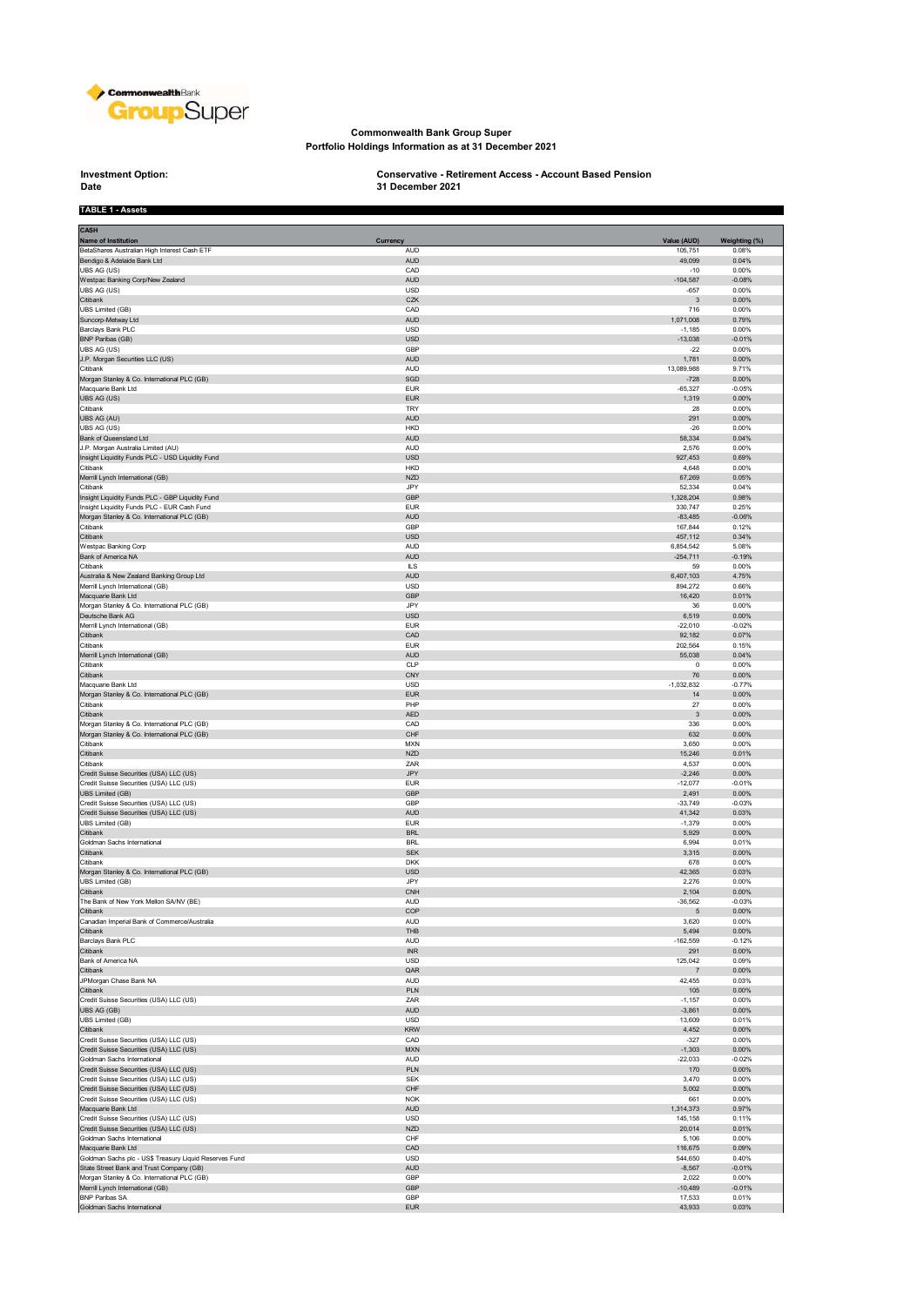

#### **Commonwealth Bank Group Super Portfolio Holdings Information as at 31 December 2021**

# **Investment Option:**<br>Date

**TABLE 1 - Assets**

## **Investment Option: Conservative - Retirement Access - Account Based Pension 31 December 2021**

| <b>CASH</b><br><b>Name of Institution</b>                                          | Currency                                  | Value (AUD)           | Weighting (%)     |
|------------------------------------------------------------------------------------|-------------------------------------------|-----------------------|-------------------|
| BetaShares Australian High Interest Cash ETF                                       | AUD                                       | 105,751               | 0.08%             |
| Bendigo & Adelaide Bank Ltd                                                        | <b>AUD</b>                                | 49,099                | 0.04%             |
| UBS AG (US)<br>Westpac Banking Corp/New Zealand                                    | CAD<br><b>AUD</b>                         | $-10$<br>$-104,587$   | 0.00%<br>$-0.08%$ |
| UBS AG (US)                                                                        | USD                                       | $-657$                | 0.00%             |
| Citibank                                                                           | CZK                                       | $\overline{3}$        | 0.00%             |
| UBS Limited (GB)                                                                   | CAD                                       | 716                   | 0.00%             |
| Suncorp-Metway Ltd<br>Barclays Bank PLC                                            | <b>AUD</b><br>USD                         | 1,071,008<br>$-1,185$ | 0.79%<br>0.00%    |
| <b>BNP Paribas (GB)</b>                                                            | <b>USD</b>                                | $-13,038$             | $-0.01%$          |
| UBS AG (US)                                                                        | GBP                                       | $-22$                 | 0.00%             |
| J.P. Morgan Securities LLC (US)<br>Citibank                                        | <b>AUD</b><br>AUD                         | 1,781<br>13,089,988   | 0.00%<br>9.71%    |
| Morgan Stanley & Co. International PLC (GB)                                        | SGD                                       | $-728$                | 0.00%             |
| Macquarie Bank Ltd                                                                 | <b>EUR</b>                                | $-65,327$             | $-0.05%$          |
| UBS AG (US)                                                                        | <b>EUR</b>                                | 1,319                 | 0.00%             |
| Citibank<br>UBS AG (AU)                                                            | TRY<br><b>AUD</b>                         | 28<br>291             | 0.00%<br>0.00%    |
| UBS AG (US)                                                                        | <b>HKD</b>                                | $-26$                 | 0.00%             |
| Bank of Queensland Ltd                                                             | <b>AUD</b>                                | 58,334                | 0.04%             |
| J.P. Morgan Australia Limited (AU)                                                 | <b>AUD</b>                                | 2,576                 | 0.00%             |
| Insight Liquidity Funds PLC - USD Liquidity Fund<br>Citibank                       | <b>USD</b><br><b>HKD</b>                  | 927,453<br>4,648      | 0.69%<br>0.00%    |
| Merrill Lynch International (GB)                                                   | <b>NZD</b>                                | 67,269                | 0.05%             |
| Citibank                                                                           | JPY                                       | 52,334                | 0.04%             |
| Insight Liquidity Funds PLC - GBP Liquidity Fund                                   | GBP                                       | 1,328,204             | 0.98%             |
| Insight Liquidity Funds PLC - EUR Cash Fund                                        | <b>EUR</b><br><b>AUD</b>                  | 330,747<br>$-83,485$  | 0.25%<br>$-0.06%$ |
| Morgan Stanley & Co. International PLC (GB)<br>Citibank                            | GBP                                       | 167,844               | 0.12%             |
| Citibank                                                                           | <b>USD</b>                                | 457,112               | 0.34%             |
| Westpac Banking Corp.                                                              | <b>AUD</b>                                | 6,854,542             | 5.08%             |
| Bank of America NA<br>Citibank                                                     | <b>AUD</b><br><b>ILS</b>                  | $-254,711$<br>59      | $-0.19%$<br>0.00% |
| Australia & New Zealand Banking Group Ltd                                          | <b>AUD</b>                                | 6,407,103             | 4.75%             |
| Merrill Lynch International (GB)                                                   | <b>USD</b>                                | 894,272               | 0.66%             |
| Macquarie Bank Ltd                                                                 | GBP                                       | 16,420                | 0.01%             |
| Morgan Stanley & Co. International PLC (GB)<br>Deutsche Bank AG                    | JPY<br><b>USD</b>                         | 36<br>6,519           | 0.00%<br>0.00%    |
| Merrill Lynch International (GB)                                                   | <b>EUR</b>                                | $-22,010$             | $-0.02%$          |
| Citibank                                                                           | CAD                                       | 92,182                | 0.07%             |
| Citibank                                                                           | <b>EUR</b>                                | 202,564               | 0.15%             |
| Merrill Lynch International (GB)<br>Citibank                                       | <b>AUD</b><br>CLP                         | 55,038<br>$\mathbf 0$ | 0.04%<br>0.00%    |
| Citibank                                                                           | CNY                                       | 76                    | 0.00%             |
| Macquarie Bank Ltd                                                                 | <b>USD</b>                                | $-1,032,832$          | $-0.77%$          |
| Morgan Stanley & Co. International PLC (GB)                                        | <b>EUR</b>                                | 14                    | 0.00%             |
| Citibank                                                                           | PHP                                       | 27                    | 0.00%             |
| Citibank<br>Morgan Stanley & Co. International PLC (GB)                            | <b>AED</b><br>CAD                         | 3<br>336              | 0.00%<br>0.00%    |
| Morgan Stanley & Co. International PLC (GB)                                        | CHF                                       | 632                   | 0.00%             |
| Citibank                                                                           | <b>MXN</b>                                | 3,650                 | 0.00%             |
| Citibank                                                                           | <b>NZD</b>                                | 15,246                | 0.01%             |
| Citibank<br>Credit Suisse Securities (USA) LLC (US)                                | ZAR<br><b>JPY</b>                         | 4,537<br>$-2,246$     | 0.00%<br>0.00%    |
| Credit Suisse Securities (USA) LLC (US)                                            | <b>EUR</b>                                | $-12,077$             | $-0.01%$          |
| UBS Limited (GB)                                                                   | GBP                                       | 2,491                 | 0.00%             |
| Credit Suisse Securities (USA) LLC (US)<br>Credit Suisse Securities (USA) LLC (US) | GBP<br><b>AUD</b>                         | $-33,749$<br>41,342   | $-0.03%$<br>0.03% |
| UBS Limited (GB)                                                                   | <b>EUR</b>                                | $-1,379$              | 0.00%             |
| Citibank                                                                           | <b>BRL</b>                                | 5,929                 | 0.00%             |
| Goldman Sachs International                                                        | <b>BRL</b>                                | 6,994                 | 0.01%             |
| Citibank<br>Citibank                                                               | <b>SEK</b><br><b>DKK</b>                  | 3,315<br>678          | 0.00%<br>0.00%    |
| Morgan Stanley & Co. International PLC (GB)                                        | <b>USD</b>                                | 42,365                | 0.03%             |
| UBS Limited (GB)                                                                   | JPY.                                      | 2,276                 | 0.00%             |
| Citibank                                                                           | <b>CNH</b>                                | 2,104                 | 0.00%             |
| The Bank of New York Mellon SA/NV (BE)<br>Citibank                                 | AUD<br>COP                                | $-36,562$<br>5        | $-0.03%$<br>0.00% |
| Canadian Imperial Bank of Commerce/Australia                                       | <b>AUD</b>                                | 3,620                 | 0.00%             |
| Citibank                                                                           | THB                                       | 5,494                 | 0.00%             |
| Barclays Bank PLC                                                                  | AUD                                       | $-162,559$            | $-0.12%$          |
| Citibank<br>Bank of America NA                                                     | $\ensuremath{\mathsf{INR}}$<br><b>USD</b> | 291<br>125,042        | 0.00%<br>0.09%    |
| Citibank                                                                           | QAR                                       | 7                     | 0.00%             |
| JPMorgan Chase Bank NA                                                             | AUD                                       | 42,455                | 0.03%             |
| Citibank                                                                           | PLN                                       | 105                   | 0.00%             |
| Credit Suisse Securities (USA) LLC (US)<br>UBS AG (GB)                             | ZAR<br><b>AUD</b>                         | $-1,157$<br>$-3,861$  | 0.00%<br>0.00%    |
| <b>UBS Limited (GB)</b>                                                            | USD                                       | 13,609                | 0.01%             |
| Citibank                                                                           | <b>KRW</b>                                | 4,452                 | 0.00%             |
| Credit Suisse Securities (USA) LLC (US)                                            | CAD                                       | $-327$                | 0.00%             |
| Credit Suisse Securities (USA) LLC (US)<br>Goldman Sachs International             | <b>MXN</b><br>AUD                         | $-1,303$<br>$-22,033$ | 0.00%<br>$-0.02%$ |
| Credit Suisse Securities (USA) LLC (US)                                            | PLN                                       | 170                   | 0.00%             |
| Credit Suisse Securities (USA) LLC (US)                                            | <b>SEK</b>                                | 3,470                 | 0.00%             |
| Credit Suisse Securities (USA) LLC (US)                                            | CHF                                       | 5,002                 | 0.00%             |
| Credit Suisse Securities (USA) LLC (US)<br>Macquarie Bank Ltd                      | <b>NOK</b><br><b>AUD</b>                  | 661<br>1,314,373      | 0.00%<br>0.97%    |
| Credit Suisse Securities (USA) LLC (US)                                            | <b>USD</b>                                | 145,158               | 0.11%             |
| Credit Suisse Securities (USA) LLC (US)                                            | <b>NZD</b>                                | 20,014                | 0.01%             |
| Goldman Sachs International                                                        | CHF                                       | 5,106                 | 0.00%             |
| Macquarie Bank Ltd<br>Goldman Sachs plc - US\$ Treasury Liquid Reserves Fund       | CAD<br><b>USD</b>                         | 116,675<br>544,650    | 0.09%<br>0.40%    |
| State Street Bank and Trust Company (GB)                                           | <b>AUD</b>                                | $-8,567$              | $-0.01%$          |
| Morgan Stanley & Co. International PLC (GB)                                        | GBP                                       | 2,022                 | 0.00%             |
| Merrill Lynch International (GB)                                                   | GBP                                       | $-10,489$             | $-0.01%$          |
| <b>BNP Paribas SA</b><br>Goldman Sachs International                               | GBP<br><b>EUR</b>                         | 17,533<br>43,933      | 0.01%<br>0.03%    |
|                                                                                    |                                           |                       |                   |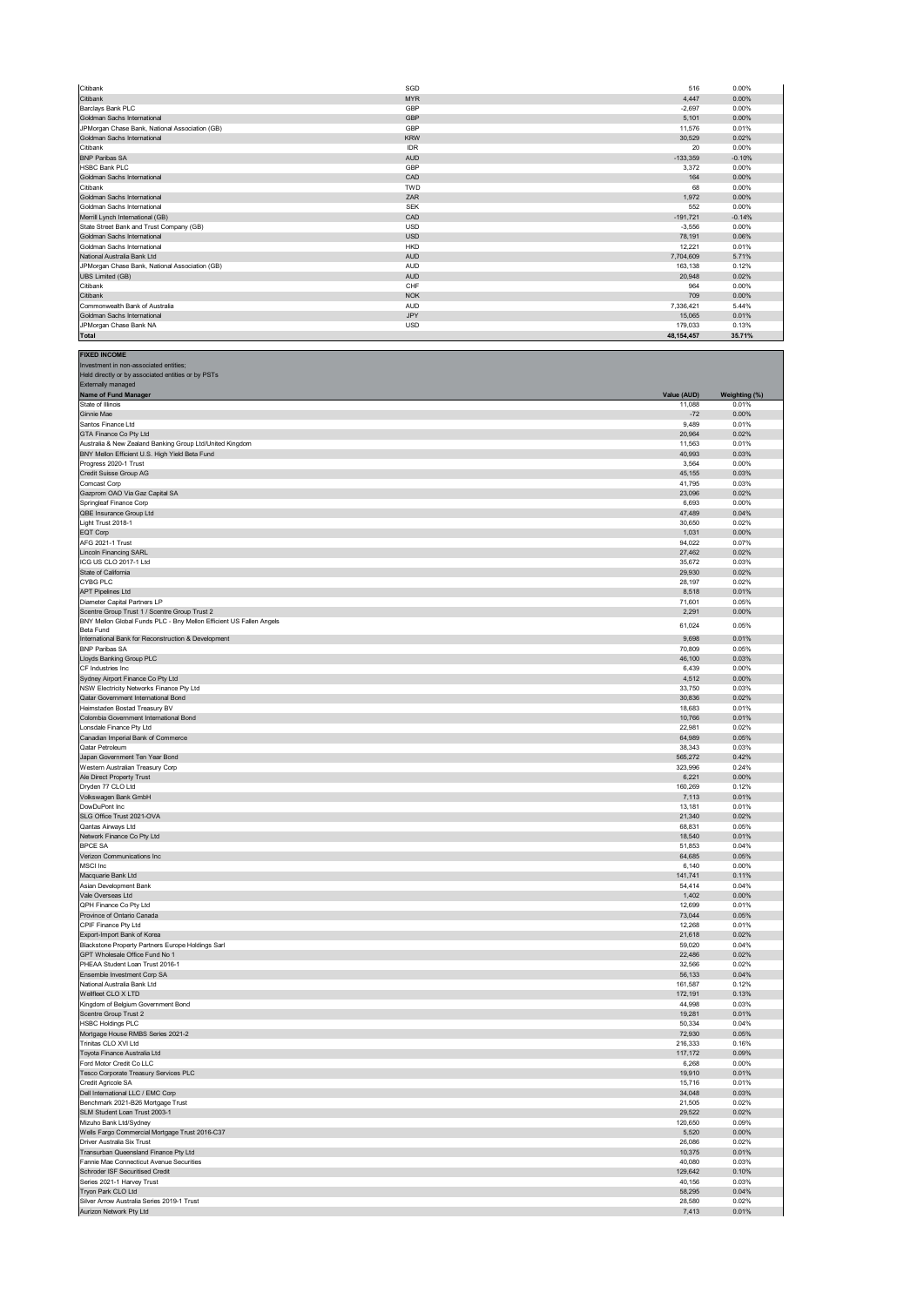| Citibank                                       | SGD        | 516        | 0.00%    |
|------------------------------------------------|------------|------------|----------|
| Citibank                                       | <b>MYR</b> | 4,447      | 0.00%    |
| Barclays Bank PLC                              | GBP        | $-2,697$   | 0.00%    |
| Goldman Sachs International                    | GBP        | 5.101      | 0.00%    |
| JPMorgan Chase Bank, National Association (GB) | GBP        | 11,576     | 0.01%    |
| Goldman Sachs International                    | <b>KRW</b> | 30,529     | 0.02%    |
| Citibank                                       | <b>IDR</b> | 20         | 0.00%    |
| <b>BNP Paribas SA</b>                          | <b>AUD</b> | $-133,359$ | $-0.10%$ |
| <b>HSBC Bank PLC</b>                           | GBP        | 3.372      | 0.00%    |
| Goldman Sachs International                    | CAD        | 164        | 0.00%    |
| Citibank                                       | <b>TWD</b> | 68         | 0.00%    |
| Goldman Sachs International                    | ZAR        | 1.972      | 0.00%    |
| Goldman Sachs International                    | <b>SEK</b> | 552        | 0.00%    |
| Merrill Lynch International (GB)               | CAD        | $-191,721$ | $-0.14%$ |
| State Street Bank and Trust Company (GB)       | <b>USD</b> | $-3.556$   | 0.00%    |
| Goldman Sachs International                    | <b>USD</b> | 78,191     | 0.06%    |
| Goldman Sachs International                    | <b>HKD</b> | 12,221     | 0.01%    |
| National Australia Bank Ltd                    | <b>AUD</b> | 7.704.609  | 5.71%    |
| JPMorgan Chase Bank, National Association (GB) | <b>AUD</b> | 163.138    | 0.12%    |
| <b>UBS Limited (GB)</b>                        | <b>AUD</b> | 20,948     | 0.02%    |
| Citibank                                       | CHF        | 964        | 0.00%    |
| Citibank                                       | <b>NOK</b> | 709        | 0.00%    |
| Commonwealth Bank of Australia                 | <b>AUD</b> | 7,336,421  | 5.44%    |
| Goldman Sachs International                    | <b>JPY</b> | 15,065     | 0.01%    |
| JPMorgan Chase Bank NA                         | <b>USD</b> | 179.033    | 0.13%    |
| <b>Total</b>                                   |            | 48.154.457 | 35.71%   |

**FIXED INCOME** Investment in non-associated entities;

| Held directly or by associated entities or by PSTs<br><b>Externally managed</b> |                   |                |
|---------------------------------------------------------------------------------|-------------------|----------------|
| Name of Fund Manager                                                            | Value (AUD)       | Weighting (%)  |
| State of Illinois                                                               | 11,088            | 0.01%          |
| Ginnie Mae                                                                      | $-72$             | 0.00%          |
| Santos Finance Ltd                                                              | 9,489             | 0.01%          |
| GTA Finance Co Pty Ltd                                                          | 20,964            | 0.02%          |
| Australia & New Zealand Banking Group Ltd/United Kingdom                        | 11,563            | 0.01%          |
| BNY Mellon Efficient U.S. High Yield Beta Fund<br>Progress 2020-1 Trust         | 40,993<br>3,564   | 0.03%<br>0.00% |
| Credit Suisse Group AG                                                          | 45,155            | 0.03%          |
| Comcast Corp                                                                    | 41,795            | 0.03%          |
| Gazprom OAO Via Gaz Capital SA                                                  | 23,096            | 0.02%          |
| Springleaf Finance Corp                                                         | 6,693             | 0.00%          |
| QBE Insurance Group Ltd                                                         | 47,489            | 0.04%          |
| Light Trust 2018-1                                                              | 30,650            | 0.02%          |
| EQT Corp                                                                        | 1,031             | 0.00%          |
| AFG 2021-1 Trust                                                                | 94,022            | 0.07%          |
| <b>Lincoln Financing SARL</b>                                                   | 27,462            | 0.02%          |
| ICG US CLO 2017-1 Ltd<br>State of California                                    | 35,672<br>29,930  | 0.03%<br>0.02% |
| CYBG PLC                                                                        | 28,197            | 0.02%          |
| <b>APT Pipelines Ltd</b>                                                        | 8,518             | 0.01%          |
| Diameter Capital Partners LP                                                    | 71,601            | 0.05%          |
| Scentre Group Trust 1 / Scentre Group Trust 2                                   | 2,291             | 0.00%          |
| BNY Mellon Global Funds PLC - Bny Mellon Efficient US Fallen Angels             | 61,024            | 0.05%          |
| Beta Fund                                                                       |                   |                |
| International Bank for Reconstruction & Development                             | 9,698             | 0.01%          |
| <b>BNP Paribas SA</b><br>Lloyds Banking Group PLC                               | 70,809<br>46,100  | 0.05%<br>0.03% |
| CF Industries Inc                                                               | 6,439             | 0.00%          |
| Sydney Airport Finance Co Pty Ltd                                               | 4,512             | 0.00%          |
| NSW Electricity Networks Finance Pty Ltd                                        | 33,750            | 0.03%          |
| Qatar Government International Bond                                             | 30,836            | 0.02%          |
| Heimstaden Bostad Treasury BV                                                   | 18,683            | 0.01%          |
| Colombia Government International Bond                                          | 10,766            | 0.01%          |
| Lonsdale Finance Pty Ltd                                                        | 22,981            | 0.02%          |
| Canadian Imperial Bank of Commerce                                              | 64,989            | 0.05%          |
| Qatar Petroleum                                                                 | 38,343            | 0.03%          |
| Japan Government Ten Year Bond                                                  | 565,272           | 0.42%          |
| Western Australian Treasury Corp<br>Ale Direct Property Trust                   | 323,996<br>6,221  | 0.24%<br>0.00% |
| Dryden 77 CLO Ltd                                                               | 160,269           | 0.12%          |
| Volkswagen Bank GmbH                                                            | 7,113             | 0.01%          |
| DowDuPont Inc                                                                   | 13,181            | 0.01%          |
| SLG Office Trust 2021-OVA                                                       | 21,340            | 0.02%          |
| Qantas Airways Ltd                                                              | 68,831            | 0.05%          |
| Network Finance Co Pty Ltd                                                      | 18,540            | 0.01%          |
| <b>BPCE SA</b>                                                                  | 51,853            | 0.04%          |
| Verizon Communications Inc                                                      | 64,685            | 0.05%          |
| MSCI Inc                                                                        | 6,140             | 0.00%          |
| Macquarie Bank Ltd                                                              | 141,741           | 0.11%          |
| Asian Development Bank<br>Vale Overseas Ltd                                     | 54,414<br>1,402   | 0.04%<br>0.00% |
| QPH Finance Co Pty Ltd                                                          | 12,699            | 0.01%          |
| Province of Ontario Canada                                                      | 73,044            | 0.05%          |
| CPIF Finance Pty Ltd                                                            | 12,268            | 0.01%          |
| Export-Import Bank of Korea                                                     | 21,618            | 0.02%          |
| Blackstone Property Partners Europe Holdings Sarl                               | 59,020            | 0.04%          |
| GPT Wholesale Office Fund No 1                                                  | 22,486            | 0.02%          |
| PHEAA Student Loan Trust 2016-1                                                 | 32,566            | 0.02%          |
| Ensemble Investment Corp SA                                                     | 56,133            | 0.04%          |
| National Australia Bank Ltd                                                     | 161,587           | 0.12%          |
| Wellfleet CLO X LTD                                                             | 172,191<br>44,998 | 0.13%<br>0.03% |
| Kingdom of Belgium Government Bond<br>Scentre Group Trust 2                     | 19,281            | 0.01%          |
| <b>HSBC Holdings PLC</b>                                                        | 50,334            | 0.04%          |
| Mortgage House RMBS Series 2021-2                                               | 72,930            | 0.05%          |
| Trinitas CLO XVI Ltd                                                            | 216,333           | 0.16%          |
| Toyota Finance Australia Ltd                                                    | 117,172           | 0.09%          |
| Ford Motor Credit Co LLC                                                        | 6,268             | 0.00%          |
| Tesco Corporate Treasury Services PLC                                           | 19,910            | 0.01%          |
| Credit Agricole SA                                                              | 15,716            | 0.01%          |
| Dell International LLC / EMC Corp                                               | 34,048            | 0.03%          |
| Benchmark 2021-B26 Mortgage Trust                                               | 21,505            | 0.02%          |
| SLM Student Loan Trust 2003-1<br>Mizuho Bank Ltd/Sydney                         | 29,522<br>120,650 | 0.02%<br>0.09% |
| Wells Fargo Commercial Mortgage Trust 2016-C37                                  | 5,520             | 0.00%          |
| Driver Australia Six Trust                                                      | 26,086            | 0.02%          |
| Transurban Queensland Finance Pty Ltd                                           | 10,375            | 0.01%          |
| Fannie Mae Connecticut Avenue Securities                                        | 40,080            | 0.03%          |
| Schroder ISF Securitised Credit                                                 | 129,642           | 0.10%          |
| Series 2021-1 Harvey Trust                                                      | 40,156            | 0.03%          |
| Tryon Park CLO Ltd                                                              | 58,295            | 0.04%          |
| Silver Arrow Australia Series 2019-1 Trust                                      | 28,580            | 0.02%          |
| Aurizon Network Pty Ltd                                                         | 7,413             | 0.01%          |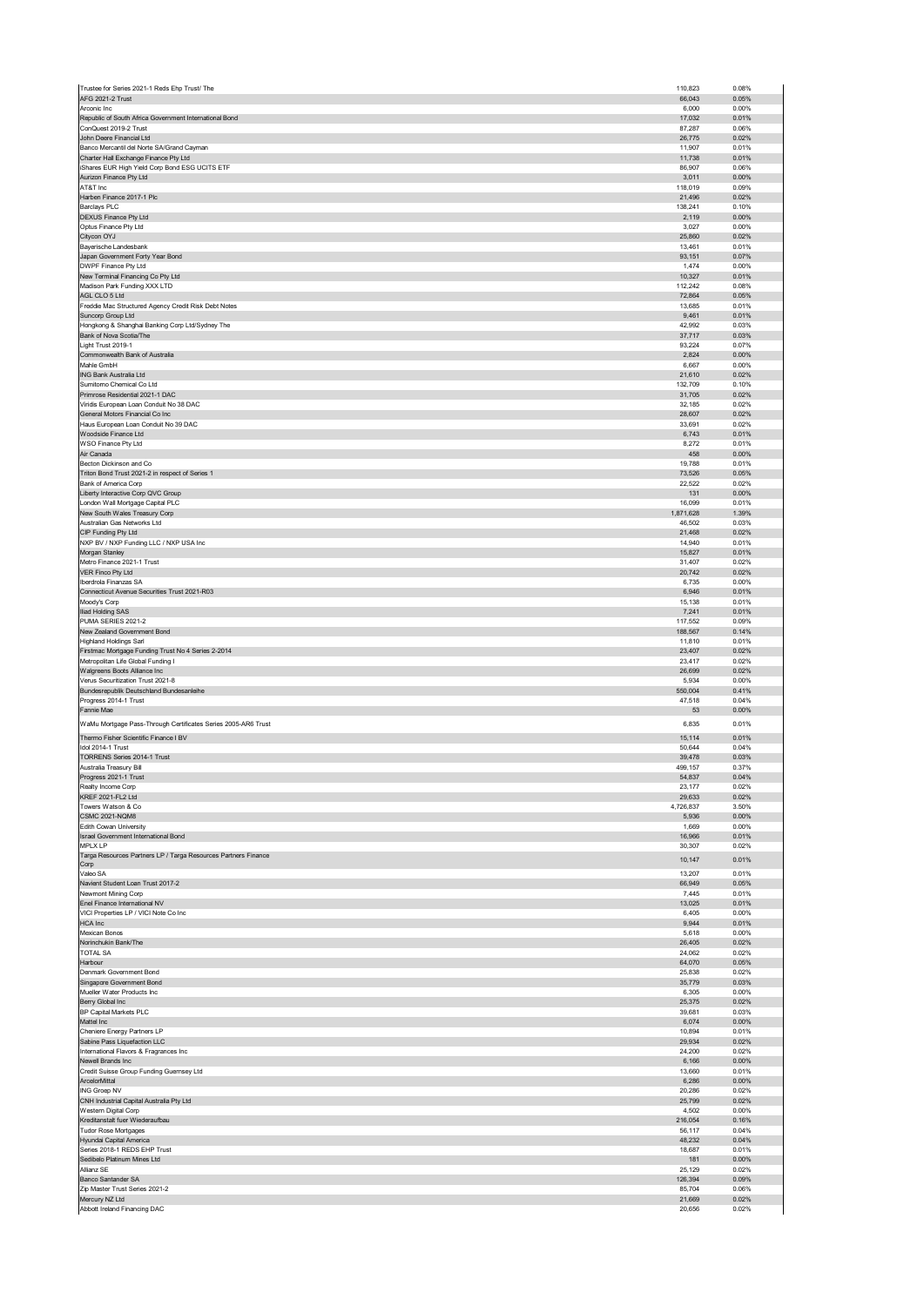| Trustee for Series 2021-1 Reds Ehp Trust/ The                             | 110,823            | 0.08%             |
|---------------------------------------------------------------------------|--------------------|-------------------|
| AFG 2021-2 Trust<br>Arconic Inc                                           | 66,043<br>6,000    | 0.05%<br>0.00%    |
| Republic of South Africa Government International Bond                    | 17,032             | 0.01%             |
| ConQuest 2019-2 Trust                                                     | 87,287             | 0.06%             |
| John Deere Financial Ltd<br>Banco Mercantil del Norte SA/Grand Cayman     | 26,775<br>11,907   | 0.02%<br>0.01%    |
| Charter Hall Exchange Finance Pty Ltd                                     | 11,738             | 0.01%             |
| iShares EUR High Yield Corp Bond ESG UCITS ETF                            | 86,907             | 0.06%             |
| Aurizon Finance Pty Ltd<br>AT&T Inc                                       | 3,011<br>118,019   | 0.00%<br>0.09%    |
| Harben Finance 2017-1 Plc                                                 | 21,496             | 0.02%             |
| <b>Barclays PLC</b>                                                       | 138,241            | 0.10%             |
| <b>DEXUS Finance Pty Ltd</b>                                              | 2,119              | 0.00%<br>0.00%    |
| Optus Finance Pty Ltd<br>Citycon OYJ                                      | 3,027<br>25,860    | 0.02%             |
| Bayerische Landesbank                                                     | 13,461             | 0.01%             |
| Japan Government Forty Year Bond                                          | 93,151             | 0.07%             |
| DWPF Finance Pty Ltd<br>New Terminal Financing Co Pty Ltd                 | 1,474<br>10,327    | 0.00%<br>0.01%    |
| Madison Park Funding XXX LTD                                              | 112,242            | 0.08%             |
| AGL CLO 5 Ltd                                                             | 72,864             | 0.05%<br>0.01%    |
| Freddie Mac Structured Agency Credit Risk Debt Notes<br>Suncorp Group Ltd | 13,685<br>9,461    | 0.01%             |
| Hongkong & Shanghai Banking Corp Ltd/Sydney The                           | 42,992             | 0.03%             |
| Bank of Nova Scotia/The                                                   | 37,717             | 0.03%             |
| Light Trust 2019-1<br>Commonwealth Bank of Australia                      | 93,224<br>2,824    | 0.07%<br>0.00%    |
| Mahle GmbH                                                                | 6,667              | 0.00%             |
| ING Bank Australia Ltd<br>Sumitomo Chemical Co Ltd                        | 21,610             | 0.02%<br>0.10%    |
| Primrose Residential 2021-1 DAC                                           | 132,709<br>31,705  | 0.02%             |
| Viridis European Loan Conduit No 38 DAC                                   | 32,185             | 0.02%             |
| General Motors Financial Co Inc<br>Haus European Loan Conduit No 39 DAC   | 28,607<br>33,691   | 0.02%<br>0.02%    |
| Woodside Finance Ltd                                                      | 6,743              | 0.01%             |
| WSO Finance Pty Ltd                                                       | 8,272              | 0.01%             |
| Air Canada<br>Becton Dickinson and Co                                     | 458<br>19,788      | $0.00\%$<br>0.01% |
| Triton Bond Trust 2021-2 in respect of Series 1                           | 73,526             | 0.05%             |
| Bank of America Corp                                                      | 22,522             | 0.02%             |
| Liberty Interactive Corp QVC Group<br>London Wall Mortgage Capital PLC    | 131<br>16,099      | $0.00\%$<br>0.01% |
| New South Wales Treasury Corp                                             | 1,871,628          | 1.39%             |
| Australian Gas Networks Ltd                                               | 46,502             | 0.03%             |
| CIP Funding Pty Ltd                                                       | 21,468<br>14,940   | 0.02%<br>0.01%    |
| NXP BV / NXP Funding LLC / NXP USA Inc<br>Morgan Stanley                  | 15,827             | 0.01%             |
| Metro Finance 2021-1 Trust                                                | 31,407             | 0.02%             |
| VER Finco Pty Ltd<br>Iberdrola Finanzas SA                                | 20,742<br>6,735    | 0.02%<br>0.00%    |
| Connecticut Avenue Securities Trust 2021-R03                              | 6,946              | 0.01%             |
| Moody's Corp                                                              | 15,138             | 0.01%             |
| Iliad Holding SAS<br>PUMA SERIES 2021-2                                   | 7,241<br>117,552   | 0.01%<br>0.09%    |
| New Zealand Government Bond                                               | 188,567            | 0.14%             |
| <b>Highland Holdings Sarl</b>                                             | 11,810             | 0.01%             |
| Firstmac Mortgage Funding Trust No 4 Series 2-2014                        | 23,407<br>23,417   | 0.02%<br>0.02%    |
|                                                                           |                    |                   |
| Metropolitan Life Global Funding I<br>Walgreens Boots Alliance Inc        | 26,699             | 0.02%             |
| Verus Securitization Trust 2021-8                                         | 5,934              | 0.00%             |
| Bundesrepublik Deutschland Bundesanleihe                                  | 550,004            | 0.41%             |
| Progress 2014-1 Trust<br>Fannie Mae                                       | 47,518<br>53       | 0.04%<br>$0.00\%$ |
| WaMu Mortgage Pass-Through Certificates Series 2005-AR6 Trust             | 6,835              | 0.01%             |
| Thermo Fisher Scientific Finance I BV                                     | 15,114             | 0.01%             |
| Idol 2014-1 Trust                                                         | 50,644             | 0.04%             |
| TORRENS Series 2014-1 Trust                                               | 39,478             | 0.03%             |
| Australia Treasury Bill<br>Progress 2021-1 Trust                          | 499,157<br>54,837  | 0.37%<br>0.04%    |
| Realty Income Corp                                                        | 23,177             | 0.02%             |
| KREF 2021-FL2 Ltd                                                         | 29,633             | 0.02%             |
| Towers Watson & Co<br><b>CSMC 2021-NQM8</b>                               | 4,726,837<br>5,936 | 3.50%<br>$0.00\%$ |
| Edith Cowan University                                                    | 1,669              | 0.00%             |
| Israel Government International Bond<br><b>MPLX LP</b>                    | 16,966             | 0.01%             |
| Targa Resources Partners LP / Targa Resources Partners Finance            | 30,307<br>10,147   | 0.02%<br>0.01%    |
| Corp                                                                      | 13,207             | 0.01%             |
| Valeo SA<br>Navient Student Loan Trust 2017-2                             | 66,949             | 0.05%             |
| Newmont Mining Corp                                                       | 7,445              | 0.01%             |
| Enel Finance International NV                                             | 13,025             | 0.01%             |
| VICI Properties LP / VICI Note Co Inc<br><b>HCA</b> Inc                   | 6,405<br>9,944     | 0.00%<br>0.01%    |
| Mexican Bonos                                                             | 5,618              | 0.00%             |
| Norinchukin Bank/The                                                      | 26,405             | 0.02%             |
| <b>TOTAL SA</b><br>Harbour                                                | 24,062<br>64,070   | 0.02%<br>0.05%    |
| Denmark Government Bond                                                   | 25,838             | 0.02%             |
| Singapore Government Bond<br>Mueller Water Products Inc                   | 35,779<br>6,305    | 0.03%<br>0.00%    |
| Berry Global Inc                                                          | 25,375             | 0.02%             |
| BP Capital Markets PLC                                                    | 39,681             | 0.03%             |
| Mattel Inc<br>Cheniere Energy Partners LP                                 | 6,074<br>10,894    | $0.00\%$<br>0.01% |
| Sabine Pass Liquefaction LLC                                              | 29,934             | 0.02%             |
| International Flavors & Fragrances Inc                                    | 24,200             | 0.02%             |
| Newell Brands Inc<br>Credit Suisse Group Funding Guernsey Ltd             | 6,166<br>13,660    | $0.00\%$<br>0.01% |
| ArcelorMittal                                                             | 6,286              | 0.00%             |
| ING Groep NV                                                              | 20,286             | 0.02%             |
| CNH Industrial Capital Australia Pty Ltd<br>Western Digital Corp          | 25,799<br>4,502    | 0.02%<br>0.00%    |
| Kreditanstalt fuer Wiederaufbau                                           | 216,054            | 0.16%             |
| <b>Tudor Rose Mortgages</b><br>Hyundai Capital America                    | 56,117<br>48,232   | 0.04%<br>0.04%    |
| Series 2018-1 REDS EHP Trust                                              | 18,687             | 0.01%             |
| Sedibelo Platinum Mines Ltd                                               | 181                | 0.00%             |
| Allianz SE<br>Banco Santander SA                                          | 25,129<br>126,394  | 0.02%<br>0.09%    |
| Zip Master Trust Series 2021-2                                            | 85,704             | 0.06%             |
| Mercury NZ Ltd<br>Abbott Ireland Financing DAC                            | 21,669<br>20,656   | 0.02%<br>0.02%    |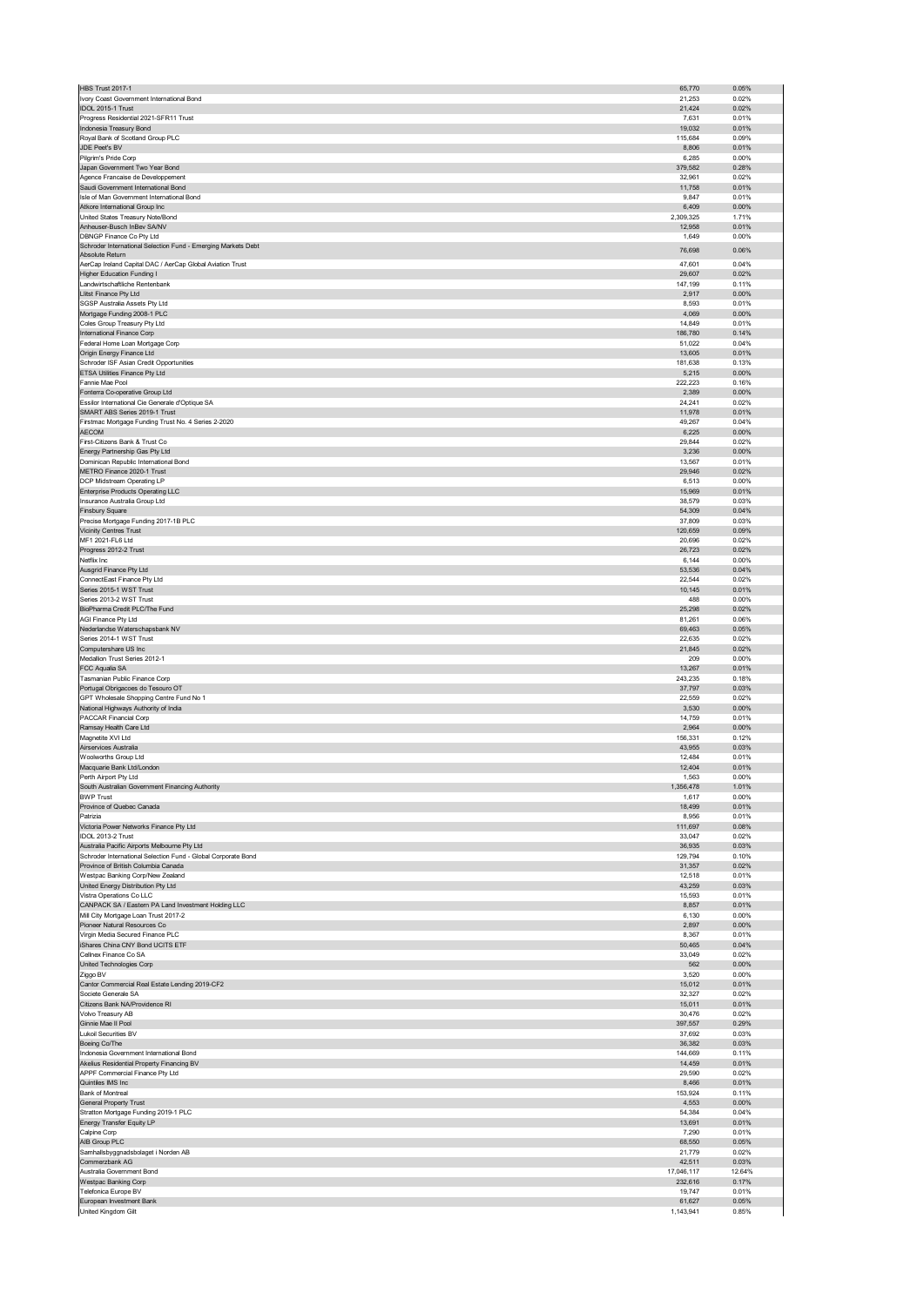| <b>HBS Trust 2017-1</b>                                                            | 65,770               | 0.05%           |
|------------------------------------------------------------------------------------|----------------------|-----------------|
| Ivory Coast Government International Bond<br>IDOL 2015-1 Trust                     | 21,253<br>21,424     | 0.02%<br>0.02%  |
| Progress Residential 2021-SFR11 Trust                                              | 7,631                | 0.01%           |
| Indonesia Treasury Bond                                                            | 19,032               | 0.01%           |
| Royal Bank of Scotland Group PLC                                                   | 115,684              | 0.09%           |
| JDE Peet's BV                                                                      | 8,806                | 0.01%<br>0.00%  |
| Pilgrim's Pride Corp<br>Japan Government Two Year Bond                             | 6,285<br>379,582     | 0.28%           |
| Agence Francaise de Developpement                                                  | 32,961               | 0.02%           |
| Saudi Government International Bond                                                | 11,758               | 0.01%           |
| Isle of Man Government International Bond                                          | 9,847                | 0.01%<br>0.00%  |
| Atkore International Group Inc<br>United States Treasury Note/Bond                 | 6,409<br>2,309,325   | 1.71%           |
| Anheuser-Busch InBev SA/NV                                                         | 12,958               | 0.01%           |
| <b>DBNGP Finance Co Ptv Ltd</b>                                                    | 1,649                | 0.00%           |
| Schroder International Selection Fund - Emerging Markets Debt<br>Absolute Return   | 76,698               | 0.06%           |
| AerCap Ireland Capital DAC / AerCap Global Aviation Trust                          | 47,601               | 0.04%           |
| <b>Higher Education Funding I</b>                                                  | 29,607               | 0.02%           |
| Landwirtschaftliche Rentenbank                                                     | 147,199              | 0.11%           |
| Llitst Finance Pty Ltd<br>SGSP Australia Assets Pty Ltd                            | 2,917<br>8,593       | 0.00%<br>0.01%  |
| Mortgage Funding 2008-1 PLC                                                        | 4,069                | 0.00%           |
| Coles Group Treasury Pty Ltd                                                       | 14,849               | 0.01%           |
| International Finance Corp                                                         | 186,780<br>51,022    | 0.14%<br>0.04%  |
| Federal Home Loan Mortgage Corp<br>Origin Energy Finance Ltd                       | 13,605               | 0.01%           |
| Schroder ISF Asian Credit Opportunities                                            | 181,638              | 0.13%           |
| ETSA Utilities Finance Pty Ltd                                                     | 5,215                | 0.00%           |
| Fannie Mae Pool                                                                    | 222,223              | 0.16%           |
| Fonterra Co-operative Group Ltd<br>Essilor International Cie Generale d'Optique SA | 2,389<br>24,241      | 0.00%<br>0.02%  |
| SMART ABS Series 2019-1 Trust                                                      | 11,978               | 0.01%           |
| Firstmac Mortgage Funding Trust No. 4 Series 2-2020                                | 49,267               | 0.04%           |
| <b>AECOM</b>                                                                       | 6,225                | 0.00%           |
| First-Citizens Bank & Trust Co.<br>Energy Partnership Gas Pty Ltd                  | 29,844<br>3,236      | 0.02%<br>0.00%  |
| Dominican Republic International Bond                                              | 13,567               | 0.01%           |
| METRO Finance 2020-1 Trust                                                         | 29,946               | 0.02%           |
| DCP Midstream Operating LP                                                         | 6,513                | 0.00%           |
| <b>Enterprise Products Operating LLC</b>                                           | 15,969               | 0.01%           |
| Insurance Australia Group Ltd<br><b>Finsbury Square</b>                            | 38,579<br>54,309     | 0.03%<br>0.04%  |
| Precise Mortgage Funding 2017-1B PLC                                               | 37,809               | 0.03%           |
| <b>Vicinity Centres Trust</b>                                                      | 120,659              | 0.09%           |
| MF1 2021-FL6 Ltd                                                                   | 20,696               | 0.02%           |
| Progress 2012-2 Trust<br>Netflix Inc                                               | 26,723<br>6,144      | 0.02%<br>0.00%  |
| Ausgrid Finance Pty Ltd                                                            | 53,536               | 0.04%           |
| ConnectEast Finance Pty Ltd                                                        | 22,544               | 0.02%           |
| Series 2015-1 WST Trust                                                            | 10,145               | 0.01%           |
| Series 2013-2 WST Trust<br>BioPharma Credit PLC/The Fund                           | 488<br>25,298        | 0.00%<br>0.02%  |
| AGI Finance Pty Ltd                                                                | 81,261               | 0.06%           |
| Nederlandse Waterschapsbank NV                                                     | 69,463               | 0.05%           |
| Series 2014-1 WST Trust                                                            | 22,635               | 0.02%           |
| Computershare US Inc<br>Medallion Trust Series 2012-1                              | 21,845<br>209        | 0.02%<br>0.00%  |
|                                                                                    |                      | 0.01%           |
|                                                                                    |                      |                 |
| FCC Aqualia SA<br>Tasmanian Public Finance Corp                                    | 13,267<br>243,235    | 0.18%           |
| Portugal Obrigacoes do Tesouro OT                                                  | 37,797               | 0.03%           |
| GPT Wholesale Shopping Centre Fund No 1                                            | 22,559               | 0.02%           |
| National Highways Authority of India                                               | 3,530                | 0.00%           |
| PACCAR Financial Corp<br>Ramsay Health Care Ltd                                    | 14,759<br>2,964      | 0.01%<br>0.00%  |
| Magnetite XVI Ltd                                                                  | 156,331              | 0.12%           |
| Airservices Australia                                                              | 43,955               | 0.03%           |
| Woolworths Group Ltd                                                               | 12,484               | 0.01%           |
| Macquarie Bank Ltd/London<br>Perth Airport Pty Ltd                                 | 12,404               | 0.01%           |
| South Australian Government Financing Authority                                    | 1,563<br>1,356,478   | 0.00%<br>1.01%  |
| <b>BWP Trust</b>                                                                   | 1,617                | 0.00%           |
| Province of Quebec Canada                                                          | 18,499               | 0.01%           |
| Patrizia                                                                           | 8,956<br>111,697     | 0.01%<br>0.08%  |
| Victoria Power Networks Finance Pty Ltd<br>IDOL 2013-2 Trust                       | 33,047               | 0.02%           |
| Australia Pacific Airports Melbourne Pty Ltd                                       | 36,935               | 0.03%           |
| Schroder International Selection Fund - Global Corporate Bond                      | 129,794              | 0.10%           |
| Province of British Columbia Canada<br>Westpac Banking Corp/New Zealand            | 31,357<br>12,518     | 0.02%<br>0.01%  |
| United Energy Distribution Pty Ltd                                                 | 43,259               | 0.03%           |
| Vistra Operations Co LLC                                                           | 15,593               | 0.01%           |
| CANPACK SA / Eastern PA Land Investment Holding LLC                                | 8,857                | 0.01%           |
| Mill City Mortgage Loan Trust 2017-2<br>Pioneer Natural Resources Co               | 6,130<br>2,897       | 0.00%<br>0.00%  |
| Virgin Media Secured Finance PLC                                                   | 8,367                | 0.01%           |
| iShares China CNY Bond UCITS ETF                                                   | 50,465               | 0.04%           |
| Cellnex Finance Co SA                                                              | 33,049               | 0.02%           |
| United Technologies Corp<br>Ziggo BV                                               | 562<br>3,520         | 0.00%<br>0.00%  |
| Cantor Commercial Real Estate Lending 2019-CF2                                     | 15,012               | 0.01%           |
| Societe Generale SA                                                                | 32,327               | 0.02%           |
| Citizens Bank NA/Providence RI                                                     | 15,011               | 0.01%           |
| Volvo Treasury AB<br>Ginnie Mae II Pool                                            | 30,476<br>397,557    | 0.02%<br>0.29%  |
| <b>Lukoil Securities BV</b>                                                        | 37,692               | 0.03%           |
| Boeing Co/The                                                                      | 36,382               | 0.03%           |
| Indonesia Government International Bond                                            | 144,669              | 0.11%           |
| Akelius Residential Property Financing BV<br>APPF Commercial Finance Pty Ltd       | 14,459<br>29,590     | 0.01%<br>0.02%  |
| Quintiles IMS Inc                                                                  | 8,466                | 0.01%           |
| <b>Bank of Montreal</b>                                                            | 153,924              | 0.11%           |
| General Property Trust                                                             | 4,553                | 0.00%           |
| Stratton Mortgage Funding 2019-1 PLC<br><b>Energy Transfer Equity LP</b>           | 54,384<br>13,691     | 0.04%<br>0.01%  |
| Calpine Corp                                                                       | 7,290                | 0.01%           |
| AIB Group PLC                                                                      | 68,550               | 0.05%           |
| Samhallsbyggnadsbolaget i Norden AB                                                | 21,779               | 0.02%           |
| Commerzbank AG<br>Australia Government Bond                                        | 42,511<br>17,046,117 | 0.03%<br>12.64% |
| Westpac Banking Corp                                                               | 232,616              | 0.17%           |
| Telefonica Europe BV                                                               | 19,747               | 0.01%           |
| European Investment Bank<br>United Kingdom Gilt                                    | 61,627<br>1,143,941  | 0.05%<br>0.85%  |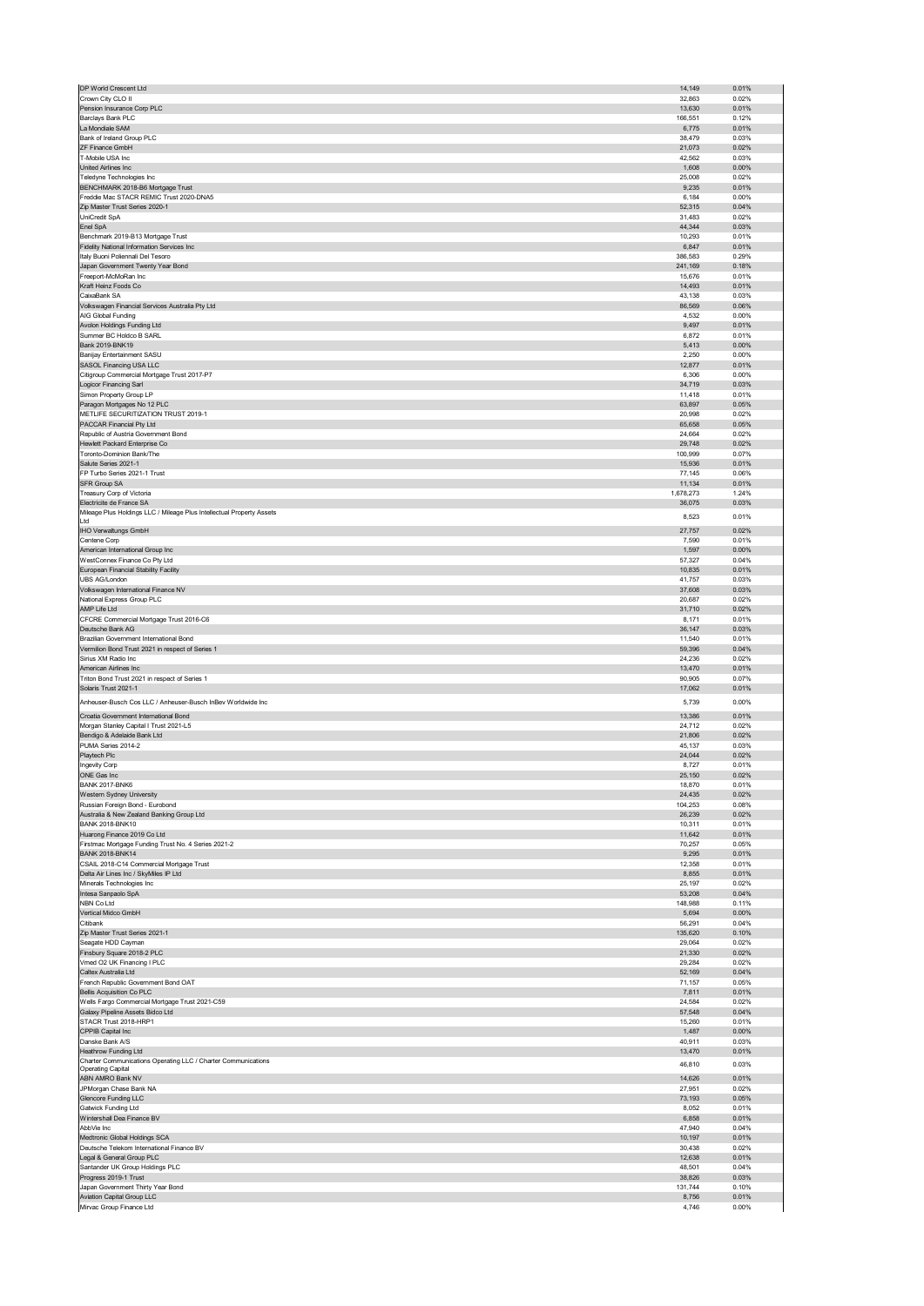| DP World Crescent Ltd                                                                     | 14,149             | 0.01%          |
|-------------------------------------------------------------------------------------------|--------------------|----------------|
| Crown City CLO II                                                                         | 32,863             | 0.02%          |
| Pension Insurance Corp PLC                                                                | 13,630             | 0.01%          |
| Barclays Bank PLC                                                                         | 166,551            | 0.12%          |
| La Mondiale SAM                                                                           | 6,775              | 0.01%          |
| Bank of Ireland Group PLC                                                                 | 38,479             | 0.03%          |
| ZF Finance GmbH<br>T-Mobile USA Inc                                                       | 21,073<br>42,562   | 0.02%<br>0.03% |
| United Airlines Inc                                                                       | 1,608              | 0.00%          |
| Teledyne Technologies Inc                                                                 | 25,008             | 0.02%          |
| BENCHMARK 2018-B6 Mortgage Trust                                                          | 9,235              | 0.01%          |
| Freddie Mac STACR REMIC Trust 2020-DNA5                                                   | 6,184              | 0.00%          |
| Zip Master Trust Series 2020-1                                                            | 52,315             | 0.04%          |
| UniCredit SpA                                                                             | 31,483             | 0.02%          |
| Enel SpA                                                                                  | 44,344             | 0.03%          |
| Benchmark 2019-B13 Mortgage Trust                                                         | 10,293             | 0.01%          |
| Fidelity National Information Services Inc                                                | 6,847              | 0.01%          |
| Italy Buoni Poliennali Del Tesoro<br>Japan Government Twenty Year Bond                    | 386,583<br>241,169 | 0.29%<br>0.18% |
| Freeport-McMoRan Inc                                                                      | 15,676             | 0.01%          |
| Kraft Heinz Foods Co                                                                      | 14,493             | 0.01%          |
| CaixaBank SA                                                                              | 43,138             | 0.03%          |
| Volkswagen Financial Services Australia Pty Ltd                                           | 86,569             | 0.06%          |
| AIG Global Funding                                                                        | 4,532              | 0.00%          |
| Avolon Holdings Funding Ltd                                                               | 9,497              | 0.01%          |
| Summer BC Holdco B SARL<br>Bank 2019-BNK19                                                | 6,872              | 0.01%          |
| Banijay Entertainment SASU                                                                | 5,413<br>2,250     | 0.00%<br>0.00% |
| SASOL Financing USA LLC                                                                   | 12,877             | 0.01%          |
| Citigroup Commercial Mortgage Trust 2017-P7                                               | 6,306              | 0.00%          |
| Logicor Financing Sarl                                                                    | 34,719             | 0.03%          |
| Simon Property Group LP                                                                   | 11,418             | 0.01%          |
| Paragon Mortgages No 12 PLC                                                               | 63,897             | 0.05%          |
| METLIFE SECURITIZATION TRUST 2019-1                                                       | 20,998             | 0.02%          |
| PACCAR Financial Pty Ltd                                                                  | 65,658             | 0.05%          |
| Republic of Austria Government Bond<br>Hewlett Packard Enterprise Co                      | 24,664<br>29,748   | 0.02%<br>0.02% |
| Toronto-Dominion Bank/The                                                                 | 100,999            | 0.07%          |
| Salute Series 2021-1                                                                      | 15,936             | 0.01%          |
| FP Turbo Series 2021-1 Trust                                                              | 77,145             | 0.06%          |
| SFR Group SA                                                                              | 11,134             | 0.01%          |
| Treasury Corp of Victoria                                                                 | 1,678,273          | 1.24%          |
| Electricite de France SA                                                                  | 36,075             | 0.03%          |
| Mileage Plus Holdings LLC / Mileage Plus Intellectual Property Assets<br>Ltd              | 8,523              | 0.01%          |
| IHO Verwaltungs GmbH                                                                      | 27,757             | 0.02%          |
| Centene Corp                                                                              | 7,590              | 0.01%          |
| American International Group Inc                                                          | 1,597              | 0.00%          |
| WestConnex Finance Co Pty Ltd                                                             | 57,327             | 0.04%          |
| European Financial Stability Facility                                                     | 10,835             | 0.01%          |
| UBS AG/London                                                                             | 41,757             | 0.03%          |
| Volkswagen International Finance NV<br>National Express Group PLC                         | 37,608<br>20,687   | 0.03%<br>0.02% |
| AMP Life Ltd                                                                              | 31,710             | 0.02%          |
| CFCRE Commercial Mortgage Trust 2016-C6                                                   | 8,171              | 0.01%          |
| Deutsche Bank AG                                                                          | 36,147             | 0.03%          |
| Brazilian Government International Bond                                                   | 11,540             | 0.01%          |
| Vermilion Bond Trust 2021 in respect of Series 1                                          | 59,396             | 0.04%          |
| Sirius XM Radio Inc                                                                       | 24,236             | 0.02%          |
| American Airlines Inc<br>Triton Bond Trust 2021 in respect of Series 1                    | 13,470<br>90,905   | 0.01%<br>0.07% |
| Solaris Trust 2021-1                                                                      | 17,062             | 0.01%          |
| Anheuser-Busch Cos LLC / Anheuser-Busch InBev Worldwide Inc                               |                    |                |
|                                                                                           | 5,739              | 0.00%          |
| Croatia Government International Bond                                                     | 13,386             | 0.01%          |
| Morgan Stanley Capital I Trust 2021-L5                                                    | 24,712<br>21,806   | 0.02%<br>0.02% |
|                                                                                           |                    | 0.03%          |
| Bendigo & Adelaide Bank Ltd                                                               |                    |                |
| PUMA Series 2014-2<br>Playtech Plc                                                        | 45,137<br>24,044   | 0.02%          |
| Ingevity Corp                                                                             | 8,727              | 0.01%          |
| ONE Gas Inc                                                                               | 25,150             | 0.02%          |
| <b>BANK 2017-BNK6</b>                                                                     | 18,870             | 0.01%          |
| Western Sydney University                                                                 | 24,435             | 0.02%          |
| Russian Foreign Bond - Eurobond                                                           | 104,253            | 0.08%          |
| Australia & New Zealand Banking Group Ltd<br><b>BANK 2018-BNK10</b>                       | 26,239<br>10,311   | 0.02%<br>0.01% |
| Huarong Finance 2019 Co Ltd                                                               | 11,642             | 0.01%          |
| Firstmac Mortgage Funding Trust No. 4 Series 2021-2                                       | 70,257             | 0.05%          |
| <b>BANK 2018-BNK14</b>                                                                    | 9,295              | 0.01%          |
| CSAIL 2018-C14 Commercial Mortgage Trust                                                  | 12,358             | 0.01%          |
| Delta Air Lines Inc / SkyMiles IP Ltd                                                     | 8,855              | 0.01%          |
| Minerals Technologies Inc                                                                 | 25,197             | 0.02%          |
| Intesa Sanpaolo SpA                                                                       | 53,208             | 0.04%          |
| NBN Co Ltd<br>Vertical Midco GmbH                                                         | 148,988            | 0.11%          |
| Citibank                                                                                  | 5,694<br>56,291    | 0.00%<br>0.04% |
| Zip Master Trust Series 2021-1                                                            | 135,620            | 0.10%          |
| Seagate HDD Cayman                                                                        | 29,064             | 0.02%          |
| Finsbury Square 2018-2 PLC                                                                | 21,330             | 0.02%          |
| Vmed O2 UK Financing I PLC                                                                | 29,284             | 0.02%          |
| Caltex Australia Ltd                                                                      | 52,169             | 0.04%          |
| French Republic Government Bond OAT                                                       | 71,157             | 0.05%          |
| <b>Bellis Acquisition Co PLC</b><br>Wells Fargo Commercial Mortgage Trust 2021-C59        | 7,811<br>24,584    | 0.01%<br>0.02% |
| Galaxy Pipeline Assets Bidco Ltd                                                          | 57,548             | 0.04%          |
| STACR Trust 2018-HRP1                                                                     | 15,260             | 0.01%          |
| CPPIB Capital Inc                                                                         | 1,487              | $0.00\%$       |
| Danske Bank A/S                                                                           | 40,911             | 0.03%          |
| Heathrow Funding Ltd                                                                      | 13,470             | 0.01%          |
| Charter Communications Operating LLC / Charter Communications<br><b>Operating Capital</b> | 46,810             | 0.03%          |
| ABN AMRO Bank NV                                                                          | 14,626             | 0.01%          |
| JPMorgan Chase Bank NA                                                                    | 27,951             | 0.02%          |
| Glencore Funding LLC                                                                      | 73,193             | 0.05%          |
| Gatwick Funding Ltd                                                                       | 8,052              | 0.01%          |
| Wintershall Dea Finance BV                                                                | 6,858              | 0.01%          |
| AbbVie Inc<br>Medtronic Global Holdings SCA                                               | 47,940<br>10,197   | 0.04%<br>0.01% |
| Deutsche Telekom International Finance BV                                                 | 30,438             | 0.02%          |
| Legal & General Group PLC                                                                 | 12,638             | 0.01%          |
| Santander UK Group Holdings PLC                                                           | 48,501             | 0.04%          |
| Progress 2019-1 Trust                                                                     | 38,826             | 0.03%          |
| Japan Government Thirty Year Bond                                                         | 131,744            | 0.10%          |
| Aviation Capital Group LLC<br>Mirvac Group Finance Ltd                                    | 8,756<br>4,746     | 0.01%<br>0.00% |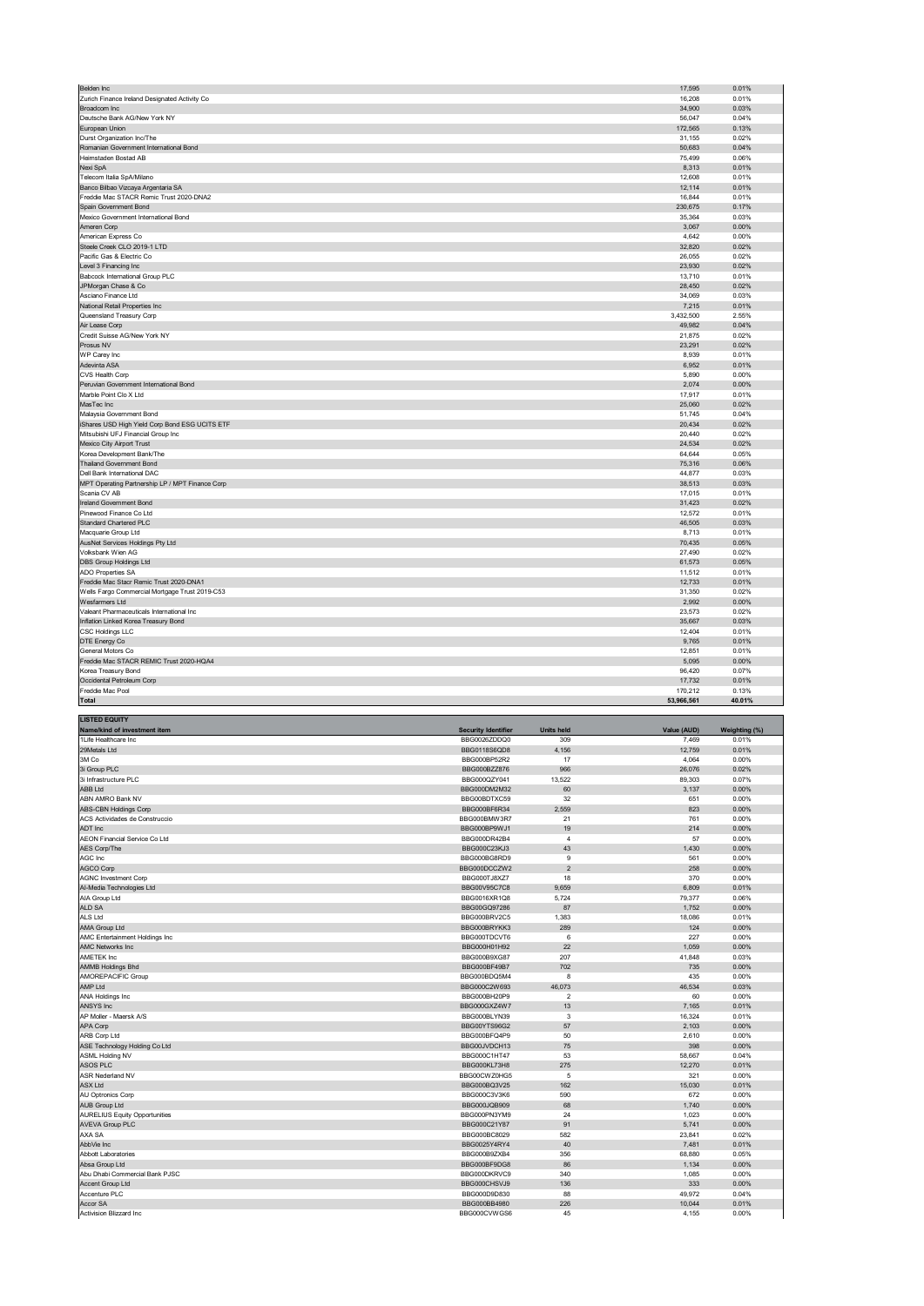| Belden Inc                                                   | 17,595          | 0.01%          |
|--------------------------------------------------------------|-----------------|----------------|
| Zurich Finance Ireland Designated Activity Co                | 16,208          | 0.01%          |
| Broadcom Inc                                                 | 34,900          | 0.03%          |
| Deutsche Bank AG/New York NY                                 | 56,047          | 0.04%          |
| European Union                                               | 172,565         | 0.13%          |
| Durst Organization Inc/The                                   | 31,155          | 0.02%          |
| Romanian Government International Bond                       | 50,683          | 0.04%          |
| Heimstaden Bostad AB                                         | 75,499          | 0.06%          |
| Nexi SpA                                                     | 8,313           | 0.01%          |
| Telecom Italia SpA/Milano                                    | 12,608          | 0.01%          |
| Banco Bilbao Vizcaya Argentaria SA                           | 12,114          | 0.01%          |
| Freddie Mac STACR Remic Trust 2020-DNA2                      | 16,844          | 0.01%          |
| Spain Government Bond                                        | 230,675         | 0.17%          |
| Mexico Government International Bond                         | 35,364          | 0.03%          |
| Ameren Corp                                                  | 3,067           | 0.00%          |
| American Express Co                                          | 4,642           | 0.00%          |
| Steele Creek CLO 2019-1 LTD                                  | 32,820          | 0.02%          |
| Pacific Gas & Electric Co                                    | 26,055          | 0.02%          |
| Level 3 Financing Inc                                        | 23,930          | 0.02%          |
| Babcock International Group PLC                              | 13,710          | 0.01%          |
| JPMorgan Chase & Co                                          | 28,450          | 0.02%          |
| Asciano Finance Ltd                                          | 34,069          | 0.03%          |
| National Retail Properties Inc.                              | 7,215           | 0.01%          |
| Queensland Treasury Corp                                     | 3,432,500       | 2.55%          |
| Air Lease Corp                                               | 49,982          | 0.04%          |
| Credit Suisse AG/New York NY                                 | 21,875          | 0.02%          |
| Prosus NV                                                    | 23,291          | 0.02%          |
| WP Carey Inc                                                 | 8,939           | 0.01%          |
| Adevinta ASA                                                 | 6,952           | 0.01%          |
| CVS Health Corp                                              | 5,890           | 0.00%          |
| Peruvian Government International Bond                       | 2,074           | 0.00%          |
| Marble Point Clo X Ltd                                       | 17,917          | 0.01%          |
| MasTec Inc                                                   | 25,060          | 0.02%          |
| Malaysia Government Bond                                     | 51,745          | 0.04%          |
| iShares USD High Yield Corp Bond ESG UCITS ETF               | 20,434          | 0.02%          |
| Mitsubishi UFJ Financial Group Inc                           | 20,440          | 0.02%          |
| Mexico City Airport Trust                                    | 24,534          | 0.02%          |
| Korea Development Bank/The                                   | 64,644          | 0.05%          |
| Thailand Government Bond                                     | 75,316          | 0.06%          |
| Dell Bank International DAC                                  | 44,877          | 0.03%          |
| MPT Operating Partnership LP / MPT Finance Corp              | 38,513          | 0.03%          |
| Scania CV AB                                                 | 17,015          | 0.01%          |
| Ireland Government Bond                                      | 31,423          | 0.02%          |
| Pinewood Finance Co Ltd.                                     | 12,572          | 0.01%          |
| Standard Chartered PLC                                       | 46,505          | 0.03%          |
| Macquarie Group Ltd                                          | 8,713           | 0.01%          |
| AusNet Services Holdings Pty Ltd                             | 70,435          | 0.05%          |
| Volksbank Wien AG                                            | 27,490          | 0.02%          |
| <b>DBS Group Holdings Ltd</b>                                | 61,573          | 0.05%          |
| ADO Properties SA                                            | 11,512          | 0.01%          |
| Freddie Mac Stacr Remic Trust 2020-DNA1                      | 12,733          | 0.01%          |
| Wells Fargo Commercial Mortgage Trust 2019-C53               |                 | 0.02%          |
| Wesfarmers Ltd                                               | 31,350<br>2,992 | 0.00%          |
| Valeant Pharmaceuticals International Inc                    | 23,573          | 0.02%          |
| Inflation Linked Korea Treasury Bond                         | 35,667          | 0.03%          |
| <b>CSC Holdings LLC</b>                                      | 12,404          | 0.01%          |
| DTE Energy Co                                                | 9,765           | 0.01%          |
|                                                              |                 |                |
| General Motors Co<br>Freddie Mac STACR REMIC Trust 2020-HQA4 | 12,851          | 0.01%<br>0.00% |
|                                                              | 5,095           |                |
| Korea Treasury Bond                                          | 96,420          | 0.07%          |
| Occidental Petroleum Corp                                    | 17,732          | 0.01%          |
| Freddie Mac Pool                                             | 170,212         | 0.13%          |
| Total                                                        | 53,966,561      | 40.01%         |

| <b>LISTED EQUITY</b>                 |                            |                   |             |               |
|--------------------------------------|----------------------------|-------------------|-------------|---------------|
| Name/kind of investment item         | <b>Security Identifier</b> | <b>Units held</b> | Value (AUD) | Weighting (%) |
| 1Life Healthcare Inc.                | BBG0026ZDDQ0               | 309               | 7,469       | 0.01%         |
| 29Metals Ltd                         | BBG0118S6QD8               | 4,156             | 12.759      | 0.01%         |
| 3M Co                                | BBG000BP52R2               | 17                | 4,064       | 0.00%         |
| 3i Group PLC                         | BBG000BZZ876               | 966               | 26,076      | 0.02%         |
| 3i Infrastructure PLC                | BBG000QZY041               | 13,522            | 89,303      | 0.07%         |
| <b>ABB Ltd</b>                       | BBG000DM2M32               | 60                | 3,137       | 0.00%         |
| ABN AMRO Bank NV                     | BBG00BDTXC59               | 32                | 651         | 0.00%         |
| <b>ABS-CBN Holdings Corp</b>         | BBG000BF6R34               | 2,559             | 823         | 0.00%         |
| ACS Actividades de Construccio       | BBG000BMW3R7               | 21                | 761         | 0.00%         |
| ADT Inc                              | BBG000BP9WJ1               | 19                | 214         | 0.00%         |
| AEON Financial Service Co Ltd        | BBG000DR42B4               | $\overline{4}$    | 57          | 0.00%         |
| AES Corp/The                         | BBG000C23KJ3               | 43                | 1,430       | 0.00%         |
| AGC Inc                              | BBG000BG8RD9               | 9                 | 561         | 0.00%         |
| <b>AGCO Corp</b>                     | BBG000DCCZW2               | $\overline{2}$    | 258         | 0.00%         |
| <b>AGNC Investment Corp</b>          | BBG000TJ8XZ7               | 18                | 370         | 0.00%         |
| Al-Media Technologies Ltd            | BBG00V95C7C8               | 9,659             | 6,809       | 0.01%         |
| AIA Group Ltd                        | BBG0016XR1Q8               | 5,724             | 79,377      | 0.06%         |
| ALD SA                               | BBG00GQ97286               | 87                | 1,752       | 0.00%         |
| ALS Ltd                              | BBG000BRV2C5               | 1,383             | 18,086      | 0.01%         |
| AMA Group Ltd                        | BBG000BRYKK3               | 289               | 124         | 0.00%         |
| AMC Entertainment Holdings Inc       | BBG000TDCVT6               | 6                 | 227         | 0.00%         |
| <b>AMC Networks Inc.</b>             | BBG000H01H92               | 22                | 1.059       | 0.00%         |
| AMETEK Inc                           | BBG000B9XG87               | 207               | 41,848      | 0.03%         |
| <b>AMMB Holdings Bhd</b>             | BBG000BF49B7               | 702               | 735         | 0.00%         |
| AMOREPACIFIC Group                   | BBG000BDQ5M4               | 8                 | 435         | 0.00%         |
| AMP Ltd                              | BBG000C2W693               | 46,073            | 46,534      | 0.03%         |
| ANA Holdings Inc                     | BBG000BH20P9               | $\overline{2}$    | 60          | 0.00%         |
| ANSYS Inc                            | BBG000GXZ4W7               | 13                | 7,165       | 0.01%         |
| AP Moller - Maersk A/S               | BBG000BLYN39               | 3                 | 16,324      | 0.01%         |
| APA Corp                             | BBG00YTS96G2               | 57                | 2,103       | 0.00%         |
| <b>ARB Corp Ltd</b>                  | BBG000BFQ4P9               | 50                | 2,610       | 0.00%         |
| ASE Technology Holding Co Ltd        | BBG00JVDCH13               | 75                | 398         | 0.00%         |
| <b>ASML Holding NV</b>               | BBG000C1HT47               | 53                | 58,667      | 0.04%         |
| ASOS PLC                             | BBG000KL73H8               | 275               | 12,270      | 0.01%         |
| ASR Nederland NV                     | BBG00CWZ0HG5               | 5                 | 321         | 0.00%         |
| <b>ASX Ltd</b>                       | BBG000BQ3V25               | 162               | 15,030      | 0.01%         |
| AU Optronics Corp                    | BBG000C3V3K6               | 590               | 672         | 0.00%         |
| <b>AUB Group Ltd</b>                 | BBG000JQB909               | 68                | 1,740       | 0.00%         |
| <b>AURELIUS Equity Opportunities</b> | BBG000PN3YM9               | 24                | 1,023       | 0.00%         |
| <b>AVEVA Group PLC</b>               | BBG000C21Y87               | 91                | 5,741       | 0.00%         |
| AXA SA                               | BBG000BC8029               | 582               | 23,841      | 0.02%         |
| AbbVie Inc                           |                            |                   |             | 0.01%         |
|                                      | BBG0025Y4RY4               | 40                | 7,481       |               |
| <b>Abbott Laboratories</b>           | BBG000B9ZXB4               | 356               | 68,880      | 0.05%         |
| Absa Group Ltd                       | BBG000BF9DG8               | 86                | 1,134       | 0.00%         |
| Abu Dhabi Commercial Bank PJSC       | BBG000DKRVC9               | 340               | 1,085       | 0.00%         |
| Accent Group Ltd                     | BBG000CHSVJ9               | 136               | 333         | 0.00%         |
| Accenture PLC                        | BBG000D9D830               | 88                | 49,972      | 0.04%         |
| Accor SA                             | BBG000BB4980               | 226               | 10,044      | 0.01%         |
| <b>Activision Blizzard Inc.</b>      | BBG000CVWGS6               | 45                | 4.155       | 0.00%         |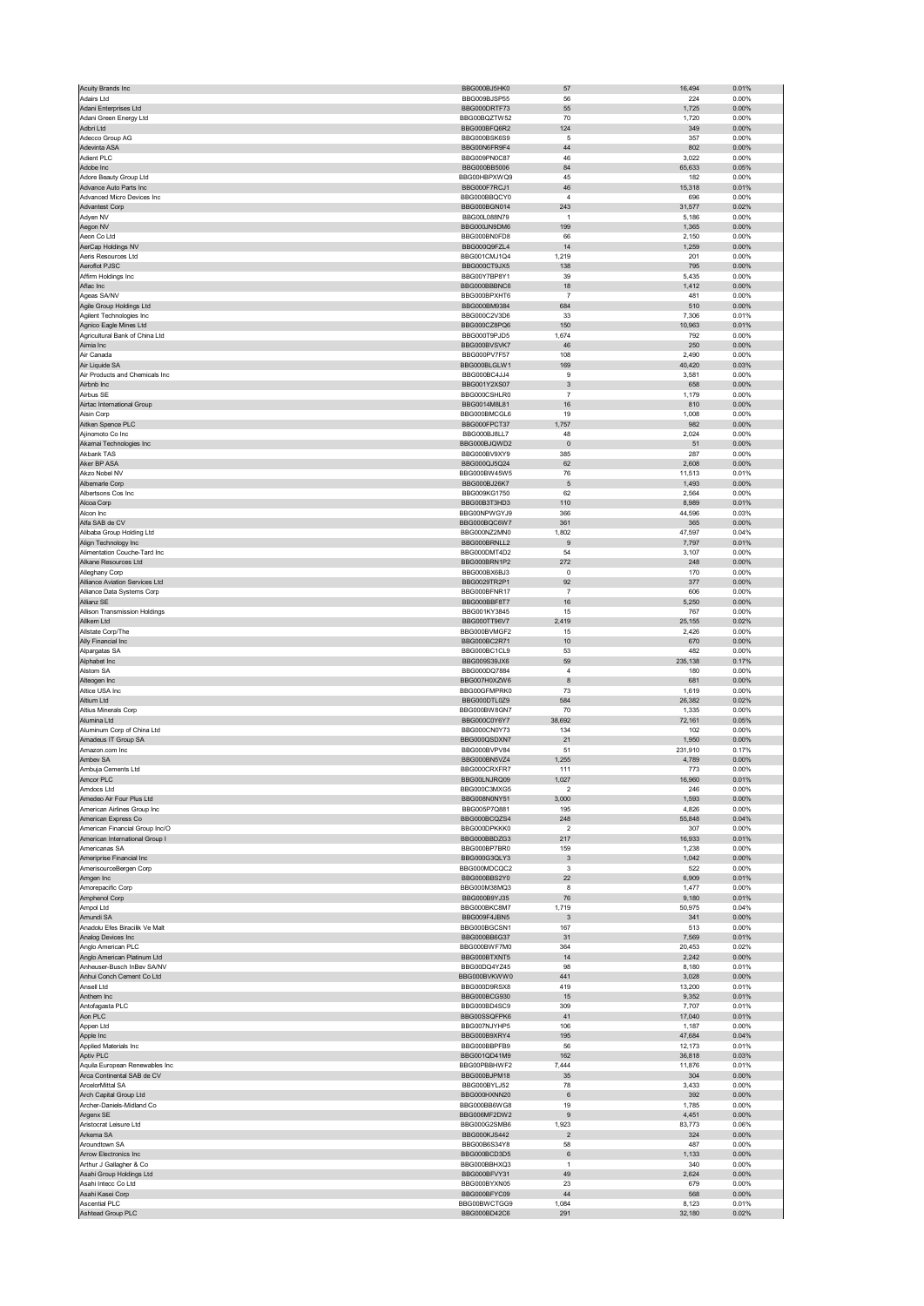| Acuity Brands Inc                                         | BBG000BJ5HK0                        | 57                | 16,494               | 0.01%             |
|-----------------------------------------------------------|-------------------------------------|-------------------|----------------------|-------------------|
| Adairs Ltd                                                | BBG009BJSP55                        | 56                | 224                  | 0.00%             |
| Adani Enterprises Ltd                                     | BBG000DRTF73                        | 55                | 1,725                | 0.00%             |
| Adani Green Energy Ltd                                    | BBG00BQZTW52                        | 70                | 1,720                | 0.00%             |
| Adbri Ltd                                                 | BBG000BFQ6R2                        | 124               | 349                  | $0.00\%$          |
| Adecco Group AG                                           | BBG000BSK6S9<br>BBG00N6FR9F4        | 5<br>44           | 357                  | 0.00%             |
| Adevinta ASA<br>Adient PLC                                | BBG009PN0C87                        | 46                | 802<br>3,022         | 0.00%<br>0.00%    |
| Adobe Inc                                                 | BBG000BB5006                        | 84                | 65,633               | 0.05%             |
| Adore Beauty Group Ltd                                    | BBG00HBPXWQ9                        | 45                | 182                  | 0.00%             |
| Advance Auto Parts Inc                                    | BBG000F7RCJ1                        | 46                | 15,318               | 0.01%             |
| Advanced Micro Devices Inc                                | BBG000BBQCY0                        | 4                 | 696                  | 0.00%             |
| <b>Advantest Corp</b>                                     | BBG000BGN014                        | 243               | 31,577               | 0.02%             |
| Adyen NV                                                  | BBG00L088N79                        | $\mathbf{1}$      | 5,186                | 0.00%             |
| Aegon NV                                                  | BBG000JN9DM6                        | 199               | 1,365                | 0.00%             |
| Aeon Co Ltd                                               | BBG000BN0FD8                        | 66                | 2,150                | 0.00%             |
| AerCap Holdings NV<br>Aeris Resources Ltd                 | BBG000Q9FZL4<br>BBG001CMJ1Q4        | 14<br>1,219       | 1,259<br>201         | 0.00%<br>0.00%    |
| Aeroflot PJSC                                             | BBG000CT9JX5                        | 138               | 795                  | 0.00%             |
| Affirm Holdings Inc                                       | BBG00Y7BP8Y1                        | 39                | 5,435                | 0.00%             |
| Aflac Inc                                                 | BBG000BBBNC6                        | 18                | 1,412                | $0.00\%$          |
| Ageas SA/NV                                               | BBG000BPXHT6                        | $\overline{7}$    | 481                  | 0.00%             |
| Agile Group Holdings Ltd                                  | BBG000BM9384                        | 684               | 510                  | 0.00%             |
| Agilent Technologies Inc                                  | BBG000C2V3D6                        | 33                | 7,306                | 0.01%             |
| Agnico Eagle Mines Ltd                                    | BBG000CZ8PQ6                        | 150               | 10,963               | 0.01%             |
| Agricultural Bank of China Ltd                            | BBG000T9PJD5                        | 1,674             | 792                  | 0.00%             |
| Aimia Inc                                                 | BBG000BVSVK7                        | 46                | 250                  | 0.00%             |
| Air Canada                                                | BBG000PV7F57                        | 108               | 2,490                | 0.00%             |
| Air Liquide SA<br>Air Products and Chemicals Inc          | BBG000BLGLW1<br>BBG000BC4JJ4        | 169<br>9          | 40,420<br>3,581      | 0.03%<br>0.00%    |
| Airbnb Inc                                                | BBG001Y2XS07                        | 3                 | 658                  | 0.00%             |
| Airbus SE                                                 | BBG000CSHLR0                        | $\overline{7}$    | 1,179                | 0.00%             |
| Airtac International Group                                | BBG0014M8L81                        | 16                | 810                  | 0.00%             |
| Aisin Corp                                                | BBG000BMCGL6                        | 19                | 1,008                | 0.00%             |
| Aitken Spence PLC                                         | BBG000FPCT37                        | 1,757             | 982                  | 0.00%             |
| Ajinomoto Co Inc                                          | BBG000BJ8LL7                        | 48                | 2,024                | 0.00%             |
| Akamai Technologies Inc                                   | BBG000BJQWD2                        | $\pmb{0}$         | 51                   | 0.00%             |
| Akbank TAS                                                | BBG000BV9XY9                        | 385               | 287                  | 0.00%             |
| Aker BP ASA                                               | BBG000QJ5Q24                        | 62                | 2,608                | 0.00%             |
| Akzo Nobel NV                                             | BBG000BW45W5                        | 76                | 11,513               | 0.01%             |
| Albemarle Corp                                            | BBG000BJ26K7                        | 5                 | 1,493                | 0.00%             |
| Albertsons Cos Inc<br>Alcoa Corp                          | BBG009KG1750<br>BBG00B3T3HD3        | 62<br>110         | 2,564<br>8,989       | 0.00%<br>0.01%    |
| Alcon Inc                                                 | BBG00NPWGYJ9                        | 366               | 44,596               | 0.03%             |
| Alfa SAB de CV                                            | BBG000BQC6W7                        | 361               | 365                  | 0.00%             |
| Alibaba Group Holding Ltd                                 | BBG000NZ2MN0                        | 1,802             | 47,597               | 0.04%             |
| Align Technology Inc                                      | BBG000BRNLL2                        | 9                 | 7,797                | 0.01%             |
| Alimentation Couche-Tard Inc                              | BBG000DMT4D2                        | 54                | 3,107                | 0.00%             |
| Alkane Resources Ltd                                      | BBG000BRN1P2                        | 272               | 248                  | 0.00%             |
| Alleghany Corp                                            | BBG000BX6BJ3                        | $^{\circ}$        | 170                  | 0.00%             |
| Alliance Aviation Services Ltd                            | BBG0029TR2P1                        | 92                | 377                  | 0.00%             |
| Alliance Data Systems Corp                                | BBG000BFNR17                        | $\overline{7}$    | 606                  | 0.00%             |
| Allianz SE                                                | BBG000BBF8T7                        | 16                | 5,250                | 0.00%             |
| Allison Transmission Holdings                             | BBG001KY3845                        | 15<br>2,419       | 767<br>25,155        | 0.00%<br>0.02%    |
| Allkem Ltd<br>Allstate Corp/The                           | BBG000TT96V7<br>BBG000BVMGF2        | 15                | 2,426                | 0.00%             |
| Ally Financial Inc                                        | BBG000BC2R71                        | 10                | 670                  | 0.00%             |
| Alpargatas SA                                             | BBG000BC1CL9                        | 53                | 482                  | 0.00%             |
|                                                           |                                     |                   |                      | 0.17%             |
|                                                           |                                     |                   |                      |                   |
| Alphabet Inc<br>Alstom SA                                 | BBG009S39JX6<br>BBG000DQ7884        | 59<br>$\sqrt{4}$  | 235,138<br>180       | 0.00%             |
| Alteogen Inc                                              | BBG007H0XZW6                        | 8                 | 681                  | 0.00%             |
| Altice USA Inc                                            | BBG00GFMPRK0                        | 73                | 1,619                | 0.00%             |
| Altium Ltd                                                | BBG000DTL0Z9                        | 584               | 26,382               | 0.02%             |
| Altius Minerals Corp                                      | BBG000BW8GN7                        | 70                | 1,335                | 0.00%             |
| Alumina Ltd                                               | BBG000C0Y6Y7                        | 38,692            | 72,161               | 0.05%             |
| Aluminum Corp of China Ltd                                | BBG000CN0Y73                        | 134               | 102                  | 0.00%             |
| Amadeus IT Group SA                                       | BBG000QSDXN7                        | 21                | 1,950                | 0.00%             |
| Amazon com Inc.                                           | BBG000BVPV84                        | 51                | 231,910              | 0.17%             |
| Ambev SA                                                  | BBG000BN5VZ4                        | 1,255             | 4,789                | 0.00%             |
| Ambuja Cements Ltd<br>Amcor PLC                           | BBG000CRXFR7<br><b>RRGOOLMJKQ09</b> | 111<br>.UZ        | 773<br><b>p</b> ,9pD | 0.00%<br>U.U1%    |
| Amdocs Ltd                                                | BBG000C3MXG5                        | $\overline{2}$    | 246                  | 0.00%             |
| Amedeo Air Four Plus Ltd                                  | BBG008N0NY51                        | 3,000             | 1,593                | 0.00%             |
| American Airlines Group Inc                               | BBG005P7Q881                        | 195               | 4,826                | 0.00%             |
| American Express Co                                       | BBG000BCQZS4                        | 248               | 55,848               | 0.04%             |
| American Financial Group Inc/O                            | BBG000DPKKK0                        | $\overline{2}$    | 307                  | 0.00%             |
| American International Group I                            | BBG000BBDZG3                        | 217               | 16,933               | 0.01%             |
| Americanas SA                                             | BBG000BP7BR0                        | 159               | 1,238                | 0.00%             |
| Ameriprise Financial Inc                                  | BBG000G3QLY3                        | 3                 | 1,042                | $0.00\%$          |
| AmerisourceBergen Corp                                    | BBG000MDCQC2<br>BBG000BBS2Y0        | 3<br>22           | 522<br>6,909         | 0.00%<br>0.01%    |
| Amgen Inc<br>Amorepacific Corp                            | BBG000M38MQ3                        | 8                 | 1,477                | 0.00%             |
| Amphenol Corp                                             | BBG000B9YJ35                        | 76                | 9,180                | 0.01%             |
| Ampol Ltd                                                 | BBG000BKC8M7                        | 1,719             | 50,975               | 0.04%             |
| Amundi SA                                                 | BBG009F4JBN5                        | 3                 | 341                  | $0.00\%$          |
| Anadolu Efes Biracilik Ve Malt                            | BBG000BGCSN1                        | 167               | 513                  | 0.00%             |
| Analog Devices Inc                                        | BBG000BB6G37                        | 31                | 7,569                | 0.01%             |
| Anglo American PLC                                        | BBG000BWF7M0                        | 364               | 20,453               | 0.02%             |
| Anglo American Platinum Ltd<br>Anheuser-Busch InBev SA/NV | BBG000BTXNT5<br>BBG00DQ4YZ45        | 14<br>98          | 2,242<br>8,180       | $0.00\%$<br>0.01% |
| Anhui Conch Cement Co Ltd                                 | BBG000BVKWW0                        | 441               | 3,028                | 0.00%             |
| Ansell Ltd                                                | BBG000D9RSX8                        | 419               | 13,200               | 0.01%             |
| Anthem Inc                                                | BBG000BCG930                        | 15                | 9,352                | 0.01%             |
| Antofagasta PLC                                           | BBG000BD4SC9                        | 309               | 7,707                | 0.01%             |
| Aon PLC                                                   | BBG00SSQFPK6                        | 41                | 17,040               | 0.01%             |
| Appen Ltd                                                 | BBG007NJYHP5                        | 106               | 1,187                | 0.00%             |
| Apple Inc                                                 | BBG000B9XRY4                        | 195               | 47,684               | 0.04%             |
| Applied Materials Inc                                     | BBG000BBPFB9                        | 56                | 12,173               | 0.01%             |
| Aptiv PLC<br>Aquila European Renewables Inc               | BBG001QD41M9<br>BBG00PBBHWF2        | 162<br>7,444      | 36,818<br>11,876     | 0.03%<br>0.01%    |
| Arca Continental SAB de CV                                | BBG000BJPM18                        | 35                | 304                  | $0.00\%$          |
| ArcelorMittal SA                                          | BBG000BYLJ52                        | 78                | 3,433                | 0.00%             |
| Arch Capital Group Ltd                                    | BBG000HXNN20                        | $\,6\,$           | 392                  | 0.00%             |
| Archer-Daniels-Midland Co                                 | BBG000BB6WG8                        | 19                | 1,785                | 0.00%             |
| Argenx SE                                                 | BBG006MF2DW2                        | $\mathsf g$       | 4,451                | 0.00%             |
| Aristocrat Leisure Ltd                                    | BBG000G2SMB6                        | 1,923             | 83,773               | 0.06%             |
| Arkema SA                                                 | BBG000KJS442                        | $\mathbf 2$       | 324                  | 0.00%             |
| Aroundtown SA                                             | BBG00B6S34Y8                        | 58                | 487                  | 0.00%             |
| Arrow Electronics Inc                                     | BBG000BCD3D5                        | 6<br>$\mathbf{1}$ | 1,133                | $0.00\%$<br>0.00% |
| Arthur J Gallagher & Co<br>Asahi Group Holdings Ltd       | BBG000BBHXQ3<br>BBG000BFVY31        | 49                | 340<br>2,624         | 0.00%             |
| Asahi Intecc Co Ltd                                       | BBG000BYXN05                        | 23                | 679                  | 0.00%             |
| Asahi Kasei Corp                                          | BBG000BFYC09                        | 44                | 568                  | 0.00%             |
| <b>Ascential PLC</b><br>Ashtead Group PLC                 | BBG00BWCTGG9<br>BBG000BD42C6        | 1,084<br>291      | 8,123<br>32,180      | 0.01%<br>0.02%    |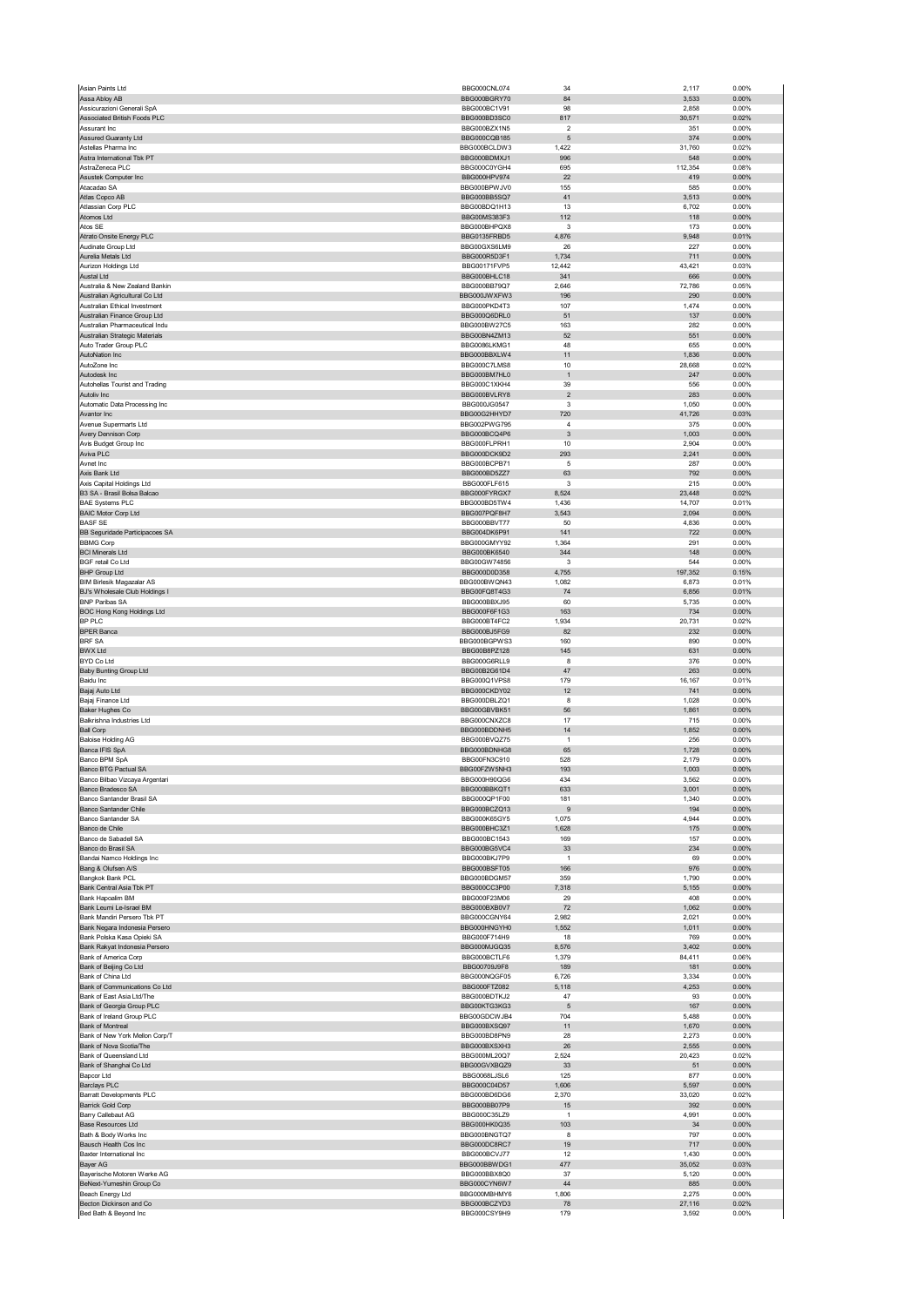| Asian Paints Ltd                                                 | BBG000CNL074                 | 34                           | 2,117           | 0.00%             |
|------------------------------------------------------------------|------------------------------|------------------------------|-----------------|-------------------|
| Assa Abloy AB<br>Assicurazioni Generali SpA                      | BBG000BGRY70<br>BBG000BC1V91 | 84<br>98                     | 3,533<br>2,858  | 0.00%<br>0.00%    |
| Associated British Foods PLC                                     | BBG000BD3SC0                 | 817                          | 30,571          | 0.02%             |
| Assurant Inc                                                     | BBG000BZX1N5                 | $\overline{\phantom{a}}$     | 351             | 0.00%             |
| Assured Guaranty Ltd<br>Astellas Pharma Inc                      | BBG000CQB185<br>BBG000BCLDW3 | 5<br>1,422                   | 374<br>31,760   | 0.00%<br>0.02%    |
| Astra International Tbk PT                                       | BBG000BDMXJ1                 | 996                          | 548             | 0.00%             |
| AstraZeneca PLC<br>Asustek Computer Inc                          | BBG000C0YGH4<br>BBG000HPV974 | 695<br>22                    | 112,354<br>419  | 0.08%<br>0.00%    |
| Atacadao SA                                                      | BBG000BPWJV0                 | 155                          | 585             | 0.00%             |
| Atlas Copco AB                                                   | BBG000BB5SQ7                 | 41                           | 3,513           | 0.00%             |
| Atlassian Corp PLC<br>Atomos Ltd                                 | BBG00BDQ1H13<br>BBG00MS383F3 | 13<br>112                    | 6,702<br>118    | 0.00%<br>0.00%    |
| Atos SE                                                          | BBG000BHPQX8                 | 3                            | 173             | 0.00%             |
| Atrato Onsite Energy PLC                                         | BBG0135FRBD5                 | 4,876                        | 9,948           | 0.01%             |
| Audinate Group Ltd<br>Aurelia Metals Ltd                         | BBG00GXS6LM9<br>BBG000R5D3F1 | 26<br>1,734                  | 227<br>711      | 0.00%<br>0.00%    |
| Aurizon Holdings Ltd                                             | BBG00171FVP5                 | 12,442                       | 43,421          | 0.03%             |
| Austal Ltd                                                       | BBG000BHLC18                 | 341                          | 666             | $0.00\%$          |
| Australia & New Zealand Bankin<br>Australian Agricultural Co Ltd | BBG000BB79Q7<br>BBG000JWXFW3 | 2,646<br>196                 | 72,786<br>290   | 0.05%<br>0.00%    |
| Australian Ethical Investment                                    | BBG000PKD4T3                 | 107                          | 1,474           | 0.00%             |
| Australian Finance Group Ltd<br>Australian Pharmaceutical Indu   | BBG000Q6DRL0<br>BBG000BW27C5 | 51<br>163                    | 137<br>282      | 0.00%<br>0.00%    |
| Australian Strategic Materials                                   | BBG00BN4ZM13                 | 52                           | 551             | 0.00%             |
| Auto Trader Group PLC                                            | BBG0086LKMG1                 | 48                           | 655             | 0.00%             |
| AutoNation Inc<br>AutoZone Inc                                   | BBG000BBXLW4<br>BBG000C7LMS8 | 11<br>10                     | 1,836<br>28,668 | $0.00\%$<br>0.02% |
| Autodesk Inc                                                     | BBG000BM7HL0                 | $\overline{1}$               | 247             | 0.00%             |
| Autohellas Tourist and Trading                                   | BBG000C1XKH4                 | 39                           | 556             | 0.00%             |
| Autoliv Inc<br>Automatic Data Processing Inc                     | BBG000BVLRY8<br>BBG000JG0547 | $\overline{\mathbf{c}}$<br>3 | 283<br>1,050    | $0.00\%$<br>0.00% |
| Avantor Inc                                                      | BBG00G2HHYD7                 | 720                          | 41,726          | 0.03%             |
| Avenue Supermarts Ltd                                            | BBG002PWG795                 | 4                            | 375             | 0.00%             |
| Avery Dennison Corp<br>Avis Budget Group Inc                     | BBG000BCQ4P6<br>BBG000FLPRH1 | 3<br>10                      | 1,003<br>2,904  | $0.00\%$<br>0.00% |
| Aviva PLC                                                        | BBG000DCK9D2                 | 293                          | 2,241           | 0.00%             |
| Avnet Inc                                                        | BBG000BCPB71                 | 5                            | 287             | 0.00%             |
| Axis Bank Ltd<br>Axis Capital Holdings Ltd                       | BBG000BD5ZZ7<br>BBG000FLF615 | 63<br>3                      | 792<br>215      | 0.00%<br>0.00%    |
| B3 SA - Brasil Bolsa Balcao                                      | BBG000FYRGX7                 | 8,524                        | 23,448          | 0.02%             |
| <b>BAE Systems PLC</b>                                           | BBG000BD5TW4                 | 1,436                        | 14,707          | 0.01%             |
| <b>BAIC Motor Corp Ltd</b><br><b>BASF SE</b>                     | BBG007PQF8H7<br>BBG000BBVT77 | 3,543<br>50                  | 2,094<br>4,836  | 0.00%<br>0.00%    |
| BB Seguridade Participacoes SA                                   | BBG004DK6P91                 | 141                          | 722             | 0.00%             |
| <b>BBMG Corp</b>                                                 | BBG000GMYY92                 | 1,364                        | 291             | 0.00%             |
| <b>BCI Minerals Ltd</b>                                          | BBG000BK6540                 | 344                          | 148             | $0.00\%$          |
| <b>BGF</b> retail Co Ltd<br><b>BHP Group Ltd</b>                 | BBG00GW74856<br>BBG000D0D358 | 3<br>4,755                   | 544<br>197,352  | 0.00%<br>0.15%    |
| <b>BIM Birlesik Magazalar AS</b>                                 | BBG000BWQN43                 | 1,082                        | 6,873           | 0.01%             |
| BJ's Wholesale Club Holdings I                                   | BBG00FQ8T4G3                 | 74                           | 6,856           | 0.01%             |
| <b>BNP Paribas SA</b><br>BOC Hong Kong Holdings Ltd              | BBG000BBXJ95<br>BBG000F6F1G3 | 60<br>163                    | 5,735<br>734    | 0.00%<br>$0.00\%$ |
| <b>BP PLC</b>                                                    | BBG000BT4FC2                 | 1,934                        | 20,731          | 0.02%             |
| <b>BPER Banca</b>                                                | BBG000BJ5FG9                 | 82                           | 232             | 0.00%             |
| <b>BRF SA</b><br><b>BWX Ltd</b>                                  | BBG000BGPWS3<br>BBG00B8PZ128 | 160<br>145                   | 890<br>631      | 0.00%<br>0.00%    |
| BYD Co Ltd                                                       | BBG000G6RLL9                 | 8                            | 376             | 0.00%             |
| Baby Bunting Group Ltd                                           | BBG00B2G61D4                 | 47                           | 263             | 0.00%             |
| Baidu Inc<br>Bajaj Auto Ltd                                      | BBG000Q1VPS8<br>BBG000CKDY02 | 179<br>12                    | 16,167<br>741   | 0.01%<br>0.00%    |
| Bajaj Finance Ltd                                                | BBG000DBLZQ1                 | 8                            | 1,028           | 0.00%             |
| <b>Baker Hughes Co</b>                                           | BBG00GBVBK51                 | 56                           | 1,861           | 0.00%             |
| Balkrishna Industries Ltd<br><b>Ball Corp</b>                    | BBG000CNXZC8<br>BBG000BDDNH5 | 17<br>14                     | 715<br>1,852    | 0.00%<br>0.00%    |
| <b>Baloise Holding AG</b>                                        | BBG000BVQZ75                 | $\mathbf{1}$                 | 256             | 0.00%             |
| Banca IFIS SpA                                                   | BBG000BDNHG8                 | 65                           | 1,728           | 0.00%             |
| Banco BPM SpA<br>Banco BTG Pactual SA                            | BBG00FN3C910<br>BBG00FZW5NH3 | 528<br>193                   | 2,179<br>1,003  | 0.00%<br>0.00%    |
| anco Bilhao Vizo<br>uya                                          | <b>BBG000H90OG6</b>          |                              | 3.562           | n nn%             |
| Banco Bradesco SA                                                | BBG000BBKQT1                 | 633                          | 3,001           | 0.00%             |
| Banco Santander Brasil SA<br><b>Banco Santander Chile</b>        | BBG000QP1F00<br>BBG000BCZQ13 | 181<br>9                     | 1,340<br>194    | 0.00%<br>0.00%    |
| Banco Santander SA                                               | BBG000K65GY5                 | 1,075                        | 4,944           | 0.00%             |
| Banco de Chile                                                   | BBG000BHC3Z1                 | 1,628                        | 175             | 0.00%             |
| Banco de Sabadell SA<br>Banco do Brasil SA                       | BBG000BC1543<br>BBG000BG5VC4 | 169<br>33                    | 157<br>234      | 0.00%<br>0.00%    |
| Bandai Namco Holdings Inc                                        | BBG000BKJ7P9                 | $\overline{1}$               | 69              | 0.00%             |
| Bang & Olufsen A/S                                               | BBG000BSFT05                 | 166                          | 976             | 0.00%             |
| Bangkok Bank PCL<br>Bank Central Asia Tbk PT                     | BBG000BDGM57<br>BBG000CC3P00 | 359<br>7,318                 | 1,790<br>5,155  | 0.00%<br>$0.00\%$ |
| Bank Hapoalim BM                                                 | BBG000F23M06                 | 29                           | 408             | 0.00%             |
| Bank Leumi Le-Israel BM                                          | BBG000BXB0V7                 | 72                           | 1,062           | 0.00%             |
| Bank Mandiri Persero Tbk PT<br>Bank Negara Indonesia Persero     | BBG000CGNY64                 | 2,982                        | 2,021<br>1,011  | 0.00%<br>0.00%    |
| Bank Polska Kasa Opieki SA                                       |                              |                              |                 |                   |
| Bank Rakyat Indonesia Persero                                    | BBG000HNGYH0<br>BBG000F714H9 | 1,552<br>18                  | 769             | 0.00%             |
| Bank of America Corp                                             | BBG000MJGQ35                 | 8,576                        | 3,402           | 0.00%             |
|                                                                  | BBG000BCTLF6                 | 1,379                        | 84,411          | 0.06%             |
| Bank of Beijing Co Ltd<br>Bank of China Ltd                      | BBG00709J9F8<br>BBG000NQGF05 | 189<br>6,726                 | 181<br>3,334    | 0.00%<br>0.00%    |
| Bank of Communications Co Ltd                                    | BBG000FTZ082                 | 5,118                        | 4,253           | 0.00%             |
| Bank of East Asia Ltd/The                                        | BBG000BDTKJ2                 | 47                           | 93              | 0.00%             |
| Bank of Georgia Group PLC<br>Bank of Ireland Group PLC           | BBG00KTG3KG3<br>BBG00GDCWJB4 | 5<br>704                     | 167<br>5,488    | 0.00%<br>0.00%    |
| Bank of Montreal                                                 | BBG000BXSQ97                 | 11                           | 1,670           | 0.00%             |
| Bank of New York Mellon Corp/T                                   | BBG000BD8PN9                 | 28                           | 2,273           | 0.00%             |
| Bank of Nova Scotia/The<br>Bank of Queensland Ltd                | BBG000BXSXH3<br>BBG000ML20Q7 | 26<br>2,524                  | 2,555<br>20,423 | $0.00\%$<br>0.02% |
| Bank of Shanghai Co Ltd                                          | BBG00GVXBQZ9                 | 33                           | 51              | 0.00%             |
| Bapcor Ltd                                                       | BBG0068LJSL6                 | 125                          | 877             | 0.00%             |
| <b>Barclays PLC</b><br><b>Barratt Developments PLC</b>           | BBG000C04D57<br>BBG000BD6DG6 | 1,606<br>2,370               | 5,597<br>33,020 | 0.00%<br>0.02%    |
| <b>Barrick Gold Corp</b>                                         | BBG000BB07P9                 | 15                           | 392             | 0.00%             |
| Barry Callebaut AG                                               | BBG000C35LZ9                 | $\mathbf{1}$                 | 4,991           | 0.00%             |
| <b>Base Resources Ltd</b><br>Bath & Body Works Inc               | BBG000HK0Q35<br>BBG000BNGTQ7 | 103<br>8                     | 34<br>797       | 0.00%<br>0.00%    |
| Bausch Health Cos Inc                                            | BBG000DC8RC7                 | 19                           | 717             | 0.00%             |
| Baxter International Inc                                         | BBG000BCVJ77                 | 12                           | 1,430           | 0.00%             |
| Bayer AG<br>Bayerische Motoren Werke AG                          | BBG000BBWDG1<br>BBG000BBX8Q0 | 477<br>37                    | 35,052<br>5,120 | 0.03%<br>0.00%    |
| BeNext-Yumeshin Group Co                                         | BBG000CYN6W7                 | 44                           | 885             | 0.00%             |
| Beach Energy Ltd<br>Becton Dickinson and Co                      | BBG000MBHMY6<br>BBG000BCZYD3 | 1,806<br>78                  | 2,275<br>27,116 | 0.00%<br>0.02%    |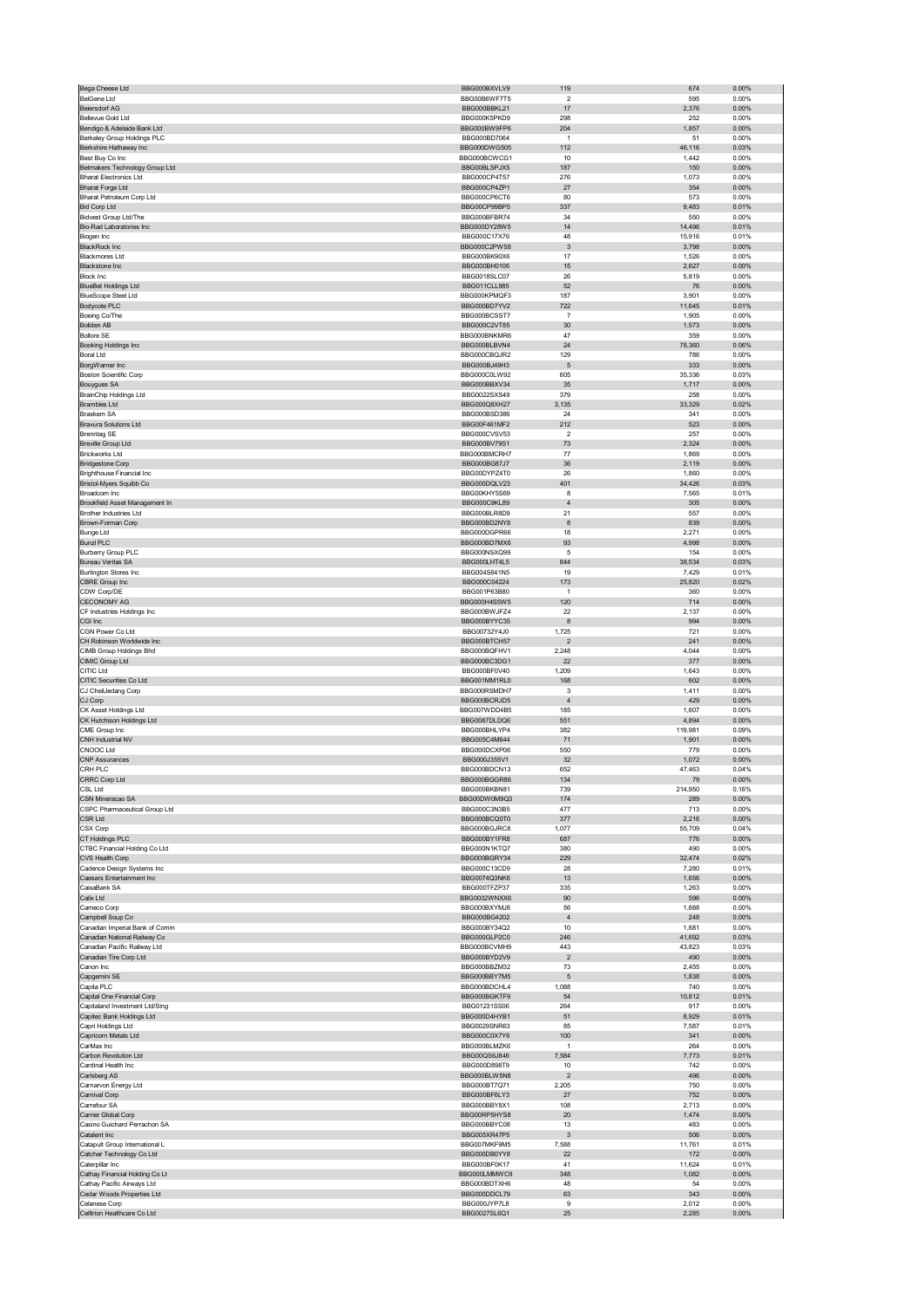| Bega Cheese Ltd                                       | BBG000BXVLV9                 | 119                       | 674           | 0.00%             |
|-------------------------------------------------------|------------------------------|---------------------------|---------------|-------------------|
| <b>BeiGene Ltd</b>                                    | BBG00B6WF7T5                 | $\overline{2}$            | 595           | 0.00%             |
| <b>Beiersdorf AG</b>                                  | BBG000BBKL21                 | 17                        | 2,376         | $0.00\%$          |
| Bellevue Gold Ltd                                     | BBG000K5PKD9                 | 298                       | 252           | 0.00%             |
| Bendigo & Adelaide Bank Ltd                           | BBG000BW9FP6                 | 204                       | 1,857         | 0.00%             |
| Berkeley Group Holdings PLC                           | BBG000BD7064                 | $\overline{1}$            | 51            | 0.00%             |
| Berkshire Hathaway Inc                                | BBG000DWG505                 | 112                       | 46,116        | 0.03%             |
| Best Buy Co Inc                                       | BBG000BCWCG1                 | 10                        | 1,442         | 0.00%             |
| Betmakers Technology Group Ltd                        | BBG00BLSPJX5                 | 187                       | 150           | 0.00%             |
| <b>Bharat Electronics Ltd</b>                         | BBG000CP4T57                 | 276                       | 1,073         | 0.00%             |
| <b>Bharat Forge Ltd</b><br>Bharat Petroleum Corp Ltd  | BBG000CP4ZP1                 | 27                        | 354<br>573    | 0.00%<br>0.00%    |
| <b>Bid Corp Ltd</b>                                   | BBG000CP6CT6<br>BBG00CP99BP5 | 80<br>337                 | 9,483         | 0.01%             |
| <b>Bidvest Group Ltd/The</b>                          | BBG000BFBR74                 | 34                        | 550           | 0.00%             |
| Bio-Rad Laboratories Inc                              | BBG000DY28W5                 | 14                        | 14,496        | 0.01%             |
| Biogen Inc                                            | BBG000C17X76                 | 48                        | 15,916        | 0.01%             |
| <b>BlackRock Inc.</b>                                 | BBG000C2PW58                 | $\ensuremath{\mathsf{3}}$ | 3,798         | $0.00\%$          |
| <b>Blackmores Ltd</b>                                 | BBG000BK90X6                 | 17                        | 1,526         | 0.00%             |
| <b>Blackstone Inc</b>                                 | BBG000BH0106                 | 15                        | 2,627         | 0.00%             |
| <b>Block Inc</b>                                      | BBG0018SLC07                 | 26                        | 5,819         | 0.00%             |
| <b>BlueBet Holdings Ltd</b>                           | <b>BBG011CLL985</b>          | 52                        | 76            | 0.00%             |
| <b>BlueScope Steel Ltd</b>                            | BBG000KPMQF3                 | 187                       | 3,901         | 0.00%             |
| Bodycote PLC                                          | BBG000BD7YV2                 | 722                       | 11,645        | 0.01%             |
| Boeing Co/The                                         | BBG000BCSST7                 | 7                         | 1,905         | 0.00%             |
| <b>Boliden AB</b>                                     | BBG000C2VT85                 | 30                        | 1,573         | 0.00%             |
| <b>Bollore SE</b>                                     | BBG000BNKMR6                 | 47                        | 359           | 0.00%             |
| Booking Holdings Inc                                  | BBG000BLBVN4                 | 24                        | 78,360        | 0.06%             |
| <b>Boral Ltd</b>                                      | BBG000CBQJR2                 | 129                       | 786           | 0.00%             |
| BorgWarner Inc                                        | BBG000BJ49H3                 | 5                         | 333           | $0.00\%$          |
| <b>Boston Scientific Corp</b>                         | BBG000C0LW92                 | 605                       | 35,336        | 0.03%             |
| <b>Bouygues SA</b>                                    | BBG000BBXV34                 | 35                        | 1,717         | 0.00%             |
| BrainChip Holdings Ltd                                | BBG0022SXS49                 | 379                       | 258           | 0.00%             |
| <b>Brambles Ltd</b>                                   | BBG000Q8XH27                 | 3,135                     | 33,329        | 0.02%             |
| <b>Braskem SA</b>                                     | BBG000BSD386                 | 24                        | 341           | 0.00%             |
| <b>Bravura Solutions Ltd</b>                          | BBG00F461MF2                 | 212                       | 523           | $0.00\%$          |
| <b>Brenntag SE</b>                                    | BBG000CVSV53                 | $\overline{2}$            | 257           | 0.00%             |
| <b>Breville Group Ltd</b>                             | BBG000BV79S1                 | 73                        | 2,324         | 0.00%             |
| <b>Brickworks Ltd</b>                                 | BBG000BMCRH7                 | 77                        | 1,869         | 0.00%             |
| <b>Bridgestone Corp</b>                               | BBG000BG87J7                 | 36                        | 2,119         | 0.00%             |
| Brighthouse Financial Inc                             | BBG00DYPZ4T0                 | 26                        | 1,860         | 0.00%             |
| Bristol-Myers Squibb Co                               | BBG000DQLV23                 | 401                       | 34,426        | 0.03%             |
| Broadcom Inc                                          | BBG00KHY5S69                 | 8<br>$\overline{4}$       | 7,565         | 0.01%             |
| Brookfield Asset Management In                        | BBG000C9KL89                 |                           | 305           | 0.00%             |
| <b>Brother Industries Ltd</b>                         | BBG000BLR8D9<br>BBG000BD2NY8 | 21<br>8                   | 557<br>839    | 0.00%<br>$0.00\%$ |
| Brown-Forman Corp<br><b>Bunge Ltd</b>                 | BBG000DGPR66                 | 18                        | 2,271         | 0.00%             |
| <b>Bunzl PLC</b>                                      |                              | 93                        |               |                   |
|                                                       | BBG000BD7MX6                 |                           | 4,998         | 0.00%             |
| <b>Burberry Group PLC</b><br><b>Bureau Veritas SA</b> | BBG000NSXQ99<br>BBG000LHT4L5 | 5<br>844                  | 154<br>38,534 | 0.00%<br>0.03%    |
| Burlington Stores Inc                                 | BBG004S641N5                 | 19                        | 7,429         | 0.01%             |
| CBRE Group Inc                                        | BBG000C04224                 | 173                       | 25,820        | 0.02%             |
| CDW Corp/DE                                           | BBG001P63B80                 |                           | 360           | 0.00%             |
| <b>CECONOMY AG</b>                                    | BBG000H4S5W5                 | 120                       | 714           | 0.00%             |
| CF Industries Holdings Inc                            | BBG000BWJFZ4                 | 22                        | 2,137         | 0.00%             |
| CGI Inc                                               | BBG000BYYC35                 | 8                         | 994           | 0.00%             |
| CGN Power Co Ltd                                      | BBG00732Y4J0                 | 1,725                     | 721           | 0.00%             |
| CH Robinson Worldwide Inc                             | BBG000BTCH57                 | $\mathbf 2$               | 241           | 0.00%             |
| CIMB Group Holdings Bhd                               | BBG000BQFHV1                 | 2,248                     | 4,044         | 0.00%             |
| CIMIC Group Ltd                                       | BBG000BC3DG1                 | 22                        | 377           | 0.00%             |
| CITIC Ltd                                             | BBG000BF0V40                 | 1,209                     | 1,643         | 0.00%             |
| CITIC Securities Co Ltd                               | BBG001MM1RL0                 | 168                       | 602           | 0.00%             |
| CJ CheilJedang Corp                                   | BBG000RSMDH7                 | 3                         | 1,411         | 0.00%             |
| CJ Corp                                               | BBG000BCRJD5                 | $\overline{4}$            | 429           | 0.00%             |
| CK Asset Holdings Ltd                                 | BBG007WDD4B5                 | 185                       | 1,607         | 0.00%             |
| CK Hutchison Holdings Ltd                             | BBG0087DLDQ6                 | 551                       | 4,894         | 0.00%             |
| CME Group Inc                                         | BBG000BHLYP4                 | 382                       | 119,981       | 0.09%             |
| CNH Industrial NV                                     | BBG005C4M644                 | 71                        | 1,901         | 0.00%             |
| CNOOC Ltd                                             | BBG000DCXP06                 | 550                       | 779           | 0.00%             |
| <b>CNP Assurances</b>                                 | BBG000J355V1                 | 32                        | 1,072         | 0.00%             |
| CRH PLC                                               | BBG000BDCN13                 | 652                       | 47,463        | 0.04%             |
| CRRC Corp Ltd                                         | BBG000BGGR86                 | 134                       | 79            | $0.00\%$          |
| CSL Ltd                                               | BBG000BKBN81                 | 739                       | 214,950       | 0.16%             |
| CSN Mineracao SA                                      | BBG00DW0M9Q3                 | 174                       | 289           | 0.00%             |
| CSPC Pharmaceutical Group Ltd                         | BBG000C3N3B5                 | 477                       | 713           | 0.00%             |
| CSR Ltd                                               | BBG000BCQ0T0                 | 377                       | 2,216         | 0.00%             |
| CSX Corp                                              | BBG000BGJRC8                 | 1,077                     | 55,709        | 0.04%             |
| CT Holdings PLC                                       | BBG000BY1FR8                 | 687                       | 776           | 0.00%             |
| CTBC Financial Holding Co Ltd                         | BBG000N1KTQ7                 | 380                       | 490           | 0.00%             |
| CVS Health Corp                                       | BBG000BGRY34                 | 229                       | 32,474        | 0.02%             |
| Cadence Design Systems Inc                            | BBG000C13CD9                 | 28                        | 7,280         | 0.01%             |
| Caesars Entertainment Inc                             | BBG0074Q3NK6                 | 13                        | 1,656         | 0.00%             |
| CaixaBank SA<br>Calix Ltd                             | BBG000TFZP37<br>BBG0032WNXX6 | 335<br>90                 | 1,263<br>596  | 0.00%<br>0.00%    |
| Cameco Corp                                           | BBG000BXYMJ8                 | 56                        | 1,688         | 0.00%             |
| Campbell Soup Co                                      | BBG000BG4202                 | $\sqrt{4}$                | 248           | 0.00%             |
| Canadian Imperial Bank of Comm                        | BBG000BY34Q2                 | 10                        | 1,681         | 0.00%             |
| Canadian National Railway Co                          | BBG000GLP2C0                 | 246                       | 41,692        | 0.03%             |
| Canadian Pacific Railway Ltd                          | BBG000BCVMH9                 | 443                       | 43,823        | 0.03%             |
| Canadian Tire Corp Ltd                                | BBG000BYD2V9                 | $\sqrt{2}$                | 490           | 0.00%             |
| Canon Inc                                             | BBG000BBZM32                 | 73                        | 2,455         | 0.00%             |
| Capgemini SE                                          | BBG000BBY7M5                 | 5                         | 1,838         | 0.00%             |
| Capita PLC                                            | BBG000BDCHL4                 | 1,088                     | 740           | 0.00%             |
| Capital One Financial Corp                            | BBG000BGKTF9                 | 54                        | 10,812        | 0.01%             |
| Capitaland Investment Ltd/Sing                        | BBG01231SS06                 | 264                       | 917           | 0.00%             |
| Capitec Bank Holdings Ltd                             | BBG000D4HYB1                 | 51                        | 8,929         | 0.01%             |
| Capri Holdings Ltd                                    | BBG0029SNR63                 | 85                        | 7,587         | 0.01%             |
| Capricorn Metals Ltd                                  | BBG000C0X7Y6                 | 100                       | 341           | 0.00%             |
| CarMax Inc                                            | BBG000BLMZK6                 | $\mathbf{1}$              | 264           | 0.00%             |
| Carbon Revolution Ltd                                 | BBG00QS6J846                 | 7,584                     | 7,773         | 0.01%             |
| Cardinal Health Inc                                   | BBG000D898T9                 | 10                        | 742           | 0.00%             |
| Carlsberg AS                                          | BBG000BLW5N8                 | $\overline{\mathbf{c}}$   | 496           | 0.00%             |
| Carnarvon Energy Ltd                                  | BBG000BT7Q71                 | 2,205                     | 750           | 0.00%             |
| Carnival Corp                                         | BBG000BF6LY3                 | 27                        | 752           | $0.00\%$          |
| Carrefour SA                                          | BBG000BBY8X1                 | 108                       | 2,713         | 0.00%             |
| Carrier Global Corp                                   | BBG00RP5HYS8                 | 20                        | 1,474         | 0.00%             |
| Casino Guichard Perrachon SA                          | BBG000BBYC08                 | 13                        | 483           | 0.00%             |
| Catalent Inc                                          | BBG005XR47P5                 | 3                         | 506           | 0.00%             |
| Catapult Group International L                        | BBG007MKF9M5                 | 7,588                     | 11,761        | 0.01%             |
| Catcher Technology Co Ltd                             | BBG000DB0YY8                 | 22                        | 172           | 0.00%             |
| Caterpillar Inc                                       | BBG000BF0K17                 | 41                        | 11,624        | 0.01%             |
| Cathay Financial Holding Co Lt                        | BBG000LMMWC9                 | 348                       | 1,082         | $0.00\%$          |
| Cathay Pacific Airways Ltd                            | BBG000BDTXH6                 | 48                        | 54            | 0.00%             |
| Cedar Woods Properties Ltd<br>Celanese Corp           | BBG000DDCL79<br>BBG000JYP7L8 | 63<br>9                   | 343<br>2,012  | 0.00%<br>0.00%    |
| Celltrion Healthcare Co Ltd                           | BBG0027SL6Q1                 | 25                        | 2,285         | 0.00%             |
|                                                       |                              |                           |               |                   |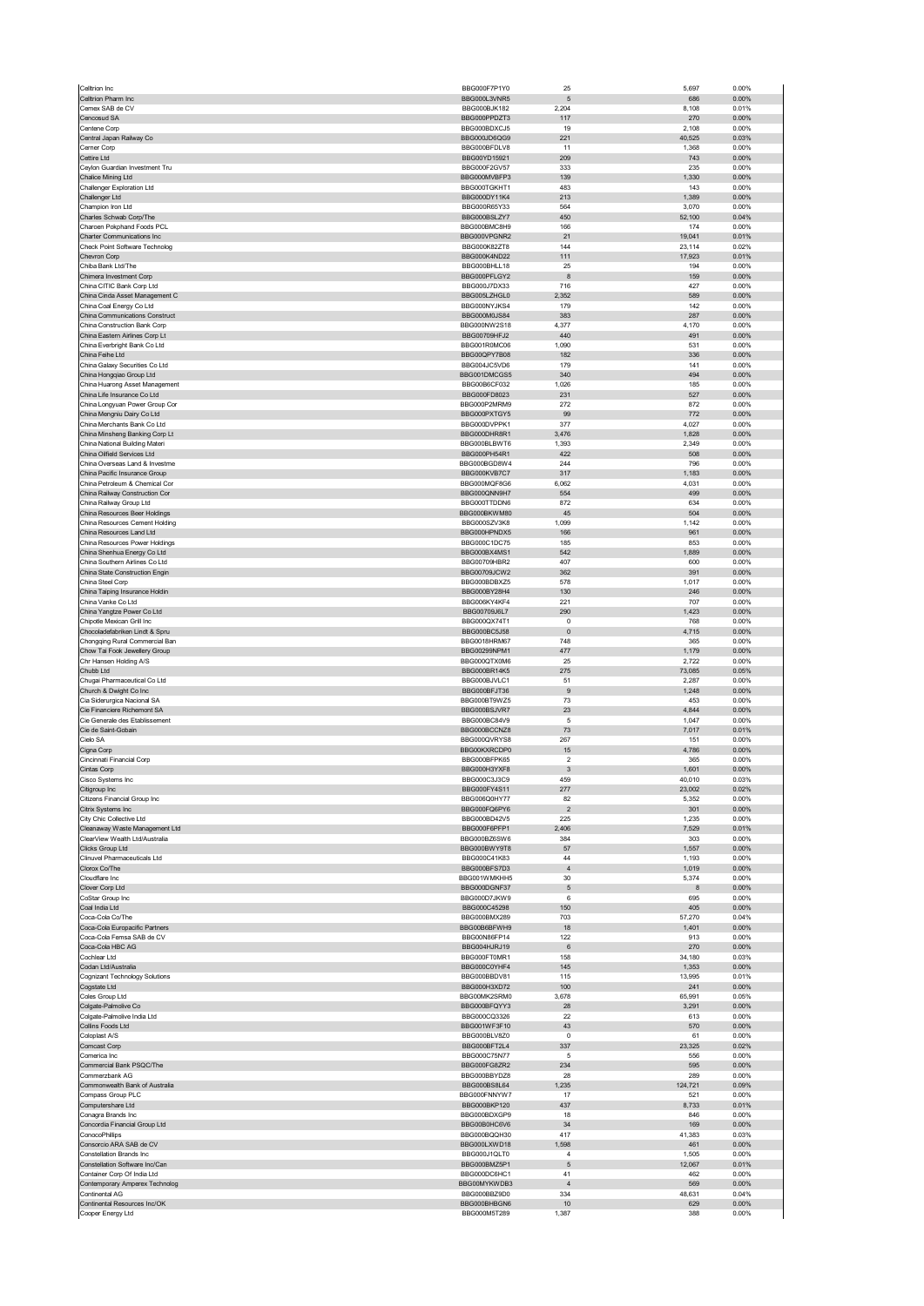| Celltrion Inc.                                                  | BBG000F7P1Y0                 | 25                    | 5,697           | 0.00%          |
|-----------------------------------------------------------------|------------------------------|-----------------------|-----------------|----------------|
| Celltrion Pharm Inc<br>Cemex SAB de CV                          | BBG000L3VNR5<br>BBG000BJK182 | $\sqrt{5}$<br>2,204   | 686<br>8,108    | 0.00%<br>0.01% |
| Cencosud SA                                                     | BBG000PPDZT3                 | 117                   | 270             | 0.00%          |
| Centene Corn                                                    | BBG000BDXCJ5                 | 19                    | 2,108           | 0.00%          |
| Central Japan Railway Co                                        | BBG000JD6QG9                 | 221                   | 40,525          | 0.03%          |
| Cerner Corp<br>Cettire Ltd                                      | BBG000BFDLV8<br>BBG00YD15921 | 11<br>209             | 1,368<br>743    | 0.00%<br>0.00% |
| Ceylon Guardian Investment Tru                                  | BBG000F2GV57                 | 333                   | 235             | 0.00%          |
| Chalice Mining Ltd                                              | BBG000MVBFP3                 | 139                   | 1,330           | 0.00%          |
| Challenger Exploration Ltd                                      | BBG000TGKHT1                 | 483                   | 143             | 0.00%          |
| Challenger Ltd                                                  | BBG000DY11K4                 | 213<br>564            | 1,389<br>3,070  | 0.00%          |
| Champion Iron Ltd<br>Charles Schwab Corp/The                    | BBG000R65Y33<br>BBG000BSLZY7 | 450                   | 52,100          | 0.00%<br>0.04% |
| Charoen Pokphand Foods PCL                                      | BBG000BMC8H9                 | 166                   | 174             | 0.00%          |
| Charter Communications Inc                                      | BBG000VPGNR2                 | 21                    | 19,041          | 0.01%          |
| Check Point Software Technolog<br>Chevron Corp                  | BBG000K82ZT8                 | 144                   | 23,114          | 0.02%          |
| Chiba Bank Ltd/The                                              | BBG000K4ND22<br>BBG000BHLL18 | 111<br>25             | 17,923<br>194   | 0.01%<br>0.00% |
| Chimera Investment Corp                                         | BBG000PFLGY2                 | 8                     | 159             | 0.00%          |
| China CITIC Bank Corp Ltd                                       | BBG000J7DX33                 | 716                   | 427             | 0.00%          |
| China Cinda Asset Management C                                  | BBG005LZHGL0<br>BBG000NYJKS4 | 2,352<br>179          | 589<br>142      | 0.00%<br>0.00% |
| China Coal Energy Co Ltd<br>China Communications Construct      | BBG000M0JS84                 | 383                   | 287             | 0.00%          |
| China Construction Bank Corp                                    | BBG000NW2S18                 | 4,377                 | 4,170           | 0.00%          |
| China Eastern Airlines Corp Lt                                  | BBG00709HFJ2                 | 440                   | 491             | 0.00%          |
| China Everbright Bank Co Ltd<br>China Feihe Ltd                 | BBG001R0MC06<br>BBG00QPY7B08 | 1,090<br>182          | 531<br>336      | 0.00%<br>0.00% |
| China Galaxy Securities Co Ltd                                  | BBG004JC5VD6                 | 179                   | 141             | 0.00%          |
| China Hongqiao Group Ltd                                        | BBG001DMCGS5                 | 340                   | 494             | 0.00%          |
| China Huarong Asset Management                                  | BBG00B6CF032                 | 1,026                 | 185             | 0.00%          |
| China Life Insurance Co Ltd                                     | BBG000FD8023<br>BBG000P2MRM9 | 231                   | 527             | 0.00%          |
| China Longyuan Power Group Cor<br>China Mengniu Dairy Co Ltd    | BBG000PXTGY5                 | 272<br>99             | 872<br>772      | 0.00%<br>0.00% |
| China Merchants Bank Co Ltd                                     | BBG000DVPPK1                 | 377                   | 4,027           | 0.00%          |
| China Minsheng Banking Corp Lt                                  | BBG000DHR8R1                 | 3,476                 | 1,828           | 0.00%          |
| China National Building Materi                                  | BBG000BLBWT6                 | 1,393                 | 2,349           | 0.00%          |
| China Oilfield Services I td.<br>China Overseas Land & Investme | BBG000PH54R1<br>BBG000BGD8W4 | 422<br>244            | 508<br>796      | 0.00%<br>0.00% |
| China Pacific Insurance Group                                   | BBG000KVB7C7                 | 317                   | 1,183           | 0.00%          |
| China Petroleum & Chemical Cor                                  | BBG000MQF8G6                 | 6,062                 | 4,031           | 0.00%          |
| China Railway Construction Cor                                  | BBG000QNN9H7                 | 554                   | 499             | 0.00%          |
| China Railway Group Ltd<br>China Resources Beer Holdings        | BBG000TTDDN6<br>BBG000BKWM80 | 872<br>45             | 634<br>504      | 0.00%<br>0.00% |
| China Resources Cement Holding                                  | BBG000SZV3K8                 | 1,099                 | 1.142           | 0.00%          |
| China Resources Land Ltd                                        | BBG000HPNDX5                 | 166                   | 961             | 0.00%          |
| China Resources Power Holdings                                  | BBG000C1DC75                 | 185                   | 853             | 0.00%          |
| China Shenhua Energy Co Ltd<br>China Southern Airlines Co Ltd   | BBG000BX4MS1<br>BBG00709HBR2 | 542<br>407            | 1,889<br>600    | 0.00%<br>0.00% |
| China State Construction Engin                                  | BBG00709JCW2                 | 362                   | 391             | 0.00%          |
| China Steel Corp                                                | BBG000BDBXZ5                 | 578                   | 1,017           | 0.00%          |
| China Taiping Insurance Holdin                                  | BBG000BY28H4                 | 130                   | 246             | 0.00%          |
| China Vanke Co Ltd<br>China Yangtze Power Co Ltd                | BBG006KY4KF4<br>BBG00709J6L7 | 221<br>290            | 707<br>1,423    | 0.00%<br>0.00% |
| Chipotle Mexican Grill Inc                                      | BBG000QX74T1                 | $\pmb{0}$             | 768             | 0.00%          |
| Chocoladefabriken Lindt & Spru                                  | BBG000BC5J58                 | $\mathbf 0$           | 4,715           | 0.00%          |
| Chongqing Rural Commercial Ban                                  | BBG0018HRM67                 | 748                   | 365             | 0.00%          |
| Chow Tai Fook Jewellery Group                                   | BBG00299NPM1<br>BBG000QTX0M6 | 477<br>25             | 1,179<br>2,722  | 0.00%<br>0.00% |
| Chr Hansen Holding A/S<br>Chubb Ltd                             | BBG000BR14K5                 | 275                   | 73,085          | 0.05%          |
| Chugai Pharmaceutical Co Ltd                                    | BBG000BJVLC1                 | 51                    | 2,287           | 0.00%          |
| Church & Dwight Co Inc                                          | BBG000BFJT36                 | 9                     | 1,248           | 0.00%          |
| Cia Siderurgica Nacional SA                                     | BBG000BT9WZ5                 | 73<br>23              | 453             | 0.00%          |
| Cie Financiere Richemont SA<br>Cie Generale des Etablissement   | BBG000BSJVR7<br>BBG000BC84V9 | $\sqrt{5}$            | 4,844<br>1,047  | 0.00%<br>0.00% |
| Cie de Saint-Gobain                                             | BBG000BCCNZ8                 | 73                    | 7,017           | 0.01%          |
| Cielo SA                                                        | BBG000QVRYS8                 | 267                   | 151             | 0.00%          |
| Cigna Corp                                                      | BBG00KXRCDP0                 | 15<br>$\overline{2}$  | 4,786           | 0.00%<br>0.00% |
| Cincinnati Financial Corp<br>Cintas Corp                        | BBG000BFPK65<br>BBG000H3YXF8 | $\mathbf{3}$          | 365<br>1,601    | 0.00%          |
| Cisco Syste                                                     | BBG000C3.13C9                | 150                   | 10.010          | 0.03%          |
| Citigroup Inc                                                   | BBG000FY4S11                 | 277                   | 23,002          | 0.02%          |
| Citizens Financial Group Inc                                    | BBG006Q0HY77<br>BBG000FO6PY6 | 82                    | 5,352           | 0.00%          |
| Citrix Systems Inc<br>City Chic Collective Ltd                  | BBG000BD42V5                 | $\overline{2}$<br>225 | 301<br>1,235    | 0.00%<br>0.00% |
| Cleanaway Waste Management Ltd                                  | BBG000F6PFP1                 | 2,406                 | 7,529           | 0.01%          |
| ClearView Wealth Ltd/Australia                                  | BBG000BZ6SW6                 | 384                   | 303             | 0.00%          |
| Clicks Group Ltd                                                | BBG000BWY9T8                 |                       |                 |                |
| Clinuvel Pharmaceuticals Ltd                                    |                              | 57                    | 1,557           | 0.00%          |
|                                                                 | BBG000C41K83                 | 44                    | 1,193           | 0.00%          |
| Clorox Co/The<br>Cloudflare Inc                                 | BBG000BFS7D3<br>BBG001WMKHH5 | $\sqrt{4}$<br>30      | 1,019<br>5,374  | 0.00%<br>0.00% |
| Clover Corp Ltd                                                 | BBG000DGNE37                 | $\sqrt{5}$            | 8               | 0.00%          |
| CoStar Group Inc                                                | BBG000D7JKW9                 | 6                     | 695             | 0.00%          |
| Coal India Ltd                                                  | BBG000C45298                 | 150                   | 405             | 0.00%          |
| Coca-Cola Co/The<br>Coca-Cola Europacific Partners              | BBG000BMX289<br>BBG00B6BFWH9 | 703<br>18             | 57,270<br>1,401 | 0.04%<br>0.00% |
| Coca-Cola Femsa SAB de CV                                       | BBG00N86FP14                 | 122                   | 913             | 0.00%          |
| Coca-Cola HBC AG                                                | BBG004HJRJ19                 | $\,6\,$               | 270             | 0.00%          |
| Cochlear Ltd                                                    | BBG000FT0MR1                 | 158                   | 34,180          | 0.03%          |
| Codan Ltd/Australia<br>Cognizant Technology Solutions           | BBG000C0YHF4<br>BBG000BBDV81 | 145<br>115            | 1,353<br>13,995 | 0.00%<br>0.01% |
| Cogstate Ltd                                                    | BBG000H3XD72                 | 100                   | 241             | 0.00%          |
| Coles Group Ltd                                                 | BBG00MK2SRM0                 | 3,678                 | 65,991          | 0.05%          |
| Colgate-Palmolive Co                                            | BBG000BFQYY3<br>BBG000CQ3326 | 28<br>22              | 3,291           | 0.00%<br>0.00% |
| Colgate-Palmolive India Ltd<br>Collins Foods Ltd                | BBG001WF3F10                 | 43                    | 613<br>570      | 0.00%          |
| Coloplast A/S                                                   | BBG000BLV8Z0                 | 0                     | 61              | 0.00%          |
| Comcast Corp                                                    | BBG000BFT2L4                 | 337                   | 23,325          | 0.02%          |
| Comerica Inc                                                    | BBG000C75N77                 | 5                     | 556             | 0.00%          |
| Commercial Bank PSQC/The<br>Commerzbank AG                      | BBG000FG8ZR2<br>BBG000BBYDZ8 | 234<br>28             | 595<br>289      | 0.00%<br>0.00% |
| Commonwealth Bank of Australia                                  | BBG000BS8L64                 | 1,235                 | 124,721         | 0.09%          |
| Compass Group PLC                                               | BBG000FNNYW7                 | 17                    | 521             | 0.00%          |
| Computershare Ltd                                               | BBG000BKP120                 | 437                   | 8,733           | 0.01%          |
| Conagra Brands Inc<br>Concordia Financial Group Ltd             | BBG000BDXGP9<br>BBG00B0HC6V6 | 18<br>34              | 846<br>169      | 0.00%<br>0.00% |
| ConocoPhillips                                                  | BBG000BQQH30                 | 417                   | 41,383          | 0.03%          |
| Consorcio ARA SAB de CV                                         | BBG000LXWD18                 | 1,598                 | 461             | 0.00%          |
| Constellation Brands Inc                                        | BBG000J1QLT0                 | $\overline{4}$        | 1,505           | 0.00%          |
| Constellation Software Inc/Can                                  | BBG000BMZ5P1<br>BBG000DC6HC1 | 5<br>41               | 12,067          | 0.01%<br>0.00% |
| Container Corp Of India Ltd<br>Contemporary Amperex Technolog   | BBG00MYKWDB3                 | $\overline{4}$        | 462<br>569      | 0.00%          |
| Continental AG                                                  | BBG000BBZ9D0                 | 334                   | 48,631          | 0.04%          |
| Continental Resources Inc/OK<br>Cooper Energy Ltd               | BBG000BHBGN6<br>BBG000M5T289 | 10<br>1,387           | 629<br>388      | 0.00%<br>0.00% |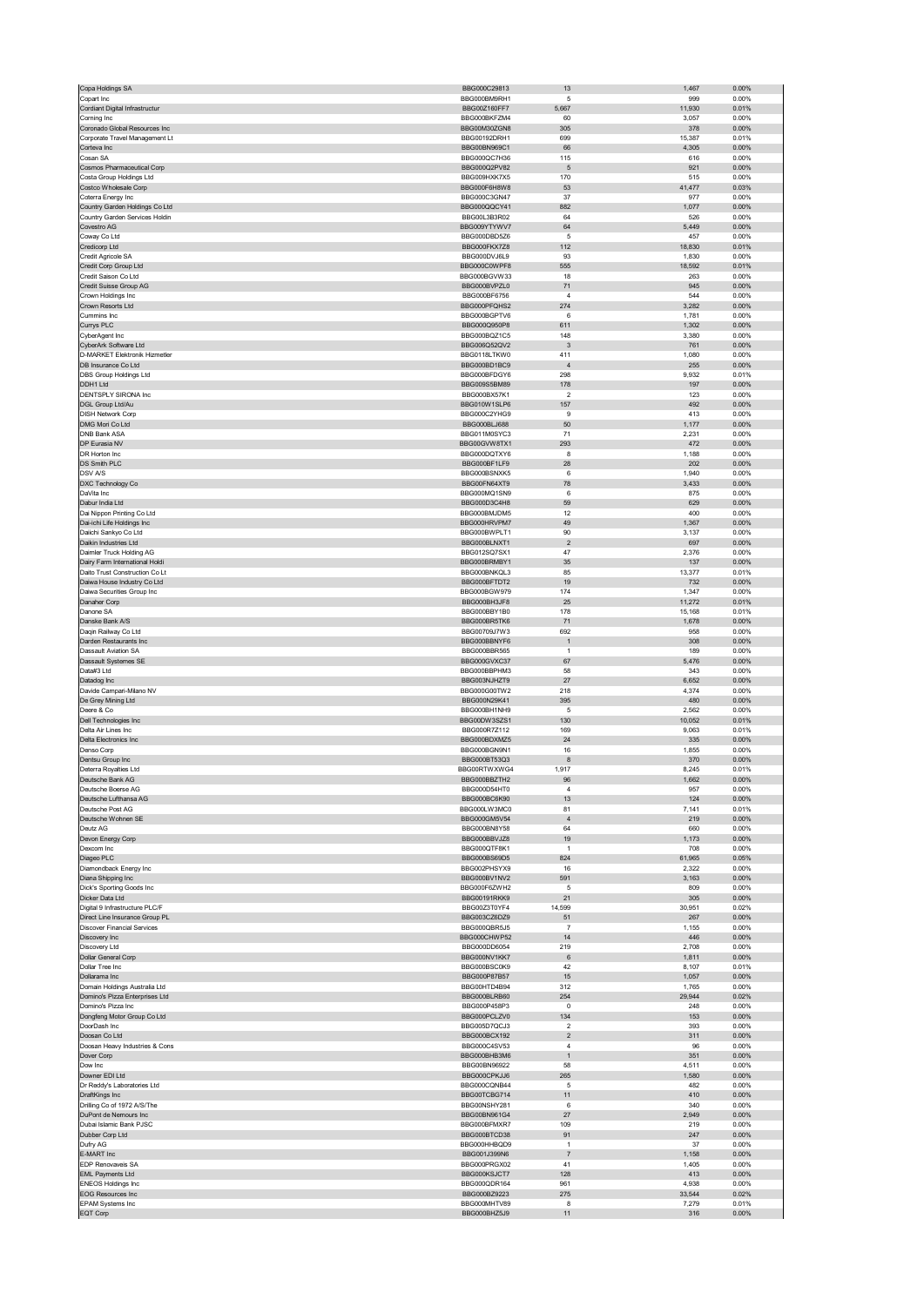| Copa Holdings SA                                           | BBG000C29813                 | 13                   | 1,467           | 0.00%             |
|------------------------------------------------------------|------------------------------|----------------------|-----------------|-------------------|
| Copart Inc                                                 | BBG000BM9RH1                 | 5                    | 999             | 0.00%             |
| Cordiant Digital Infrastructur<br>Corning Inc              | BBG00Z160FF7<br>BBG000BKFZM4 | 5,667<br>60          | 11,930<br>3,057 | 0.01%<br>0.00%    |
| Coronado Global Resources Inc                              | BBG00M30ZGN8                 | 305                  | 378             | 0.00%             |
| Corporate Travel Management Lt                             | BBG00192DRH1                 | 699                  | 15,387          | 0.01%             |
| Corteva Inc                                                | BBG00BN969C1                 | 66                   | 4,305           | 0.00%             |
| Cosan SA<br>Cosmos Pharmaceutical Corp                     | BBG000QC7H36<br>BBG000Q2PV82 | 115<br>5             | 616<br>921      | 0.00%<br>0.00%    |
| Costa Group Holdings Ltd                                   | BBG009HXK7X5                 | 170                  | 515             | 0.00%             |
| Costco Wholesale Corp                                      | BBG000F6H8W8                 | 53                   | 41,477          | 0.03%             |
| Coterra Energy Inc                                         | BBG000C3GN47                 | 37                   | 977             | 0.00%             |
| Country Garden Holdings Co Ltd                             | BBG000QQCY41                 | 882                  | 1,077           | 0.00%             |
| Country Garden Services Holdin<br>Covestro AG              | BBG00L3B3R02<br>BBG009YTYWV7 | 64<br>64             | 526<br>5,449    | 0.00%<br>0.00%    |
| Coway Co Ltd                                               | BBG000DBD5Z6                 | 5                    | 457             | 0.00%             |
| Credicorp Ltd                                              | BBG000FKX7Z8                 | 112                  | 18,830          | 0.01%             |
| Credit Agricole SA                                         | BBG000DVJ6L9                 | 93                   | 1,830           | 0.00%             |
| Credit Corp Group Ltd                                      | BBG000C0WPF8                 | 555                  | 18,592          | 0.01%             |
| Credit Saison Co Ltd<br>Credit Suisse Group AG             | BBG000BGVW33<br>BBG000BVPZL0 | 18<br>71             | 263<br>945      | 0.00%<br>0.00%    |
| Crown Holdings Inc                                         | BBG000BF6756                 | 4                    | 544             | 0.00%             |
| Crown Resorts Ltd                                          | BBG000PFQHS2                 | 274                  | 3,282           | 0.00%             |
| Cummins Inc                                                | BBG000BGPTV6                 | 6                    | 1,781           | 0.00%             |
| Currys PLC                                                 | BBG000Q950P8                 | 611                  | 1,302           | 0.00%             |
| CyberAgent Inc<br>CyberArk Software Ltd                    | BBG000BQZ1C5<br>BBG006Q52QV2 | 148<br>3             | 3,380<br>761    | 0.00%<br>0.00%    |
| D-MARKET Elektronik Hizmetler                              | BBG0118LTKW0                 | 411                  | 1,080           | 0.00%             |
| DB Insurance Co Ltd                                        | BBG000BD1BC9                 | $\overline{4}$       | 255             | $0.00\%$          |
| DBS Group Holdings Ltd                                     | BBG000BFDGY6                 | 298                  | 9,932           | 0.01%             |
| DDH1 Ltd                                                   | BBG009S5BM89                 | 178                  | 197             | 0.00%             |
| <b>DENTSPLY SIRONA Inc</b>                                 | BBG000BX57K1                 | 2                    | 123             | 0.00%             |
| DGL Group Ltd/Au<br><b>DISH Network Corp</b>               | BBG010W1SLP6<br>BBG000C2YHG9 | 157<br>9             | 492<br>413      | 0.00%<br>0.00%    |
| DMG Mori Co Ltd                                            | BBG000BLJ688                 | 50                   | 1,177           | 0.00%             |
| <b>DNB Bank ASA</b>                                        | BBG011M0SYC3                 | 71                   | 2,231           | 0.00%             |
| DP Eurasia NV                                              | BBG00GVW8TX1                 | 293                  | 472             | 0.00%             |
| DR Horton Inc.                                             | BBG000DQTXY6                 | 8                    | 1,188           | 0.00%             |
| DS Smith PLC                                               | BBG000BF1LF9                 | 28                   | 202             | 0.00%             |
| DSV A/S<br>DXC Technology Co                               | BBG000BSNXK5<br>BBG00FN64XT9 | 6<br>78              | 1,940<br>3,433  | 0.00%<br>0.00%    |
| DaVita Inc                                                 | BBG000MQ1SN9                 | 6                    | 875             | 0.00%             |
| Dabur India Ltd                                            | BBG000D3C4H8                 | 59                   | 629             | 0.00%             |
| Dai Nippon Printing Co Ltd                                 | BBG000BMJDM5                 | 12                   | 400             | 0.00%             |
| Dai-ichi Life Holdings Inc                                 | BBG000HRVPM7                 | 49                   | 1,367           | $0.00\%$          |
| Daiichi Sankyo Co Ltd                                      | BBG000BWPLT1                 | 90                   | 3,137           | 0.00%             |
| Daikin Industries Ltd                                      | BBG000BLNXT1                 | $\sqrt{2}$           | 697             | 0.00%             |
| Daimler Truck Holding AG<br>Dairy Farm International Holdi | BBG012SQ7SX1<br>BBG000BRMBY1 | 47<br>35             | 2,376<br>137    | 0.00%<br>0.00%    |
| Daito Trust Construction Co Lt                             | BBG000BNKQL3                 | 85                   | 13,377          | 0.01%             |
| Daiwa House Industry Co Ltd                                | BBG000BFTDT2                 | 19                   | 732             | 0.00%             |
| Daiwa Securities Group Inc                                 | BBG000BGW979                 | 174                  | 1,347           | 0.00%             |
| Danaher Corp                                               | BBG000BH3JF8                 | 25                   | 11,272          | 0.01%             |
| Danone SA<br>Danske Bank A/S                               | BBG000BBY1B0<br>BBG000BR5TK6 | 178<br>71            | 15,168<br>1,678 | 0.01%<br>0.00%    |
| Dagin Railway Co Ltd                                       | BBG00709J7W3                 | 692                  | 958             | 0.00%             |
| Darden Restaurants Inc                                     | BBG000BBNYF6                 | $\mathbf{1}$         | 308             | 0.00%             |
| Dassault Aviation SA                                       | BBG000BBR565                 | $\mathbf{1}$         | 189             | 0.00%             |
| Dassault Systemes SE                                       | BBG000GVXC37                 | 67                   | 5,476           | 0.00%             |
| Data#3 Ltd<br>Datadog Inc                                  | BBG000BBPHM3                 | 58<br>27             | 343             | 0.00%             |
| Davide Campari-Milano NV                                   | BBG003NJHZT9<br>BBG000G00TW2 | 218                  | 6,652<br>4,374  | 0.00%<br>0.00%    |
| De Grey Mining Ltd                                         | BBG000N29K41                 | 395                  | 480             | 0.00%             |
| Deere & Co                                                 | BBG000BH1NH9                 | 5                    | 2,562           | 0.00%             |
| Dell Technologies Inc                                      | BBG00DW3SZS1                 | 130                  | 10,052          | 0.01%             |
| Delta Air Lines Inc                                        | BBG000R7Z112                 | 169                  | 9,063           | 0.01%             |
| Delta Electronics Inc                                      | BBG000BDXMZ5<br>BBG000BGN9N1 | 24                   | 335             | 0.00%<br>0.00%    |
| Denso Corp<br>Dentsu Group Inc                             | BBG000BT53Q3                 | 16<br>8              | 1,855<br>370    | 0.00%             |
| Deterra Royalties Ltd                                      | BBG00RTWXWG4                 | 1,917                | 8,245           | 0.01%             |
| Jeutsche Bank AG                                           | BBG000BBZ1H2                 | 96                   | 566.            | $0.00\%$          |
| Deutsche Boerse AG                                         | BBG000D54HT0                 | $\overline{4}$       | 957             | 0.00%             |
| Deutsche Lufthansa AG                                      | BBG000BC6K90                 | 13                   | 124             | 0.00%             |
| Deutsche Post AG<br>Deutsche Wohnen SE                     | BBG000LW3MC0<br>BBG000GM5V54 | 81<br>$\sqrt{4}$     | 7,141<br>219    | 0.01%<br>0.00%    |
| Deutz AG                                                   | BBG000BN8Y58                 | 64                   | 660             | 0.00%             |
| Devon Energy Corp                                          | BBG000BBVJZ8                 | 19                   | 1,173           | 0.00%             |
| Dexcom Inc                                                 | BBG000QTF8K1                 | $\mathbf{1}$         | 708             | 0.00%             |
| Diageo PLC                                                 | BBG000BS69D5                 | 824                  | 61,965          | 0.05%             |
| Diamondback Energy Inc                                     | BBG002PHSYX9                 | 16                   | 2,322           | 0.00%             |
| Diana Shipping Inc<br>Dick's Sporting Goods Inc            | BBG000BV1NV2<br>BBG000F6ZWH2 | 591<br>5             | 3,163<br>809    | 0.00%<br>0.00%    |
| Dicker Data Ltd                                            | BBG00191RKK9                 | 21                   | 305             | 0.00%             |
| Digital 9 Infrastructure PLC/F                             | BBG00Z3T0YF4                 | 14,599               | 30,951          | 0.02%             |
| Direct Line Insurance Group PL                             | BBG003CZ6DZ9                 | 51                   | 267             | $0.00\%$          |
| <b>Discover Financial Services</b><br>Discovery Inc        | BBG000QBR5J5<br>BBG000CHWP52 | 7<br>14              | 1,155<br>446    | 0.00%<br>$0.00\%$ |
| Discovery Ltd                                              | BBG000DD6054                 | 219                  | 2,708           | 0.00%             |
| Dollar General Corp                                        | BBG000NV1KK7                 | $\,6\,$              | 1,811           | 0.00%             |
| Dollar Tree Inc                                            | BBG000BSC0K9                 | 42                   | 8,107           | 0.01%             |
| Dollarama Inc                                              | BBG000P87B57                 | 15                   | 1,057           | 0.00%             |
| Domain Holdings Australia Ltd                              | BBG00HTD4B94                 | 312                  | 1,765           | 0.00%             |
| Domino's Pizza Enterprises Ltd                             | BBG000BLRB60                 | 254                  | 29,944          | 0.02%             |
| Domino's Pizza Inc<br>Dongfeng Motor Group Co Ltd          | BBG000P458P3<br>BBG000PCLZV0 | 0<br>134             | 248<br>153      | 0.00%<br>$0.00\%$ |
| DoorDash Inc                                               | BBG005D7QCJ3                 | $\overline{2}$       | 393             | 0.00%             |
| Doosan Co Ltd                                              | BBG000BCX192                 | $\overline{c}$       | 311             | 0.00%             |
| Doosan Heavy Industries & Cons                             | BBG000C4SV53                 | 4                    | 96              | 0.00%             |
| Dover Corp                                                 | BBG000BHB3M6                 | $\mathbf{1}$         | 351             | $0.00\%$          |
| Dow Inc<br>Downer EDI Ltd                                  | BBG00BN96922<br>BBG000CPKJJ6 | 58<br>265            | 4,511<br>1,580  | 0.00%<br>$0.00\%$ |
| Dr Reddy's Laboratories Ltd                                | BBG000CQNB44                 | 5                    | 482             | 0.00%             |
| DraftKings Inc                                             | BBG00TCBG714                 | 11                   | 410             | $0.00\%$          |
| Drilling Co of 1972 A/S/The                                | BBG00NSHY281                 | 6                    | 340             | 0.00%             |
| DuPont de Nemours Inc                                      | BBG00BN961G4                 | 27                   | 2,949           | 0.00%             |
| Dubai Islamic Bank PJSC                                    | BBG000BFMXR7                 | 109                  | 219             | 0.00%             |
| Dubber Corp Ltd<br>Dufry AG                                | BBG000BTCD38<br>BBG000HHBQD9 | 91<br>$\overline{1}$ | 247<br>37       | 0.00%<br>0.00%    |
| E-MART Inc                                                 | BBG001J399N6                 | $\overline{7}$       | 1,158           | 0.00%             |
| EDP Renovaveis SA                                          | BBG000PRGX02                 | 41                   | 1,405           | 0.00%             |
| <b>EML Payments Ltd</b>                                    |                              |                      |                 |                   |
|                                                            | BBG000KSJCT7                 | 128                  | 413             | $0.00\%$          |
| <b>ENEOS Holdings Inc</b>                                  | BBG000QDR164                 | 961                  | 4,938           | 0.00%             |
| <b>EOG Resources Inc</b>                                   | BBG000BZ9223                 | 275                  | 33,544          | 0.02%             |
| EPAM Systems Inc<br>EQT Corp                               | BBG000MHTV89<br>BBG000BHZ5J9 | 8<br>11              | 7,279<br>316    | 0.01%<br>0.00%    |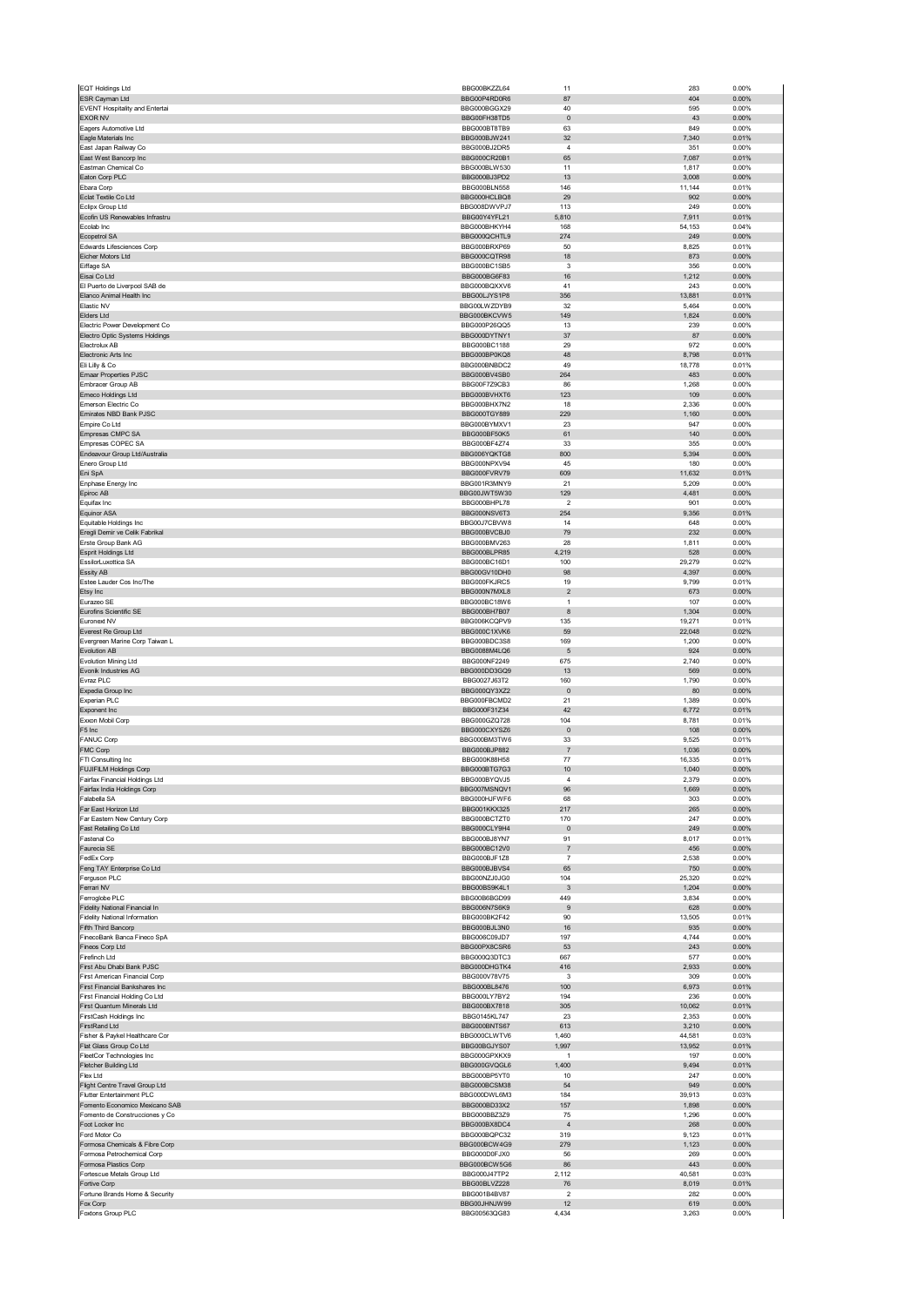| EQT Holdings Ltd                                                | BBG00BKZZL64                        | 11                            | 283             | 0.00%             |
|-----------------------------------------------------------------|-------------------------------------|-------------------------------|-----------------|-------------------|
| ESR Cayman Ltd<br><b>EVENT Hospitality and Entertai</b>         | BBG00P4RD0R6<br>BBG000BGGX29        | 87<br>40                      | 404<br>595      | 0.00%<br>0.00%    |
| <b>EXOR NV</b>                                                  | BBG00FH38TD5                        | $\pmb{0}$                     | 43              | 0.00%             |
| Eagers Automotive Ltd                                           | BBG000BT8TB9                        | 63                            | 849             | 0.00%             |
| Eagle Materials Inc<br>East Japan Railway Co                    | BBG000BJW241<br>BBG000BJ2DR5        | 32<br>$\sqrt{4}$              | 7,340<br>351    | 0.01%<br>0.00%    |
| East West Bancorp Inc                                           | BBG000CR20B1                        | 65                            | 7,087           | 0.01%             |
| Eastman Chemical Co<br>Eaton Corp PLC                           | BBG000BLW530<br>BBG000BJ3PD2        | 11<br>13                      | 1,817<br>3,008  | 0.00%<br>0.00%    |
| Ebara Corp                                                      | BBG000BLN558                        | 146                           | 11,144          | 0.01%             |
| Eclat Textile Co Ltd                                            | BBG000HCLBQ8                        | 29                            | 902             | 0.00%             |
| Eclipx Group Ltd<br>Ecofin US Renewables Infrastru              | BBG008DWVPJ7<br>BBG00Y4YFL21        | 113<br>5,810                  | 249<br>7,911    | 0.00%<br>0.01%    |
| Ecolab Inc                                                      | BBG000BHKYH4                        | 168                           | 54,153          | 0.04%             |
| Ecopetrol SA                                                    | BBG000QCHTL9                        | 274                           | 249             | 0.00%             |
| Edwards Lifesciences Corp<br>Eicher Motors Ltd                  | BBG000BRXP69<br>BBG000CQTR98        | 50<br>18                      | 8,825<br>873    | 0.01%<br>0.00%    |
| Eiffage SA                                                      | BBG000BC1SB5                        | 3                             | 356             | 0.00%             |
| Eisai Co Ltd                                                    | BBG000BG6F83                        | 16                            | 1,212           | 0.00%             |
| El Puerto de Liverpool SAB de<br>Elanco Animal Health Inc       | BBG000BQXXV6<br>BBG00LJYS1P8        | 41<br>356                     | 243<br>13,881   | 0.00%<br>0.01%    |
| Elastic NV                                                      | BBG00LWZDYB9                        | 32                            | 5,464           | 0.00%             |
| Elders Ltd                                                      | BBG000BKCVW5                        | 149                           | 1,824           | 0.00%             |
| Electric Power Development Co<br>Electro Optic Systems Holdings | BBG000P26QQ5<br>BBG000DYTNY1        | 13<br>37                      | 239<br>87       | 0.00%<br>0.00%    |
| Electrolux AB                                                   | BBG000BC1188                        | 29                            | 972             | 0.00%             |
| Electronic Arts Inc                                             | BBG000BP0KQ8<br>BBG000BNBDC2        | 48<br>49                      | 8,798           | 0.01%<br>0.01%    |
| Eli Lilly & Co<br>Emaar Properties PJSC                         | BBG000BV4SB0                        | 264                           | 18,778<br>483   | 0.00%             |
| Embracer Group AB                                               | BBG00F7Z9CB3                        | 86                            | 1,268           | 0.00%             |
| Emeco Holdings Ltd<br>Emerson Electric Co                       | BBG000BVHXT6<br>BBG000BHX7N2        | 123<br>18                     | 109<br>2,336    | 0.00%<br>0.00%    |
| Emirates NBD Bank PJSC                                          | BBG000TGY889                        | 229                           | 1,160           | 0.00%             |
| Empire Co Ltd                                                   | BBG000BYMXV1                        | 23                            | 947             | 0.00%             |
| Empresas CMPC SA<br>Empresas COPEC SA                           | BBG000BF50K5<br>BBG000BF4Z74        | 61<br>33                      | 140<br>355      | $0.00\%$<br>0.00% |
| Endeavour Group Ltd/Australia                                   | BBG006YQKTG8                        | 800                           | 5,394           | $0.00\%$          |
| Enero Group Ltd                                                 | BBG000NPXV94                        | 45                            | 180             | 0.00%             |
| Eni SpA<br>Enphase Energy Inc                                   | BBG000FVRV79<br>BBG001R3MNY9        | 609<br>21                     | 11,632<br>5,209 | 0.01%<br>0.00%    |
| Epiroc AB                                                       | BBG00JWT5W30                        | 129                           | 4,481           | $0.00\%$          |
| Equifax Inc                                                     | BBG000BHPL78                        | $\overline{\mathbf{c}}$       | 901             | 0.00%             |
| <b>Equinor ASA</b><br>Equitable Holdings Inc.                   | BBG000NSV6T3<br>BBG00J7CBVW8        | 254<br>14                     | 9,356<br>648    | 0.01%<br>0.00%    |
| Eregli Demir ve Celik Fabrikal                                  | BBG000BVCBJ0                        | 79                            | 232             | 0.00%             |
| Erste Group Bank AG                                             | BBG000BMV263                        | 28                            | 1,811           | 0.00%             |
| Esprit Holdings Ltd                                             | BBG000BLPR85                        | 4,219                         | 528             | $0.00\%$          |
| EssilorLuxottica SA<br>Essity AB                                | BBG000BC16D1<br>BBG00GV10DH0        | 100<br>98                     | 29,279<br>4,397 | 0.02%<br>0.00%    |
| Estee Lauder Cos Inc/The                                        | BBG000FKJRC5                        | 19                            | 9,799           | 0.01%             |
| Etsy Inc                                                        | BBG000N7MXL8                        | $\sqrt{2}$<br>$\overline{1}$  | 673             | $0.00\%$          |
| Eurazeo SE<br>Eurofins Scientific SE                            | BBG000BC18W6<br>BBG000BH7B07        | 8                             | 107<br>1,304    | 0.00%<br>$0.00\%$ |
| Euronext NV                                                     | BBG006KCQPV9                        | 135                           | 19,271          | 0.01%             |
| Everest Re Group Ltd                                            | BBG000C1XVK6                        | 59                            | 22,048          | 0.02%             |
| Evergreen Marine Corp Taiwan L<br>Evolution AB                  | BBG000BDC3S8<br>BBG0088M4LQ6        | 169<br>$\sqrt{5}$             | 1,200<br>924    | 0.00%<br>0.00%    |
| Evolution Mining Ltd                                            | BBG000NF2249                        | 675                           | 2,740           | 0.00%             |
| Evonik Industries AG<br>Evraz PLC                               | BBG000DD3GQ9<br>BBG0027J63T2        | 13<br>160                     | 569<br>1,790    | 0.00%             |
| Expedia Group Inc                                               | BBG000QY3XZ2                        | $\pmb{0}$                     | 80              | 0.00%<br>0.00%    |
| Experian PLC                                                    | BBG000FBCMD2                        | 21                            | 1,389           | 0.00%             |
| Exponent Inc<br>Exxon Mobil Corp                                | BBG000F31Z34<br>BBG000GZQ728        | 42<br>104                     | 6,772<br>8,781  | 0.01%<br>0.01%    |
| F5 Inc                                                          | BBG000CXYSZ6                        | $\pmb{0}$                     | 108             | 0.00%             |
| FANUC Corp                                                      | BBG000BM3TW6                        | 33                            | 9,525           | 0.01%             |
| FMC Corp<br>FTI Consulting Inc                                  | BBG000BJP882<br>BBG000K88H58        | $\overline{7}$<br>77          | 1,036<br>16,335 | 0.00%<br>0.01%    |
| <b>FUJIFILM Holdings Corp</b>                                   | BBG000BTG7G3                        | 10                            | 1,040           | 0.00%             |
| Fairfax Financial Holdings Ltd                                  | BRG000BYOV IF                       |                               | 2.379           | n nn%             |
| Fairfax India Holdings Corp<br>Falabella SA                     | BBG007MSNQV1<br>BBG000HJFWF6        | 96<br>68                      | 1,669<br>303    | 0.00%<br>0.00%    |
| Far East Horizon Ltd                                            | <b>BBG001KKX325</b>                 | 217                           | 265             | 0.00%             |
| Far Eastern New Century Corp                                    | BBG000BCTZT0                        | 170                           | 247             | 0.00%             |
| Fast Retailing Co Ltd<br>Fastenal Co                            | BBG000CLY9H4<br>BBG000BJ8YN7        | $\pmb{0}$<br>91               | 249<br>8,017    | 0.00%<br>0.01%    |
| Faurecia SE                                                     | BBG000BC12V0                        | $\overline{7}$                | 456             | 0.00%             |
| FedEx Corp                                                      | BBG000BJF1Z8                        | $\overline{7}$                | 2,538           | 0.00%             |
| Feng TAY Enterprise Co Ltd<br>Ferguson PLC                      | BBG000BJBVS4<br>BBG00NZJ0JG0        | 65<br>104                     | 750<br>25,320   | 0.00%<br>0.02%    |
| Ferrari NV                                                      | BBG00BS9K4L1                        | $\mathbf{3}$                  | 1,204           | 0.00%             |
| Ferroglobe PLC<br>Fidelity National Financial In                | BBG00B6BGD99<br>BBG006N7S6K9        | 449                           | 3,834           | 0.00%             |
| <b>Fidelity National Information</b>                            | BBG000BK2F42                        | 9<br>90                       | 628<br>13,505   | 0.00%<br>0.01%    |
| Fifth Third Bancorp                                             | BBG000BJL3N0                        | 16                            | 935             | $0.00\%$          |
| FinecoBank Banca Fineco SpA<br>Fineos Corp Ltd                  | BBG006C09JD7<br>BBG00PX8CSR6        | 197<br>53                     | 4,744<br>243    | 0.00%<br>0.00%    |
| Firefinch Ltd                                                   | BBG000Q3DTC3                        | 667                           | 577             | 0.00%             |
| First Abu Dhabi Bank PJSC                                       | BBG000DHGTK4                        | 416                           | 2,933           | 0.00%             |
| First American Financial Corp<br>First Financial Bankshares Inc | BBG000V78V75<br>BBG000BL8476        | 3<br>100                      | 309<br>6,973    | 0.00%<br>0.01%    |
| First Financial Holding Co Ltd                                  | BBG000LY7BY2                        | 194                           | 236             | 0.00%             |
| First Quantum Minerals Ltd                                      | BBG000BX7818                        | 305                           | 10,062          | 0.01%             |
| FirstCash Holdings Inc<br>FirstRand Ltd                         | <b>BBG0145KL747</b><br>BBG000BNTS67 | 23<br>613                     | 2,353<br>3,210  | 0.00%<br>0.00%    |
| Fisher & Paykel Healthcare Cor                                  | BBG000CLWTV6                        | 1,460                         | 44,581          | 0.03%             |
| Flat Glass Group Co Ltd                                         | BBG00BGJYS07                        | 1,997                         | 13,952          | 0.01%             |
| FleetCor Technologies Inc<br>Fletcher Building Ltd              | BBG000GPXKX9<br>BBG000GVQGL6        | $\mathbf{1}$<br>1,400         | 197<br>9,494    | 0.00%<br>0.01%    |
| Flex Ltd                                                        | BBG000BP5YT0                        | 10                            | 247             | 0.00%             |
| Flight Centre Travel Group Ltd                                  |                                     |                               | 949             | 0.00%             |
| Flutter Entertainment PLC<br>Fomento Economico Mexicano SAB     | BBG000BCSM38                        | 54                            |                 |                   |
| Fomento de Construcciones y Co                                  | BBG000DWL6M3                        | 184                           | 39,913          | 0.03%             |
|                                                                 | BBG000BD33X2<br>BBG000BBZ3Z9        | 157<br>75                     | 1,898<br>1,296  | 0.00%<br>0.00%    |
| Foot Locker Inc                                                 | BBG000BX8DC4                        | $\sqrt{4}$                    | 268             | 0.00%             |
| Ford Motor Co                                                   | BBG000BQPC32                        | 319                           | 9,123           | 0.01%             |
| Formosa Chemicals & Fibre Corp<br>Formosa Petrochemical Corp    | BBG000BCW4G9<br>BBG000D0FJX0        | 279<br>56                     | 1,123<br>269    | 0.00%<br>0.00%    |
| Formosa Plastics Corp                                           | BBG000BCW5G6                        | 86                            | 443             | $0.00\%$          |
| Fortescue Metals Group Ltd                                      | BBG000J47TP2                        | 2,112                         | 40,581          | 0.03%             |
| Fortive Corp<br>Fortune Brands Home & Security                  | BBG00BLVZ228<br>BBG001B4BV87        | 76<br>$\overline{\mathbf{c}}$ | 8,019<br>282    | 0.01%<br>0.00%    |
| Fox Corp<br>Foxtons Group PLC                                   | BBG00JHNJW99<br>BBG00563QG83        | 12<br>4,434                   | 619<br>3,263    | 0.00%<br>0.00%    |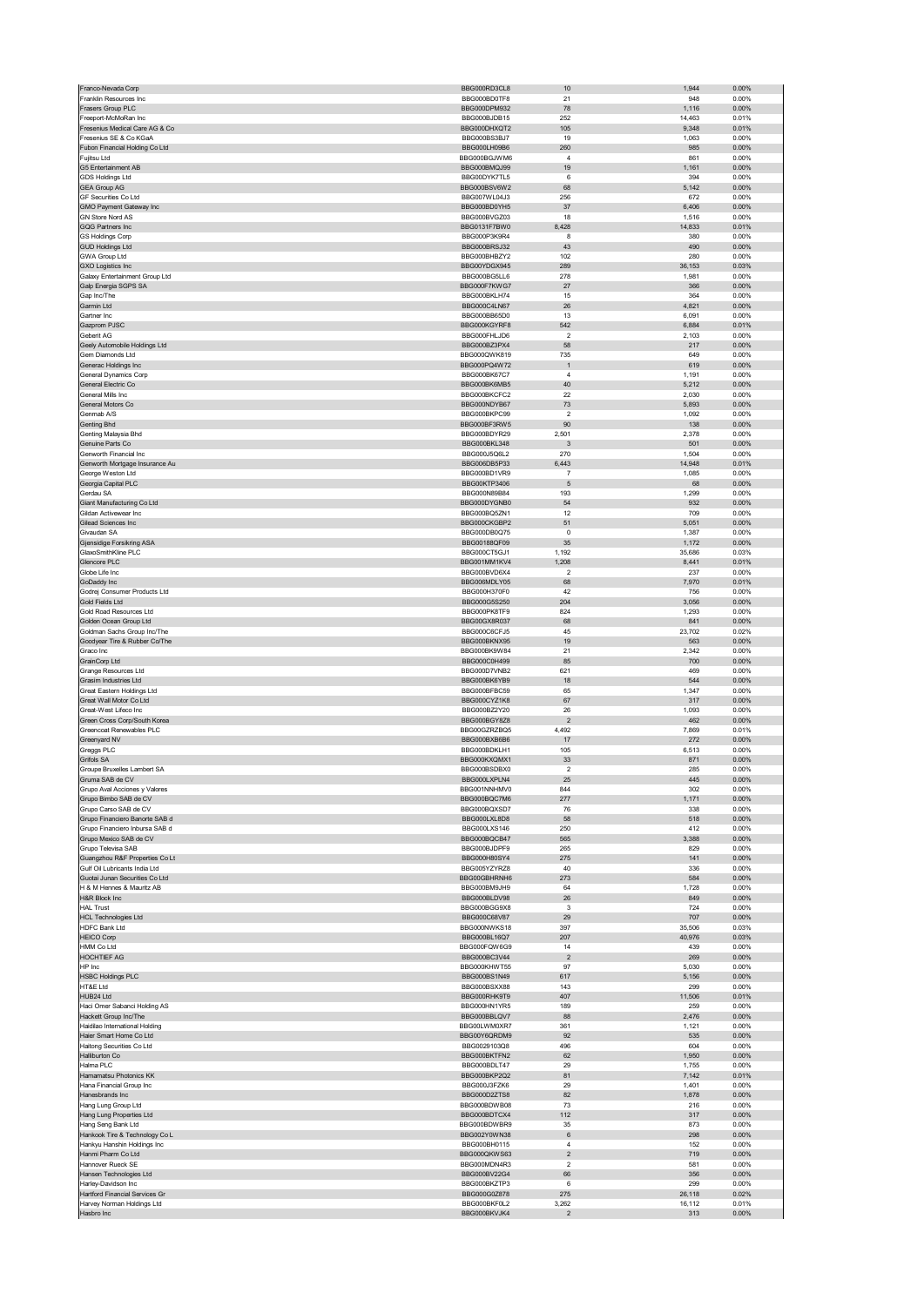| Franco-Nevada Corp                                               | BBG000RD3CL8                        | 10                           | 1,944           | 0.00%             |
|------------------------------------------------------------------|-------------------------------------|------------------------------|-----------------|-------------------|
| Franklin Resources Inc<br>Frasers Group PLC                      | BBG000BD0TF8<br>BBG000DPM932        | 21<br>78                     | 948<br>1,116    | 0.00%<br>0.00%    |
| Freeport-McMoRan Inc                                             | BBG000BJDB15                        | 252                          | 14,463          | 0.01%             |
| Fresenius Medical Care AG & Co                                   | BBG000DHXQT2                        | 105                          | 9,348           | 0.01%             |
| Fresenius SE & Co KGaA                                           | BBG000BS3BJ7                        | 19                           | 1,063           | 0.00%             |
| Fubon Financial Holding Co Ltd<br>Fujitsu Ltd                    | BBG000LH09B6<br>BBG000BGJWM6        | 260<br>$\overline{4}$        | 985<br>861      | $0.00\%$<br>0.00% |
| G5 Entertainment AB                                              | BBG000BMQJ99                        | 19                           | 1,161           | 0.00%             |
| GDS Holdings Ltd                                                 | BBG00DYK7TL5                        | 6                            | 394             | 0.00%             |
| <b>GEA Group AG</b><br>GF Securities Co Ltd                      | BBG000BSV6W2<br>BBG007WL04J3        | 68<br>256                    | 5,142<br>672    | 0.00%<br>0.00%    |
| GMO Payment Gateway Inc                                          | BBG000BD0YH5                        | 37                           | 6,406           | 0.00%             |
| GN Store Nord AS                                                 | BBG000BVGZ03                        | 18                           | 1,516           | 0.00%             |
| GQG Partners Inc<br><b>GS Holdings Corp</b>                      | BBG0131F7BW0<br>BBG000P3K9R4        | 8,428<br>8                   | 14,833<br>380   | 0.01%<br>0.00%    |
| <b>GUD Holdings Ltd</b>                                          | BBG000BRSJ32                        | 43                           | 490             | 0.00%             |
| <b>GWA Group Ltd</b>                                             | BBG000BHBZY2                        | 102                          | 280             | 0.00%             |
| <b>GXO Logistics Inc</b><br>Galaxy Entertainment Group Ltd       | BBG00YDGX945<br>BBG000BG5LL6        | 289<br>278                   | 36,153<br>1,981 | 0.03%<br>0.00%    |
| Galp Energia SGPS SA                                             | BBG000F7KWG7                        | 27                           | 366             | 0.00%             |
| Gap Inc/The                                                      | BBG000BKLH74                        | 15                           | 364             | 0.00%             |
| Garmin Ltd                                                       | BBG000C4LN67                        | 26                           | 4,821           | 0.00%             |
| Gartner Inc<br>Gazprom PJSC                                      | BBG000BB65D0<br>BBG000KGYRF8        | 13<br>542                    | 6,091<br>6,884  | 0.00%<br>0.01%    |
| Geberit AG                                                       | BBG000FHLJD6                        | $\overline{\mathbf{2}}$      | 2,103           | 0.00%             |
| Geely Automobile Holdings Ltd                                    | BBG000BZ3PX4                        | 58                           | 217             | 0.00%             |
| Gem Diamonds Ltd<br>Generac Holdings Inc                         | BBG000QWK819<br>BBG000PQ4W72        | 735<br>$\mathbf{1}$          | 649<br>619      | 0.00%<br>0.00%    |
| General Dynamics Corp                                            | BBG000BK67C7                        | $\overline{4}$               | 1,191           | 0.00%             |
| General Electric Co                                              | BBG000BK6MB5                        | 40                           | 5,212           | 0.00%             |
| General Mills Inc<br>General Motors Co                           | BBG000BKCFC2<br>BBG000NDYB67        | 22<br>73                     | 2,030<br>5,893  | 0.00%<br>0.00%    |
| Genmab A/S                                                       | BBG000BKPC99                        | $\overline{2}$               | 1,092           | 0.00%             |
| Genting Bhd                                                      | BBG000BF3RW5                        | 90                           | 138             | 0.00%             |
| Genting Malaysia Bhd<br>Genuine Parts Co                         | BBG000BDYR29<br>BBG000BKL348        | 2,501<br>$\mathbf{3}$        | 2,378<br>501    | 0.00%<br>$0.00\%$ |
| Genworth Financial Inc                                           | BBG000J5Q6L2                        | 270                          | 1,504           | 0.00%             |
| Genworth Mortgage Insurance Au                                   | BBG006DB5P33                        | 6,443                        | 14,948          | 0.01%             |
| George Weston Ltd<br>Georgia Capital PLC                         | BBG000BD1VR9<br>BBG00KTP3406        | $\overline{7}$<br>$\sqrt{5}$ | 1,085<br>68     | 0.00%<br>0.00%    |
| Gerdau SA                                                        | BBG000N89B84                        | 193                          | 1,299           | 0.00%             |
| Giant Manufacturing Co Ltd                                       | BBG000DYGNB0                        | 54                           | 932             | 0.00%             |
| Gildan Activewear Inc                                            | BBG000BQ5ZN1                        | 12                           | 709             | 0.00%             |
| Gilead Sciences Inc<br>Givaudan SA                               | BBG000CKGBP2<br>BBG000DB0Q75        | 51<br>$\pmb{0}$              | 5,051<br>1,387  | 0.00%<br>0.00%    |
| Gjensidige Forsikring ASA                                        | BBG00188QF09                        | 35                           | 1,172           | 0.00%             |
| GlaxoSmithKline PLC                                              | BBG000CT5GJ1                        | 1,192                        | 35,686          | 0.03%             |
| Glencore PLC<br>Globe Life Inc                                   | BBG001MM1KV4<br>BBG000BVD6X4        | 1,208<br>$\overline{2}$      | 8,441<br>237    | 0.01%<br>0.00%    |
| GoDaddy Inc                                                      | BBG006MDLY05                        | 68                           | 7,970           | 0.01%             |
| Godrej Consumer Products Ltd                                     | BBG000H370F0                        | 42                           | 756             | 0.00%             |
| Gold Fields Ltd<br>Gold Road Resources Ltd                       | BBG000G5S250<br>BBG000PK8TF9        | 204<br>824                   | 3,056<br>1,293  | $0.00\%$<br>0.00% |
| Golden Ocean Group Ltd                                           | BBG00GX8R037                        | 68                           | 841             | 0.00%             |
| Goldman Sachs Group Inc/The                                      | BBG000C6CFJ5                        | 45                           | 23,702          | 0.02%             |
| Goodyear Tire & Rubber Co/The                                    | BBG000BKNX95                        |                              | 563             | $0.00\%$          |
|                                                                  |                                     | 19                           |                 |                   |
| Graco Inc                                                        | BBG000BK9W84                        | 21                           | 2,342           | 0.00%             |
| GrainCorp Ltd<br>Grange Resources Ltd                            | BBG000C0H499<br>BBG000D7VNB2        | 85<br>621                    | 700<br>469      | 0.00%<br>0.00%    |
| Grasim Industries Ltd                                            | BBG000BK6YB9                        | 18                           | 544             | 0.00%             |
| Great Eastern Holdings Ltd                                       | BBG000BFBC59                        | 65                           | 1,347           | 0.00%             |
| Great Wall Motor Co Ltd<br>Great-West Lifeco Inc                 | BBG000CYZ1K8<br>BBG000BZ2Y20        | 67<br>26                     | 317<br>1,093    | 0.00%<br>0.00%    |
| Green Cross Corp/South Korea                                     | BBG000BGY8Z8                        | $\overline{2}$               | 462             | 0.00%             |
| Greencoat Renewables PLC                                         | BBG00GZRZBO5                        | 4,492                        | 7,869           | 0.01%             |
| Greenyard NV<br>Greggs PLC                                       | BBG000BXB6B6<br>BBG000BDKLH1        | 17<br>105                    | 272<br>6,513    | 0.00%<br>0.00%    |
| Grifols SA                                                       | BBG000KXQMX1                        | 33                           | 871             | 0.00%             |
| Groupe Bruxelles Lambert SA                                      | BBG000BSDBX0<br><b>BBG000LXPLN4</b> | $\mathbf 2$                  | 285             | 0.00%<br>n nn%    |
| ruma SAB de CV<br>Grupo Aval Acciones y Valores                  | BBG001NNHMV0                        | 844                          | 302             | 0.00%             |
| Grupo Bimbo SAB de CV                                            | BBG000BQC7M6                        | 277                          | 1,171           | $0.00\%$          |
| Grupo Carso SAB de CV                                            | BBG000BQXSD7                        | 76                           | 338             | 0.00%             |
| Grupo Financiero Banorte SAB d<br>Grupo Financiero Inbursa SAB d | BBG000LXL8D8<br>BBG000LXS146        | 58<br>250                    | 518<br>412      | 0.00%<br>0.00%    |
| Grupo Mexico SAB de CV                                           | BBG000BQCB47                        | 565                          | 3,388           | 0.00%             |
| Grupo Televisa SAB                                               | BBG000BJDPF9                        | 265                          | 829             | 0.00%             |
| Guangzhou R&F Properties Co Lt<br>Gulf Oil Lubricants India Ltd  | BBG000H80SY4<br>BBG005YZYRZ8        | 275<br>40                    | 141<br>336      | 0.00%<br>0.00%    |
| Guotai Junan Securities Co Ltd                                   | BBG00GBHRNH6                        | 273                          | 584             | $0.00\%$          |
| H & M Hennes & Mauritz AB                                        | BBG000BM9JH9                        | 64                           | 1,728           | 0.00%             |
| H&R Block Inc<br><b>HAL Trust</b>                                | BBG000BLDV98<br>BBG000BGG9X8        | 26<br>3                      | 849<br>724      | 0.00%<br>0.00%    |
| <b>HCL Technologies Ltd</b>                                      | BBG000C68V87                        | 29                           | 707             | 0.00%             |
| <b>HDFC Bank Ltd</b>                                             | BBG000NWKS18                        | 397                          | 35,506          | 0.03%             |
| <b>HEICO Corp</b><br><b>HMM Co Ltd</b>                           | BBG000BL16Q7<br>BBG000FQW6G9        | 207<br>14                    | 40,976<br>439   | 0.03%<br>0.00%    |
| HOCHTIEF AG                                                      | BBG000BC3V44                        | $\sqrt{2}$                   | 269             | 0.00%             |
| HP Inc                                                           | BBG000KHWT55                        | 97                           | 5,030           | 0.00%             |
| <b>HSBC Holdings PLC</b><br>HT&E Ltd                             | BBG000BS1N49<br>BBG000BSXX88        | 617<br>143                   | 5,156<br>299    | 0.00%<br>0.00%    |
| HUB24 Ltd                                                        | BBG000RHK9T9                        | 407                          | 11,506          | 0.01%             |
| Haci Omer Sabanci Holding AS                                     | BBG000HN1YR5                        | 189                          | 259             | 0.00%             |
| Hackett Group Inc/The<br>Haidilao International Holding          | BBG000BBLQV7<br>BBG00LWM0XR7        | 88<br>361                    | 2,476<br>1,121  | 0.00%<br>0.00%    |
| Haier Smart Home Co Ltd                                          | BBG00Y6QRDM9                        | 92                           | 535             | 0.00%             |
| Haitong Securities Co Ltd                                        | BBG0029103Q8                        | 496                          | 604             | 0.00%             |
| Halliburton Co<br>Halma PLC                                      | BBG000BKTFN2<br>BBG000BDLT47        | 62<br>29                     | 1,950           | 0.00%<br>0.00%    |
| Hamamatsu Photonics KK                                           | BBG000BKP2Q2                        | 81                           | 1,755<br>7,142  | 0.01%             |
| Hana Financial Group Inc                                         | BBG000J3FZK6                        | 29                           | 1,401           | 0.00%             |
| Hanesbrands Inc                                                  | BBG000D2ZTS8                        | 82                           | 1,878           | $0.00\%$          |
| Hang Lung Group Ltd<br>Hang Lung Properties Ltd                  | BBG000BDWB08<br>BBG000BDTCX4        | 73<br>112                    | 216<br>317      | 0.00%<br>0.00%    |
| Hang Seng Bank Ltd                                               | BBG000BDWBR9                        | 35                           | 873             | 0.00%             |
| Hankook Tire & Technology Co L                                   | BBG002Y0WN38                        | 6<br>$\overline{4}$          | 298             | 0.00%             |
| Hankyu Hanshin Holdings Inc<br>Hanmi Pharm Co Ltd                | BBG000BH0115<br>BBG000QKWS63        | $\mathbf 2$                  | 152<br>719      | 0.00%<br>0.00%    |
| Hannover Rueck SE                                                | BBG000MDN4R3                        | 2                            | 581             | 0.00%             |
| Hansen Technologies Ltd                                          | BBG000BV22G4                        | 66                           | 356             | 0.00%             |
| Harley-Davidson Inc<br>Hartford Financial Services Gr            | BBG000BKZTP3<br>BBG000G0Z878        | 6<br>275                     | 299<br>26,118   | 0.00%<br>0.02%    |
| Harvey Norman Holdings Ltd<br>Hasbro Inc                         | BBG000BKF0L2<br>BBG000BKVJK4        | 3,262<br>$\mathbf 2$         | 16,112<br>313   | 0.01%<br>$0.00\%$ |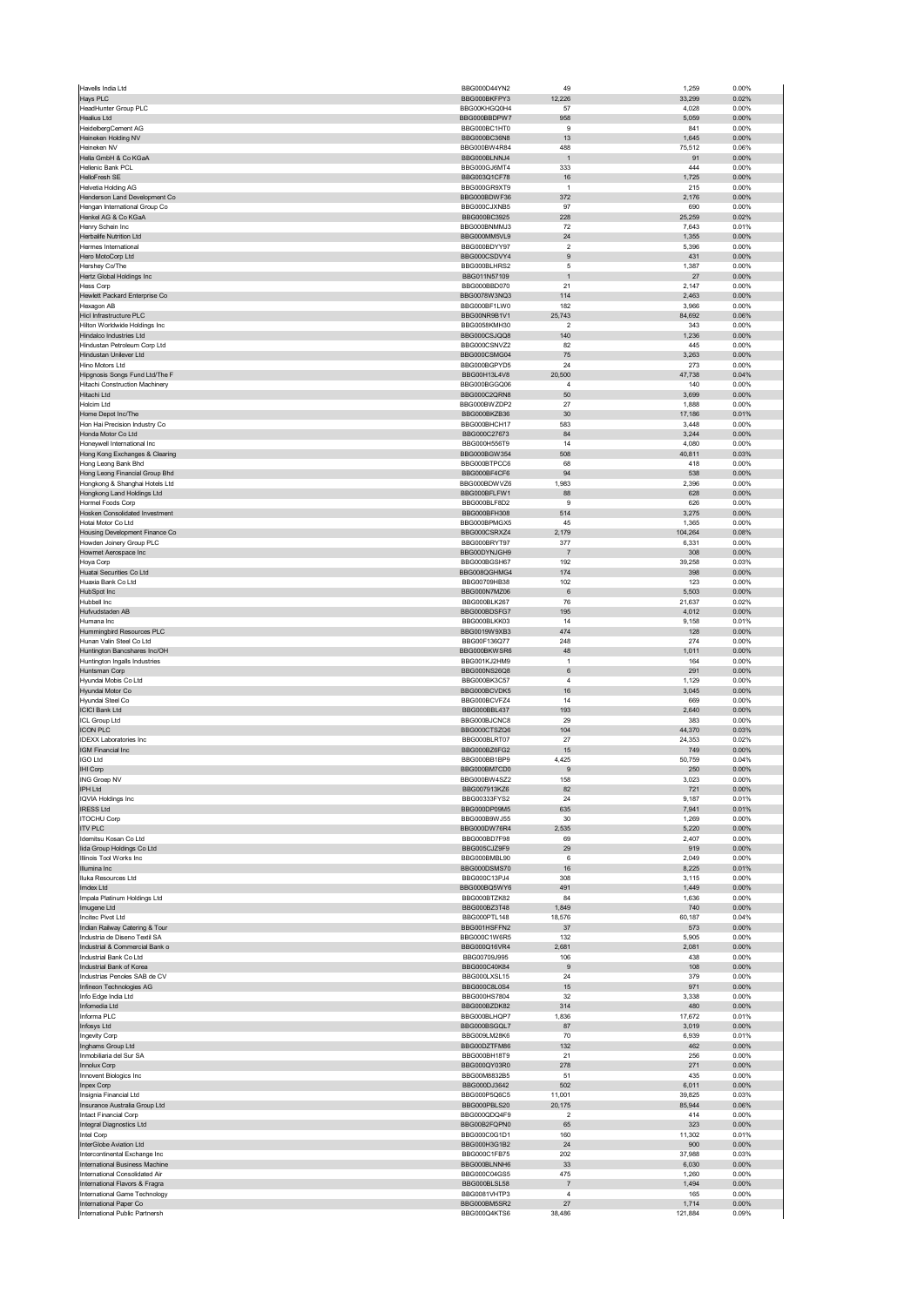| Havells India Ltd                                        | BBG000D44YN2                 | 49                      | 1,259            | 0.00%          |
|----------------------------------------------------------|------------------------------|-------------------------|------------------|----------------|
| Hays PLC                                                 | BBG000BKFPY3                 | 12,226                  | 33,299           | 0.02%          |
| HeadHunter Group PLC<br><b>Healius Ltd</b>               | BBG00KHGQ0H4<br>BBG000BBDPW7 | 57<br>958               | 4,028<br>5,059   | 0.00%<br>0.00% |
| HeidelbergCement AG                                      | BBG000BC1HT0                 | 9                       | 841              | 0.00%          |
| Heineken Holding NV                                      | BBG000BC36N8                 | 13                      | 1,645            | 0.00%          |
| Heineken NV                                              | BBG000BW4R84                 | 488                     | 75,512           | 0.06%          |
| Hella GmbH & Co KGaA                                     | BBG000BLNNJ4                 | $\mathbf{1}$            | 91               | 0.00%          |
| Hellenic Bank PCL                                        | BBG000GJ6MT4                 | 333                     | 444              | 0.00%          |
| HelloFresh SE<br>Helvetia Holding AG                     | BBG003Q1CF78                 | 16<br>$\overline{1}$    | 1,725            | 0.00%          |
| Henderson Land Development Co                            | BBG000GR9XT9<br>BBG000BDWF36 | 372                     | 215<br>2,176     | 0.00%<br>0.00% |
| Hengan International Group Co                            | BBG000CJXNB5                 | 97                      | 690              | 0.00%          |
| Henkel AG & Co KGaA                                      | BBG000BC3925                 | 228                     | 25,259           | 0.02%          |
| Henry Schein Inc                                         | BBG000BNMMJ3                 | 72                      | 7,643            | 0.01%          |
| Herbalife Nutrition Ltd                                  | BBG000MM5VL9                 | 24                      | 1,355            | 0.00%          |
| Hermes International                                     | BBG000BDYY97                 | $\overline{2}$          | 5,396            | 0.00%          |
| Hero MotoCorp Ltd                                        | BBG000CSDVY4                 | 9                       | 431              | 0.00%          |
| Hershey Co/The<br>Hertz Global Holdings Inc              | BBG000BLHRS2<br>BBG011N57109 | 5<br>$\overline{1}$     | 1,387<br>27      | 0.00%<br>0.00% |
| Hess Corp                                                | BBG000BBD070                 | 21                      | 2,147            | 0.00%          |
| Hewlett Packard Enterprise Co                            | BBG0078W3NQ3                 | 114                     | 2,463            | 0.00%          |
| Hexagon AB                                               | BBG000BF1LW0                 | 182                     | 3,966            | 0.00%          |
| Hicl Infrastructure PLC                                  | BBG00NR9B1V1                 | 25,743                  | 84,692           | 0.06%          |
| Hilton Worldwide Holdings Inc                            | BBG0058KMH30                 | $\overline{\mathbf{c}}$ | 343              | 0.00%          |
| Hindalco Industries Ltd<br>Hindustan Petroleum Corp Ltd  | BBG000CSJQQ8<br>BBG000CSNVZ2 | 140<br>82               | 1,236<br>445     | 0.00%<br>0.00% |
| Hindustan Unilever Ltd                                   | BBG000CSMG04                 | 75                      | 3,263            | 0.00%          |
| Hino Motors Ltd                                          | BBG000BGPYD5                 | 24                      | 273              | 0.00%          |
| Hipgnosis Songs Fund Ltd/The F                           | BBG00H13L4V8                 | 20,500                  | 47,738           | 0.04%          |
| Hitachi Construction Machinery                           | BBG000BGGQ06                 | 4                       | 140              | 0.00%          |
| Hitachi Ltd                                              | BBG000C2QRN8                 | 50                      | 3,699            | 0.00%          |
| Holcim Ltd                                               | BBG000BWZDP2                 | 27                      | 1,888            | 0.00%          |
| Home Depot Inc/The<br>Hon Hai Precision Industry Co      | BBG000BKZB36<br>BBG000BHCH17 | 30<br>583               | 17,186<br>3,448  | 0.01%<br>0.00% |
| Honda Motor Co Ltd                                       | BBG000C27673                 | 84                      | 3,244            | 0.00%          |
| Honeywell International Inc.                             | BBG000H556T9                 | 14                      | 4,080            | 0.00%          |
| Hong Kong Exchanges & Clearing                           | BBG000BGW354                 | 508                     | 40,811           | 0.03%          |
| Hong Leong Bank Bhd                                      | BBG000BTPCC6                 | 68                      | 418              | 0.00%          |
| Hong Leong Financial Group Bhd                           | BBG000BF4CF6                 | 94                      | 538              | 0.00%          |
| Hongkong & Shanghai Hotels Ltd                           | BBG000BDWV76                 | 1,983                   | 2,396            | 0.00%          |
| Hongkong Land Holdings Ltd<br>Hormel Foods Corp          | BBG000BFLFW1<br>BBG000BLF8D2 | 88<br>9                 | 628<br>626       | 0.00%<br>0.00% |
| Hosken Consolidated Investment                           | BBG000BFH308                 | 514                     | 3,275            | 0.00%          |
| Hotai Motor Co Ltd                                       | BBG000BPMGX5                 | 45                      | 1,365            | 0.00%          |
| Housing Development Finance Co                           | BBG000CSRXZ4                 | 2,179                   | 104,264          | 0.08%          |
| Howden Joinery Group PLC                                 | BBG000BRYT97                 | 377                     | 6,331            | 0.00%          |
| Howmet Aerospace Inc                                     | BBG00DYNJGH9                 | $\overline{7}$          | 308              | 0.00%          |
| Hoya Corp                                                | BBG000BGSH67                 | 192                     | 39,258           | 0.03%          |
| Huatai Securities Co Ltd<br>Huaxia Bank Co Ltd           | BBG008QGHMG4<br>BBG00709HB38 | 174                     | 398<br>123       | 0.00%<br>0.00% |
| HubSpot Inc                                              | BBG000N7MZ06                 | 102<br>$\,6\,$          | 5,503            | 0.00%          |
| Hubbell Inc                                              | BBG000BLK267                 | 76                      | 21,637           | 0.02%          |
| Hufvudstaden AB                                          | BBG000BDSFG7                 | 195                     | 4,012            | 0.00%          |
| Humana Inc                                               | BBG000BLKK03                 | 14                      | 9,158            | 0.01%          |
| Hummingbird Resources PLC                                | BBG0019W9XB3                 | 474                     | 128              | 0.00%          |
| Hunan Valin Steel Co Ltd                                 | BBG00F136Q77                 | 248                     | 274              | 0.00%          |
| Huntington Bancshares Inc/OH                             | BBG000BKWSR6                 | 48<br>$\mathbf{1}$      | 1,011            | 0.00%          |
| Huntington Ingalls Industries<br>Huntsman Corp           | BBG001KJ2HM9<br>BBG000NS26Q8 | 6                       | 164<br>291       | 0.00%<br>0.00% |
| Hyundai Mobis Co Ltd                                     | BBG000BK3C57                 | $\overline{4}$          | 1,129            | 0.00%          |
| Hyundai Motor Co                                         | BBG000BCVDK5                 | 16                      | 3,045            | 0.00%          |
| Hyundai Steel Co                                         | BBG000BCVFZ4                 | 14                      | 669              | 0.00%          |
| <b>ICICI Bank Ltd</b>                                    | BBG000BBL437                 | 193                     | 2,640            | 0.00%          |
| <b>ICL Group Ltd</b>                                     | BBG000BJCNC8                 | 29                      | 383              | 0.00%          |
| <b>ICON PLC</b>                                          | BBG000CTSZQ6                 | 104                     | 44,370           | 0.03%          |
| <b>IDEXX Laboratories Inc</b><br>IGM Financial Inc       | BBG000BLRT07<br>BBG000BZ6FG2 | 27<br>15                | 24,353<br>749    | 0.02%<br>0.00% |
| <b>IGO Ltd</b>                                           | BBG000BB1BP9                 | 4,425                   | 50,759           | 0.04%          |
| IHI Corp                                                 | BBG000BM7CD0                 | 9                       | 250              | 0.00%          |
| ING Groep NV                                             | BBG000BW4SZ2                 | 158                     | 3,023            | 0.00%          |
| IPH Ltd                                                  | BBG007913KZ6                 | 82                      | 721              | 0.00%          |
| <b>IQVIA Holdings Inc.</b>                               | BBG00333FYS2                 | 24                      | 9,187            | 0.01%          |
| <b>IRESS Ltd</b>                                         | BBG000DP09M5                 | 635                     | 7,941            | 0.01%          |
| <b>ITOCHU Corp</b><br><b>ITV PLC</b>                     | BBG000B9WJ55<br>BBG000DW76R4 | 30<br>2,535             | 1,269<br>5,220   | 0.00%<br>0.00% |
| Idemitsu Kosan Co Ltd                                    | BBG000BD7F98                 | 69                      | 2,407            | 0.00%          |
| lida Group Holdings Co Ltd                               | BBG005CJZ9F9                 | 29                      | 919              | 0.00%          |
| Illinois Tool Works Inc                                  | BBG000BMBL90                 | 6                       | 2,049            | 0.00%          |
| Illumina Inc                                             | BBG000DSMS70                 | 16                      | 8,225            | 0.01%          |
| Iluka Resources Ltd                                      | BBG000C13PJ4                 | 308                     | 3,115            | 0.00%          |
| Imdex Ltd                                                | BBG000BO5WY6                 | 491<br>84               | 1,449            | 0.00%          |
| Impala Platinum Holdings Ltd<br>Imugene Ltd              | BBG000BTZK82<br>BBG000BZ3T48 | 1,849                   | 1,636<br>740     | 0.00%<br>0.00% |
| Incitec Pivot Ltd                                        | BBG000PTL148                 | 18,576                  | 60,187           | 0.04%          |
| Indian Railway Catering & Tour                           | BBG001HSFFN2                 | 37                      | 573              | $0.00\%$       |
| Industria de Diseno Textil SA                            | BBG000C1W6R5                 | 132                     | 5,905            | 0.00%          |
| Industrial & Commercial Bank o                           | BBG000Q16VR4                 | 2,681                   | 2,081            | 0.00%          |
| Industrial Bank Co Ltd                                   | BBG00709J995                 | 106                     | 438              | 0.00%          |
| Industrial Bank of Korea<br>Industrias Penoles SAB de CV | BBG000C40K84<br>BBG000LXSL15 | 9<br>24                 | 108<br>379       | 0.00%<br>0.00% |
| Infineon Technologies AG                                 | BBG000C8L0S4                 | 15                      | 971              | 0.00%          |
| Info Edge India Ltd                                      | BBG000HS7804                 | 32                      | 3,338            | 0.00%          |
| Infomedia Ltd                                            | BBG000BZDK82                 | 314                     | 480              | $0.00\%$       |
| Informa PLC                                              | BBG000BLHQP7                 | 1,836                   | 17,672           | 0.01%          |
| Infosys Ltd                                              |                              |                         |                  | 0.00%          |
| Ingevity Corp<br>Inghams Group Ltd                       | BBG000BSGQL7                 | 87                      | 3,019            |                |
|                                                          | BBG009LM28K6                 | 70                      | 6,939            | 0.01%          |
|                                                          | BBG00DZTFM86<br>BBG000BH18T9 | 132<br>21               | 462<br>256       | 0.00%<br>0.00% |
| Inmobiliaria del Sur SA<br>Innolux Corp                  | BBG000QY03R0                 | 278                     | 271              | 0.00%          |
| Innovent Biologics Inc                                   | BBG00M8832B5                 | 51                      | 435              | 0.00%          |
| Inpex Corp                                               | BBG000DJ3642                 | 502                     | 6,011            | $0.00\%$       |
| Insignia Financial Ltd                                   | BBG000P5Q6C5                 | 11,001                  | 39,825           | 0.03%          |
| Insurance Australia Group Ltd                            | BBG000PBLS20                 | 20,175                  | 85,944           | 0.06%          |
| Intact Financial Corp                                    | BBG000QDQ4F9                 | $\overline{2}$          | 414              | 0.00%          |
| Integral Diagnostics Ltd                                 | BBG00B2FQPN0                 | 65                      | 323              | 0.00%          |
| Intel Corp                                               | BBG000C0G1D1<br>BBG000H3G1B2 | 160<br>24               | 11,302           | 0.01%<br>0.00% |
| InterGlobe Aviation Ltd<br>Intercontinental Exchange Inc | BBG000C1FB75                 | 202                     | 900<br>37,988    | 0.03%          |
| International Business Machine                           | BBG000BLNNH6                 | 33                      | 6,030            | $0.00\%$       |
| International Consolidated Air                           | BBG000C04GS5                 | 475                     | 1,260            | 0.00%          |
| International Flavors & Fragra                           | BBG000BLSL58                 | $\overline{7}$          | 1,494            | 0.00%          |
| International Game Technology                            | BBG0081VHTP3                 | 4                       | 165              | 0.00%          |
| International Paper Co<br>International Public Partnersh | BBG000BM5SR2<br>BBG000Q4KTS6 | 27<br>38,486            | 1,714<br>121,884 | 0.00%<br>0.09% |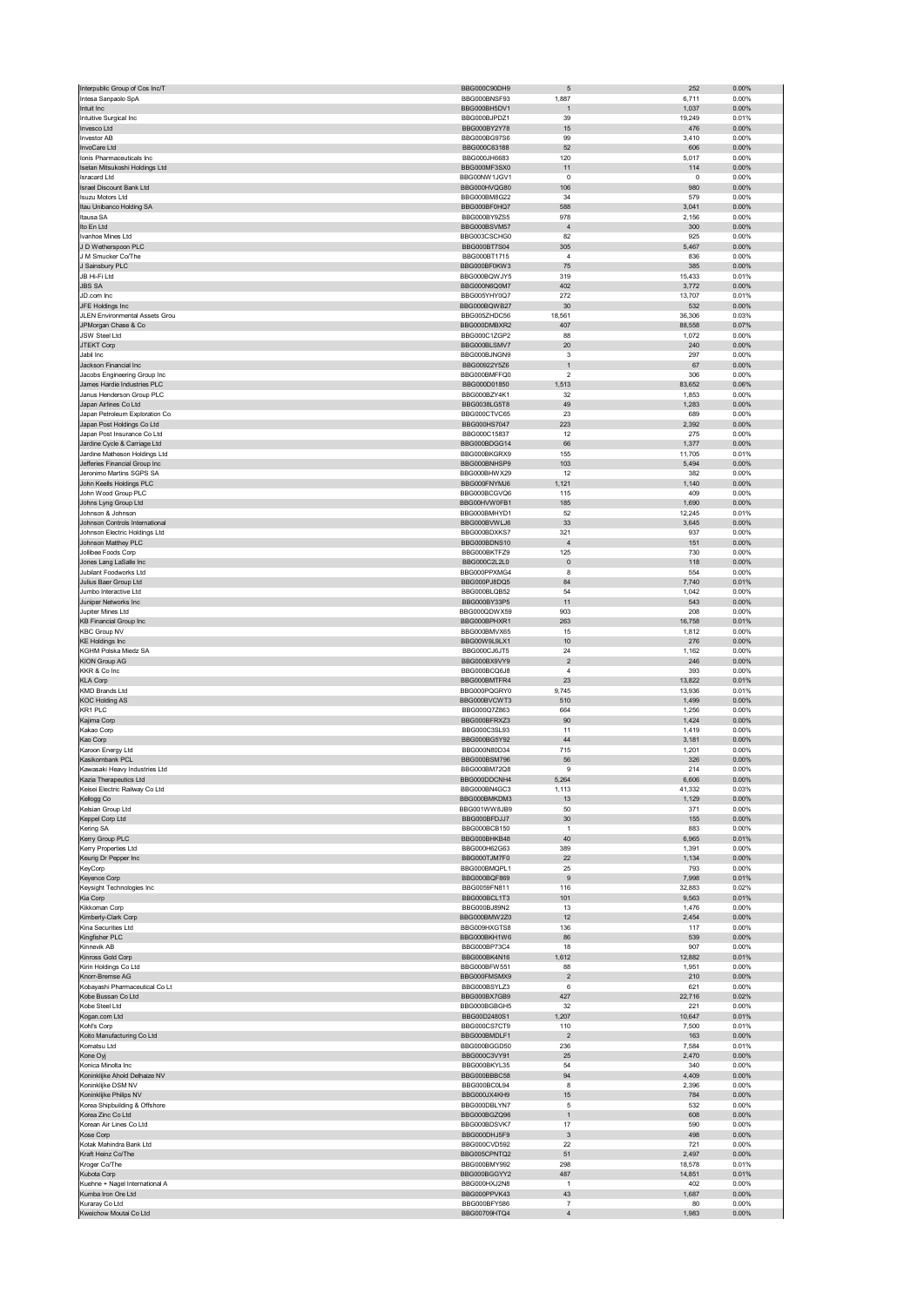| Interpublic Group of Cos Inc/T                                  | BBG000C90DH9                        | 5                       | 252              | 0.00%             |
|-----------------------------------------------------------------|-------------------------------------|-------------------------|------------------|-------------------|
| Intesa Sanpaolo SpA                                             | BBG000BNSF93                        | 1,887                   | 6,711            | 0.00%             |
| Intuit Inc<br>Intuitive Surgical Inc                            | BBG000BH5DV1<br>BBG000BJPDZ1        | $\mathbf{1}$<br>39      | 1,037<br>19,249  | 0.00%<br>0.01%    |
| Invesco Ltd                                                     | BBG000BY2Y78                        | 15                      | 476              | 0.00%             |
| Investor AB                                                     | BBG000BG97S6                        | 99                      | 3,410            | 0.00%             |
| InvoCare Ltd                                                    | BBG000C63188                        | 52                      | 606              | 0.00%             |
| Ionis Pharmaceuticals Inc                                       | BBG000JH6683                        | 120                     | 5,017            | 0.00%             |
| Isetan Mitsukoshi Holdings Ltd<br><b>Isracard Ltd</b>           | BBG000MF3SX0<br>BBG00NW1JGV1        | 11<br>0                 | 114<br>0         | 0.00%<br>0.00%    |
| Israel Discount Bank Ltd                                        | BBG000HVQG80                        | 106                     | 980              | 0.00%             |
| <b>Isuzu Motors Ltd</b>                                         | BBG000BM8G22                        | 34                      | 579              | 0.00%             |
| Itau Unibanco Holding SA                                        | BBG000BF0HQ7                        | 588                     | 3,041            | 0.00%             |
| Itausa SA                                                       | BBG000BY9ZS5                        | 978                     | 2,156            | 0.00%             |
| Ito En Ltd<br>Ivanhoe Mines Ltd                                 | BBG000BSVM57<br>BBG003CSCHG0        | $\sqrt{4}$<br>82        | 300<br>925       | $0.00\%$<br>0.00% |
| J D Wetherspoon PLC                                             | BBG000BT7S04                        | 305                     | 5,467            | 0.00%             |
| J M Smucker Co/The                                              | BBG000BT1715                        | $\overline{4}$          | 836              | 0.00%             |
| J Sainsbury PLC                                                 | BBG000BF0KW3                        | 75                      | 385              | 0.00%             |
| JB Hi-Fi Ltd                                                    | BBG000BQWJY5                        | 319                     | 15,433           | 0.01%             |
| <b>JBS SA</b><br>JD.com Inc                                     | BBG000N6Q0M7                        | 402                     | 3,772            | 0.00%             |
| JFE Holdings Inc                                                | BBG005YHY0Q7<br>BBG000BQWB27        | 272<br>30               | 13,707<br>532    | 0.01%<br>0.00%    |
| JLEN Environmental Assets Grou                                  | BBG005ZHDC56                        | 18,561                  | 36,306           | 0.03%             |
| JPMorgan Chase & Co                                             | BBG000DMBXR2                        | 407                     | 88,558           | 0.07%             |
| JSW Steel Ltd                                                   | BBG000C1ZGP2                        | 88                      | 1,072            | 0.00%             |
| JTEKT Corp<br>Jabil Inc                                         | BBG000BLSMV7<br>BBG000BJNGN9        | 20<br>3                 | 240<br>297       | 0.00%<br>0.00%    |
| Jackson Financial Inc                                           | BBG00922Y5Z6                        | $\mathbf{1}$            | 67               | 0.00%             |
| Jacobs Engineering Group Inc                                    | BBG000BMFFQ0                        | $\overline{2}$          | 306              | 0.00%             |
| James Hardie Industries PLC                                     | BBG000D01850                        | 1,513                   | 83,652           | 0.06%             |
| Janus Henderson Group PLC                                       | BBG000BZY4K1                        | 32                      | 1,853            | 0.00%             |
| Japan Airlines Co Ltd<br>Japan Petroleum Exploration Co         | <b>BBG0038LG5T8</b><br>BBG000CTVC65 | 49<br>23                | 1,283<br>689     | 0.00%<br>0.00%    |
| Japan Post Holdings Co Ltd                                      | BBG000HS7047                        | 223                     | 2,392            | 0.00%             |
| Japan Post Insurance Co Ltd                                     | BBG000C15837                        | 12                      | 275              | 0.00%             |
| Jardine Cycle & Carriage Ltd                                    | BBG000BDGG14                        | 66                      | 1,377            | 0.00%             |
| Jardine Matheson Holdings Ltd                                   | BBG000BKGRX9                        | 155                     | 11,705           | 0.01%             |
| Jefferies Financial Group Inc<br>Jeronimo Martins SGPS SA       | BBG000BNHSP9<br>BBG000BHWX29        | 103<br>12               | 5,494<br>382     | 0.00%<br>0.00%    |
| John Keells Holdings PLC                                        | BBG000FNYM.I6                       | 1,121                   | 1,140            | 0.00%             |
| John Wood Group PLC                                             | BBG000BCGVQ6                        | 115                     | 409              | 0.00%             |
| Johns Lyng Group Ltd                                            | BBG00HVW0FB1                        | 185                     | 1,690            | 0.00%             |
| Johnson & Johnson                                               | BBG000BMHYD1                        | 52                      | 12,245           | 0.01%             |
| Johnson Controls International<br>Johnson Electric Holdings Ltd | BBG000BVWLJ6<br>BBG000BDXKS7        | 33<br>321               | 3,645            | 0.00%<br>0.00%    |
| Johnson Matthey PLC                                             | BBG000BDNS10                        | $\sqrt{4}$              | 937<br>151       | 0.00%             |
| Jollibee Foods Corp                                             | BBG000BKTFZ9                        | 125                     | 730              | 0.00%             |
| Jones Lang LaSalle Inc                                          | BBG000C2L2L0                        | $\pmb{0}$               | 118              | 0.00%             |
| Jubilant Foodworks Ltd                                          | BBG000PPXMG4                        | 8                       | 554              | 0.00%             |
| Julius Baer Group Ltd<br>Jumbo Interactive Ltd                  | BBG000PJ8DQ5                        | 84                      | 7,740<br>1,042   | 0.01%<br>0.00%    |
| Juniper Networks Inc                                            | BBG000BLQB52<br>BBG000BY33P5        | 54<br>11                | 543              | 0.00%             |
| Jupiter Mines Ltd                                               | BBG000QDWX59                        | 903                     | 208              | 0.00%             |
| <b>KB Financial Group Inc</b>                                   | BBG000BPHXR1                        | 263                     | 16,758           | 0.01%             |
| <b>KBC Group NV</b>                                             | BBG000BMVX65                        | 15                      | 1,812            | 0.00%             |
| <b>KE Holdings Inc</b><br>KGHM Polska Miedz SA                  | BBG00W9L9LX1<br>BBG000CJ6JT5        | $10$<br>24              | 276<br>1,162     | 0.00%<br>0.00%    |
| <b>KION Group AG</b>                                            | BBG000BX9VY9                        | $\sqrt{2}$              | 246              | 0.00%             |
| KKR & Co Inc                                                    | BBG000BCQ6J8                        | $\overline{4}$          | 393              | 0.00%             |
| <b>KLA Corp</b>                                                 | BBG000BMTFR4                        | 23                      | 13,822           | 0.01%             |
| <b>KMD Brands Ltd</b>                                           | BBG000PQGRY0                        | 9,745                   | 13,936           | 0.01%             |
| <b>KOC Holding AS</b>                                           | BBG000BVCWT3                        | 510                     | 1,499            | 0.00%             |
| KR1 PLC<br>Kajima Corp                                          | BBG000Q7Z863<br>BBG000BFRXZ3        | 664<br>90               | 1,256<br>1,424   | 0.00%<br>$0.00\%$ |
| Kakao Corp                                                      | BBG000C3SL93                        | 11                      | 1,419            | 0.00%             |
| Kao Corp                                                        | BBG000BG5Y92                        | 44                      | 3,181            | 0.00%             |
| Karoon Energy Ltd                                               | BBG000N80D34                        | 715                     | 1,201            | 0.00%             |
| Kasikornbank PCL<br>Kawasaki Heavy Industries Ltd               | BBG000BSM796<br>BBG000BM72Q8        | 56<br>9                 | 326<br>214       | 0.00%<br>0.00%    |
| zia Tharanautice Ltd                                            | <b>BBC000DDCNH</b>                  |                         | 606              | n nn%             |
| Keisei Electric Railway Co Ltd                                  | BBG000BN4GC3                        | 1,113                   | 41,332           | 0.03%             |
| Kellogg Co                                                      | BBG000BMKDM3                        | 13                      | 1,129            | 0.00%             |
| Kelsian Group Ltd                                               | BBG001WW8JB9                        | 50                      | 371              | 0.00%             |
| Keppel Corp Ltd<br>Kering SA                                    | BBG000BFDJJ7<br>BBG000BCB150        | 30<br>$\mathbf{1}$      | 155<br>883       | $0.00\%$<br>0.00% |
| Kerry Group PLC                                                 | BBG000BHKB48                        | 40                      | 6,965            | 0.01%             |
| Kerry Properties Ltd                                            | BBG000H62G63                        | 389                     | 1,391            | 0.00%             |
| Keurig Dr Pepper Inc                                            | BBG000TJM7F0                        | 22                      | 1,134            | 0.00%             |
| KeyCorp                                                         | BBG000BMQPL1                        | 25                      | 793              | 0.00%             |
| Keyence Corp<br>Keysight Technologies Inc                       | BBG000BQF869<br>BBG0059FN811        | $\boldsymbol{9}$<br>116 | 7,998<br>32,883  | 0.01%<br>0.02%    |
| Kia Corp                                                        | BBG000BCL1T3                        | 101                     | 9,563            | 0.01%             |
| Kikkoman Corp                                                   | BBG000BJ89N2                        | 13                      | 1,476            | 0.00%             |
| Kimberly-Clark Corp                                             | BBG000BMW2Z0                        | 12                      | 2,454            | 0.00%             |
| Kina Securities Ltd<br>Kingfisher PLC                           | BBG009HXGTS8<br>BBG000BKH1W6        | 136<br>86               | 117<br>539       | 0.00%<br>0.00%    |
| Kinnevik AB                                                     | BBG000BP73C4                        | 18                      | 907              | 0.00%             |
| Kinross Gold Corp                                               | BBG000BK4N16                        | 1,612                   | 12,882           | 0.01%             |
| Kirin Holdings Co Ltd                                           | BBG000BFW551                        | 88                      | 1,951            | 0.00%             |
| Knorr-Bremse AG<br>Kobayashi Pharmaceutical Co Lt               | BBG000FMSMX9                        | $\overline{2}$          | 210              | 0.00%<br>0.00%    |
| Kobe Bussan Co Ltd                                              |                                     |                         |                  |                   |
| Kobe Steel Ltd                                                  | BBG000BSYLZ3<br>BBG000BX7GB9        | 6<br>427                | 621<br>22,716    | 0.02%             |
| Kogan.com Ltd                                                   | BBG000BGBGH5                        | 32                      | 221              | 0.00%             |
| Kohľ's Corp                                                     | BBG00D2480S1                        | 1,207                   | 10,647           | 0.01%             |
|                                                                 | BBG000CS7CT9                        | 110                     | 7,500            | 0.01%             |
| Koito Manufacturing Co Ltd                                      | BBG000BMDLF1                        | $\overline{c}$          | 163              | 0.00%             |
| Komatsu Ltd<br>Kone Oyj                                         | BBG000BGGD50<br>BBG000C3VY91        | 236<br>25               | 7,584<br>2,470   | 0.01%<br>0.00%    |
| Konica Minolta Inc                                              | BBG000BKYL35                        | 54                      | 340              | 0.00%             |
| Koninklijke Ahold Delhaize NV                                   | BBG000BBBC58                        | 94                      | 4,409            | 0.00%             |
| Koninklijke DSM NV                                              | BBG000BC0L94                        | 8                       | 2,396            | 0.00%             |
| Koninklijke Philips NV                                          | BBG000JX4KH9                        | 15<br>5                 | 784              | 0.00%             |
| Korea Shipbuilding & Offshore<br>Korea Zinc Co Ltd              | BBG000DBLYN7<br>BBG000BGZQ96        | $\mathbf{1}$            | 532<br>608       | 0.00%<br>0.00%    |
| Korean Air Lines Co Ltd                                         | BBG000BDSVK7                        | 17                      | 590              | 0.00%             |
| Kose Corp                                                       | BBG000DHJ5F9                        | $_{\rm 3}$              | 498              | 0.00%             |
| Kotak Mahindra Bank Ltd                                         | BBG000CVD592                        | 22                      | 721              | 0.00%             |
| Kraft Heinz Co/The                                              | BBG005CPNTQ2                        | 51                      | 2,497            | 0.00%             |
| Kroger Co/The<br>Kubota Corp                                    | BBG000BMY992<br>BBG000BGGYY2        | 298<br>487              | 18,578<br>14,851 | 0.01%<br>0.01%    |
| Kuehne + Nagel International A                                  | BBG000HXJ2N8                        | $\mathbf{1}$            | 402              | 0.00%             |
| Kumba Iron Ore Ltd                                              | BBG000PPVK43                        | 43                      | 1,687            | 0.00%             |
| Kuraray Co Ltd<br>Kweichow Moutai Co Ltd                        | BBG000BFY586<br>BBG00709HTQ4        | 7<br>4                  | 80<br>1,983      | 0.00%<br>$0.00\%$ |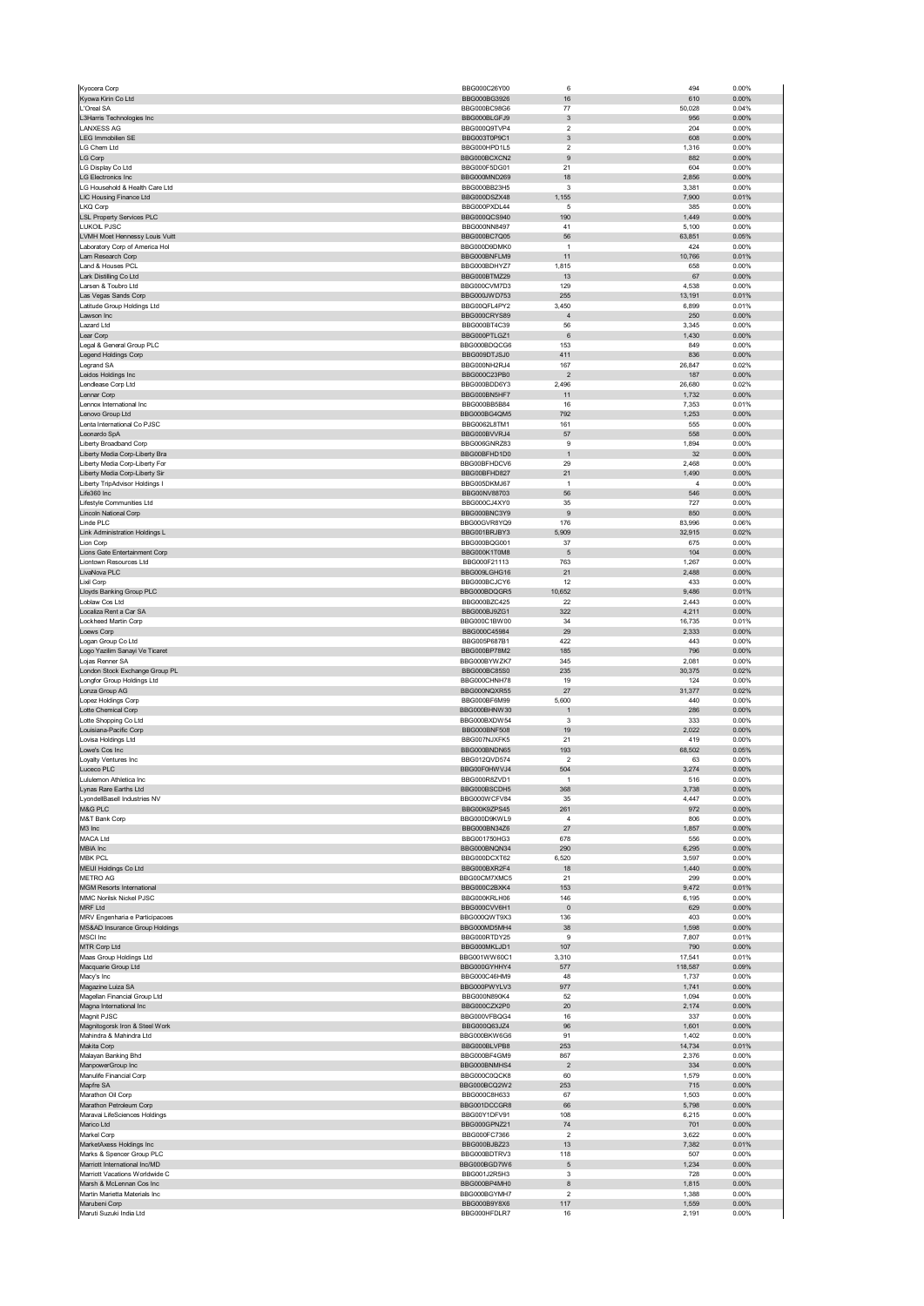|                                                                           | BBG000C26Y00                 | 6                            | 494             | 0.00%             |
|---------------------------------------------------------------------------|------------------------------|------------------------------|-----------------|-------------------|
| Kyowa Kirin Co Ltd                                                        | BBG000BG3926                 | 16                           | 610             | 0.00%             |
| L'Oreal SA                                                                | BBG000BC98G6                 | 77                           | 50,028          | 0.04%             |
| L3Harris Technologies Inc                                                 | BBG000BLGFJ9                 | $\ensuremath{\mathsf{3}}$    | 956             | $0.00\%$          |
| <b>LANXESS AG</b><br><b>LEG Immobilien SE</b>                             | BBG000Q9TVP4                 | $\overline{\mathbf{2}}$      | 204<br>608      | 0.00%<br>$0.00\%$ |
| LG Chem Ltd                                                               | BBG003T0P9C1<br>BBG000HPD1L5 | 3<br>$\overline{\mathbf{c}}$ | 1,316           | 0.00%             |
| LG Corp                                                                   | BBG000BCXCN2                 | 9                            | 882             | 0.00%             |
| LG Display Co Ltd                                                         | BBG000F5DG01                 | 21                           | 604             | 0.00%             |
| <b>LG Electronics Inc</b>                                                 | BBG000MND269                 | 18                           | 2,856           | 0.00%             |
| LG Household & Health Care Ltd                                            | BBG000BB23H5                 | 3                            | 3,381           | 0.00%             |
| LIC Housing Finance Ltd                                                   | BBG000DSZX48                 | 1,155                        | 7,900           | 0.01%             |
| LKQ Corp                                                                  | BBG000PXDL44                 | 5                            | 385             | 0.00%             |
| <b>LSL Property Services PLC</b>                                          | BBG000QCS940                 | 190                          | 1,449           | 0.00%             |
| <b>LUKOIL PJSC</b><br>LVMH Moet Hennessy Louis Vuitt                      | BBG000NN8497<br>BBG000BC7Q05 | 41<br>56                     | 5,100<br>63,851 | 0.00%<br>0.05%    |
| Laboratory Corp of America Hol                                            | BBG000D9DMK0                 | $\overline{1}$               | 424             | 0.00%             |
| Lam Research Corp                                                         | BBG000BNFLM9                 | 11                           | 10,766          | 0.01%             |
| Land & Houses PCL                                                         | BBG000BDHYZ7                 | 1,815                        | 658             | 0.00%             |
| Lark Distilling Co Ltd                                                    | BBG000BTMZ29                 | 13                           | 67              | $0.00\%$          |
| Larsen & Toubro Ltd                                                       | BBG000CVM7D3                 | 129                          | 4,538           | 0.00%             |
| Las Vegas Sands Corp                                                      | BBG000JWD753                 | 255                          | 13,191          | 0.01%             |
| Latitude Group Holdings Ltd                                               | BBG00QFL4PY2                 | 3,450                        | 6,899           | 0.01%             |
| Lawson Inc<br>Lazard Ltd                                                  | BBG000CRYS89                 | $\overline{4}$               | 250             | 0.00%             |
| Lear Corp                                                                 | BBG000BT4C39<br>BBG000PTLGZ1 | 56<br>$\,6$                  | 3,345<br>1,430  | 0.00%<br>0.00%    |
| Legal & General Group PLC                                                 | BBG000BDQCG6                 | 153                          | 849             | 0.00%             |
| Legend Holdings Corp                                                      | BBG009DTJSJ0                 | 411                          | 836             | 0.00%             |
| Legrand SA                                                                | BBG000NH2RJ4                 | 167                          | 26,847          | 0.02%             |
| Leidos Holdings Inc                                                       | BBG000C23PB0                 | $\overline{2}$               | 187             | 0.00%             |
| Lendlease Corp Ltd                                                        | BBG000BDD6Y3                 | 2,496                        | 26,680          | 0.02%             |
| Lennar Corp                                                               | BBG000BN5HF7                 | 11                           | 1,732           | 0.00%             |
| Lennox International Inc                                                  | BBG000BB5B84                 | 16                           | 7,353           | 0.01%             |
| Lenovo Group Ltd                                                          | BBG000BG4QM5<br>BBG0062L8TM1 | 792<br>161                   | 1,253           | 0.00%             |
| Lenta International Co PJSC<br>Leonardo SpA                               | BBG000BVVRJ4                 | 57                           | 555<br>558      | 0.00%<br>0.00%    |
| Liberty Broadband Corp                                                    | BBG006GNRZ83                 | 9                            | 1,894           | 0.00%             |
| Liberty Media Corp-Liberty Bra                                            | BBG00BFHD1D0                 | $\mathbf{1}$                 | 32              | $0.00\%$          |
| Liberty Media Corp-Liberty For                                            | BBG00BFHDCV6                 | 29                           | 2,468           | 0.00%             |
| Liberty Media Corp-Liberty Sir                                            | BBG00BFHD827                 | 21                           | 1,490           | 0.00%             |
| Liberty TripAdvisor Holdings I                                            | BBG005DKMJ67                 | $\overline{1}$               | 4               | 0.00%             |
| Life360 Inc                                                               | BBG00NV88703                 | 56                           | 546             | 0.00%             |
| Lifestyle Communities Ltd                                                 | BBG000CJ4XY0                 | 35                           | 727             | 0.00%             |
| Lincoln National Corp                                                     | BBG000BNC3Y9                 | 9                            | 850             | 0.00%             |
| Linde PLC                                                                 | BBG00GVR8YQ9                 | 176                          | 83,996          | 0.06%             |
| Link Administration Holdings L                                            | BBG001BRJBY3                 | 5,909                        | 32,915          | 0.02%             |
| Lion Corp<br>Lions Gate Entertainment Corp                                | BBG000BQG001<br>BBG000K1T0M8 | 37<br>5                      | 675<br>104      | 0.00%<br>0.00%    |
| Liontown Resources Ltd                                                    | BBG000F21113                 | 763                          | 1,267           | 0.00%             |
| LivaNova PLC                                                              | BBG009LGHG16                 | 21                           | 2,488           | 0.00%             |
| Lixil Corp                                                                | BBG000BCJCY6                 | 12                           | 433             | 0.00%             |
| Lloyds Banking Group PLC                                                  | BBG000BDQGR5                 | 10,652                       | 9,486           | 0.01%             |
| Loblaw Cos Ltd                                                            | BBG000BZC425                 | 22                           | 2,443           | 0.00%             |
| Localiza Rent a Car SA                                                    | BBG000BJ9ZG1                 | 322                          | 4,211           | $0.00\%$          |
| Lockheed Martin Corp                                                      | BBG000C1BW00<br>BBG000C45984 | 34<br>29                     | 16,735<br>2,333 | 0.01%<br>$0.00\%$ |
| oews Corp_<br>Logan Group Co Ltd                                          | BBG005P687B1                 | 422                          | 443             | 0.00%             |
| Logo Yazilim Sanayi Ve Ticaret                                            | BBG000BP78M2                 | 185                          | 796             | 0.00%             |
| Lojas Renner SA                                                           | BBG000BYWZK7                 | 345                          | 2,081           | 0.00%             |
| London Stock Exchange Group PL                                            | BBG000BC85S0                 | 235                          | 30,375          | 0.02%             |
| Longfor Group Holdings Ltd                                                | BBG000CHNH78                 | 19                           | 124             | 0.00%             |
| Lonza Group AG                                                            | BBG000NQXR55                 | 27                           | 31,377          | 0.02%             |
| Lopez Holdings Corp                                                       | BBG000BF6M99                 | 5,600                        | 440             | 0.00%             |
| Lotte Chemical Corp                                                       | BBG000BHNW30<br>BBG000BXDW54 | $\mathbf{1}$<br>3            | 286<br>333      | 0.00%<br>0.00%    |
| Lotte Shopping Co Ltd<br>Louisiana-Pacific Corp                           | <b>BBG000BNF508</b>          | 19                           | 2,022           | $0.00\%$          |
| Lovisa Holdings Ltd                                                       | BBG007NJXFK5                 | 21                           | 419             | 0.00%             |
| Lowe's Cos Inc                                                            | BBG000BNDN65                 | 193                          | 68,502          | 0.05%             |
| Loyalty Ventures Inc                                                      | BBG012QVD574                 | $\overline{\mathbf{c}}$      | 63              | 0.00%             |
| Luceco PLC                                                                |                              |                              |                 |                   |
|                                                                           | BBG00F0HWVJ4                 | 504                          | 3,274           | 0.00%             |
| ululemon Athletica Inc                                                    | <b>BBG000R8ZVD1</b>          |                              | 516             | 0.00%             |
| Lynas Rare Earths Ltd                                                     | BBG000BSCDH5                 | 368                          | 3,738           | 0.00%             |
| LyondellBasell Industries NV                                              | BBG000WCFV84                 | 35                           | 4,447           | 0.00%             |
| M&G PLC                                                                   | BBG00K9ZPS45                 | 261                          | 972<br>806      | 0.00%             |
| M&T Bank Corp                                                             | BBG000D9KWL9                 | $\overline{4}$<br>27         |                 | 0.00%             |
| M3 Inc                                                                    | BBG000BN34Z6                 |                              | 1,857           | $0.00\%$          |
| MACA Ltd<br>MBIA Inc                                                      | BBG001750HG3<br>BBG000BNQN34 | 678<br>290                   | 556<br>6,295    | 0.00%<br>$0.00\%$ |
| <b>MBK PCL</b>                                                            | BBG000DCXT62                 | 6,520                        | 3,597           | 0.00%             |
| MEIJI Holdings Co Ltd                                                     | BBG000BXR2F4                 | 18                           | 1,440           | 0.00%             |
| <b>METRO AG</b>                                                           | BBG00CM7XMC5                 | 21                           | 299             | 0.00%             |
| <b>MGM Resorts International</b>                                          | BBG000C2BXK4                 | 153                          | 9,472           | 0.01%             |
| MMC Norilsk Nickel PJSC                                                   | BBG000KRLH06                 | 146                          | 6,195           | 0.00%             |
| MRF Ltd<br>MRV Engenharia e Participacoes                                 | BBG000CVV6H1<br>BBG000QWT9X3 | $\pmb{0}$<br>136             | 629<br>403      | $0.00\%$<br>0.00% |
| MS&AD Insurance Group Holdings                                            | BBG000MD5MH4                 | 38                           | 1,598           | 0.00%             |
| MSCI Inc                                                                  | BBG000RTDY25                 | 9                            | 7,807           | 0.01%             |
| MTR Corp Ltd                                                              | BBG000MKLJD1                 | 107                          | 790             | $0.00\%$          |
| Maas Group Holdings Ltd                                                   | BBG001WW60C1                 | 3,310                        | 17,541          | 0.01%             |
| Macquarie Group Ltd                                                       | BBG000GYHHY4                 | 577                          | 118,587         | 0.09%             |
| Macy's Inc                                                                | BBG000C46HM9                 | 48                           | 1,737           | 0.00%             |
| Magazine Luiza SA                                                         | BBG000PWYLV3                 | 977                          | 1,741           | 0.00%             |
| Magellan Financial Group Ltd                                              | BBG000N890K4                 | 52                           | 1,094           | 0.00%             |
| Magna International Inc<br>Magnit PJSC                                    | BBG000CZX2P0<br>BBG000VFBQG4 | 20<br>16                     | 2,174<br>337    | 0.00%<br>0.00%    |
| Magnitogorsk Iron & Steel Work                                            | BBG000Q63JZ4                 | 96                           | 1,601           | 0.00%             |
| Mahindra & Mahindra Ltd                                                   | BBG000BKW6G6                 | 91                           | 1,402           | 0.00%             |
| Makita Corp                                                               | BBG000BLVPB8                 | 253                          | 14,734          | 0.01%             |
| Malayan Banking Bhd                                                       | BBG000BF4GM9                 | 867                          | 2,376           | 0.00%             |
| ManpowerGroup Inc                                                         | BBG000BNMHS4                 | $\overline{2}$               | 334             | 0.00%             |
| Manulife Financial Corp                                                   | BBG000C0QCK8                 | 60                           | 1,579           | 0.00%             |
| Mapfre SA                                                                 | BBG000BCQ2W2                 | 253                          | 715             | 0.00%             |
| Marathon Oil Corp                                                         | BBG000C8H633                 | 67                           | 1,503           | 0.00%             |
| Marathon Petroleum Corp<br>Maravai LifeSciences Holdings                  | BBG001DCCGR8<br>BBG00Y1DFV91 | 66<br>108                    | 5,798<br>6,215  | $0.00\%$<br>0.00% |
| Marico Ltd                                                                | BBG000GPNZ21                 | 74                           | 701             | 0.00%             |
| Markel Corp                                                               | BBG000FC7366                 | $\overline{\mathbf{c}}$      | 3,622           | 0.00%             |
| MarketAxess Holdings Inc                                                  | BBG000BJBZ23                 | 13                           | 7,382           | 0.01%             |
| Marks & Spencer Group PLC                                                 | BBG000BDTRV3                 | 118                          | 507             | 0.00%             |
| Marriott International Inc/MD                                             | BBG000BGD7W6                 | 5                            | 1,234           | 0.00%             |
| Marriott Vacations Worldwide C                                            | BBG001J2R5H3                 | 3                            | 728             | 0.00%             |
| Marsh & McLennan Cos Inc                                                  | BBG000BP4MH0                 | 8<br>$\overline{\mathbf{2}}$ | 1,815           | 0.00%             |
| Martin Marietta Materials Inc<br>Marubeni Corp<br>Maruti Suzuki India Ltd | BBG000BGYMH7<br>BBG000B9Y8X6 | 117                          | 1,388<br>1,559  | 0.00%<br>$0.00\%$ |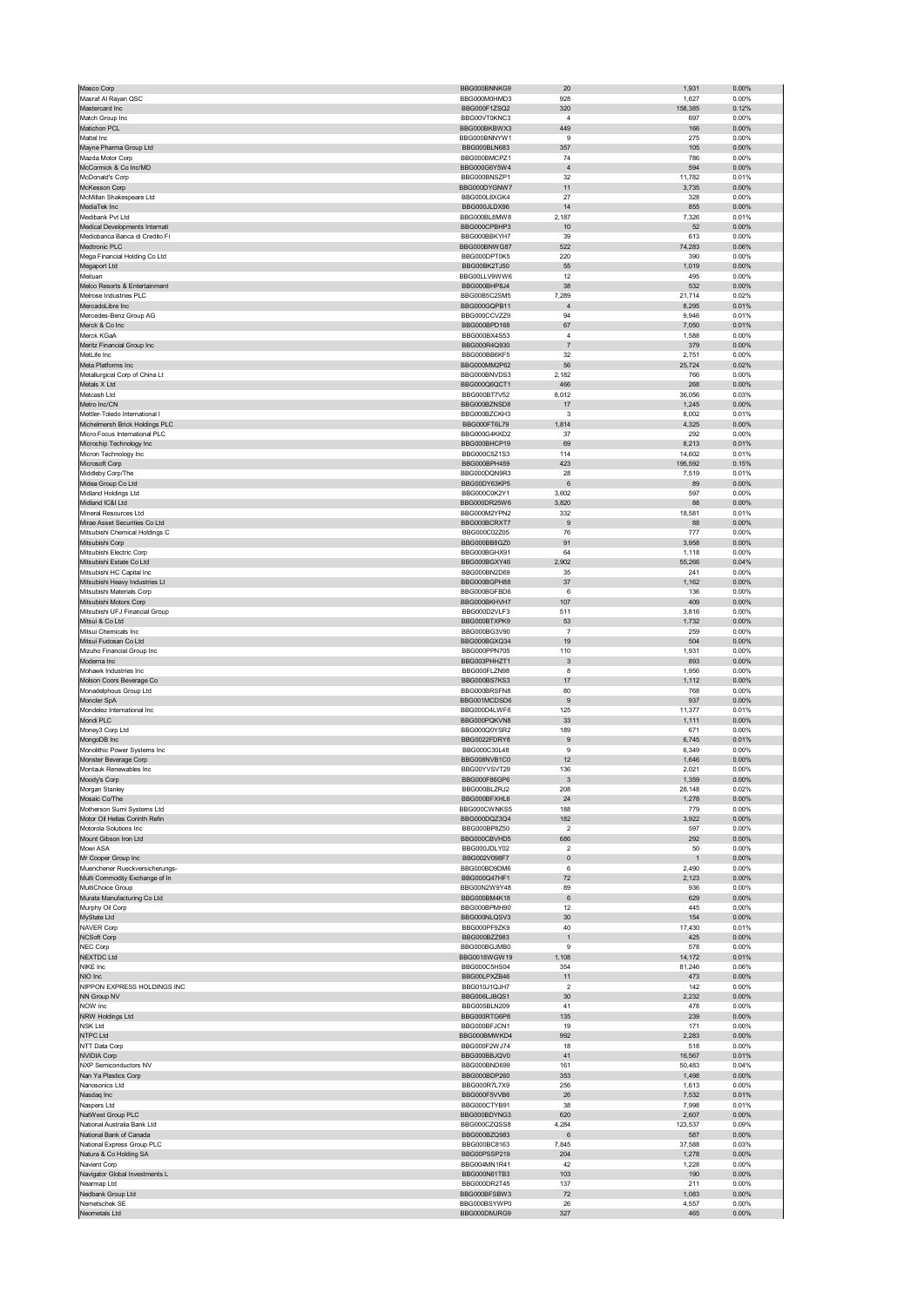| Masco Corp                                           | BBG000BNNKG9                 | 20                            | 1,931          | 0.00%             |
|------------------------------------------------------|------------------------------|-------------------------------|----------------|-------------------|
| Masraf Al Rayan QSC                                  | BBG000M0HMD3                 | 928                           | 1,627          | 0.00%             |
| Mastercard Inc                                       | BBG000F1ZSQ2                 | 320                           | 158,385        | 0.12%             |
| Match Group Inc                                      | BBG00VT0KNC3                 | $\overline{4}$                | 697            | 0.00%             |
| Matichon PCL                                         | BBG000BKBWX3                 | 449                           | 166            | 0.00%             |
| Mattel Inc                                           | BBG000BNNYW1<br>BBG000BLN683 | 9                             | 275            | 0.00%             |
| Mayne Pharma Group Ltd<br>Mazda Motor Corp           | BBG000BMCPZ1                 | 357<br>74                     | 105<br>786     | 0.00%<br>0.00%    |
| McCormick & Co Inc/MD                                | BBG000G6Y5W4                 | $\overline{4}$                | 594            | 0.00%             |
| McDonald's Corp                                      | BBG000BNSZP1                 | 32                            | 11,782         | 0.01%             |
| McKesson Corp                                        | BBG000DYGNW7                 | 11                            | 3,735          | 0.00%             |
| McMillan Shakespeare Ltd                             | BBG000L8XGK4                 | 27                            | 328            | 0.00%             |
| MediaTek Inc                                         | BBG000JLDX96                 | 14                            | 855            | $0.00\%$          |
| Medibank Pvt Ltd                                     | BBG000BL8MW8                 | 2,187                         | 7,326          | 0.01%             |
| Medical Developments Internati                       | BBG000CPBHP3                 | 10                            | 52             | 0.00%             |
| Mediobanca Banca di Credito Fi                       | BBG000BBKYH7                 | 39                            | 613            | 0.00%             |
| Medtronic PLC<br>Mega Financial Holding Co Ltd       | BBG000BNWG87<br>BBG000DPT0K5 | 522<br>220                    | 74,283<br>390  | 0.06%<br>0.00%    |
| Megaport Ltd                                         | BBG00BK2TJ50                 | 55                            | 1,019          | 0.00%             |
| Meituan                                              | BBG00LLV9WW6                 | 12                            | 495            | 0.00%             |
| Melco Resorts & Entertainment                        | BBG000BHP8J4                 | 38                            | 532            | 0.00%             |
| Melrose Industries PLC                               | BBG00B5C2SM5                 | 7,289                         | 21,714         | 0.02%             |
| MercadoLibre Inc                                     | BBG000GQPB11                 | $\overline{4}$                | 8,295          | 0.01%             |
| Mercedes-Benz Group AG                               | BBG000CCVZZ9                 | 94                            | 9,946          | 0.01%             |
| Merck & Co Inc                                       | BBG000BPD168                 | 67                            | 7,050          | 0.01%             |
| Merck KGaA                                           | BBG000BX4S53                 | $\sqrt{4}$                    | 1,588          | 0.00%             |
| Meritz Financial Group Inc                           | BBG000R4Q930                 | $\overline{7}$                | 379            | 0.00%             |
| MetLife Inc                                          | BBG000BB6KF5                 | 32                            | 2,751          | 0.00%             |
| Meta Platforms Inc<br>Metallurgical Corp of China Lt | BBG000MM2P62<br>BBG000BNVDS3 | 56<br>2,182                   | 25,724<br>766  | 0.02%<br>0.00%    |
| Metals X Ltd                                         | BBG000Q6QCT1                 | 466                           | 268            | 0.00%             |
| Metcash Ltd                                          | <b>BBG000BT7V52</b>          | 8,012                         | 36,056         | 0.03%             |
| Metro Inc/CN                                         | BBG000BZNSD8                 | 17                            | 1,245          | 0.00%             |
| Mettler-Toledo International I                       | BBG000BZCKH3                 | 3                             | 8,002          | 0.01%             |
| Michelmersh Brick Holdings PLC                       | BBG000FT6L79                 | 1,814                         | 4,325          | 0.00%             |
| Micro Focus International PLC                        | BBG000G4KKD2                 | 37                            | 292            | 0.00%             |
| Microchip Technology Inc                             | BBG000BHCP19                 | 69                            | 8,213          | 0.01%             |
| Micron Technology Inc                                | BBG000C5Z1S3                 | 114                           | 14,602         | 0.01%             |
| Microsoft Corp                                       | BBG000BPH459                 | 423                           | 195,592        | 0.15%             |
| Middleby Corp/The                                    | BBG000DQN9R3                 | 28                            | 7,519          | 0.01%             |
| Midea Group Co Ltd                                   | BBG00DY63KP5                 | 6                             | 89             | 0.00%             |
| Midland Holdings Ltd<br>Midland IC&I Ltd             | BBG000C0K2Y1<br>BBG000DR25W6 | 3,602<br>3,820                | 597<br>88      | 0.00%<br>0.00%    |
| Mineral Resources Ltd                                | BBG000M2YPN2                 | 332                           | 18,581         | 0.01%             |
| Mirae Asset Securities Co Ltd                        | BBG000BCRXT7                 | 9                             | 88             | 0.00%             |
| Mitsubishi Chemical Holdings C                       | BBG000C02Z05                 | 76                            | 777            | 0.00%             |
| Mitsubishi Corp                                      | BBG000BB8GZ0                 | 91                            | 3,958          | 0.00%             |
| Mitsubishi Electric Corp                             | BBG000BGHX91                 | 64                            | 1,118          | 0.00%             |
| Mitsubishi Estate Co Ltd                             | BBG000BGXY46                 | 2,902                         | 55,266         | 0.04%             |
| Mitsubishi HC Capital Inc                            | BBG000BN2D69                 | 35                            | 241            | 0.00%             |
| Mitsubishi Heavy Industries Lt                       | BBG000BGPH88                 | 37                            | 1,162          | 0.00%             |
| Mitsubishi Materials Corp                            | BBG000BGFBD6                 | 6                             | 136            | 0.00%             |
| Mitsubishi Motors Corp                               | BBG000BKHVH7                 | 107                           | 409            | $0.00\%$          |
| Mitsubishi UFJ Financial Group                       | BBG000D2VLF3                 | 511                           | 3,816          | 0.00%             |
| Mitsui & Co Ltd<br>Mitsui Chemicals Inc              | BBG000BTXPK9<br>BBG000BG3V90 | 53<br>$\overline{7}$          | 1,732<br>259   | $0.00\%$<br>0.00% |
| Mitsui Fudosan Co Ltd                                | BBG000BGXQ34                 | 19                            | 504            | 0.00%             |
| Mizuho Financial Group Inc                           | BBG000PPN705                 | 110                           | 1,931          | 0.00%             |
| Moderna Inc                                          | BBG003PHHZT1                 | 3                             | 893            | 0.00%             |
| Mohawk Industries Inc                                | BBG000FLZN98                 | 8                             | 1,956          | 0.00%             |
| Molson Coors Beverage Co                             | BBG000BS7KS3                 | 17                            | 1,112          | 0.00%             |
| Monadelphous Group Ltd                               | BBG000BRSFN8                 | 80                            | 768            | 0.00%             |
| Moncler SpA                                          | BBG001MCDSD6                 | 9                             | 937            | $0.00\%$          |
| Mondelez International Inc.                          | BBG000D4LWF6                 | 125                           | 11,377         | 0.01%             |
| Mondi PLC                                            | BBG000PQKVN8                 | 33                            | 1,111          | 0.00%             |
| Money3 Corp Ltd                                      | BBG000Q0YSR2                 | 189                           | 671            | 0.00%             |
| MongoDB Inc                                          | BBG0022FDRY8                 | 9                             | 6,745          | 0.01%             |
| Monolithic Power Systems Inc                         | BBG000C30L48<br>BBG008NVB1C0 | 9                             | 6,349          | 0.00%<br>0.00%    |
| Monster Beverage Corp<br>Montauk Renewables Inc      | BBG00YVSVT29                 | 12<br>136                     | 1,646<br>2,021 | 0.00%             |
|                                                      | ฿฿๒ฃฃฃฅฃ๛ฅ                   |                               | 1,359          | <b>U.UU%</b>      |
| vioody's Corp<br>Morgan Stanley                      | BBG000BLZRJ2                 | 208                           | 28,148         | 0.02%             |
| Mosaic Co/The                                        | BBG000BFXHL6                 | 24                            | 1,278          | 0.00%             |
| Motherson Sumi Systems Ltd                           | BBG000CWNKS5                 | 188                           | 779            | 0.00%             |
| Motor Oil Hellas Corinth Refin                       | BBG000DQZ3Q4                 | 182                           | 3,922          | $0.00\%$          |
| Motorola Solutions Inc                               | BBG000BP8Z50                 | $\overline{\mathbf{2}}$       | 597            | 0.00%             |
| Mount Gibson Iron Ltd                                | BBG000CBVHD5                 | 686                           | 292            | 0.00%             |
| Mowi ASA                                             | BBG000JDLY02                 | 2                             | 50             | 0.00%             |
| Mr Cooper Group Inc                                  | BBG002V098F7                 | $\pmb{0}$                     | $\overline{1}$ | $0.00\%$          |
| Muenchener Rueckversicherungs-                       | BBG000BD9DM6                 | 6                             | 2,490          | 0.00%             |
| Multi Commodity Exchange of In<br>MultiChoice Group  | BBG000Q47HF1<br>BBG00N2W9Y48 | 72<br>89                      | 2,123<br>936   | 0.00%<br>0.00%    |
| Murata Manufacturing Co Ltd                          | BBG000BM4K18                 | 6                             | 629            | 0.00%             |
| Murphy Oil Corp                                      | BBG000BPMH90                 | 12                            | 445            | 0.00%             |
| MyState Ltd                                          | BBG000NLQSV3                 | 30                            | 154            | $0.00\%$          |
| NAVER Corp                                           | BBG000PF9ZK9                 | 40                            | 17,430         | 0.01%             |
| <b>NCSoft Corp</b>                                   | BBG000BZZ983                 | $\mathbf{1}$                  | 425            | $0.00\%$          |
| NEC Corp                                             | BBG000BGJMB0                 | 9                             | 578            | 0.00%             |
| <b>NEXTDC Ltd</b>                                    | BBG0018WGW19                 | 1,108                         | 14,172         | 0.01%             |
| NIKE Inc<br>NIO Inc                                  | BBG000C5HS04<br>BBG00LPXZB46 | 354                           | 81,246<br>473  | 0.06%<br>0.00%    |
| NIPPON EXPRESS HOLDINGS INC                          | BBG010J1QJH7                 | 11<br>$\overline{\mathbf{c}}$ | 142            | 0.00%             |
| NN Group NV                                          | BBG006LJBQS1                 | 30                            | 2,232          | $0.00\%$          |
| NOW Inc                                              | BBG005BLN209                 | 41                            | 478            | 0.00%             |
| NRW Holdings Ltd                                     | BBG000RTG6P8                 | 135                           | 239            | 0.00%             |
| <b>NSK Ltd</b>                                       | BBG000BFJCN1                 | 19                            | 171            | 0.00%             |
| NTPC Ltd                                             | BBG000BMWKD4                 | 992                           | 2,283          | 0.00%             |
| NTT Data Corp                                        | BBG000F2WJ74                 | 18                            | 518            | 0.00%             |
| <b>NVIDIA Corp</b>                                   | BBG000BBJQV0                 | 41                            | 16,567         | 0.01%             |
| NXP Semiconductors NV                                | BBG000BND699                 | 161                           | 50,483         | 0.04%             |
| Nan Ya Plastics Corp                                 | BBG000BDP260                 | 353                           | 1,498          | $0.00\%$          |
| Nanosonics Ltd                                       | BBG000R7L7X9                 | 256                           | 1,613          | 0.00%             |
| Nasdaq Inc<br>Naspers Ltd                            | BBG000F5VVB6<br>BBG000CTYB91 | 26<br>38                      | 7,532<br>7,998 | 0.01%<br>0.01%    |
| NatWest Group PLC                                    | BBG000BDYNG3                 | 620                           | 2,607          | 0.00%             |
| National Australia Bank Ltd                          | BBG000CZQSS8                 | 4,284                         | 123,537        | 0.09%             |
| National Bank of Canada                              | BBG000BZQ983                 | 6                             | 587            | 0.00%             |
| National Express Group PLC                           | BBG000BC8163                 | 7,845                         | 37,588         | 0.03%             |
| Natura & Co Holding SA                               | BBG00PSSP219                 | 204                           | 1,278          | $0.00\%$          |
| Navient Corp                                         | BBG004MN1R41                 | 42                            | 1,228          | 0.00%             |
| Navigator Global Investments L                       |                              |                               | 190            | 0.00%             |
| Nearmap Ltd                                          | BBG000N61TB3                 | 103                           |                |                   |
|                                                      | BBG000DR2T45                 | 137                           | 211            | 0.00%             |
| Nedbank Group Ltd                                    | BBG000BFSBW3                 | 72                            | 1,083          | 0.00%             |
| Nemetschek SE<br>Neometals Ltd                       | BBG000BSYWP0<br>BBG000DMJRG9 | 26<br>327                     | 4,557<br>465   | 0.00%<br>0.00%    |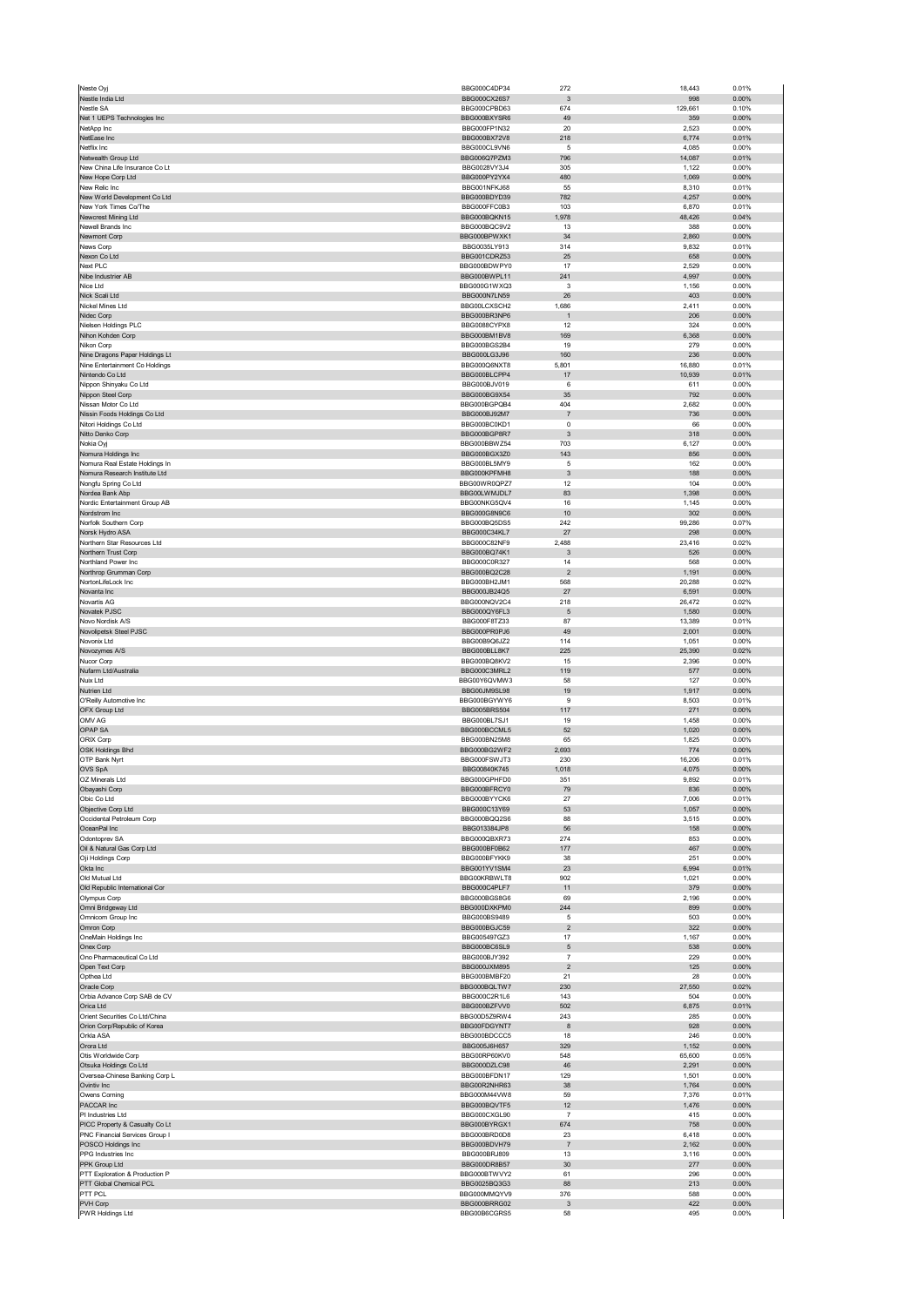| Neste Oyj                                                        | BBG000C4DP34                        | 272                            | 18,443          | 0.01%             |
|------------------------------------------------------------------|-------------------------------------|--------------------------------|-----------------|-------------------|
| Nestle India Ltd<br>Nestle SA                                    | BBG000CX26S7<br>BBG000CPBD63        | $\mathbf{3}$<br>674            | 998<br>129,661  | 0.00%<br>0.10%    |
| Net 1 UEPS Technologies Inc                                      | BBG000BXYSR6                        | 49                             | 359             | 0.00%             |
| NetApp Inc                                                       | BBG000FP1N32                        | 20                             | 2,523           | 0.00%             |
| NetEase Inc<br>Netflix Inc                                       | BBG000BX72V8<br>BBG000CL9VN6        | 218<br>5                       | 6,774<br>4,085  | 0.01%<br>0.00%    |
| Netwealth Group Ltd                                              | BBG006Q7PZM3                        | 796                            | 14,087          | 0.01%             |
| New China Life Insurance Co Lt                                   | BBG0028VY3J4                        | 305                            | 1,122           | 0.00%             |
| New Hope Corp Ltd<br>New Relic Inc                               | BBG000PY2YX4<br>BBG001NFKJ68        | 480<br>55                      | 1,069<br>8,310  | 0.00%<br>0.01%    |
| New World Development Co Ltd                                     | BBG000BDYD39                        | 782                            | 4,257           | 0.00%             |
| New York Times Co/The                                            | BBG000FFC0B3                        | 103                            | 6,870           | 0.01%             |
| Newcrest Mining Ltd<br>Newell Brands Inc                         | BBG000BQKN15<br>BBG000BQC9V2        | 1,978<br>13                    | 48,426<br>388   | 0.04%<br>0.00%    |
| Newmont Corp                                                     | BBG000BPWXK1                        | 34                             | 2,860           | 0.00%             |
| News Corp                                                        | BBG0035LY913<br>BBG001CDRZ53        | 314                            | 9,832           | 0.01%             |
| Nexon Co Ltd<br>Next PLC                                         | BBG000BDWPY0                        | 25<br>17                       | 658<br>2,529    | 0.00%<br>0.00%    |
| Nibe Industrier AB                                               | BBG000BWPL11                        | 241                            | 4,997           | 0.00%             |
| Nice Ltd                                                         | BBG000G1WXQ3                        | 3                              | 1,156           | 0.00%             |
| Nick Scali Ltd<br>Nickel Mines Ltd                               | BBG000N7LN59<br>BBG00LCXSCH2        | 26<br>1,686                    | 403<br>2,411    | 0.00%<br>0.00%    |
| Nidec Corp                                                       | BBG000BR3NP6                        | $\overline{1}$                 | 206             | 0.00%             |
| Nielsen Holdings PLC                                             | BBG0088CYPX8                        | 12                             | 324             | 0.00%             |
| Nihon Kohden Corp<br>Nikon Corp                                  | BBG000BM1BV8<br>BBG000BGS2B4        | 169<br>19                      | 6,368<br>279    | 0.00%<br>0.00%    |
| Nine Dragons Paper Holdings Lt                                   | BBG000LG3J96                        | 160                            | 236             | 0.00%             |
| Nine Entertainment Co Holdings                                   | BBG000Q6NXT8                        | 5,801                          | 16,880          | 0.01%             |
| Nintendo Co Ltd                                                  | BBG000BLCPP4                        | 17                             | 10,939          | 0.01%             |
| Nippon Shinyaku Co Ltd<br>Nippon Steel Corp                      | BBG000BJV019<br>BBG000BG9X54        | 6<br>35                        | 611<br>792      | 0.00%<br>0.00%    |
| Nissan Motor Co Ltd                                              | BBG000BGPOB4                        | 404                            | 2,682           | 0.00%             |
| Nissin Foods Holdings Co Ltd                                     | BBG000BJ92M7                        | $\overline{7}$                 | 736             | 0.00%             |
| Nitori Holdings Co Ltd<br>Nitto Denko Corp                       | BBG000BC0KD1<br>BBG000BGP8R7        | 0<br>3                         | 66<br>318       | 0.00%<br>0.00%    |
| Nokia Oyj                                                        | BBG000BBW754                        | 703                            | 6,127           | 0.00%             |
| Nomura Holdings Inc                                              | BBG000BGX3Z0                        | 143                            | 856             | 0.00%             |
| Nomura Real Estate Holdings In<br>Nomura Research Institute Ltd  | BBG000BL5MY9<br>BBG000KPFMH8        | 5<br>$\ensuremath{\mathsf{3}}$ | 162<br>188      | 0.00%<br>0.00%    |
| Nongfu Spring Co Ltd                                             | BBG00WR0QPZ7                        | 12                             | 104             | 0.00%             |
| Nordea Bank Abp                                                  | BBG00LWMJDL7                        | 83                             | 1,398           | 0.00%             |
| Nordic Entertainment Group AB                                    | BBG00NKG5QV4                        | 16                             | 1,145           | 0.00%             |
| Nordstrom Inc<br>Norfolk Southern Corp                           | BBG000G8N9C6<br>BBG000BQ5DS5        | 10<br>242                      | 302<br>99,286   | 0.00%<br>0.07%    |
| Norsk Hydro ASA                                                  | BBG000C34KL7                        | 27                             | 298             | 0.00%             |
| Northern Star Resources Ltd                                      | BBG000C82NF9                        | 2,488                          | 23,416          | 0.02%             |
| Northern Trust Corp<br>Northland Power Inc                       | BBG000BQ74K1<br>BBG000C0R327        | 3<br>14                        | 526<br>568      | 0.00%<br>0.00%    |
| Northrop Grumman Corp                                            | BBG000BQ2C28                        | $\overline{c}$                 | 1,191           | 0.00%             |
| NortonLifeLock Inc                                               | BBG000BH2JM1                        | 568                            | 20,288          | 0.02%             |
| Novanta Inc                                                      | BBG000JB24Q5                        | 27                             | 6,591           | 0.00%             |
| Novartis AG<br>Novatek PJSC                                      | BBG000NQV2C4<br>BBG000QY6FL3        | 218<br>$\sqrt{5}$              | 26,472<br>1,580 | 0.02%<br>0.00%    |
| Novo Nordisk A/S                                                 | BBG000F8TZ33                        | 87                             | 13,389          | 0.01%             |
| Novolipetsk Steel PJSC                                           | BBG000PR0PJ6                        | 49                             | 2,001           | 0.00%             |
| Novonix Ltd<br>Novozymes A/S                                     | BBG00B9Q6JZ2<br>BBG000BLL8K7        | 114<br>225                     | 1,051<br>25,390 | 0.00%<br>0.02%    |
| Nucor Corp                                                       | BBG000BQ8KV2                        | 15                             | 2,396           | 0.00%             |
| Nufarm Ltd/Australia                                             | BBG000C3MRL2                        | 119                            | 577             | 0.00%             |
| Nuix Ltd<br>Nutrien Ltd                                          | BBG00Y6QVMW3<br>BBG00JM9SL98        | 58<br>19                       | 127<br>1,917    | 0.00%<br>0.00%    |
| O'Reilly Automotive Inc                                          | BBG000BGYWY6                        | 9                              | 8,503           | 0.01%             |
| OFX Group Ltd                                                    | BBG005BRS504                        | 117                            | 271             | 0.00%             |
| OMV AG                                                           | BBG000BL7SJ1<br>BBG000BCCML5        | 19                             | 1,458           | 0.00%             |
| OPAP SA<br>ORIX Corp                                             | BBG000BN25M8                        | 52<br>65                       | 1,020<br>1,825  | 0.00%<br>0.00%    |
| OSK Holdings Bhd                                                 | BBG000BG2WF2                        | 2,693                          | 774             | 0.00%             |
| OTP Bank Nyrt                                                    | BBG000FSWJT3                        | 230                            | 16,206          | 0.01%             |
| OVS SpA<br>OZ Minerals Ltd.                                      | BBG00840K745<br><b>BBG000GPHEDO</b> | 1,018<br>351                   | 4,075<br>9,892  | 0.00%<br>0.01%    |
| Obayashi Corp                                                    | BBG000BFRCY0                        | 79                             | 836             | 0.00%             |
| Obic Co Ltd                                                      | BBG000BYYCK6                        | 27                             | 7,006           | 0.01%             |
| Objective Corp Ltd<br>Occidental Petroleum Corp                  | BBG000C13Y69<br>BBG000BQQ2S6        | 53<br>88                       | 1,057           | 0.00%<br>0.00%    |
| OceanPal Inc                                                     | BBG013384JP8                        | 56                             | 3,515<br>158    | 0.00%             |
| Odontoprev SA                                                    | BBG000QBXR73                        | 274                            | 853             | 0.00%             |
| Oil & Natural Gas Corp Ltd                                       | BBG000BF0B62                        | 177                            | 467             | 0.00%             |
| Oji Holdings Corp<br>Okta Inc                                    | BBG000BFYKK9<br>BBG001YV1SM4        | 38<br>23                       | 251<br>6,994    | 0.00%<br>0.01%    |
| Old Mutual Ltd                                                   | BBG00KRBWLT8                        | 902                            | 1,021           | 0.00%             |
| Old Republic International Cor                                   | BBG000C4PLF7                        | 11                             | 379             | 0.00%             |
| Olympus Corp<br>Omni Bridgeway Ltd                               | BBG000BGS8G6<br>BBG000DXKPM0        | 69<br>244                      | 2,196<br>899    | 0.00%<br>0.00%    |
| Omnicom Group Inc                                                | BBG000BS9489                        | 5                              | 503             | 0.00%             |
| Omron Corp                                                       | BBG000BGJC59                        | $\overline{c}$                 | 322             | $0.00\%$          |
| OneMain Holdings Inc<br>Onex Corp                                | BBG005497GZ3<br>BBG000BC6SL9        | 17<br>5                        | 1,167<br>538    | 0.00%<br>0.00%    |
| Ono Pharmaceutical Co Ltd                                        | BBG000BJY392                        | $\overline{\mathfrak{c}}$      | 229             | 0.00%             |
| Open Text Corp                                                   | BBG000JXM895                        | $\sqrt{2}$                     | 125             | $0.00\%$          |
| Opthea Ltd                                                       | BBG000BMBF20                        | 21                             | 28              | 0.00%             |
| Oracle Corp<br>Orbia Advance Corp SAB de CV                      |                                     |                                | 27,550          | 0.02%             |
| Orica Ltd                                                        | BBG000BQLTW7<br>BBG000C2R1L6        | 230<br>143                     |                 | 0.00%             |
| Orient Securities Co Ltd/China                                   | BBG000BZFVV0                        | 502                            | 504<br>6,875    | 0.01%             |
|                                                                  | BBG00D5Z9RW4                        | 243                            | 285             | 0.00%             |
| Orion Corp/Republic of Korea                                     | BBG00FDGYNT7                        | 8                              | 928             | 0.00%             |
| Orkla ASA<br>Orora Ltd                                           | BBG000BDCCC5<br>BBG005J6H657        | 18<br>329                      | 246<br>1,152    | 0.00%<br>$0.00\%$ |
| Otis Worldwide Corp                                              | BBG00RP60KV0                        | 548                            | 65,600          | 0.05%             |
| Otsuka Holdings Co Ltd                                           | BBG000DZLC98                        | 46                             | 2,291           | 0.00%             |
| Oversea-Chinese Banking Corp L<br>Ovintiv Inc                    | BBG000BFDN17<br>BBG00R2NHR63        | 129<br>38                      | 1,501<br>1,764  | 0.00%<br>$0.00\%$ |
| Owens Corning                                                    | BBG000M44VW8                        | 59                             | 7,376           | 0.01%             |
| PACCAR Inc                                                       | BBG000BQVTF5                        | 12                             | 1,476           | 0.00%             |
| PI Industries Ltd                                                | BBG000CXGL90                        | $\overline{7}$                 | 415             | 0.00%             |
| PICC Property & Casualty Co Lt<br>PNC Financial Services Group I | BBG000BYRGX1<br>BBG000BRD0D8        | 674<br>23                      | 758<br>6,418    | $0.00\%$<br>0.00% |
| POSCO Holdings Inc                                               | BBG000BDVH79                        | $\overline{7}$                 | 2,162           | 0.00%             |
| PPG Industries Inc                                               | BBG000BRJ809                        | 13                             | 3,116           | 0.00%             |
| PPK Group Ltd<br>PTT Exploration & Production P                  | BBG000DR8B57<br>BBG000BTWVY2        | 30<br>61                       | 277<br>296      | $0.00\%$<br>0.00% |
| PTT Global Chemical PCL                                          | BBG0025BQ3G3                        | 88                             | 213             | 0.00%             |
| PTT PCL<br>PVH Corp                                              | BBG000MMQYV9<br>BBG000BRRG02        | 376<br>3                       | 588<br>422      | 0.00%<br>0.00%    |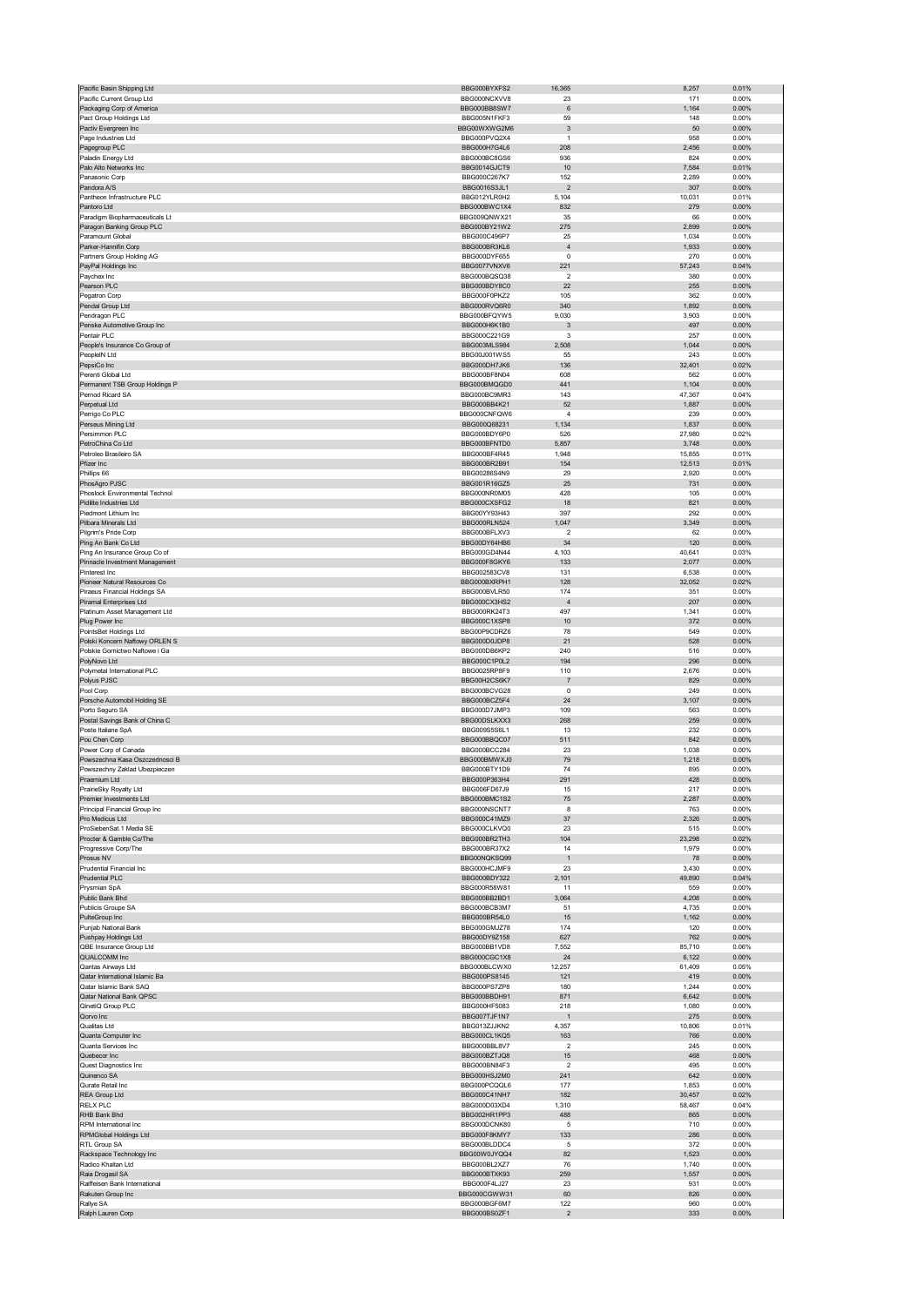| Pacific Basin Shipping Ltd                         | BBG000BYXFS2                 | 16,365                         | 8,257         | 0.01%             |
|----------------------------------------------------|------------------------------|--------------------------------|---------------|-------------------|
| Pacific Current Group Ltd                          | BBG000NCXVV8                 | 23                             | 171           | 0.00%             |
| Packaging Corp of America                          | BBG000BB8SW7                 | 6                              | 1,164         | 0.00%             |
| Pact Group Holdings Ltd                            | BBG005N1FKF3                 | 59                             | 148           | 0.00%             |
| Pactiv Evergreen Inc                               | BBG00WXWG2M6                 | 3                              | 50            | 0.00%             |
| Page Industries Ltd                                | BBG000PVQ2X4                 | $\mathbf{1}$                   | 958           | 0.00%             |
| Pagegroup PLC                                      | BBG000H7G4L6                 | 208                            | 2,456         | 0.00%             |
| Paladin Energy Ltd                                 | BBG000BC8GS6                 | 936                            | 824           | 0.00%             |
| Palo Alto Networks Inc                             | BBG0014GJCT9                 | 10                             | 7,584         | 0.01%             |
| Panasonic Corp                                     | BBG000C267K7                 | 152                            | 2,289         | 0.00%             |
| Pandora A/S                                        | <b>BBG0016S3JL1</b>          | $\overline{\mathbf{c}}$        | 307           | 0.00%             |
| Pantheon Infrastructure PLC                        | BBG012YLR0H2                 | 5,104                          | 10,031        | 0.01%             |
| Pantoro Ltd                                        | BBG000BWC1X4                 | 832                            | 279           | 0.00%             |
| Paradigm Biopharmaceuticals Lt                     | BBG009QNWX21                 | 35                             | 66            | 0.00%             |
| Paragon Banking Group PLC                          | BBG000BY21W2                 | 275                            | 2,899         | 0.00%             |
| Paramount Global                                   | BBG000C496P7                 | 25                             | 1,034         | 0.00%             |
| Parker-Hannifin Corp                               | BBG000BR3KL6<br>BBG000DYF655 | $\overline{4}$<br>$\mathbf 0$  | 1,933<br>270  | 0.00%<br>0.00%    |
| Partners Group Holding AG                          |                              |                                |               |                   |
| PayPal Holdings Inc<br>Paychex Inc                 | BBG0077VNXV6<br>BBG000BQSQ38 | 221<br>$\overline{\mathbf{c}}$ | 57,243<br>380 | 0.04%<br>0.00%    |
| Pearson PLC                                        | BBG000BDY8C0                 | 22                             | 255           | 0.00%             |
| Pegatron Corp                                      | BBG000F0PKZ2                 | 105                            | 362           | 0.00%             |
| Pendal Group Ltd                                   | BBG000RVO6R0                 | 340                            | 1,892         | $0.00\%$          |
| Pendragon PLC                                      | BBG000BFQYW5                 | 9,030                          | 3,903         | 0.00%             |
| Penske Automotive Group Inc                        | BBG000H6K1B0                 | $\mathbf{3}$                   | 497           | 0.00%             |
| Pentair PLC                                        | BBG000C221G9                 | 3                              | 257           | 0.00%             |
| People's Insurance Co Group of                     | BBG003MLS984                 | 2,508                          | 1,044         | 0.00%             |
| PeopleIN Ltd                                       | BBG00J001WS5                 | 55                             | 243           | 0.00%             |
| PepsiCo Inc                                        | BBG000DH7JK6                 | 136                            | 32,401        | 0.02%             |
| Perenti Global Ltd                                 | BBG000BF8N04                 | 608                            | 562           | 0.00%             |
| Permanent TSB Group Holdings P                     | BBG000BMQGD0                 | 441                            | 1,104         | 0.00%             |
| Pernod Ricard SA                                   | BBG000BC9MR3                 | 143                            | 47,367        | 0.04%             |
| Perpetual Ltd                                      | BBG000BB4K21                 | 52                             | 1,887         | 0.00%             |
| Perrigo Co PLC                                     | BBG000CNFQW6                 | 4                              | 239           | 0.00%             |
| Perseus Mining Ltd                                 | BBG000Q68231                 | 1,134                          | 1,837         | 0.00%             |
| Persimmon PLC                                      | BBG000BDY6P0                 | 526                            | 27,980        | 0.02%             |
| PetroChina Co Ltd                                  | BBG000BFNTD0                 | 5,857                          | 3,748         | 0.00%             |
| Petroleo Brasileiro SA                             | BBG000BF4R45                 | 1,948                          | 15,855        | 0.01%             |
| Pfizer Inc                                         | BBG000BR2B91                 | 154                            | 12,513        | 0.01%             |
| Phillips 66                                        | BBG00286S4N9                 | 29                             | 2,920         | 0.00%             |
| PhosAgro PJSC                                      | BBG001R16GZ5                 | 25                             | 731           | 0.00%             |
| Phoslock Environmental Technol                     | BBG000NR0M05                 | 428                            | 105           | 0.00%             |
| Pidilite Industries Ltd                            | BBG000CXSFG2                 | 18                             | 821           | 0.00%             |
| Piedmont Lithium Inc.                              | BBG00YY93H43                 | 397                            | 292           | 0.00%             |
| Pilbara Minerals Ltd                               | BBG000RLN524                 | 1,047                          | 3,349         | 0.00%             |
| Pilgrim's Pride Corp                               | BBG000BFLXV3                 | $\overline{\mathbf{c}}$        | 62            | 0.00%             |
| Ping An Bank Co Ltd                                | BBG00DY64HB6                 | 34                             | 120           | 0.00%             |
| Ping An Insurance Group Co of                      | BBG000GD4N44                 | 4,103                          | 40,641        | 0.03%             |
| Pinnacle Investment Management                     | BBG000F8GKY6                 | 133                            | 2,077         | 0.00%             |
| Pinterest Inc                                      | BBG002583CV8                 | 131                            | 6,538         | 0.00%             |
| Pioneer Natural Resources Co                       | BBG000BXRPH1                 | 128                            | 32,052        | 0.02%             |
| Piraeus Financial Holdings SA                      | BBG000BVLR50                 | 174                            | 351           | 0.00%             |
| Piramal Enterprises Ltd                            | BBG000CX3HS2                 | $\overline{4}$                 | 207           | 0.00%             |
| Platinum Asset Management Ltd                      | BBG000RK24T3                 | 497                            | 1,341         | 0.00%             |
| Plug Power Inc                                     | BBG000C1XSP8                 | 10                             | 372           | 0.00%             |
| PointsBet Holdings Ltd                             | BBG00P9CDRZ6                 | 78                             | 549           | 0.00%             |
|                                                    |                              |                                |               |                   |
| Polski Koncern Naftowy ORLEN S                     | BBG000D0JDP8                 | 21                             | 528           | 0.00%             |
| Polskie Gornictwo Naftowe i Ga                     | BBG000DB6KP2                 | 240                            | 516           | 0.00%             |
| PolyNovo Ltd                                       | BBG000C1P0L2                 | 194                            | 296           | $0.00\%$          |
| Polymetal International PLC                        | BBG0025RP8F9                 | 110                            | 2,676         | 0.00%             |
| Polyus PJSC                                        | BBG00H2CS6K7                 | $\overline{7}$                 | 829           | 0.00%             |
| Pool Corp                                          | BBG000BCVG28                 | 0                              | 249           | 0.00%             |
| Porsche Automobil Holding SE                       | BBG000BCZ5F4                 | 24                             | 3,107         | 0.00%             |
| Porto Seguro SA                                    | BBG000D7JMP3                 | 109                            | 563           | 0.00%             |
| Postal Savings Bank of China C                     | BBG00DSLKXX3                 | 268                            | 259           | 0.00%             |
| Poste Italiane SpA                                 | BBG009S5S6L1                 | 13                             | 232           | 0.00%             |
| Pou Chen Corp                                      | BBG000BBQC07                 | 511                            | 842           | 0.00%             |
| Power Corp of Canada                               | BBG000BCC284                 | 23                             | 1,038         | 0.00%             |
| Powszechna Kasa Oszczednosci B                     | BBG000BMWXJ0                 | 79                             | 1,218         | 0.00%             |
| Powszechny Zaklad Ubezpieczen                      | BBG000BTY1D9                 | 74                             | 895           | 0.00%             |
| Praemium Ltd                                       | BBG000P363H4                 | 291                            | 428           | 0.00%             |
| PrairieSky Royalty Ltd                             | BBG006FD67J9                 | 15                             | 217           | 0.00%             |
| Premier Investments Ltd                            | BBG000BMC1S2                 | 75                             | 2,287         | $0.00\%$          |
| Principal Financial Group Inc                      | BBG000NSCNT7                 | 8                              | 763           | 0.00%             |
| Pro Medicus Ltd                                    | BBG000C41MZ9                 | 37                             | 2,326         | $0.00\%$          |
| ProSiebenSat.1 Media SE                            | BBG000CLKVQ0                 | 23                             | 515           | 0.00%             |
| Procter & Gamble Co/The                            | BBG000BR2TH3                 | 104                            | 23,298        | 0.02%             |
| Progressive Corp/The                               | BBG000BR37X2                 | 14                             | 1,979         | 0.00%             |
| Prosus NV                                          | BBG00NQKSQ99                 | $\overline{1}$                 | 78            | 0.00%             |
| Prudential Financial Inc                           | BBG000HCJMF9                 | 23                             | 3,430         | 0.00%             |
| Prudential PLC                                     | BBG000BDY322                 | 2,101                          | 49,890        | 0.04%             |
| Prysmian SpA                                       | BBG000R58W81                 | 11                             | 559           | 0.00%             |
| Public Bank Bhd                                    | BBG000BB2BD1                 | 3,064                          | 4,208         | 0.00%             |
| Publicis Groupe SA                                 | BBG000BCB3M7                 | 51                             | 4,735         | 0.00%             |
| PulteGroup Inc                                     | BBG000BR54L0                 | 15                             | 1,162         | 0.00%             |
| Punjab National Bank                               | BBG000GMJZ78                 | 174                            | 120           | 0.00%             |
| Pushpay Holdings Ltd                               | BBG00DY9Z158                 | 627                            | 762           | 0.00%             |
| QBE Insurance Group Ltd                            | BBG000BB1VD8                 | 7,552                          | 85,710        | 0.06%             |
| QUALCOMM Inc                                       | BBG000CGC1X8                 | 24                             | 6,122         | $0.00\%$          |
| Qantas Airways Ltd                                 | BBG000BLCWX0                 | 12,257                         | 61,409        | 0.05%             |
| Qatar International Islamic Ba                     | BBG000PS8145                 | 121                            | 419           | 0.00%             |
| Qatar Islamic Bank SAQ<br>Qatar National Bank QPSC | BBG000PS7ZP8                 | 180                            | 1,244         | 0.00%<br>0.00%    |
|                                                    | BBG000BBDH91                 | 871                            | 6,642         |                   |
| QinetiQ Group PLC                                  | BBG000HF5083<br>BBG007TJF1N7 | 218                            | 1,080<br>275  | 0.00%<br>0.00%    |
| Qorvo Inc<br>Qualitas Ltd                          | BBG013ZJJKN2                 | 4,357                          | 10,806        | 0.01%             |
| Quanta Computer Inc                                | BBG000CL1KQ5                 | 163                            | 766           | 0.00%             |
| Quanta Services Inc                                | BBG000BBL8V7                 | $\overline{2}$                 | 245           | 0.00%             |
| Quebecor Inc                                       | BBG000BZTJQ8                 | 15                             | 468           | 0.00%             |
| Quest Diagnostics Inc                              | BBG000BN84F3                 | $\overline{\mathbf{c}}$        | 495           | 0.00%             |
| Quinenco SA                                        | BBG000HSJ2M0                 | 241                            | 642           | 0.00%             |
| Qurate Retail Inc                                  | BBG000PCQQL6                 | 177                            | 1,853         | 0.00%             |
| REA Group Ltd                                      | BBG000C41NH7                 | 182                            | 30,457        | 0.02%             |
| <b>RELX PLC</b>                                    | BBG000D03XD4                 | 1,310                          | 58,467        | 0.04%             |
| RHB Bank Bhd                                       | BBG002HR1PP3                 | 488                            | 865           | $0.00\%$          |
| RPM International Inc                              | BBG000DCNK80                 | 5                              | 710           | 0.00%             |
| RPMGlobal Holdings Ltd                             | BBG000F8KMY7                 | 133                            | 286           | 0.00%             |
| RTL Group SA                                       | BBG000BLDDC4                 | 5                              | 372           | 0.00%             |
| Rackspace Technology Inc                           | BBG00W0JYQQ4                 | 82                             | 1,523         | 0.00%             |
| Radico Khaitan Ltd                                 | BBG000BL2XZ7                 | 76                             | 1,740         | 0.00%             |
| Raia Drogasil SA                                   | BBG000BTXK93                 | 259                            | 1,557         | 0.00%             |
| Raiffeisen Bank International                      | BBG000F4LJ27                 | 23                             | 931           | 0.00%             |
| Rakuten Group Inc                                  | BBG000CGWW31                 | 60                             | 826           | 0.00%             |
| Rallye SA<br>Ralph Lauren Corp                     | BBG000BGF6M7<br>BBG000BS0ZF1 | 122<br>$\mathbf 2$             | 960<br>333    | 0.00%<br>$0.00\%$ |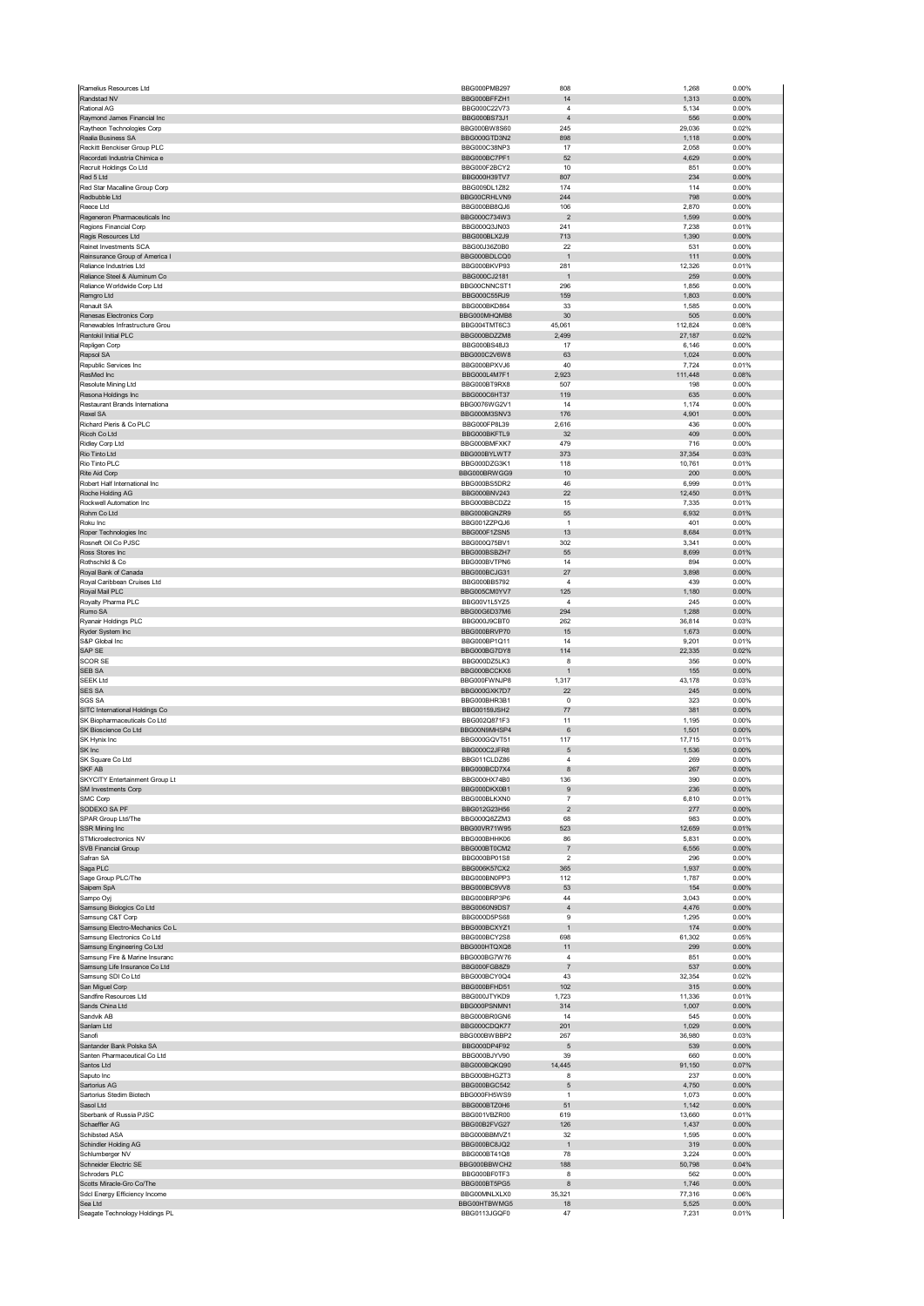| Ramelius Resources Ltd                                          | BBG000PMB297                 | 808                              | 1,268           | 0.00%          |
|-----------------------------------------------------------------|------------------------------|----------------------------------|-----------------|----------------|
| Randstad NV                                                     | BBG000BFFZH1                 | 14                               | 1,313           | 0.00%          |
| Rational AG                                                     | BBG000C22V73                 | $\overline{4}$                   | 5,134           | 0.00%          |
| Raymond James Financial Inc                                     | BBG000BS73J1                 | $\overline{4}$                   | 556             | 0.00%          |
| Raytheon Technologies Corp<br>Realia Business SA                | BBG000BW8S60<br>BBG000GTD3N2 | 245<br>898                       | 29,036          | 0.02%<br>0.00% |
| Reckitt Benckiser Group PLC                                     | BBG000C38NP3                 | 17                               | 1,118<br>2,058  | 0.00%          |
| Recordati Industria Chimica e                                   | BBG000BC7PF1                 | 52                               | 4,629           | 0.00%          |
| Recruit Holdings Co Ltd                                         | BBG000F2BCY2                 | 10                               | 851             | 0.00%          |
| Red 5 Ltd                                                       | BBG000H39TV7                 | 807                              | 234             | 0.00%          |
| Red Star Macalline Group Corp                                   | BBG009DL1Z82                 | 174                              | 114             | 0.00%          |
| Redbubble Ltd                                                   | BBG00CRHLVN9                 | 244                              | 798             | 0.00%          |
| Reece Ltd                                                       | BBG000BB8QJ6                 | 106                              | 2,870           | 0.00%          |
| Regeneron Pharmaceuticals Inc                                   | BBG000C734W3                 | $\overline{2}$                   | 1,599           | 0.00%          |
| Regions Financial Corp<br>Regis Resources Ltd                   | BBG000Q3JN03<br>BBG000BLX2J9 | 241<br>713                       | 7,238<br>1,390  | 0.01%<br>0.00% |
| Reinet Investments SCA                                          | BBG00J36Z0B0                 | 22                               | 531             | 0.00%          |
| Reinsurance Group of America I                                  | BBG000BDI CO0                | $\overline{1}$                   | 111             | 0.00%          |
| Reliance Industries Ltd                                         | BBG000BKVP93                 | 281                              | 12,326          | 0.01%          |
| Reliance Steel & Aluminum Co                                    | BBG000CJ2181                 |                                  | 259             | 0.00%          |
| Reliance Worldwide Corp Ltd                                     | BBG00CNNCST1                 | 296                              | 1,856           | 0.00%          |
| Remgro Ltd                                                      | BBG000C55RJ9                 | 159                              | 1,803           | 0.00%          |
| Renault SA<br>Renesas Electronics Corp                          | BBG000BKD864<br>BBG000MHQMB8 | 33<br>30                         | 1,585<br>505    | 0.00%<br>0.00% |
| Renewables Infrastructure Grou                                  | BBG004TMT6C3                 | 45,061                           | 112,824         | 0.08%          |
| Rentokil Initial PLC                                            | BBG000BDZZM8                 | 2,499                            | 27,187          | 0.02%          |
| Repligen Corp                                                   | BBG000BS48J3                 | 17                               | 6,146           | 0.00%          |
| Repsol SA                                                       | BBG000C2V6W8                 | 63                               | 1,024           | 0.00%          |
| Republic Services Inc                                           | BBG000BPXVJ6                 | 40                               | 7,724           | 0.01%          |
| ResMed Inc                                                      | BBG000L4M7F1                 | 2,923                            | 111,448         | 0.08%          |
| Resolute Mining Ltd                                             | BBG000BT9RX8                 | 507                              | 198             | 0.00%          |
| Resona Holdings Inc                                             | BBG000C6HT37                 | 119                              | 635             | 0.00%          |
| Restaurant Brands Internationa<br>Rexel SA                      | BBG0076WG2V1<br>BBG000M3SNV3 | 14<br>176                        | 1,174<br>4,901  | 0.00%<br>0.00% |
| Richard Pieris & Co PLC                                         | BBG000FP8L39                 | 2,616                            | 436             | 0.00%          |
| Ricoh Co Ltd                                                    | BBG000BKFTL9                 | 32                               | 409             | 0.00%          |
| Ridley Corp Ltd                                                 | BBG000BMFXK7                 | 479                              | 716             | 0.00%          |
| Rio Tinto Ltd                                                   | BBG000BYLWT7                 | 373                              | 37,354          | 0.03%          |
| Rio Tinto PLC                                                   | BBG000DZG3K1                 | 118                              | 10,761          | 0.01%          |
| Rite Aid Corp                                                   | BBG000BRWGG9                 | 10                               | 200             | 0.00%          |
| Robert Half International Inc.                                  | BBG000BS5DR2                 | 46                               | 6,999           | 0.01%          |
| Roche Holding AG<br>Rockwell Automation Inc                     | BBG000BNV243<br>BBG000BBCDZ2 | 22<br>15                         | 12,450<br>7,335 | 0.01%<br>0.01% |
| Rohm Co Ltd                                                     | BBG000BGNZR9                 | 55                               | 6,932           | 0.01%          |
| Roku Inc                                                        | BBG001ZZPQJ6                 | $\mathbf{1}$                     | 401             | 0.00%          |
| Roper Technologies Inc                                          | BBG000F1ZSN5                 | 13                               | 8,684           | 0.01%          |
| Rosneft Oil Co PJSC                                             | BBG000Q75BV1                 | 302                              | 3,341           | 0.00%          |
| Ross Stores Inc                                                 | BBG000BSBZH7                 | 55                               | 8,699           | 0.01%          |
| Rothschild & Co                                                 | BBG000BVTPN6                 | 14                               | 894             | 0.00%          |
| Royal Bank of Canada<br>Royal Caribbean Cruises Ltd             | BBG000BCJG31<br>BBG000BB5792 | 27<br>$\sqrt{4}$                 | 3,898<br>439    | 0.00%<br>0.00% |
| Royal Mail PLC                                                  | BBG005CM0YV7                 | 125                              | 1,180           | 0.00%          |
| Royalty Pharma PLC                                              | BBG00V1L5YZ5                 | 4                                | 245             | 0.00%          |
| Rumo SA                                                         | BBG00G6D37M6                 | 294                              | 1,288           | 0.00%          |
| Ryanair Holdings PLC                                            | BBG000J9CBT0                 | 262                              | 36,814          | 0.03%          |
| Ryder System Inc                                                | BBG000BRVP70                 | 15                               | 1,673           | 0.00%          |
| S&P Global Inc                                                  | BBG000BP1Q11                 | 14                               | 9,201           | 0.01%          |
|                                                                 |                              |                                  |                 |                |
| SAP SE                                                          | BBG000BG7DY8                 | 114                              | 22,335          | 0.02%          |
| <b>SCOR SE</b>                                                  | BBG000DZ5LK3                 | 8                                | 356             | 0.00%          |
| SEB SA<br><b>SEEK Ltd</b>                                       | BBG000BCCKX6                 | $\mathbf{1}$                     | 155             | 0.00%          |
| <b>SES SA</b>                                                   | BBG000FWNJP8<br>BBG000GXK7D7 | 1,317<br>22                      | 43,178<br>245   | 0.03%<br>0.00% |
| <b>SGS SA</b>                                                   | BBG000BHR3B1                 | $\pmb{0}$                        | 323             | 0.00%          |
| SITC International Holdings Co                                  | BBG00159JSH2                 | 77                               | 381             | 0.00%          |
| SK Biopharmaceuticals Co Ltd                                    | BBG002Q871F3                 | 11                               | 1,195           | 0.00%          |
| SK Bioscience Co Ltd                                            | BBG00N9MHSP4                 | $\,6\,$                          | 1,501           | 0.00%          |
| SK Hynix Inc                                                    | BBG000GQVT51                 | 117                              | 17,715          | 0.01%          |
| SK Inc                                                          | BBG000C2JFR8<br>BBG011CLDZ86 | $\sqrt{5}$<br>$\overline{4}$     | 1,536           | 0.00%<br>0.00% |
| SK Square Co Ltd<br>SKF AB                                      | BBG000BCD7X4                 | 8                                | 269<br>267      | 0.00%          |
| SKYCITY Entertainment Group Lt                                  | BBG000HX74B0                 | 136                              | 390             | 0.00%          |
| SM Investments Corp                                             | BBG000DKX0B1                 | $\boldsymbol{9}$                 | 236             | 0.00%          |
| SMC Corp                                                        | BBG000BLKXN0                 | $\overline{7}$                   | 6,810           | 0.01%          |
| SODEXO SA PF                                                    | BBG012G23H56                 | $\overline{c}$                   | 277             | 0.00%          |
| SPAR Group Ltd/The                                              | BBG000Q8ZZM3<br>BBG00VR71W95 | 68<br>523                        | 983<br>12,659   | 0.00%<br>0.01% |
| SSR Mining Inc<br>STMicroelectronics NV                         | BBG000BHHK06                 | 86                               | 5,831           | 0.00%          |
| SVB Financial Group                                             | BBG000BT0CM2                 | $\overline{7}$                   | 6,556           | 0.00%          |
| Safran SA                                                       | BBG000BP01S8                 | $\sqrt{2}$                       | 296             | 0.00%          |
| Saga PLC                                                        | BBG006K57CX2                 | 365                              | 1,937           | 0.00%          |
| Sage Group PLC/The                                              | BBG000BN0PP3                 | 112                              | 1,787           | 0.00%          |
| Saipem SpA<br>Sampo Oyj                                         | BBG000BC9VV8<br>BBG000BRP3P6 | 53<br>44                         | 154<br>3,043    | 0.00%<br>0.00% |
| Samsung Biologics Co Ltd                                        | BBG0060N9DS7                 | $\sqrt{4}$                       | 4,476           | 0.00%          |
| Samsung C&T Corp                                                | BBG000D5PS68                 | $\boldsymbol{9}$                 | 1,295           | 0.00%          |
| Samsung Electro-Mechanics Co L                                  | BBG000BCXYZ1                 | $\mathbf{1}$                     | 174             | 0.00%          |
| Samsung Electronics Co Ltd                                      | BBG000BCY2S8                 | 698                              | 61,302          | 0.05%          |
| Samsung Engineering Co Ltd                                      | BBG000HTQXQ8<br>BBG000BG7W76 | 11                               | 299<br>851      | 0.00%          |
| Samsung Fire & Marine Insuranc<br>Samsung Life Insurance Co Ltd | BBG000FGB8Z9                 | $\overline{4}$<br>$\overline{7}$ | 537             | 0.00%<br>0.00% |
| Samsung SDI Co Ltd                                              | BBG000BCY0Q4                 | 43                               | 32,354          | 0.02%          |
| San Miguel Corp                                                 | BBG000BFHD51                 | 102                              | 315             | 0.00%          |
| Sandfire Resources Ltd                                          | BBG000JTYKD9                 | 1,723                            | 11,336          | 0.01%          |
| Sands China Ltd                                                 | BBG000PSNMN1                 | 314                              | 1,007           | 0.00%          |
| Sandvik AB                                                      | BBG000BR0GN6                 | 14                               | 545             | 0.00%          |
| Sanlam Ltd<br>Sanofi                                            | BBG000CDQK77<br>BBG000BWBBP2 | 201<br>267                       | 1,029<br>36,980 | 0.00%<br>0.03% |
| Santander Bank Polska SA                                        | BBG000DP4F92                 | 5                                | 539             | 0.00%          |
| Santen Pharmaceutical Co Ltd                                    | BBG000BJYV90                 | 39                               | 660             | 0.00%          |
| Santos Ltd                                                      | BBG000BQKQ90                 | 14,445                           | 91,150          | 0.07%          |
| Saputo Inc.                                                     | BBG000BHGZT3                 | 8                                | 237             | 0.00%          |
| Sartorius AG                                                    | BBG000BGC542                 | 5                                | 4,750           | 0.00%          |
| Sartorius Stedim Biotech                                        | BBG000FH5WS9                 | $\mathbf{1}$                     | 1,073           | 0.00%          |
| Sasol Ltd<br>Sberbank of Russia PJSC                            | BBG000BTZ0H6<br>BBG001VBZR00 | 51<br>619                        | 1,142<br>13,660 | 0.00%<br>0.01% |
| Schaeffler AG                                                   | BBG00B2FVG27                 | 126                              | 1,437           | 0.00%          |
| Schibsted ASA                                                   | BBG000BBMVZ1                 | 32                               | 1,595           | 0.00%          |
| Schindler Holding AG                                            | BBG000BC8JQ2                 | $\mathbf{1}$                     | 319             | 0.00%          |
| Schlumberger NV                                                 | BBG000BT41Q8                 | 78                               | 3,224           | 0.00%          |
| Schneider Electric SE                                           | BBG000BBWCH2                 | 188                              | 50,798          | 0.04%          |
| Schroders PLC<br>Scotts Miracle-Gro Co/The                      | BBG000BF0TF3<br>BBG000BT5PG5 | 8<br>8                           | 562<br>1,746    | 0.00%<br>0.00% |
| Sdcl Energy Efficiency Income                                   | BBG00MNLXLX0                 | 35,321                           | 77,316          | 0.06%          |
| Sea Ltd<br>Seagate Technology Holdings PL                       | BBG00HTBWMG5<br>BBG0113JGQF0 | 18<br>47                         | 5,525<br>7,231  | 0.00%<br>0.01% |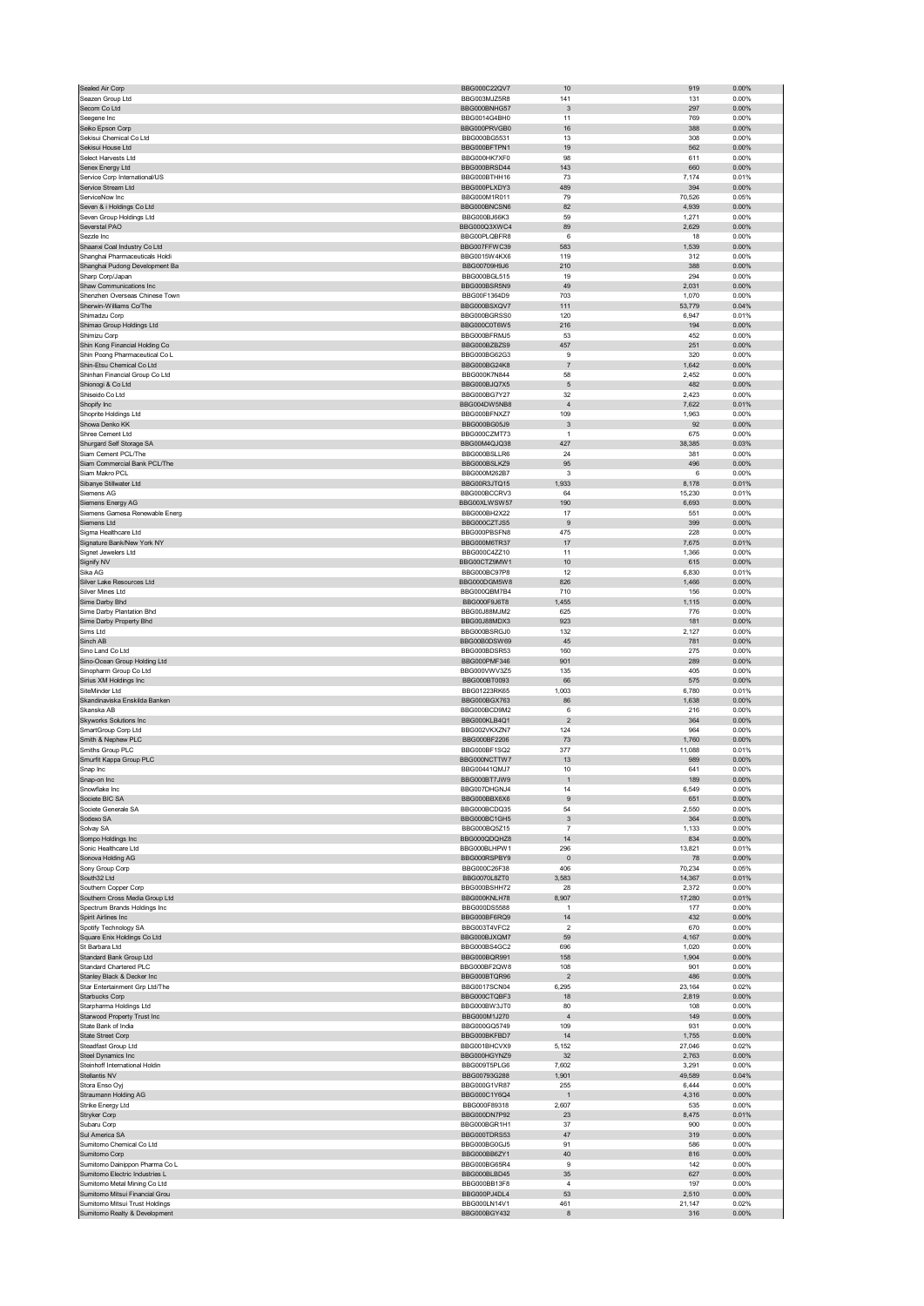| Sealed Air Corp                                                                                   | BBG000C22QV7                                 | 10                        | 919             | 0.00%                      |
|---------------------------------------------------------------------------------------------------|----------------------------------------------|---------------------------|-----------------|----------------------------|
| Seazen Group Ltd                                                                                  | BBG003MJZ5R8                                 | 141                       | 131             | 0.00%                      |
| Secom Co Ltd<br>Seegene Inc                                                                       | BBG000BNHG57<br>BBG0014G4BH0                 | $\mathbf{3}$<br>11        | 297<br>769      | 0.00%<br>0.00%             |
| Seiko Epson Corp                                                                                  | BBG000PRVGB0                                 | 16                        | 388             | $0.00\%$                   |
| Sekisui Chemical Co Ltd                                                                           | BBG000BG5531                                 | 13                        | 308             | 0.00%                      |
| Sekisui House Ltd                                                                                 | BBG000BFTPN1                                 | 19                        | 562             | $0.00\%$                   |
| Select Harvests Ltd                                                                               | BBG000HK7XF0                                 | 98                        | 611             | 0.00%                      |
| Senex Energy Ltd<br>Service Corp International/US                                                 | BBG000BRSD44<br>BBG000BTHH16                 | 143<br>73                 | 660<br>7,174    | 0.00%<br>0.01%             |
| Service Stream Ltd                                                                                | BBG000PLXDY3                                 | 489                       | 394             | 0.00%                      |
| ServiceNow Inc                                                                                    | BBG000M1R011                                 | 79                        | 70,526          | 0.05%                      |
| Seven & i Holdings Co Ltd                                                                         | BBG000BNCSN6                                 | 82                        | 4,939           | $0.00\%$                   |
| Seven Group Holdings Ltd                                                                          | BBG000BJ66K3                                 | 59                        | 1,271           | 0.00%                      |
| Severstal PAO<br>Sezzle Inc                                                                       | BBG000Q3XWC4<br>BBG00PLQBFR8                 | 89<br>6                   | 2,629<br>18     | $0.00\%$<br>0.00%          |
| Shaanxi Coal Industry Co Ltd                                                                      | BBG007FFWC39                                 | 583                       | 1,539           | 0.00%                      |
| Shanghai Pharmaceuticals Holdi                                                                    | BBG0015W4KX6                                 | 119                       | 312             | 0.00%                      |
| Shanghai Pudong Development Ba                                                                    | BBG00709H9J6                                 | 210                       | 388             | 0.00%                      |
| Sharp Corp/Japan                                                                                  | <b>BBG000BGL515</b>                          | 19                        | 294             | 0.00%                      |
| Shaw Communications Inc                                                                           | BBG000BSR5N9                                 | 49                        | 2,031           | $0.00\%$                   |
| Shenzhen Overseas Chinese Town<br>Sherwin-Williams Co/The                                         | BBG00F1364D9<br>BBG000BSXQV7                 | 703<br>111                | 1,070<br>53,779 | 0.00%<br>0.04%             |
| Shimadzu Corp                                                                                     | BBG000BGRSS0                                 | 120                       | 6,947           | 0.01%                      |
| Shimao Group Holdings Ltd                                                                         | BBG000C0T6W5                                 | 216                       | 194             | 0.00%                      |
| Shimizu Corp                                                                                      | BBG000BFRMJ5                                 | 53                        | 452             | 0.00%                      |
| Shin Kong Financial Holding Co<br>Shin Poong Pharmaceutical Co L                                  | BBG000BZBZS9<br>BBG000BG62G3                 | 457                       | 251             | 0.00%<br>0.00%             |
| Shin-Etsu Chemical Co Ltd                                                                         | BBG000BG24K8                                 | 9<br>$\overline{7}$       | 320<br>1,642    | 0.00%                      |
| Shinhan Financial Group Co Ltd                                                                    | BBG000K7N844                                 | 58                        | 2,452           | 0.00%                      |
| Shionogi & Co Ltd                                                                                 | BBG000BJQ7X5                                 | $\sqrt{5}$                | 482             | 0.00%                      |
| Shiseido Co Ltd                                                                                   | BBG000BG7Y27                                 | 32                        | 2,423           | 0.00%                      |
| Shopify Inc                                                                                       | BBG004DW5NB8<br>BBG000BFNXZ7                 | $\overline{4}$            | 7,622           | 0.01%                      |
| Shoprite Holdings Ltd<br>Showa Denko KK                                                           | BBG000BG05J9                                 | 109<br>$\mathbf{3}$       | 1,963<br>92     | 0.00%<br>0.00%             |
| Shree Cement Ltd                                                                                  | BBG000CZMT73                                 | 1                         | 675             | 0.00%                      |
| Shurgard Self Storage SA                                                                          | BBG00M4QJQ38                                 | 427                       | 38,385          | 0.03%                      |
| Siam Cement PCL/The                                                                               | BBG000BSLLR6                                 | 24                        | 381             | 0.00%                      |
| Siam Commercial Bank PCL/The<br>Siam Makro PCL                                                    | BBG000BSLKZ9                                 | 95                        | 496<br>6        | 0.00%<br>0.00%             |
| Sibanye Stillwater Ltd                                                                            | BBG000M262B7<br>BBG00R3JTQ15                 | 3<br>1,933                | 8,178           | 0.01%                      |
| Siemens AG                                                                                        | BBG000BCCRV3                                 | 64                        | 15,230          | 0.01%                      |
| Siemens Energy AG                                                                                 | BBG00XLWSW57                                 | 190                       | 6,693           | 0.00%                      |
| Siemens Gamesa Renewable Energ                                                                    | BBG000BH2X22                                 | 17                        | 551             | 0.00%                      |
| Siemens Ltd                                                                                       | BBG000CZTJS5                                 | 9                         | 399             | 0.00%                      |
| Sigma Healthcare Ltd<br>Signature Bank/New York NY                                                | BBG000PBSFN8<br>BBG000M6TR37                 | 475<br>17                 | 228<br>7,675    | 0.00%<br>0.01%             |
| Signet Jewelers Ltd                                                                               | BBG000C4ZZ10                                 | 11                        | 1,366           | 0.00%                      |
| Signify NV                                                                                        | BBG00CTZ9MW1                                 | 10                        | 615             | 0.00%                      |
| Sika AG                                                                                           | BBG000BC97P8                                 | 12                        | 6,830           | 0.01%                      |
| Silver Lake Resources Ltd                                                                         | BBG000DGM5W8                                 | 826                       | 1,466           | 0.00%                      |
| Silver Mines Ltd<br>Sime Darby Bhd                                                                | BBG000QBM7B4<br>BBG000F9J6T8                 | 710<br>1,455              | 156<br>1,115    | 0.00%<br>$0.00\%$          |
| Sime Darby Plantation Bhd                                                                         | BBG00J88MJM2                                 | 625                       | 776             | 0.00%                      |
| Sime Darby Property Bhd                                                                           | BBG00J88MDX3                                 | 923                       | 181             | $0.00\%$                   |
| Sims Ltd                                                                                          | BBG000BSRGJ0                                 | 132                       | 2,127           | 0.00%                      |
|                                                                                                   |                                              |                           |                 |                            |
| Sinch AB                                                                                          | BBG00B0DSW69                                 | 45                        | 781             | 0.00%                      |
| Sino Land Co Ltd                                                                                  | BBG000BDSR53                                 | 160                       | 275             | 0.00%                      |
| Sino-Ocean Group Holding Ltd                                                                      | BBG000PMF346                                 | 901                       | 289             | 0.00%                      |
| Sinopharm Group Co Ltd                                                                            | BBG000VWV3Z5                                 | 135                       | 405             | 0.00%                      |
| Sirius XM Holdings Inc<br>SiteMinder Ltd                                                          | BBG000BT0093<br>BBG01223RK65                 | 66<br>1,003               | 575<br>6,780    | 0.00%<br>0.01%             |
| Skandinaviska Enskilda Banken                                                                     | BBG000BGX763                                 | 86                        | 1,638           | 0.00%                      |
| Skanska AB                                                                                        | BBG000BCD9M2                                 | 6                         | 216             | 0.00%                      |
| <b>Skyworks Solutions Inc</b>                                                                     | BBG000KLB4Q1                                 | $\overline{\mathbf{c}}$   | 364             | 0.00%                      |
| SmartGroup Corp Ltd                                                                               | BBG002VKXZN7                                 | 124                       | 964             | 0.00%                      |
| Smith & Nephew PLC<br>Smiths Group PLC                                                            | BBG000BF2206<br>BBG000BF1SQ2                 | 73<br>377                 | 1,760<br>11,088 | 0.00%<br>0.01%             |
| Smurfit Kappa Group PLC                                                                           | BBG000NCTTW7                                 | 13                        | 989             | 0.00%                      |
| Snap Inc                                                                                          | BBG00441QMJ7                                 | 10                        | 641             | 0.00%                      |
|                                                                                                   | <b>RRCOOORT7 IWQ</b>                         |                           | 189             | n nn%                      |
| Snowflake Inc<br>Societe BIC SA                                                                   | BBG007DHGNJ4                                 | 14                        | 6,549           | 0.00%                      |
| Societe Generale SA                                                                               | BBG000BBX6X6<br>BBG000BCDQ35                 | $\boldsymbol{9}$<br>54    | 651<br>2,550    | $0.00\%$<br>0.00%          |
| Sodexo SA                                                                                         | BBG000BC1GH5                                 | $\ensuremath{\mathsf{3}}$ | 364             | 0.00%                      |
| Solvay SA                                                                                         | BBG000BQ5Z15                                 | 7                         | 1,133           | 0.00%                      |
| Sompo Holdings Inc                                                                                | BBG000QDQHZ8                                 | 14                        | 834             | 0.00%                      |
| Sonic Healthcare Ltd                                                                              | BBG000BLHPW1                                 | 296<br>$\mathbf{0}$       | 13,821          | 0.01%                      |
| Sonova Holding AG<br>Sony Group Corp                                                              | BBG000RSPBY9<br>BBG000C26F38                 | 406                       | 78<br>70,234    | 0.00%<br>0.05%             |
| South32 Ltd                                                                                       | BBG0070L8ZT0                                 | 3,583                     | 14,367          | 0.01%                      |
| Southern Copper Corp                                                                              | BBG000BSHH72                                 | 28                        | 2,372           | 0.00%                      |
| Southern Cross Media Group Ltd                                                                    | BBG000KNLH78                                 | 8,907<br>$\mathbf{1}$     | 17,280<br>177   | 0.01%                      |
| Spectrum Brands Holdings Inc<br>Spirit Airlines Inc                                               | BBG000DS5588<br>BBG000BF6RQ9                 | 14                        | 432             | 0.00%<br>0.00%             |
| Spotify Technology SA                                                                             | BBG003T4VFC2                                 | 2                         | 670             | 0.00%                      |
| Square Enix Holdings Co Ltd                                                                       | BBG000BJXOM7                                 | 59                        | 4,167           | $0.00\%$                   |
| St Barbara Ltd                                                                                    | BBG000BS4GC2                                 | 696                       | 1,020           | 0.00%                      |
| Standard Bank Group Ltd<br>Standard Chartered PLC                                                 | BBG000BQR991<br>BBG000BF2QW8                 | 158<br>108                | 1,904<br>901    | 0.00%<br>0.00%             |
| Stanley Black & Decker Inc                                                                        | BBG000BTOR96                                 | $\overline{2}$            | 486             | 0.00%                      |
| Star Entertainment Grp Ltd/The                                                                    | BBG0017SCN04                                 | 6,295                     | 23,164          | 0.02%                      |
| Starbucks Corp                                                                                    | BBG000CTQBF3                                 | 18                        | 2,819           | 0.00%                      |
| Starpharma Holdings Ltd                                                                           | BBG000BW3JT0<br>BBG000M1J270                 | 80<br>$\overline{4}$      | 108<br>149      | 0.00%<br>0.00%             |
| Starwood Property Trust Inc<br>State Bank of India                                                | BBG000GQ5749                                 | 109                       | 931             | 0.00%                      |
| State Street Corp                                                                                 | BBG000BKFBD7                                 | 14                        | 1,755           | 0.00%                      |
| Steadfast Group Ltd                                                                               | BBG001BHCVX9                                 | 5,152                     | 27,046          | 0.02%                      |
| Steel Dynamics Inc                                                                                | BBG000HGYNZ9                                 | 32                        | 2,763           | 0.00%                      |
| Steinhoff International Holdin                                                                    | BBG009T5PLG6                                 | 7,602                     | 3,291           | 0.00%                      |
| Stellantis NV<br>Stora Enso Oyj                                                                   | BBG00793G288<br>BBG000G1VR87                 | 1,901<br>255              | 49,589<br>6,444 | 0.04%<br>0.00%             |
| Straumann Holding AG                                                                              | BBG000C1Y6Q4                                 | $\mathbf{1}$              | 4,316           | 0.00%                      |
| Strike Energy Ltd                                                                                 | BBG000F89318                                 | 2,607                     | 535             | 0.00%                      |
| Stryker Corp                                                                                      | BBG000DN7P92                                 | 23                        | 8,475           | 0.01%                      |
| Subaru Corp                                                                                       | BBG000BGR1H1<br>BBG000TDRS53                 | 37<br>47                  | 900<br>319      | 0.00%<br>0.00%             |
| Sul America SA<br>Sumitomo Chemical Co Ltd                                                        | BBG000BG0GJ5                                 | 91                        | 586             | 0.00%                      |
| Sumitomo Corp                                                                                     | BBG000BB6ZY1                                 | 40                        | 816             | 0.00%                      |
| Sumitomo Dainippon Pharma Co L                                                                    | BBG000BG65R4                                 | 9                         | 142             | 0.00%                      |
| Sumitomo Electric Industries L                                                                    | BBG000BLBD45                                 | 35                        | 627             | 0.00%                      |
| Sumitomo Metal Mining Co Ltd                                                                      | BBG000BB13F8                                 | $\sqrt{4}$                | 197             | 0.00%                      |
| Sumitomo Mitsui Financial Grou<br>Sumitomo Mitsui Trust Holdings<br>Sumitomo Realty & Development | BBG000PJ4DL4<br>BBG000LN14V1<br>BBG000BGY432 | 53<br>461<br>8            | 2,510<br>21,147 | 0.00%<br>0.02%<br>$0.00\%$ |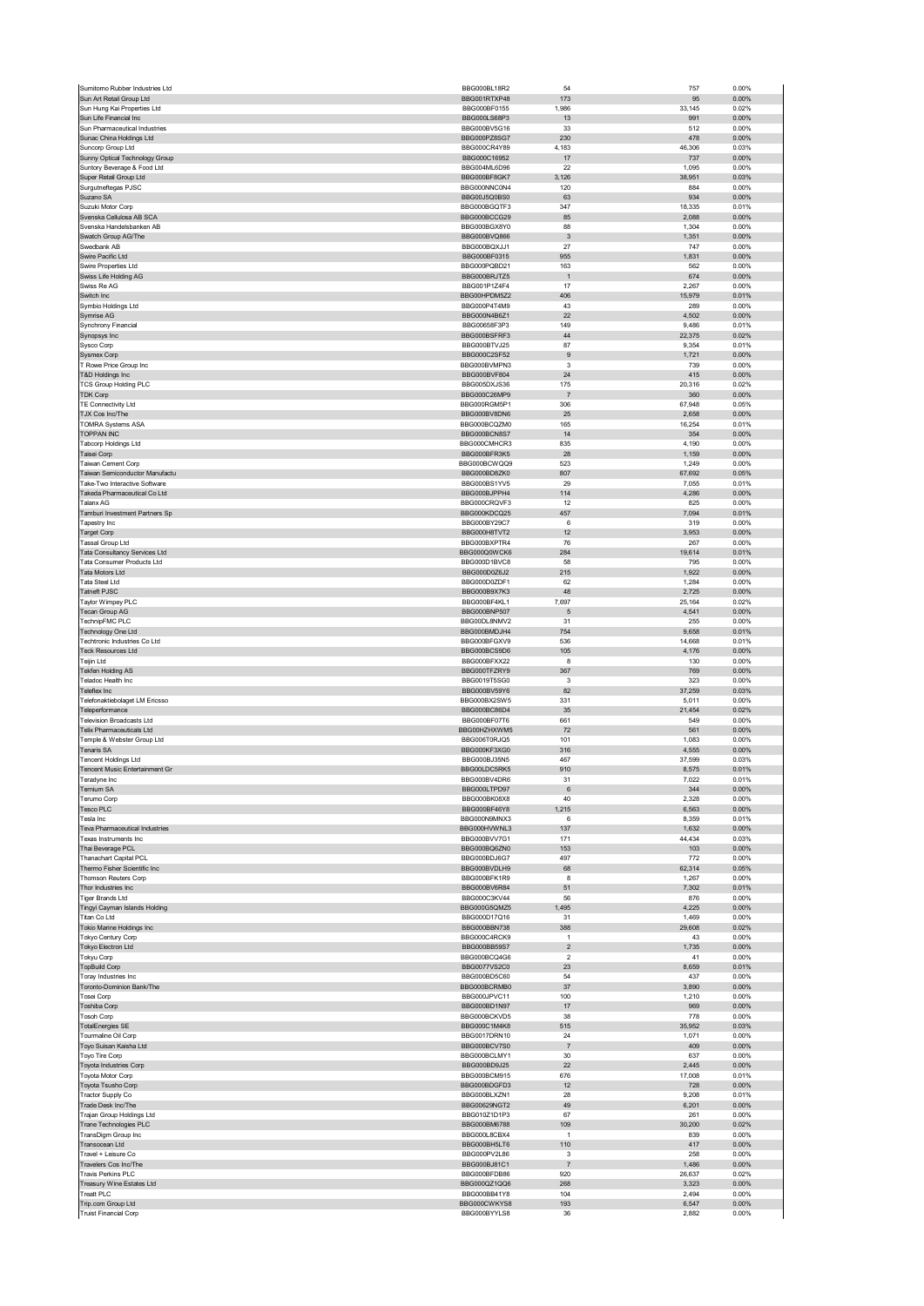| Sumitomo Rubber Industries Ltd                                   | BBG000BL18R2                                 | 54                                        | 757             | 0.00%                   |
|------------------------------------------------------------------|----------------------------------------------|-------------------------------------------|-----------------|-------------------------|
| Sun Art Retail Group Ltd                                         | BBG001RTXP48                                 | 173                                       | 95              | 0.00%                   |
| Sun Hung Kai Properties Ltd                                      | BBG000BF0155<br>BBG000LS68P3                 | 1,986<br>13                               | 33,145<br>991   | 0.02%<br>0.00%          |
| Sun Life Financial Inc<br>Sun Pharmaceutical Industries          | BBG000BV5G16                                 | 33                                        | 512             | 0.00%                   |
| Sunac China Holdings Ltd                                         | BBG000PZ8SG7                                 | 230                                       | 478             | 0.00%                   |
| Suncorp Group Ltd                                                | BBG000CR4Y89                                 | 4,183                                     | 46,306          | 0.03%                   |
| Sunny Optical Technology Group                                   | BBG000C16952                                 | 17                                        | 737             | 0.00%                   |
| Suntory Beverage & Food Ltd                                      | BBG004ML6D96                                 | 22                                        | 1,095           | 0.00%                   |
| Super Retail Group Ltd                                           | BBG000BF8GK7<br>BBG000NNC0N4                 | 3,126                                     | 38,951          | 0.03%                   |
| Surgutneftegas PJSC<br>Suzano SA                                 | BBG00J5Q0BS0                                 | 120<br>63                                 | 884<br>934      | 0.00%<br>0.00%          |
| Suzuki Motor Corp                                                | BBG000BGQTF3                                 | 347                                       | 18,335          | 0.01%                   |
| Svenska Cellulosa AB SCA                                         | BBG000BCCG29                                 | 85                                        | 2,088           | 0.00%                   |
| Svenska Handelsbanken AB                                         | BBG000BGX8Y0                                 | 88                                        | 1,304           | 0.00%                   |
| Swatch Group AG/The                                              | BBG000BVQ866                                 | 3                                         | 1,351           | 0.00%                   |
| Swedbank AB                                                      | BBG000BQXJJ1                                 | 27                                        | 747             | 0.00%                   |
| Swire Pacific Ltd                                                | BBG000BF0315                                 | 955                                       | 1,831           | 0.00%                   |
| Swire Properties Ltd                                             | BBG000PQBD21                                 | 163<br>$\mathbf{1}$                       | 562<br>674      | 0.00%                   |
| Swiss Life Holding AG<br>Swiss Re AG                             | BBG000BRJTZ5<br>BBG001P1Z4F4                 | 17                                        | 2,267           | 0.00%<br>0.00%          |
| Switch Inc                                                       | BBG00HPDM5Z2                                 | 406                                       | 15,979          | 0.01%                   |
| Symbio Holdings Ltd                                              | BBG000P4T4M9                                 | 43                                        | 289             | 0.00%                   |
| Symrise AG                                                       | BBG000N4B6Z1                                 | 22                                        | 4,502           | 0.00%                   |
| Synchrony Financial                                              | BBG00658F3P3                                 | 149                                       | 9,486           | 0.01%                   |
| Synopsys Inc                                                     | BBG000BSFRF3                                 | 44                                        | 22,375          | 0.02%                   |
| Sysco Corp                                                       | BBG000BTVJ25<br>BBG000C2SF52                 | 87<br>$\boldsymbol{9}$                    | 9,354<br>1,721  | 0.01%<br>0.00%          |
| Sysmex Corp<br>T Rowe Price Group Inc                            | BBG000BVMPN3                                 | 3                                         | 739             | 0.00%                   |
| T&D Holdings Inc                                                 | BBG000BVF804                                 | 24                                        | 415             | 0.00%                   |
| <b>TCS Group Holding PLC</b>                                     | BBG005DXJS36                                 | 175                                       | 20,316          | 0.02%                   |
| <b>TDK Corp</b>                                                  | BBG000C26MP9                                 | $\overline{7}$                            | 360             | 0.00%                   |
| TE Connectivity Ltd                                              | BBG000RGM5P1                                 | 306                                       | 67,948          | 0.05%                   |
| TJX Cos Inc/The                                                  | BBG000BV8DN6                                 | 25                                        | 2,658           | 0.00%                   |
| <b>TOMRA Systems ASA</b><br><b>TOPPAN INC</b>                    | BBG000BCQZM0<br>BBG000BCN8S7                 | 165<br>14                                 | 16,254<br>354   | 0.01%<br>0.00%          |
| Tabcorp Holdings Ltd                                             | BBG000CMHCR3                                 | 835                                       | 4,190           | 0.00%                   |
| Taisei Corp                                                      | BBG000BFR3K5                                 | 28                                        | 1,159           | 0.00%                   |
| Taiwan Cement Corp                                               | BBG000BCWQQ9                                 | 523                                       | 1,249           | 0.00%                   |
| Taiwan Semiconductor Manufactu                                   | BBG000BD8ZK0                                 | 807                                       | 67,692          | 0.05%                   |
| Take-Two Interactive Software                                    | BBG000BS1YV5                                 | 29                                        | 7,055           | 0.01%                   |
| Takeda Pharmaceutical Co Ltd                                     | BBG000BJPPH4                                 | 114                                       | 4,286           | 0.00%                   |
| Talanx AG                                                        | BBG000CRQVF3                                 | 12                                        | 825             | 0.00%                   |
| Tamburi Investment Partners Sp                                   | BBG000KDCQ25                                 | 457<br>6                                  | 7,094           | 0.01%                   |
| Tapestry Inc<br><b>Target Corp</b>                               | BBG000BY29C7<br>BBG000H8TVT2                 | 12                                        | 319<br>3,953    | 0.00%<br>0.00%          |
| Tassal Group Ltd                                                 | BBG000BXPTR4                                 | 76                                        | 267             | 0.00%                   |
| Tata Consultancy Services Ltd                                    | BBG000Q0WCK6                                 | 284                                       | 19,614          | 0.01%                   |
| Tata Consumer Products Ltd                                       | BBG000D1BVC8                                 | 58                                        | 795             | 0.00%                   |
| Tata Motors Ltd                                                  | BBG000D0Z6J2                                 | 215                                       | 1,922           | 0.00%                   |
| Tata Steel Ltd                                                   | BBG000D0ZDF1                                 | 62                                        | 1,284           | 0.00%                   |
| <b>Tatneft PJSC</b>                                              | BBG000B9X7K3<br>BBG000BF4KL1                 | 48                                        | 2,725           | 0.00%<br>0.02%          |
| Taylor Wimpey PLC<br>Tecan Group AG                              | <b>BBG000BNP507</b>                          | 7,697<br>5                                | 25,164<br>4,541 | 0.00%                   |
| TechnipFMC PLC                                                   | BBG00DL8NMV2                                 | 31                                        | 255             | 0.00%                   |
| Technology One Ltd                                               | BBG000BMDJH4                                 | 754                                       | 9,658           | 0.01%                   |
| Techtronic Industries Co Ltd                                     | BBG000BFGXV9                                 | 536                                       | 14,668          | 0.01%                   |
|                                                                  |                                              |                                           |                 |                         |
| <b>Teck Resources Ltd</b>                                        | BBG000BCS9D6                                 | 105                                       | 4,176           | 0.00%                   |
| Teijin Ltd                                                       | BBG000BFXX22                                 | 8                                         | 130             | 0.00%                   |
| Tekfen Holding AS                                                | BBG000TFZRY9                                 | 367                                       | 769             | 0.00%                   |
| Teladoc Health Inc                                               | BBG0019T5SG0                                 | 3                                         | 323             | 0.00%                   |
| Teleflex Inc                                                     | BBG000BV59Y6                                 | 82                                        | 37,259          | 0.03%                   |
| Telefonaktiebolaget LM Ericsso                                   | BBG000BX2SW5                                 | 331                                       | 5,011           | 0.00%                   |
| Teleperformance<br><b>Television Broadcasts Ltd</b>              | BBG000BC86D4<br>BBG000BF07T6                 | 35<br>661                                 | 21,454          | 0.02%<br>0.00%          |
| Telix Pharmaceuticals Ltd                                        | BBG00HZHXWM5                                 | 72                                        | 549<br>561      | 0.00%                   |
| Temple & Webster Group Ltd                                       | BBG006T0RJQ5                                 | 101                                       | 1,083           | 0.00%                   |
| Tenaris SA                                                       | BBG000KF3XG0                                 | 316                                       | 4,555           | 0.00%                   |
| <b>Tencent Holdings Ltd</b>                                      | BBG000BJ35N5                                 | 467                                       | 37,599          | 0.03%                   |
| Tencent Music Entertainment Gr                                   | BBG00LDC5RK5                                 | 910                                       | 8,575           | 0.01%                   |
| Teradyne Inc                                                     | BBG000BV4DR6                                 | 31                                        | 7,022           | 0.01%                   |
| Ternium SA<br>Terumo Corp                                        | BBG000LTPD97                                 | 6<br>40                                   | 344<br>2,328    | 0.00%<br>0.00%          |
| <b>Tesco PLC</b>                                                 | BBG000BK08X8<br>BBG000BF46Y8                 | 1,215                                     | 6,563           | 0.00%                   |
| Tesla Inc                                                        | BBG000N9MNX3                                 | 6                                         | 8,359           | 0.01%                   |
| Teva Pharmaceutical Industries                                   | BBG000HVWNL3                                 | 137                                       | 1,632           | 0.00%                   |
| Texas Instruments Inc                                            | BBG000BVV7G1                                 | 171                                       | 44,434          | 0.03%                   |
| Thai Beverage PCL                                                | BBG000BQ6ZN0                                 | 153                                       | 103             | 0.00%                   |
| Thanachart Capital PCL                                           | BBG000BDJ6G7                                 | 497                                       | 772             | 0.00%                   |
| Thermo Fisher Scientific Inc                                     | BBG000BVDLH9<br>BBG000BFK1R9                 | 68<br>8                                   | 62,314          | 0.05%<br>0.00%          |
| Thomson Reuters Corp<br>Thor Industries Inc                      | BBG000BV6R84                                 | 51                                        | 1,267<br>7,302  | 0.01%                   |
| <b>Tiger Brands Ltd</b>                                          | BBG000C3KV44                                 | 56                                        | 876             | 0.00%                   |
| Tingyi Cayman Islands Holding                                    | BBG000G5QMZ5                                 | 1,495                                     | 4,225           | 0.00%                   |
| Titan Co Ltd                                                     | BBG000D17Q16                                 | 31                                        | 1,469           | 0.00%                   |
| Tokio Marine Holdings Inc                                        | BBG000BBN738                                 | 388                                       | 29,608          | 0.02%                   |
| Tokyo Century Corp                                               | BBG000C4RCK9                                 | $\mathbf{1}$                              | 43              | 0.00%                   |
| Tokyo Electron Ltd                                               | BBG000BB59S7<br>BBG000BCQ4G6                 | $\overline{\mathbf{c}}$<br>$\overline{2}$ | 1,735           | 0.00%                   |
| <b>Tokyu Corp</b><br><b>TopBuild Corp</b>                        | <b>BBG0077VS2C0</b>                          | 23                                        | 41<br>8,659     | 0.00%<br>0.01%          |
| Toray Industries Inc                                             | BBG000BD5C60                                 | 54                                        | 437             | 0.00%                   |
| Toronto-Dominion Bank/The                                        | BBG000BCRMB0                                 | 37                                        | 3,890           | 0.00%                   |
| Tosei Corp                                                       | BBG000JPVC11                                 | 100                                       | 1,210           | 0.00%                   |
| Toshiba Corp                                                     | BBG000BD1N97                                 | 17                                        | 969             | 0.00%                   |
| <b>Tosoh Corp</b>                                                | BBG000BCKVD5                                 | 38                                        | 778             | 0.00%                   |
| <b>TotalEnergies SE</b><br>Tourmaline Oil Corp                   | BBG000C1M4K8<br>BBG0017DRN10                 | 515<br>24                                 | 35,952<br>1,071 | 0.03%<br>0.00%          |
| Toyo Suisan Kaisha Ltd                                           | BBG000BCV7S0                                 | $\overline{\mathfrak{z}}$                 | 409             | 0.00%                   |
| Toyo Tire Corp                                                   | BBG000BCLMY1                                 | 30                                        | 637             | 0.00%                   |
| Toyota Industries Corp                                           | BBG000BD9J25                                 | 22                                        | 2,445           | 0.00%                   |
| Toyota Motor Corp                                                | BBG000BCM915                                 | 676                                       | 17,008          | 0.01%                   |
| Toyota Tsusho Corp                                               | BBG000BDGFD3                                 | 12                                        | 728             | 0.00%                   |
| Tractor Supply Co                                                | BBG000BLXZN1                                 | 28                                        | 9,208           | 0.01%                   |
| Trade Desk Inc/The                                               | BBG00629NGT2                                 | 49<br>67                                  | 6,201           | 0.00%                   |
| Trajan Group Holdings Ltd<br>Trane Technologies PLC              | BBG010Z1D1P3<br>BBG000BM6788                 | 109                                       | 261<br>30,200   | 0.00%<br>0.02%          |
| TransDigm Group Inc                                              | BBG000L8CBX4                                 | $\mathbf{1}$                              | 839             | 0.00%                   |
| Transocean Ltd                                                   | BBG000BH5LT6                                 | 110                                       | 417             | 0.00%                   |
| Travel + Leisure Co                                              | BBG000PV2L86                                 | 3                                         | 258             | 0.00%                   |
| Travelers Cos Inc/The                                            | BBG000BJ81C1                                 | $\overline{7}$                            | 1,486           | 0.00%                   |
| Travis Perkins PLC                                               | BBG000BFDB86                                 | 920                                       | 26,637          | 0.02%                   |
| Treasury Wine Estates Ltd                                        | BBG000QZ1QQ6                                 | 268                                       | 3,323           | 0.00%                   |
| Treatt PLC<br>Trip.com Group Ltd<br><b>Truist Financial Corp</b> | BBG000BB41Y8<br>BBG000CWKYS8<br>BBG000BYYLS8 | 104<br>193<br>36                          | 2,494<br>6,547  | 0.00%<br>0.00%<br>0.00% |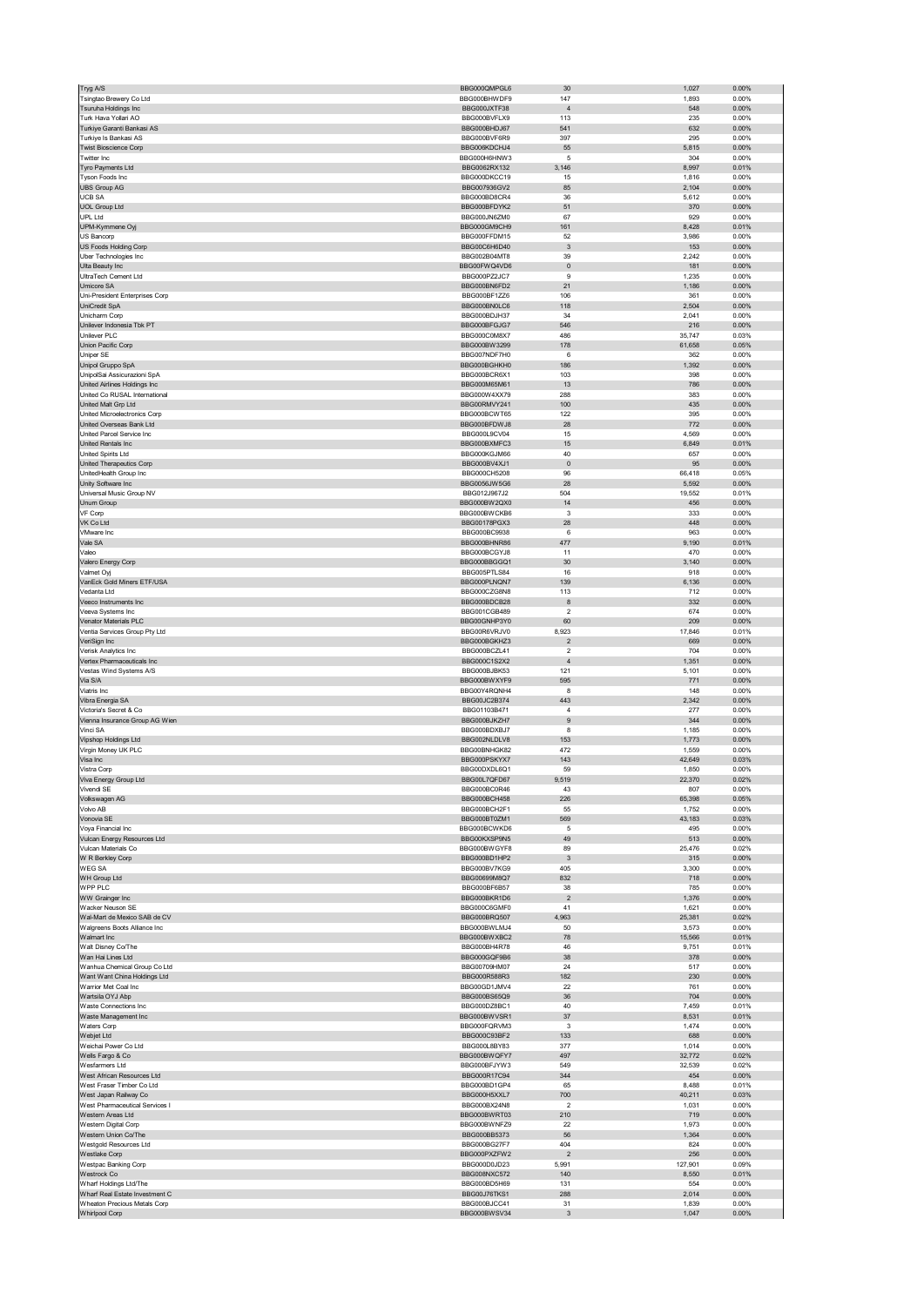| Tryg A/S                                                | BBG000QMPGL6                 | 30                        | 1,027            | 0.00%             |
|---------------------------------------------------------|------------------------------|---------------------------|------------------|-------------------|
| Tsingtao Brewery Co Ltd                                 | BBG000BHWDF9                 | 147                       | 1,893            | 0.00%             |
| Tsuruha Holdings Inc                                    | BBG000JXTF38                 | $\overline{4}$            | 548              | 0.00%             |
| Turk Hava Yollari AO                                    | BBG000BVFLX9                 | 113                       | 235              | 0.00%             |
| Turkiye Garanti Bankasi AS                              | BBG000BHDJ67                 | 541                       | 632              | 0.00%             |
| Turkiye Is Bankasi AS                                   | BBG000BVF6R9                 | 397                       | 295              | 0.00%             |
| <b>Twist Bioscience Corp</b>                            | BBG006KDCHJ4                 | 55                        | 5,815            | 0.00%             |
| Twitter Inc<br>Tyro Payments Ltd                        | BBG000H6HNW3<br>BBG0062RX132 | 5<br>3,146                | 304<br>8,997     | 0.00%<br>0.01%    |
| Tyson Foods Inc                                         | BBG000DKCC19                 | 15                        | 1,816            | 0.00%             |
| UBS Group AG                                            | BBG007936GV2                 | 85                        | 2,104            | 0.00%             |
| <b>UCB SA</b>                                           | BBG000BD8CR4                 | 36                        | 5,612            | 0.00%             |
| <b>UOL Group Ltd</b>                                    | BBG000BFDYK2                 | 51                        | 370              | $0.00\%$          |
| UPL Ltd                                                 | BBG000JN6ZM0                 | 67                        | 929              | 0.00%             |
| UPM-Kymmene Oyj                                         | BBG000GM9CH9                 | 161                       | 8,428            | 0.01%             |
| US Bancorp                                              | BBG000FFDM15                 | 52                        | 3,986            | 0.00%             |
| US Foods Holding Corp                                   | BBG00C6H6D40                 | $\ensuremath{\mathsf{3}}$ | 153              | 0.00%             |
| Uber Technologies Inc                                   | BBG002B04MT8                 | 39                        | 2,242            | 0.00%             |
| Ulta Beauty Inc<br>UltraTech Cement Ltd                 | BBG00FWQ4VD6<br>BBG000PZ2JC7 | $\pmb{0}$<br>9            | 181<br>1,235     | $0.00\%$<br>0.00% |
| Umicore SA                                              | BBG000BN6FD2                 | 21                        | 1,186            | 0.00%             |
| Uni-President Enterprises Corp                          | BBG000BF1ZZ6                 | 106                       | 361              | 0.00%             |
| UniCredit SpA                                           | BBG000BN0LC6                 | 118                       | 2,504            | 0.00%             |
| Unicharm Corp                                           | BBG000BDJH37                 | 34                        | 2,041            | 0.00%             |
| Unilever Indonesia Tbk PT                               | BBG000BFGJG7                 | 546                       | 216              | 0.00%             |
| Unilever PLC                                            | BBG000C0M8X7                 | 486                       | 35,747           | 0.03%             |
| Union Pacific Corp                                      | BBG000BW3299                 | 178                       | 61,658           | 0.05%             |
| Uniper SE                                               | BBG007NDF7H0                 | 6                         | 362              | 0.00%             |
| Unipol Gruppo SpA<br>UnipolSai Assicurazioni SpA        | BBG000BGHKH0<br>BBG000BCR6X1 | 186<br>103                | 1,392<br>398     | 0.00%<br>0.00%    |
| United Airlines Holdings Inc                            | BBG000M65M61                 | 13                        | 786              | 0.00%             |
| United Co RUSAL International                           | BBG000W4XX79                 | 288                       | 383              | 0.00%             |
| United Malt Grp Ltd                                     | BBG00RMVY241                 | 100                       | 435              | 0.00%             |
| United Microelectronics Corp                            | BBG000BCWT65                 | 122                       | 395              | 0.00%             |
| United Overseas Bank Ltd                                | BBG000BFDWJ8                 | 28                        | 772              | 0.00%             |
| <b>United Parcel Service Inc.</b>                       | BBG000L9CV04                 | 15                        | 4,569            | 0.00%             |
| United Rentals Inc                                      | BBG000BXMFC3                 | 15                        | 6,849            | 0.01%             |
| United Spirits Ltd                                      | BBG000KGJM66                 | 40                        | 657              | 0.00%             |
| United Therapeutics Corp<br>UnitedHealth Group Inc      | BBG000BV4XJ1<br>BBG000CH5208 | $\pmb{0}$<br>96           | 95<br>66,418     | 0.00%<br>0.05%    |
| Unity Software Inc                                      | BBG0056JW5G6                 | 28                        | 5,592            | 0.00%             |
| Universal Music Group NV                                | BBG012J967J2                 | 504                       | 19,552           | 0.01%             |
| Unum Group                                              | BBG000BW2QX0                 | 14                        | 456              | 0.00%             |
| VF Corp                                                 | BBG000BWCKB6                 | 3                         | 333              | 0.00%             |
| VK Co Ltd                                               | BBG00178PGX3                 | 28                        | 448              | 0.00%             |
| VMware Inc                                              | BBG000BC9938                 | 6                         | 963              | 0.00%             |
| Vale SA                                                 | BBG000BHNR86                 | 477                       | 9,190            | 0.01%             |
| Valeo                                                   | BBG000BCGYJ8                 | 11                        | 470              | 0.00%             |
| Valero Energy Corp                                      | BBG000BBGGQ1                 | 30                        | 3,140            | 0.00%             |
| Valmet Oyj<br>VanEck Gold Miners ETF/USA                | BBG005PTLS84<br>BBG000PLNQN7 | 16<br>139                 | 918              | 0.00%<br>0.00%    |
| Vedanta Ltd                                             | BBG000CZG8N8                 | 113                       | 6,136<br>712     | 0.00%             |
| Veeco Instruments Inc                                   | BBG000BDCB28                 | 8                         | 332              | $0.00\%$          |
| Veeva Systems Inc                                       | BBG001CGB489                 | 2                         | 674              | 0.00%             |
| Venator Materials PLC                                   | BBG00GNHP3Y0                 | 60                        | 209              | 0.00%             |
| Ventia Services Group Pty Ltd                           | BBG00R6VRJV0                 | 8,923                     | 17,846           | 0.01%             |
| VeriSign Inc                                            | BBG000BGKHZ3                 |                           |                  | 0.00%             |
|                                                         |                              | $\sqrt{2}$                | 669              |                   |
| Verisk Analytics Inc                                    | BBG000BCZL41                 | 2                         | 704              | 0.00%             |
| Vertex Pharmaceuticals Inc                              | BBG000C1S2X2                 | $\overline{4}$            | 1,351            | 0.00%             |
| Vestas Wind Systems A/S                                 | BBG000BJBK53                 | 121                       | 5,101            | 0.00%             |
| Via S/A                                                 | BBG000BWXYF9                 | 595                       | 771              | 0.00%             |
| Viatris Inc                                             | BBG00Y4RQNH4                 | 8                         | 148              | 0.00%             |
| Vibra Energia SA<br>Victoria's Secret & Co              | BBG00JC2B374                 | 443                       | 2,342            | $0.00\%$          |
|                                                         | BBG01103B471<br>BBG000BJKZH7 | $\sqrt{4}$<br>9           | 277              | 0.00%             |
| Vienna Insurance Group AG Wien<br>Vinci SA              | BBG000BDXBJ7                 | 8                         | 344<br>1,185     | 0.00%<br>0.00%    |
| Vipshop Holdings Ltd                                    | BBG002NLDLV8                 | 153                       | 1,773            | 0.00%             |
| Virgin Money UK PLC                                     | BBG00BNHGK82                 | 472                       | 1,559            | 0.00%             |
| Visa Inc                                                | BBG000PSKYX7                 | 143                       | 42,649           | 0.03%             |
| Vistra Corp                                             | BBG00DXDL6Q1                 | 59                        | 1,850            | 0.00%             |
| /iva Energy Group Ltd                                   | <b>BBG00L/QFD6/</b>          | 1.51Y                     | .,37U            | <b>0.02%</b>      |
| Vivendi SE                                              | BBG000BC0R46                 | 43                        | 807              | 0.00%             |
| Volkswagen AG                                           | BBG000BCH458                 | 226                       | 65,398           | 0.05%             |
| Volvo AB<br>Vonovia SE                                  | BBG000BCH2F1<br>BBG000BT0ZM1 | 55<br>569                 | 1,752<br>43,183  | 0.00%<br>0.03%    |
| Voya Financial Inc                                      | BBG000BCWKD6                 | 5                         | 495              | 0.00%             |
| Vulcan Energy Resources Ltd                             | BBG00KXSP9N5                 | 49                        | 513              | 0.00%             |
| Vulcan Materials Co                                     | BBG000BWGYF8                 | 89                        | 25,476           | 0.02%             |
| W R Berkley Corp                                        | BBG000BD1HP2                 | $\ensuremath{\mathsf{3}}$ | 315              | $0.00\%$          |
| WEG SA                                                  | BBG000BV7KG9                 | 405                       | 3,300            | 0.00%             |
| WH Group Ltd                                            | BBG00699M8Q7                 | 832                       | 718              | 0.00%             |
| WPP PLC<br>WW Grainger Inc                              | BBG000BF6B57<br>BBG000BKR1D6 | 38<br>$\mathbf 2$         | 785<br>1,376     | 0.00%<br>$0.00\%$ |
| Wacker Neuson SE                                        | BBG000C6GMF0                 | 41                        | 1,621            | 0.00%             |
| Wal-Mart de Mexico SAB de CV                            | BBG000BRQ507                 | 4,963                     | 25,381           | 0.02%             |
| Walgreens Boots Alliance Inc                            | BBG000BWLMJ4                 | 50                        | 3,573            | 0.00%             |
| Walmart Inc                                             | BBG000BWXBC2                 | 78                        | 15,566           | 0.01%             |
| Walt Disney Co/The                                      | BBG000BH4R78                 | 46                        | 9,751            | 0.01%             |
| Wan Hai Lines Ltd                                       | BBG000GQF9B6                 | 38                        | 378              | 0.00%             |
| Wanhua Chemical Group Co Ltd                            | BBG00709HM07                 | 24                        | 517              | 0.00%             |
| Want Want China Holdings Ltd<br>Warrior Met Coal Inc    | BBG000R588R3<br>BBG00GD1JMV4 | 182<br>22                 | 230<br>761       | 0.00%<br>0.00%    |
| Wartsila OYJ Abp                                        | BBG000BS65Q9                 | 36                        | 704              | $0.00\%$          |
| Waste Connections Inc                                   | BBG000DZ8BC1                 | 40                        | 7,459            | 0.01%             |
| Waste Management Inc                                    | BBG000BWVSR1                 | 37                        | 8,531            | 0.01%             |
| Waters Corp                                             | BBG000FQRVM3                 | 3                         | 1,474            | 0.00%             |
| Webjet Ltd                                              | BBG000C93BF2                 | 133                       | 688              | 0.00%             |
| Weichai Power Co Ltd                                    | BBG000L8BY83                 | 377                       | 1,014            | 0.00%             |
| Wells Fargo & Co                                        | BBG000BWQFY7                 | 497                       | 32,772           | 0.02%             |
| Wesfarmers Ltd                                          | BBG000BFJYW3                 | 549                       | 32,539           | 0.02%             |
| West African Resources Ltd<br>West Fraser Timber Co Ltd | BBG000R17C94                 | 344<br>65                 | 454              | $0.00\%$          |
| West Japan Railway Co                                   | BBG000BD1GP4<br>BBG000H5XXL7 | 700                       | 8,488<br>40,211  | 0.01%<br>0.03%    |
| West Pharmaceutical Services I                          | BBG000BX24N8                 | 2                         | 1,031            | 0.00%             |
| Western Areas Ltd                                       | BBG000BWRT03                 | 210                       | 719              | 0.00%             |
| Western Digital Corp                                    | BBG000BWNFZ9                 | 22                        | 1,973            | 0.00%             |
| Western Union Co/The                                    | BBG000BB5373                 | 56                        | 1,364            | 0.00%             |
| Westgold Resources Ltd                                  | BBG000BG27F7                 | 404                       | 824              | 0.00%             |
| <b>Westlake Corp</b>                                    | BBG000PXZFW2                 | $\sqrt{2}$                | 256              | $0.00\%$          |
| Westpac Banking Corp<br>Westrock Co                     | BBG000D0JD23<br>BBG008NXC572 | 5,991<br>140              | 127,901<br>8,550 | 0.09%<br>0.01%    |
| Wharf Holdings Ltd/The                                  | BBG000BD5H69                 | 131                       | 554              | 0.00%             |
| Wharf Real Estate Investment C                          | BBG00J76TKS1                 | 288                       | 2,014            | 0.00%             |
| Wheaton Precious Metals Corp<br><b>Whirlpool Corp</b>   | BBG000BJCC41<br>BBG000BWSV34 | 31<br>3                   | 1,839<br>1,047   | 0.00%<br>$0.00\%$ |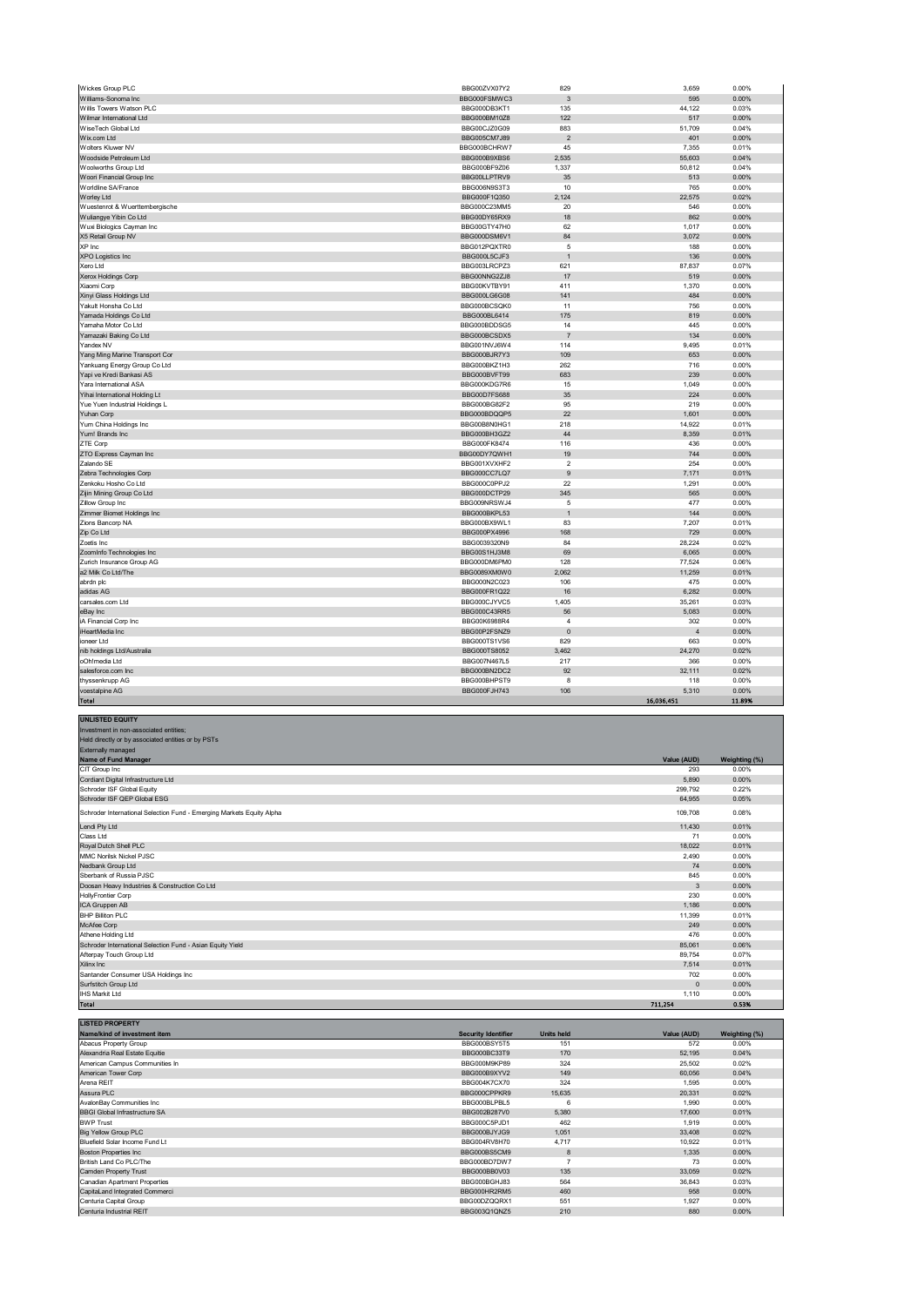| Wickes Group PLC               | BBG00ZVX07Y2                 | 829                     | 3,659      | 0.00%          |
|--------------------------------|------------------------------|-------------------------|------------|----------------|
| Williams-Sonoma Inc            | BBG000FSMWC3                 | 3                       | 595        | 0.00%          |
| Willis Towers Watson PLC       | BBG000DB3KT1                 | 135                     | 44,122     | 0.03%          |
| Wilmar International Ltd       | BBG000BM10Z8                 | 122                     | 517        | 0.00%          |
| WiseTech Global Ltd            | BBG00CJZ0G09                 | 883                     | 51,709     | 0.04%          |
| Wix.com Ltd                    | BBG005CM7J89                 | $\overline{2}$          | 401        | 0.00%          |
| Wolters Kluwer NV              | BBG000BCHRW7                 | 45                      | 7,355      | 0.01%          |
| Woodside Petroleum Ltd         | BBG000B9XBS6                 | 2,535                   | 55,603     | 0.04%          |
| Woolworths Group Ltd           | BBG000BF9Z06                 | 1,337                   | 50,812     | 0.04%          |
| Woori Financial Group Inc      | BBG00LLPTRV9                 | 35                      | 513        | 0.00%          |
| Worldline SA/France            | BBG006N9S3T3                 | 10                      | 765        | 0.00%          |
| Worley Ltd                     | BBG000F1Q350                 | 2,124                   | 22,575     | 0.02%          |
| Wuestenrot & Wuerttembergische | BBG000C23MM5                 | 20                      | 546        | 0.00%          |
| Wuliangye Yibin Co Ltd         | BBG00DY65RX9                 | 18                      | 862        | 0.00%          |
| Wuxi Biologics Cayman Inc      | BBG00GTY47H0                 | 62                      | 1,017      | 0.00%          |
| X5 Retail Group NV             | BBG000DSM6V1                 | 84                      | 3,072      | 0.00%          |
| XP Inc                         | BBG012PQXTR0                 | 5                       | 188        | 0.00%          |
| <b>XPO Logistics Inc</b>       | BBG000L5CJF3                 | $\overline{1}$          | 136        | 0.00%          |
| Xero Ltd                       | BBG003LRCPZ3                 | 621                     | 87,837     | 0.07%          |
| Xerox Holdings Corp            | BBG00NNG2ZJ8                 | 17                      | 519        | 0.00%          |
| Xiaomi Corp                    | BBG00KVTBY91                 | 411                     | 1,370      | 0.00%          |
| Xinyi Glass Holdings Ltd       | BBG000LG6G08                 | 141                     | 484        | 0.00%          |
| Yakult Honsha Co Ltd           | BBG000BCSQK0                 | 11                      | 756        | 0.00%          |
| Yamada Holdings Co Ltd         | BBG000BL6414                 | 175                     | 819        | 0.00%          |
| Yamaha Motor Co Ltd            | BBG000BDDSG5                 | 14                      | 445        | 0.00%          |
| Yamazaki Baking Co Ltd         | BBG000BCSDX5                 | $\overline{7}$          | 134        | 0.00%          |
| Yandex NV                      | BBG001NVJ6W4                 | 114                     | 9,495      | 0.01%          |
| Yang Ming Marine Transport Cor | BBG000BJR7Y3                 | 109                     | 653        | 0.00%          |
| Yankuang Energy Group Co Ltd   | BBG000BKZ1H3                 | 262                     | 716        | 0.00%          |
| Yapi ve Kredi Bankasi AS       | BBG000BVFT99                 | 683                     | 239        | 0.00%          |
| Yara International ASA         | BBG000KDG7R6                 | 15                      | 1,049      | 0.00%          |
| Yihai International Holding Lt | BBG00D7FS688                 | 35                      | 224        | 0.00%          |
| Yue Yuen Industrial Holdings L | BBG000BG82F2                 | 95                      | 219        | 0.00%          |
| Yuhan Corp                     | BBG000BDQQP5                 | 22                      | 1,601      | 0.00%          |
| Yum China Holdings Inc         | BBG00B8N0HG1                 | 218                     | 14,922     | 0.01%          |
| Yum! Brands Inc                | BBG000BH3GZ2                 | 44                      | 8,359      | 0.01%          |
| ZTE Corp                       | BBG000FK8474                 | 116                     | 436        | 0.00%          |
| ZTO Express Cayman Inc         | BBG00DY7QWH1                 | 19                      | 744        | 0.00%          |
| Zalando SE                     | BBG001XVXHF2                 | $\overline{\mathbf{2}}$ | 254        | 0.00%          |
| Zebra Technologies Corp        | BBG000CC7LQ7                 | $9\,$                   | 7,171      | 0.01%          |
| Zenkoku Hosho Co Ltd           | BBG000C0PPJ2                 | 22                      | 1,291      | 0.00%          |
| Zijin Mining Group Co Ltd      | BBG000DCTP29                 | 345                     | 565        | 0.00%          |
| Zillow Group Inc               | BBG009NRSWJ4                 | 5                       | 477        | 0.00%          |
| Zimmer Biomet Holdings Inc     | BBG000BKPL53                 | $\overline{1}$          | 144        | 0.00%          |
| Zions Bancorp NA               | BBG000BX9WL1                 | 83                      | 7,207      | 0.01%          |
| Zip Co Ltd                     | BBG000PX4996                 | 168                     | 729        | 0.00%          |
| Zoetis Inc                     | BBG0039320N9                 | 84                      | 28,224     | 0.02%          |
| ZoomInfo Technologies Inc      | BBG00S1HJ3M8                 | 69                      | 6,065      | 0.00%          |
| Zurich Insurance Group AG      | BBG000DM6PM0                 | 128                     | 77,524     | 0.06%          |
| a2 Milk Co Ltd/The             | BBG0089XM0W0                 | 2.062                   | 11,259     | 0.01%          |
| abrdn plc                      | BBG000N2C023                 | 106                     | 475        | 0.00%          |
| adidas AG                      | BBG000FR1Q22                 | 16                      | 6,282      | 0.00%          |
| carsales.com Ltd               | BBG000CJYVC5                 | 1,405                   | 35,261     | 0.03%          |
| eBay Inc                       | BBG000C43RR5                 | 56                      | 5,083      | 0.00%          |
| iA Financial Corp Inc          | BBG00K6988R4                 | 4                       | 302        | 0.00%          |
| iHeartMedia Inc                | BBG00P2FSNZ9                 | $\pmb{0}$               | 4          | 0.00%          |
| ioneer Ltd                     |                              | 829                     | 663        | 0.00%          |
| nib holdings Ltd/Australia     | BBG000TS1VS6<br>BBG000TS8052 | 3,462                   | 24,270     | 0.02%          |
| oOh!media Ltd                  | BBG007N467L5                 | 217                     | 366        | 0.00%          |
|                                |                              |                         | 32,111     |                |
| salesforce.com Inc             | BBG000BN2DC2                 | 92<br>8                 |            | 0.02%          |
| thyssenkrupp AG                | BBG000BHPST9                 | 106                     | 118        | 0.00%<br>0.00% |
| voestalpine AG                 | BBG000FJH743                 |                         | 5,310      |                |
| Total                          |                              |                         | 16,036,451 | 11.89%         |

| <b>UNLISTED EQUITY</b>                                                |                                                 |              |                        |
|-----------------------------------------------------------------------|-------------------------------------------------|--------------|------------------------|
| Investment in non-associated entities;                                |                                                 |              |                        |
| Held directly or by associated entities or by PSTs                    |                                                 |              |                        |
| <b>Externally managed</b>                                             |                                                 |              |                        |
| Name of Fund Manager                                                  |                                                 | Value (AUD)  | Weighting (%)          |
| CIT Group Inc                                                         |                                                 | 293          | 0.00%                  |
| Cordiant Digital Infrastructure Ltd                                   |                                                 | 5,890        | 0.00%                  |
| Schroder ISF Global Equity                                            |                                                 | 299,792      | 0.22%                  |
| Schroder ISF QEP Global ESG                                           |                                                 | 64,955       | 0.05%                  |
| Schroder International Selection Fund - Emerging Markets Equity Alpha |                                                 | 109,708      | 0.08%                  |
| Lendi Pty Ltd                                                         |                                                 | 11,430       | 0.01%                  |
| Class Ltd                                                             |                                                 | 71           | 0.00%                  |
| Royal Dutch Shell PLC                                                 |                                                 | 18,022       | 0.01%                  |
| MMC Norilsk Nickel PJSC                                               |                                                 | 2,490        | 0.00%                  |
| Nedbank Group Ltd                                                     |                                                 | 74           | 0.00%                  |
| Sberbank of Russia PJSC                                               |                                                 | 845          | 0.00%                  |
| Doosan Heavy Industries & Construction Co Ltd                         |                                                 | 3            | 0.00%                  |
| <b>HollyFrontier Corp</b>                                             |                                                 | 230          | 0.00%                  |
| ICA Gruppen AB                                                        |                                                 | 1,186        | 0.00%                  |
| <b>BHP Billiton PLC</b>                                               |                                                 | 11,399       | 0.01%                  |
| McAfee Corp                                                           |                                                 | 249          | 0.00%                  |
| Athene Holding Ltd                                                    |                                                 | 476          | 0.00%                  |
| Schroder International Selection Fund - Asian Equity Yield            |                                                 | 85,061       | 0.06%                  |
| Afterpay Touch Group Ltd                                              |                                                 | 89,754       | 0.07%                  |
| Xilinx Inc                                                            |                                                 | 7,514        | 0.01%                  |
| Santander Consumer USA Holdings Inc                                   |                                                 | 702          | 0.00%                  |
| Surfstitch Group Ltd                                                  |                                                 | $\mathbf{0}$ | 0.00%                  |
| <b>IHS Markit Ltd</b>                                                 |                                                 | 1,110        | 0.00%                  |
| <b>Total</b>                                                          |                                                 | 711,254      | 0.53%                  |
| <b>LISTED PROPERTY</b>                                                |                                                 |              |                        |
| Name/kind of investment item                                          | <b>Security Identifier</b><br><b>Units held</b> | Value (AUD)  |                        |
| $\sim$ $\sim$                                                         | <b>DROGOODOVETE</b><br>$\overline{\phantom{a}}$ | $-10$        | Weighting (%)<br>0.000 |

| <b>Name/Kind of Investment item</b>  | Security identifier | Units neid     | Value (AUD) | weighting (%) |
|--------------------------------------|---------------------|----------------|-------------|---------------|
| Abacus Property Group                | BBG000BSY5T5        | 151            | 572         | 0.00%         |
| Alexandria Real Estate Equitie       | BBG000BC33T9        | 170            | 52,195      | 0.04%         |
| American Campus Communities In       | BBG000M9KP89        | 324            | 25,502      | 0.02%         |
| American Tower Corp                  | BBG000B9XYV2        | 149            | 60,056      | 0.04%         |
| Arena REIT                           | BBG004K7CX70        | 324            | 1.595       | 0.00%         |
| Assura PLC                           | BBG000CPPKR9        | 15,635         | 20.331      | 0.02%         |
| AvalonBay Communities Inc            | BBG000BLPBL5        | 6              | 1.990       | 0.00%         |
| <b>BBGI Global Infrastructure SA</b> | BBG002B287V0        | 5,380          | 17,600      | 0.01%         |
| <b>BWP Trust</b>                     | BBG000C5PJD1        | 462            | 1,919       | 0.00%         |
| <b>Big Yellow Group PLC</b>          | BBG000BJYJG9        | 1,051          | 33,408      | 0.02%         |
| Bluefield Solar Income Fund Lt       | BBG004RV8H70        | 4,717          | 10,922      | 0.01%         |
| <b>Boston Properties Inc</b>         | BBG000BS5CM9        | 8              | 1,335       | 0.00%         |
| British Land Co PLC/The              | BBG000BD7DW7        | $\overline{7}$ | 73          | 0.00%         |
| Camden Property Trust                | BBG000BB0V03        | 135            | 33,059      | 0.02%         |
| Canadian Apartment Properties        | BBG000BGHJ83        | 564            | 36,843      | 0.03%         |
| CapitaLand Integrated Commerci       | BBG000HR2RM5        | 460            | 958         | 0.00%         |
| Centuria Capital Group               | BBG00DZQQRX1        | 551            | 1.927       | 0.00%         |
| Centuria Industrial REIT             | BBG003Q1QNZ5        | 210            | 880         | 0.00%         |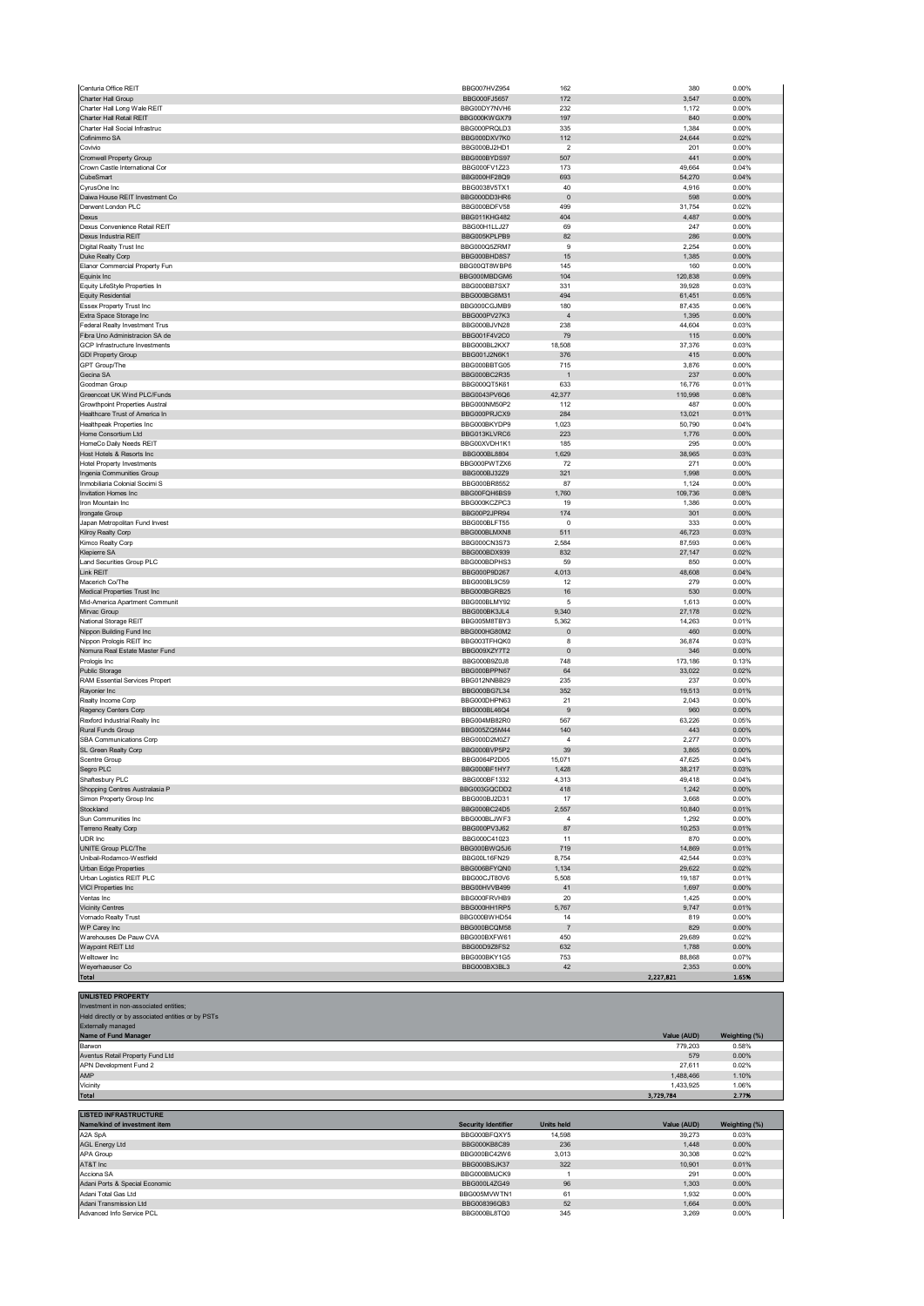| Centuria Office REIT                                                                                                                                                                    | BBG007HVZ954                 | 162                   | 380                    | 0.00%                  |
|-----------------------------------------------------------------------------------------------------------------------------------------------------------------------------------------|------------------------------|-----------------------|------------------------|------------------------|
| Charter Hall Group                                                                                                                                                                      | BBG000FJ5657                 | 172                   | 3,547                  | 0.00%                  |
| Charter Hall Long Wale REIT                                                                                                                                                             | BBG00DY7NVH6                 | 232                   | 1,172                  | 0.00%                  |
| Charter Hall Retail REIT<br>Charter Hall Social Infrastruc                                                                                                                              | BBG000KWGX79<br>BBG000PRQLD3 | 197<br>335            | 840<br>1,384           | 0.00%<br>0.00%         |
| Cofinimmo SA                                                                                                                                                                            | BBG000DXV7K0                 | 112                   | 24,644                 | 0.02%                  |
| Covivio                                                                                                                                                                                 | BBG000BJ2HD1                 | $\overline{2}$        | 201                    | 0.00%                  |
| Cromwell Property Group                                                                                                                                                                 | BBG000BYDS97                 | 507                   | 441                    | 0.00%                  |
| Crown Castle International Cor                                                                                                                                                          | BBG000FV1Z23                 | 173                   | 49,664                 | 0.04%                  |
| CubeSmart                                                                                                                                                                               | BBG000HF28Q9                 | 693                   | 54,270                 | 0.04%                  |
| CyrusOne Inc                                                                                                                                                                            | BBG0038V5TX1                 | 40                    | 4,916                  | 0.00%                  |
| Daiwa House REIT Investment Co<br>Derwent London PLC                                                                                                                                    | BBG000DD3HR6<br>BBG000BDFV58 | $\pmb{0}$<br>499      | 598<br>31,754          | 0.00%<br>0.02%         |
| Dexus                                                                                                                                                                                   | <b>BBG011KHG482</b>          | 404                   | 4,487                  | 0.00%                  |
| Dexus Convenience Retail REIT                                                                                                                                                           | BBG00H1LLJ27                 | 69                    | 247                    | 0.00%                  |
| Dexus Industria REIT                                                                                                                                                                    | BBG005KPLPB9                 | 82                    | 286                    | 0.00%                  |
| Digital Realty Trust Inc                                                                                                                                                                | BBG000Q5ZRM7                 | $\boldsymbol{9}$      | 2,254                  | 0.00%                  |
| Duke Realty Corp                                                                                                                                                                        | BBG000BHD8S7                 | 15                    | 1,385                  | 0.00%                  |
| Elanor Commercial Property Fun                                                                                                                                                          | BBG00QT8WBP6                 | 145                   | 160                    | 0.00%                  |
| Equinix Inc                                                                                                                                                                             | BBG000MBDGM6                 | 104                   | 120,838                | 0.09%                  |
| Equity LifeStyle Properties In                                                                                                                                                          | BBG000BB7SX7<br>BBG000BG8M31 | 331<br>494            | 39,928<br>61,451       | 0.03%<br>0.05%         |
| <b>Equity Residential</b><br><b>Essex Property Trust Inc</b>                                                                                                                            | BBG000CGJMB9                 | 180                   | 87,435                 | 0.06%                  |
| Extra Space Storage Inc                                                                                                                                                                 | BBG000PV27K3                 | $\overline{4}$        | 1,395                  | 0.00%                  |
| Federal Realty Investment Trus                                                                                                                                                          | BBG000BJVN28                 | 238                   | 44,604                 | 0.03%                  |
| Fibra Uno Administracion SA de                                                                                                                                                          | BBG001F4V2C0                 | 79                    | 115                    | 0.00%                  |
| GCP Infrastructure Investments                                                                                                                                                          | BBG000BL2KX7                 | 18,508                | 37,376                 | 0.03%                  |
| <b>GDI Property Group</b>                                                                                                                                                               | BBG001J2N6K1                 | 376                   | 415                    | 0.00%                  |
| GPT Group/The                                                                                                                                                                           | BBG000BBTG05                 | 715                   | 3,876                  | 0.00%                  |
| Gecina SA<br>Goodman Group                                                                                                                                                              | BBG000BC2R35<br>BBG000QT5K61 | 633                   | 237<br>16,776          | 0.00%<br>0.01%         |
| Greencoat UK Wind PLC/Funds                                                                                                                                                             | BBG0043PV6Q6                 | 42,377                | 110,998                | 0.08%                  |
| <b>Growthpoint Properties Austral</b>                                                                                                                                                   | BBG000NM50P2                 | 112                   | 487                    | 0.00%                  |
| Healthcare Trust of America In                                                                                                                                                          | BBG000PRJCX9                 | 284                   | 13,021                 | 0.01%                  |
| <b>Healthpeak Properties Inc</b>                                                                                                                                                        | BBG000BKYDP9                 | 1,023                 | 50,790                 | 0.04%                  |
| Home Consortium Ltd                                                                                                                                                                     | BBG013KLVRC6                 | 223                   | 1,776                  | 0.00%                  |
| HomeCo Daily Needs REIT                                                                                                                                                                 | BBG00XVDH1K1                 | 185                   | 295                    | 0.00%                  |
| Host Hotels & Resorts Inc                                                                                                                                                               | BBG000BL8804                 | 1,629                 | 38,965                 | 0.03%                  |
| <b>Hotel Property Investments</b>                                                                                                                                                       | BBG000PWTZX6                 | 72                    | 271                    | 0.00%                  |
| Ingenia Communities Group<br>Inmobiliaria Colonial Socimi S                                                                                                                             | BBG000BJ32Z9<br>BBG000BR8552 | 321<br>87             | 1,998<br>1,124         | 0.00%<br>0.00%         |
| <b>Invitation Homes Inc</b>                                                                                                                                                             | BBG00FQH6BS9                 | 1,760                 | 109,736                | 0.08%                  |
| Iron Mountain Inc                                                                                                                                                                       | BBG000KCZPC3                 | 19                    | 1,386                  | 0.00%                  |
| Irongate Group                                                                                                                                                                          | BBG00P2JPR94                 | 174                   | 301                    | 0.00%                  |
| Japan Metropolitan Fund Invest                                                                                                                                                          | BBG000BLFT55                 | 0                     | 333                    | 0.00%                  |
| Kilroy Realty Corp                                                                                                                                                                      | BBG000BLMXN8                 | 511                   | 46,723                 | 0.03%                  |
| Kimco Realty Corp                                                                                                                                                                       | BBG000CN3S73                 | 2,584                 | 87,593                 | 0.06%                  |
| Klepierre SA                                                                                                                                                                            | BBG000BDX939                 | 832                   | 27,147                 | 0.02%                  |
| Land Securities Group PLC<br>Link REIT                                                                                                                                                  | BBG000BDPHS3<br>BBG000P9D267 | 59<br>4,013           | 850<br>48,608          | 0.00%<br>0.04%         |
| Macerich Co/The                                                                                                                                                                         | BBG000BL9C59                 | 12                    | 279                    | 0.00%                  |
| Medical Properties Trust Inc                                                                                                                                                            | BBG000BGRB25                 | 16                    | 530                    | 0.00%                  |
| Mid-America Apartment Communit                                                                                                                                                          | BBG000BLMY92                 | 5                     | 1,613                  | 0.00%                  |
| Mirvac Group                                                                                                                                                                            | BBG000BK3JL4                 | 9,340                 | 27,178                 | 0.02%                  |
| National Storage REIT                                                                                                                                                                   | BBG005M8TBY3                 | 5,362                 | 14,263                 | 0.01%                  |
| Nippon Building Fund Inc                                                                                                                                                                | BBG000HG80M2                 | $\pmb{0}$             | 460                    | 0.00%                  |
| Nippon Prologis REIT Inc                                                                                                                                                                | BBG003TFHQK0                 | 8                     | 36,874                 | 0.03%                  |
| Nomura Real Estate Master Fund<br>Prologis Inc                                                                                                                                          | BBG009XZY7T2<br>BBG000B9Z0J8 | $\pmb{0}$<br>748      | 346<br>173,186         | 0.00%<br>0.13%         |
| Public Storage                                                                                                                                                                          | BBG000BPPN67                 | 64                    | 33,022                 | 0.02%                  |
| RAM Essential Services Propert                                                                                                                                                          | BBG012NNBB29                 | 235                   | 237                    | 0.00%                  |
| Rayonier Inc                                                                                                                                                                            | BBG000BG7L34                 | 352                   | 19,513                 | 0.01%                  |
| Realty Income Corp                                                                                                                                                                      | BBG000DHPN63                 | 21                    | 2,043                  | 0.00%                  |
| Regency Centers Corp                                                                                                                                                                    | BBG000BL46Q4                 | $9\,$                 | 960                    | 0.00%                  |
| Rexford Industrial Realty Inc                                                                                                                                                           | BBG004MB82R0                 | 567                   | 63,226                 | 0.05%                  |
| Rural Funds Group                                                                                                                                                                       | BBG005ZQ5M44                 | 140                   | 443                    | 0.00%                  |
| SBA Communications Corp                                                                                                                                                                 | BBG000D2M0Z7<br>BBG000BVP5P2 | $\overline{4}$<br>39  | 2,277<br>3,865         | 0.00%<br>0.00%         |
| SL Green Realty Corp<br>Scentre Group                                                                                                                                                   | BBG0064P2D05                 | 15,071                | 47,625                 | 0.04%                  |
| Segro PLC                                                                                                                                                                               | BBG000BF1HY7                 | 1,428                 | 38,217                 | 0.03%                  |
| Shaftesbury PLC                                                                                                                                                                         | BBG000BF1332                 | 4.313                 | 49.418                 | 0.04%                  |
| Shopping Centres Australasia P                                                                                                                                                          | BBG003GQCDD2                 | 418                   | 1,242                  | 0.00%                  |
| Simon Property Group Inc                                                                                                                                                                | BBG000BJ2D31                 | 17                    | 3,668                  | 0.00%                  |
| Stockland                                                                                                                                                                               | BBG000BC24D5                 | 2,557                 | 10,840                 | 0.01%                  |
| Sun Communities Inc                                                                                                                                                                     | BBG000BLJWF3                 | $\overline{4}$        | 1,292                  | 0.00%                  |
| Terreno Realty Corp                                                                                                                                                                     | BBG000PV3J62                 | 87                    | 10,253                 | 0.01%                  |
| UDR Inc                                                                                                                                                                                 | BBG000C41023<br>BBG000BWQ5J6 | 11<br>719             | 870                    | 0.00%<br>0.01%         |
| UNITE Group PLC/The<br>Unibail-Rodamco-Westfield                                                                                                                                        | BBG00L16FN29                 | 8,754                 | 14,869<br>42,544       | 0.03%                  |
| Urban Edge Properties                                                                                                                                                                   | BBG006BFYQN0                 | 1,134                 | 29,622                 | 0.02%                  |
| Urban Logistics REIT PLC                                                                                                                                                                | BBG00CJT80V6                 | 5,508                 | 19,187                 | 0.01%                  |
| VICI Properties Inc                                                                                                                                                                     | BBG00HVVB499                 | 41                    | 1,697                  | 0.00%                  |
| Ventas Inc                                                                                                                                                                              | BBG000FRVHB9                 | 20                    | 1,425                  | 0.00%                  |
| <b>Vicinity Centres</b>                                                                                                                                                                 | BBG000HH1RP5                 | 5,767                 | 9,747                  | 0.01%                  |
| Vornado Realty Trust                                                                                                                                                                    | BBG000BWHD54<br>BBG000BCQM58 | 14                    | 819                    | 0.00%                  |
| WP Carey Inc<br>Warehouses De Pauw CVA                                                                                                                                                  | BBG000BXFW61                 | $\overline{7}$<br>450 | 829<br>29,689          | 0.00%<br>0.02%         |
| Waypoint REIT Ltd                                                                                                                                                                       | BBG00D9Z8FS2                 | 632                   | 1,788                  | 0.00%                  |
| Welltower Inc                                                                                                                                                                           | BBG000BKY1G5                 | 753                   | 88,868                 | 0.07%                  |
| Weyerhaeuser Co                                                                                                                                                                         | BBG000BX3BL3                 | $42\,$                | 2,353                  | 0.00%                  |
| <b>Total</b>                                                                                                                                                                            |                              |                       | 2,227,821              | 1.65%                  |
| <b>UNLISTED PROPERTY</b><br>Investment in non-associated entities;<br>Held directly or by associated entities or by PSTs<br><b>Externally managed</b><br>Name of Fund Manager<br>Barwon |                              |                       | Value (AUD)<br>779,203 | Weighting (%)<br>0.58% |
| Aventus Retail Property Fund Ltd<br>APN Development Fund 2                                                                                                                              |                              |                       | 579<br>27,611          | 0.00%<br>0.02%         |
| AMP                                                                                                                                                                                     |                              |                       | 1,488,466              | 1.10%                  |
| Vicinity                                                                                                                                                                                |                              |                       |                        |                        |
| Total                                                                                                                                                                                   |                              |                       |                        |                        |
|                                                                                                                                                                                         |                              |                       | 1,433,925              | 1.06%<br>2.77%         |
| <b>LISTED INFRASTRUCTURE</b>                                                                                                                                                            |                              |                       | 3,729,784              |                        |
| Name/kind of investment item                                                                                                                                                            | <b>Security Identifier</b>   | <b>Units held</b>     | Value (AUD)            | Weighting (%)          |
| A2A SpA                                                                                                                                                                                 | BBG000BFQXY5                 | 14,598                | 39,273                 | 0.03%                  |
| <b>AGL Energy Ltd</b>                                                                                                                                                                   | BBG000KB8C89<br>BBG000BC42W6 | 236<br>3,013          | 1,448                  | 0.00%<br>0.02%         |
| APA Group<br>AT&T Inc                                                                                                                                                                   | BBG000BSJK37                 | 322                   | 30,308<br>10,901       | 0.01%                  |
| Acciona SA                                                                                                                                                                              | BBG000BMJCK9                 | $\mathbf{1}$          | 291                    | 0.00%                  |
| Adani Ports & Special Economic                                                                                                                                                          | BBG000L4ZG49                 | 96                    | 1,303                  | 0.00%                  |
| Adani Total Gas Ltd                                                                                                                                                                     | BBG005MVWTN1                 | 61                    | 1,932                  | 0.00%                  |
| Adani Transmission Ltd<br>Advanced Info Service PCL                                                                                                                                     | BBG008396QB3<br>BBG000BL8TQ0 | 52<br>345             | 1,664<br>3,269         | 0.00%<br>0.00%         |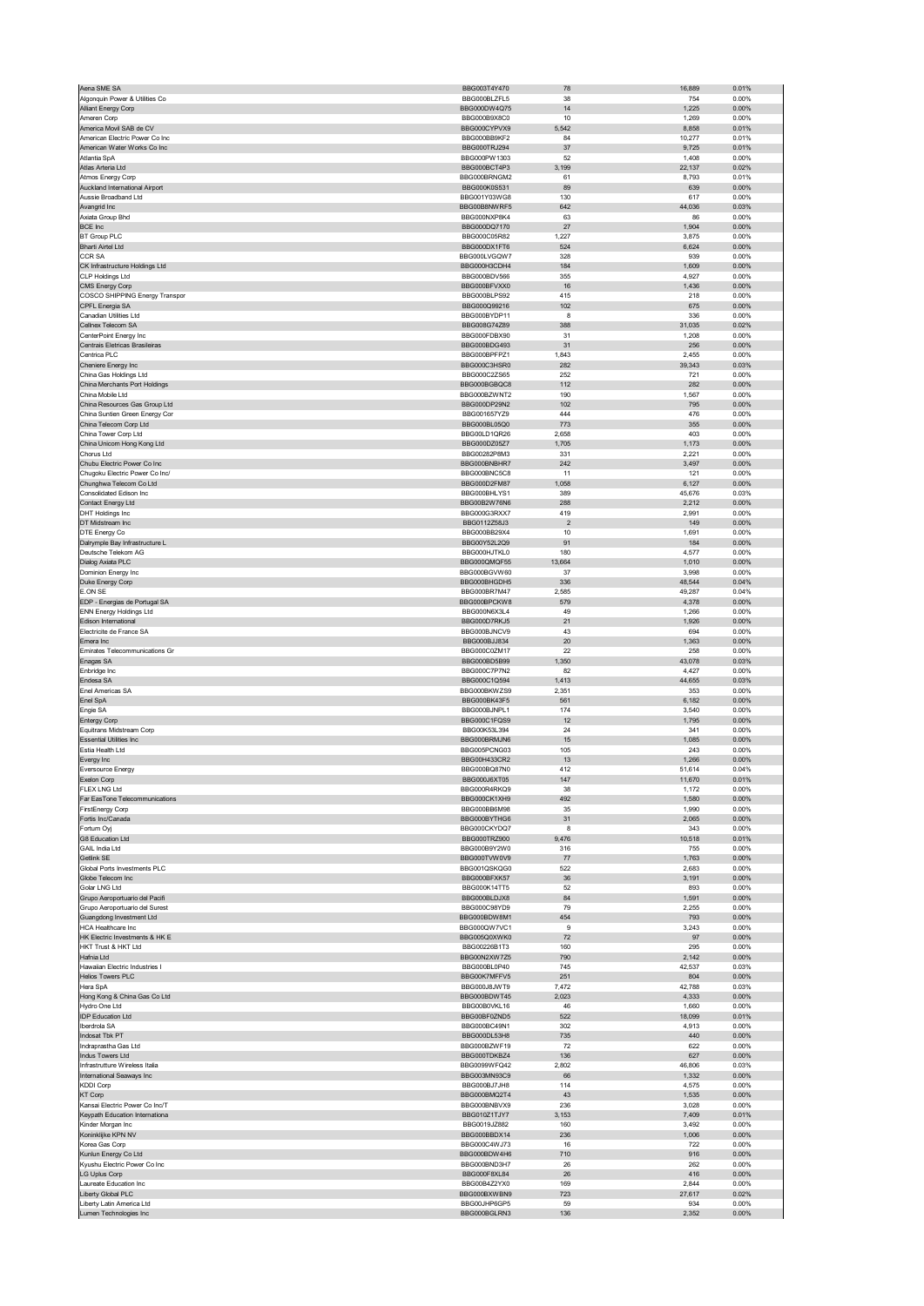|                                                                  | BBG003T4Y470                 | 78             | 16,889          | 0.01%             |
|------------------------------------------------------------------|------------------------------|----------------|-----------------|-------------------|
| Algonquin Power & Utilities Co                                   | BBG000BLZFL5                 | 38             | 754             | 0.00%             |
| Alliant Energy Corp                                              | BBG000DW4Q75                 | 14             | 1,225           | 0.00%             |
| Ameren Corp                                                      | BBG000B9X8C0                 | 10             | 1,269           | 0.00%             |
| America Movil SAB de CV                                          | BBG000CYPVX9                 | 5,542          | 8,858           | 0.01%             |
| American Electric Power Co Inc<br>American Water Works Co Inc    | BBG000BB9KF2<br>BBG000TRJ294 | 84<br>37       | 10,277<br>9,725 | 0.01%<br>0.01%    |
| Atlantia SpA                                                     | BBG000PW1303                 | 52             | 1,408           | 0.00%             |
| Atlas Arteria Ltd                                                | BBG000BCT4P3                 | 3,199          | 22,137          | 0.02%             |
| Atmos Energy Corp                                                | BBG000BRNGM2                 | 61             | 8,793           | 0.01%             |
| Auckland International Airport                                   | BBG000K0S531                 | 89             | 639             | 0.00%             |
| Aussie Broadband Ltd                                             | BBG001Y03WG8                 | 130            | 617             | 0.00%             |
| Avangrid Inc                                                     | BBG00B8NWRF5                 | 642            | 44,036          | 0.03%             |
| Axiata Group Bhd                                                 | BBG000NXP8K4                 | 63             | 86              | 0.00%             |
| <b>BCE Inc</b>                                                   | BBG000DQ7170                 | 27             | 1,904           | 0.00%             |
| <b>BT Group PLC</b>                                              | BBG000C05R82<br>BBG000DX1FT6 | 1,227          | 3,875           | 0.00%             |
| <b>Bharti Airtel Ltd</b><br><b>CCR SA</b>                        | BBG000LVGQW7                 | 524<br>328     | 6,624<br>939    | 0.00%<br>0.00%    |
| CK Infrastructure Holdings Ltd                                   | BBG000H3CDH4                 | 184            | 1,609           | 0.00%             |
| CLP Holdings Ltd                                                 | BBG000BDV566                 | 355            | 4,927           | 0.00%             |
| CMS Energy Corp                                                  | BBG000BFVXX0                 | 16             | 1,436           | 0.00%             |
| COSCO SHIPPING Energy Transpor                                   | BBG000BLPS92                 | 415            | 218             | 0.00%             |
| CPFL Energia SA                                                  | BBG000Q99216                 | 102            | 675             | $0.00\%$          |
| Canadian Utilities Ltd                                           | BBG000BYDP11                 | 8              | 336             | 0.00%             |
| Cellnex Telecom SA                                               | BBG008G74Z89                 | 388            | 31,035          | 0.02%             |
| CenterPoint Energy Inc<br>Centrais Eletricas Brasileiras         | BBG000FDBX90<br>BBG000BDG493 | 31             | 1,208<br>256    | 0.00%             |
| Centrica PLC                                                     | BBG000BPFPZ1                 | 31<br>1,843    | 2,455           | 0.00%<br>0.00%    |
| Cheniere Energy Inc                                              | BBG000C3HSR0                 | 282            | 39,343          | 0.03%             |
| China Gas Holdings Ltd                                           | BBG000C2ZS65                 | 252            | 721             | 0.00%             |
| China Merchants Port Holdings                                    | BBG000BGBQC8                 | 112            | 282             | 0.00%             |
| China Mobile Ltd                                                 | BBG000BZWNT2                 | 190            | 1,567           | 0.00%             |
| China Resources Gas Group Ltd                                    | BBG000DP29N2                 | 102            | 795             | 0.00%             |
| China Suntien Green Energy Cor                                   | BBG001657YZ9                 | 444            | 476             | 0.00%             |
| China Telecom Corp Ltd<br>China Tower Corp Ltd                   | BBG000BL05Q0<br>BBG00LD1QR26 | 773<br>2,658   | 355<br>403      | 0.00%<br>0.00%    |
| China Unicom Hong Kong Ltd                                       | BBG000DZ05Z7                 | 1,705          | 1,173           | 0.00%             |
| Chorus Ltd                                                       | BBG00282P8M3                 | 331            | 2,221           | 0.00%             |
| Chubu Electric Power Co Inc                                      | BBG000BNBHR7                 | 242            | 3,497           | $0.00\%$          |
| Chugoku Electric Power Co Inc/                                   | BBG000BNC5C8                 | 11             | 121             | 0.00%             |
| Chunghwa Telecom Co Ltd                                          | BBG000D2FM87                 | 1,058          | 6,127           | 0.00%             |
| Consolidated Edison Inc                                          | BBG000BHLYS1                 | 389            | 45,676          | 0.03%             |
| Contact Energy Ltd                                               | BBG00B2W76N6                 | 288            | 2,212           | 0.00%             |
| DHT Holdings Inc                                                 | BBG000G3RXX7                 | 419            | 2,991           | 0.00%             |
| DT Midstream Inc                                                 | BBG0112Z58J3                 | $\overline{2}$ | 149             | 0.00%             |
| DTE Energy Co<br>Dalrymple Bay Infrastructure L                  | BBG000BB29X4<br>BBG00Y52L2Q9 | 10<br>91       | 1,691<br>184    | 0.00%<br>$0.00\%$ |
| Deutsche Telekom AG                                              | BBG000HJTKL0                 | 180            | 4,577           | 0.00%             |
| Dialog Axiata PLC                                                | BBG000QMQF55                 | 13,664         | 1,010           | 0.00%             |
| Dominion Energy Inc                                              | BBG000BGVW60                 | 37             | 3,998           | 0.00%             |
| Duke Energy Corp                                                 | BBG000BHGDH5                 | 336            | 48,544          | 0.04%             |
| <b>E.ON SE</b>                                                   | BBG000BR7M47                 | 2,585          | 49,287          | 0.04%             |
| EDP - Energias de Portugal SA                                    | BBG000BPCKW8                 | 579            | 4,378           | 0.00%             |
| ENN Energy Holdings Ltd<br>Edison International                  | BBG000N6X3L4<br>BBG000D7RKJ5 | 49<br>21       | 1,266<br>1,926  | 0.00%<br>0.00%    |
| Electricite de France SA                                         | BBG000BJNCV9                 | 43             | 694             | 0.00%             |
| Emera Inc                                                        | BBG000BJJ834                 | 20             | 1,363           | 0.00%             |
| Emirates Telecommunications Gr                                   | BBG000C0ZM17                 | 22             | 258             | 0.00%             |
| Enagas SA                                                        | BBG000BD5B99                 | 1,350          | 43,078          | 0.03%             |
| Enbridge Inc                                                     | BBG000C7P7N2                 | 82             | 4,427           | 0.00%             |
| Endesa SA                                                        | BBG000C1Q594                 | 1,413          | 44,655          | 0.03%             |
| Enel Americas SA                                                 | BBG000BKWZS9                 | 2,351          | 353             | 0.00%             |
|                                                                  |                              |                |                 |                   |
| Enel SpA                                                         | BBG000BK43F5                 | 561            | 6,182           | 0.00%             |
| Engie SA                                                         | BBG000BJNPL1                 | 174            | 3,540           | 0.00%             |
| <b>Entergy Corp</b>                                              | BBG000C1FOS9<br>BBG00K53L394 | 12<br>24       | 1,795           | 0.00%             |
| Equitrans Midstream Corp<br><b>Essential Utilities Inc</b>       | BBG000BRMJN6                 | 15             | 341             | 0.00%<br>0.00%    |
| Estia Health Ltd                                                 | BBG005PCNG03                 | 105            | 1,085<br>243    | 0.00%             |
| Evergy Inc                                                       | BBG00H433CR2                 | 13             | 1,266           | 0.00%             |
| <b>Eversource Energy</b>                                         | BBG000BQ87N0                 | 412            | 51,614          | 0.04%             |
| eron corp                                                        | <b>BBG000J6X105</b>          |                | 1,670           | 0.01%             |
| <b>FLEX LNG Ltd</b>                                              | BBG000R4RKQ9                 | 38             | 1,172           | 0.00%             |
| Far EasTone Telecommunications                                   | BBG000CK1XH9                 | 492            | 1,580           | 0.00%             |
| FirstEnergy Corp                                                 | BBG000BB6M98                 | 35             | 1,990           | 0.00%             |
| Fortis Inc/Canada<br>Fortum Oyj                                  | BBG000BYTHG6<br>BBG000CKYDQ7 | 31<br>8        | 2,065<br>343    | 0.00%<br>0.00%    |
| G8 Education Ltd                                                 | BBG000TRZ900                 | 9,476          | 10,518          | 0.01%             |
| GAIL India Ltd                                                   | BBG000B9Y2W0                 | 316            | 755             | 0.00%             |
| Getlink SE                                                       | BBG000TVW0V9                 | 77             | 1,763           | 0.00%             |
| Global Ports Investments PLC                                     | BBG001QSKQG0                 | 522            | 2,683           | 0.00%             |
| Globe Telecom Inc                                                | BBG000BFXK57                 | 36             | 3,191           | 0.00%             |
| Golar LNG Ltd                                                    | BBG000K14TT5                 | 52             | 893             | 0.00%             |
| Grupo Aeroportuario del Pacifi<br>Grupo Aeroportuario del Surest | BBG000BLDJX8<br>BBG000C98YD9 | 84<br>79       | 1,591<br>2,255  | 0.00%<br>0.00%    |
| Guangdong Investment Ltd                                         | BBG000BDW8M1                 | 454            | 793             | 0.00%             |
| <b>HCA Healthcare Inc.</b>                                       | BBG000OW7VC1                 | 9              | 3,243           | 0.00%             |
| HK Electric Investments & HK E                                   | BBG005Q0XWK0                 | 72             | 97              | 0.00%             |
| HKT Trust & HKT Ltd                                              | BBG00226B1T3                 | 160            | 295             | 0.00%             |
| Hafnia Ltd                                                       | BBG00N2XW7Z5                 | 790            | 2,142           | $0.00\%$          |
| Hawaiian Electric Industries I                                   | BBG000BL0P40                 | 745            | 42,537          | 0.03%             |
| <b>Helios Towers PLC</b><br>Hera SpA                             | BBG00K7MFFV5<br>BBG000J8JWT9 | 251<br>7,472   | 804<br>42,788   | 0.00%<br>0.03%    |
| Hong Kong & China Gas Co Ltd                                     | BBG000BDWT45                 | 2,023          | 4,333           | 0.00%             |
| Hydro One Ltd                                                    | BBG00B0VKL16                 | 46             | 1,660           | 0.00%             |
| <b>IDP Education Ltd</b>                                         | BBG00BF0ZND5                 | 522            | 18,099          | 0.01%             |
| Iberdrola SA                                                     | BBG000BC49N1                 | 302            | 4,913           | 0.00%             |
| Indosat Tbk PT                                                   | BBG000DL53H8                 | 735            | 440             | $0.00\%$          |
| Indraprastha Gas Ltd                                             | BBG000BZWF19                 | 72             | 622             | 0.00%             |
| Indus Towers Ltd                                                 | BBG000TDKBZ4                 | 136            | 627             | 0.00%             |
| Infrastrutture Wireless Italia<br>International Seaways Inc      | BBG0099WFQ42<br>BBG003MN93C9 | 2,802<br>66    | 46,806          | 0.03%<br>0.00%    |
| <b>KDDI Corp</b>                                                 | BBG000BJ7JH8                 | 114            | 1,332<br>4,575  | 0.00%             |
| <b>KT Corp</b>                                                   | BBG000BMQ2T4                 | 43             | 1,535           | 0.00%             |
| Kansai Electric Power Co Inc/T                                   | BBG000BNBVX9                 | 236            | 3,028           | 0.00%             |
| Keypath Education Internationa                                   | BBG010Z1TJY7                 | 3,153          | 7,409           | 0.01%             |
| Kinder Morgan Inc                                                | BBG0019JZ882                 | 160            | 3,492           | 0.00%             |
| Koninklijke KPN NV                                               | BBG000BBDX14                 | 236            | 1,006           | 0.00%             |
| Korea Gas Corp                                                   | BBG000C4WJ73                 | 16             | 722             | 0.00%             |
| Kunlun Energy Co Ltd<br>Kyushu Electric Power Co Inc             | BBG000BDW4H6<br>BBG000BND3H7 | 710<br>26      | 916<br>262      | 0.00%<br>0.00%    |
| LG Uplus Corp                                                    | BBG000F8XL84                 | 26             | 416             | 0.00%             |
| Laureate Education Inc                                           | BBG00B4Z2YX0                 | 169            | 2,844           | 0.00%             |
| Liberty Global PLC                                               | BBG000BXWBN9                 | 723            | 27,617          | 0.02%             |
| Liberty Latin America Ltd<br>Lumen Technologies Inc              | BBG00JHP6GP5<br>BBG000BGLRN3 | 59<br>136      | 934<br>2,352    | 0.00%<br>0.00%    |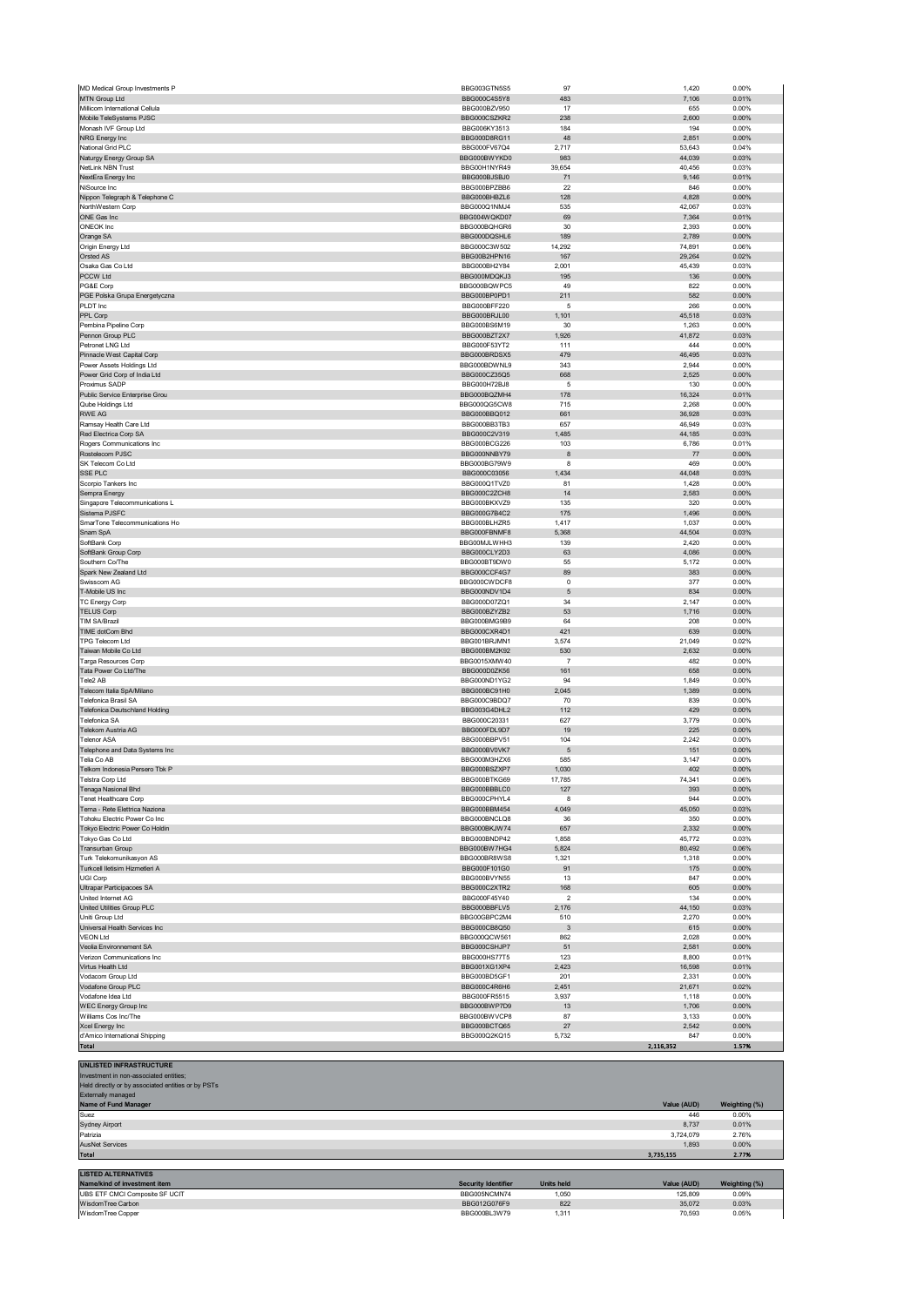| MD Medical Group Investments P                       | BBG003GTN5S5                 | 97                      | 1,420            | 0.00%          |
|------------------------------------------------------|------------------------------|-------------------------|------------------|----------------|
| MTN Group Ltd                                        | BBG000C4S5Y8                 | 483                     | 7,106            | 0.01%          |
| Millicom International Cellula                       | BBG000BZV950                 | 17                      | 655              | 0.00%          |
| Mobile TeleSystems PJSC                              | BBG000CSZKR2                 | 238                     | 2,600            | 0.00%          |
| Monash IVF Group Ltd                                 | BBG006KY3513                 | 184                     | 194              | 0.00%          |
| NRG Energy Inc<br>National Grid PLC                  | BBG000D8RG11<br>BBG000FV67Q4 | 48<br>2,717             | 2,851<br>53,643  | 0.00%<br>0.04% |
| Vaturgy Energy Group SA                              | BBG000BWYKD0                 | 983                     | 44,039           | 0.03%          |
| <b>NetLink NBN Trust</b>                             | BBG00H1NYR49                 | 39,654                  | 40,456           | 0.03%          |
| <b>VextEra Energy Inc</b>                            | BBG000BJSBJ0                 | 71                      | 9,146            | 0.01%          |
| ViSource Inc                                         | BBG000BPZBB6                 | 22                      | 846              | 0.00%          |
| Nippon Telegraph & Telephone C                       | BBG000BHBZL6                 | 128                     | 4,828            | 0.00%          |
| NorthWestern Corp                                    | BBG000Q1NMJ4                 | 535                     | 42,067           | 0.03%          |
| ONE Gas Inc                                          | BBG004WQKD07                 | 69                      | 7,364            | 0.01%          |
| <b>ONEOK Inc</b>                                     | BBG000BQHGR6                 | 30                      | 2,393            | 0.00%          |
| Orange SA                                            | BBG000DQSHL6                 | 189                     | 2,789            | 0.00%          |
| Origin Energy Ltd                                    | BBG000C3W502                 | 14,292                  | 74,891           | 0.06%          |
| Orsted AS                                            | BBG00B2HPN16                 | 167                     | 29,264           | 0.02%          |
| Osaka Gas Co Ltd                                     | BBG000BH2Y84                 | 2,001                   | 45,439           | 0.03%          |
| PCCW Ltd<br>PG&E Corp                                | BBG000MDQKJ3<br>BBG000BQWPC5 | 195<br>49               | 136<br>822       | 0.00%<br>0.00% |
| PGE Polska Grupa Energetyczna                        | BBG000BP0PD1                 | 211                     | 582              | 0.00%          |
| PLDT Inc                                             | BBG000BFF220                 | 5                       | 266              | 0.00%          |
| PPL Corp                                             | BBG000BRJL00                 | 1,101                   | 45,518           | 0.03%          |
| Pembina Pipeline Corp                                | BBG000BS6M19                 | 30                      | 1,263            | 0.00%          |
| Pennon Group PLC                                     | BBG000BZT2X7                 | 1,926                   | 41,872           | 0.03%          |
| etronet LNG Ltd                                      | BBG000F53YT2                 | 111                     | 444              | 0.00%          |
| Pinnacle West Capital Corp                           | BBG000BRDSX5                 | 479                     | 46,495           | 0.03%          |
| Power Assets Holdings Ltd                            | BBG000BDWNL9                 | 343                     | 2,944            | 0.00%          |
| Power Grid Corp of India Ltd                         | BBG000CZ35Q5                 | 668                     | 2,525            | 0.00%          |
| Proximus SADP                                        | BBG000H72BJ8                 | $\sqrt{5}$              | 130              | 0.00%          |
| Public Service Enterprise Grou                       | BBG000BQZMH4                 | 178                     | 16,324           | 0.01%          |
| Qube Holdings Ltd                                    | BBG000QG5CW8                 | 715                     | 2,268            | 0.00%          |
| RWE AG                                               | BBG000BBQ012                 | 661                     | 36,928           | 0.03%          |
| Ramsay Health Care Ltd                               | BBG000BB3TB3                 | 657                     | 46,949           | 0.03%          |
| Red Electrica Corp SA                                | BBG000C2V319                 | 1,485                   | 44,185           | 0.03%<br>0.01% |
| Rogers Communications Inc<br>Rostelecom PJSC         | BBG000BCG226<br>BBG000NNBY79 | 103<br>8                | 6,786<br>77      | 0.00%          |
| SK Telecom Co Ltd                                    | BBG000BG79W9                 | 8                       | 469              | 0.00%          |
| SSE PLC                                              | BBG000C03056                 | 1,434                   | 44,048           | 0.03%          |
| Scorpio Tankers Inc                                  | BBG000Q1TVZ0                 | 81                      | 1,428            | 0.00%          |
| Sempra Energy                                        | BBG000C2ZCH8                 | 14                      | 2,583            | 0.00%          |
| Singapore Telecommunications L                       | BBG000BKXVZ9                 | 135                     | 320              | 0.00%          |
| Sistema PJSFC                                        | BBG000G7B4C2                 | 175                     | 1,496            | 0.00%          |
| SmarTone Telecommunications Ho                       | BBG000BLHZR5                 | 1,417                   | 1,037            | 0.00%          |
| Snam SpA                                             | BBG000FBNMF8                 | 5,368                   | 44,504           | 0.03%          |
| SoftBank Corp                                        | BBG00MJLWHH3                 | 139                     | 2,420            | 0.00%          |
| SoftBank Group Corp                                  | BBG000CLY2D3                 | 63                      | 4,086            | 0.00%          |
| Southern Co/The                                      | BBG000BT9DW0                 | 55                      | 5,172            | 0.00%          |
| Spark New Zealand Ltd                                | BBG000CCF4G7                 | 89                      | 383              | 0.00%          |
| Swisscom AG                                          | BBG000CWDCF8                 | $\mathbf 0$             | 377              | 0.00%          |
| <b>T-Mobile US Inc</b><br>TC Energy Corp             | BBG000NDV1D4<br>BBG000D07ZQ1 | $\sqrt{5}$<br>34        | 834<br>2,147     | 0.00%<br>0.00% |
| <b>TELUS Corp</b>                                    | BBG000BZYZB2                 | 53                      | 1,716            | 0.00%          |
| TIM SA/Brazil                                        | BBG000BMG9B9                 | 64                      | 208              | 0.00%          |
| TIME dotCom Bhd                                      | BBG000CXR4D1                 | 421                     | 639              | 0.00%          |
| TPG Telecom Ltd                                      | BBG001BRJMN1                 | 3,574                   | 21,049           | 0.02%          |
| Taiwan Mobile Co Ltd                                 | BBG000BM2K92                 | 530                     | 2,632            | 0.00%          |
| Targa Resources Corp                                 | BBG0015XMW40                 | $\overline{7}$          | 482              | 0.00%          |
| Fata Power Co Ltd/The                                | BBG000D0ZK56                 | 161                     | 658              | 0.00%          |
| Tele2 AB                                             | BBG000ND1YG2                 | 94                      | 1,849            | 0.00%          |
| Telecom Italia SpA/Milano                            | BBG000BC91H0                 | 2,045                   | 1,389            | 0.00%          |
| <b>Telefonica Brasil SA</b>                          | BBG000C9BDQ7                 | 70                      | 839              | 0.00%          |
| <b>Telefonica Deutschland Holding</b>                | BBG003G4DHL2                 | 112                     | 429              | 0.00%          |
| Telefonica SA                                        | BBG000C20331                 | 627                     | 3,779            | 0.00%          |
| Telekom Austria AG                                   | BBG000FDL9D7                 | 19                      | 225              | 0.00%          |
| <b>Telenor ASA</b><br>Telephone and Data Systems Inc | BBG000BBPV51                 | 104                     | 2,242            | 0.00%          |
| Telia Co AB                                          | BBG000BV0VK7<br>BBG000M3HZX6 | $\sqrt{5}$<br>585       | 151<br>3,147     | 0.00%<br>0.00% |
| Telkom Indonesia Persero Tbk P                       | BBG000BSZXP7                 | 1,030                   | 402              | 0.00%          |
| Telstra Corp Ltd                                     | BBG000BTKG69                 | 17,785                  | 74,341           | 0.06%          |
| Tenaga Nasional Bhd                                  | BBG000BBBLC0                 | 127                     | 393              | $0.00\%$       |
| Tenet Healthcare Corp                                | BBG000CPHYL4                 | 8                       | 944              | 0.00%          |
| Terna - Rete Elettrica Naziona                       | BBG000BBM454                 | 4,049                   | 45,050           | 0.03%          |
| <b>Tohoku Electric Power Co Inc</b>                  | BBG000BNCLQ8                 | 36                      | 350              | 0.00%          |
| Tokyo Electric Power Co Holdin                       | BBG000BKJW74                 | 657                     | 2,332            | $0.00\%$       |
| Tokyo Gas Co Ltd                                     | BBG000BNDP42                 | 1,858                   | 45,772           | 0.03%          |
| Transurban Group                                     | BBG000BW7HG4                 | 5,824                   | 80,492           | 0.06%          |
|                                                      |                              |                         | 1,318            | 0.00%          |
| Turk Telekomunikasyon AS                             | BBG000BR8WS8                 | 1,321                   |                  |                |
| Turkcell lletisim Hizmetleri A                       | BBG000F101G0                 | 91                      | 175              | 0.00%          |
| <b>UGI Corp</b>                                      | BBG000BVYN55                 | 13                      | 847              | 0.00%          |
| Ultrapar Participacoes SA                            | BBG000C2XTR2                 | 168                     | 605              | 0.00%          |
| United Internet AG                                   | BBG000F45Y40                 | $\overline{\mathbf{2}}$ | 134              | 0.00%          |
| United Utilities Group PLC                           | BBG000BBFLV5                 | 2,176                   | 44,150           | 0.03%          |
| Uniti Group Ltd                                      | BBG00GBPC2M4                 | 510                     | 2,270            | 0.00%          |
| Universal Health Services Inc                        | BBG000CB8Q50                 | $\mathbf{3}$            | 615              | 0.00%          |
| <b>VEON Ltd</b>                                      | BBG000QCW561                 | 862                     | 2,028            | 0.00%          |
| Veolia Environnement SA                              | BBG000CSHJP7                 | 51                      | 2,581            | 0.00%          |
| Verizon Communications Inc<br>Virtus Health Ltd      | BBG000HS77T5                 | 123<br>2,423            | 8,800<br>16,598  | 0.01%<br>0.01% |
| Vodacom Group Ltd                                    | BBG001XG1XP4<br>BBG000BD5GF1 | 201                     | 2,331            | 0.00%          |
| Vodafone Group PLC                                   | BBG000C4R6H6                 | 2,451                   | 21,671           | 0.02%          |
| /odafone Idea Ltd                                    | BBG000FR5515                 | 3,937                   | 1,118            | 0.00%          |
| <b>WEC Energy Group Inc</b>                          | BBG000BWP7D9                 | 13                      | 1,706            | 0.00%          |
| Williams Cos Inc/The                                 | BBG000BWVCP8                 | 87                      | 3,133            | 0.00%          |
| Xcel Energy Inc                                      | BBG000BCTQ65                 | 27                      | 2,542            | 0.00%          |
| d'Amico International Shipping<br>Total              | BBG000Q2KQ15                 | 5,732                   | 847<br>2,116,352 | 0.00%<br>1.57% |

| <b>UNLISTED INFRASTRUCTURE</b>                     |                            |                   |             |               |
|----------------------------------------------------|----------------------------|-------------------|-------------|---------------|
| Investment in non-associated entities;             |                            |                   |             |               |
| Held directly or by associated entities or by PSTs |                            |                   |             |               |
| Externally managed                                 |                            |                   |             |               |
| Name of Fund Manager                               |                            |                   | Value (AUD) | Weighting (%) |
| Suez                                               |                            |                   | 446         | 0.00%         |
| Sydney Airport                                     |                            |                   | 8,737       | 0.01%         |
| Patrizia                                           |                            |                   | 3,724,079   | 2.76%         |
| <b>AusNet Services</b>                             |                            |                   | 1.893       | 0.00%         |
| <b>Total</b>                                       |                            |                   | 3,735,155   | 2.77%         |
|                                                    |                            |                   |             |               |
| <b>LISTED ALTERNATIVES</b>                         |                            |                   |             |               |
| Name/kind of investment item                       | <b>Security Identifier</b> | <b>Units held</b> | Value (AUD) | Weighting (%) |
| UBS ETF CMCI Composite SF UCIT                     | BBG005NCMN74               | 1,050             | 125,809     | 0.09%         |
| WisdomTree Carbon                                  | BBG012G076F9               | 822               | 35,072      | 0.03%         |
| WisdomTree Copper                                  | BBG000BL3W79               | 1,311             | 70.593      | 0.05%         |